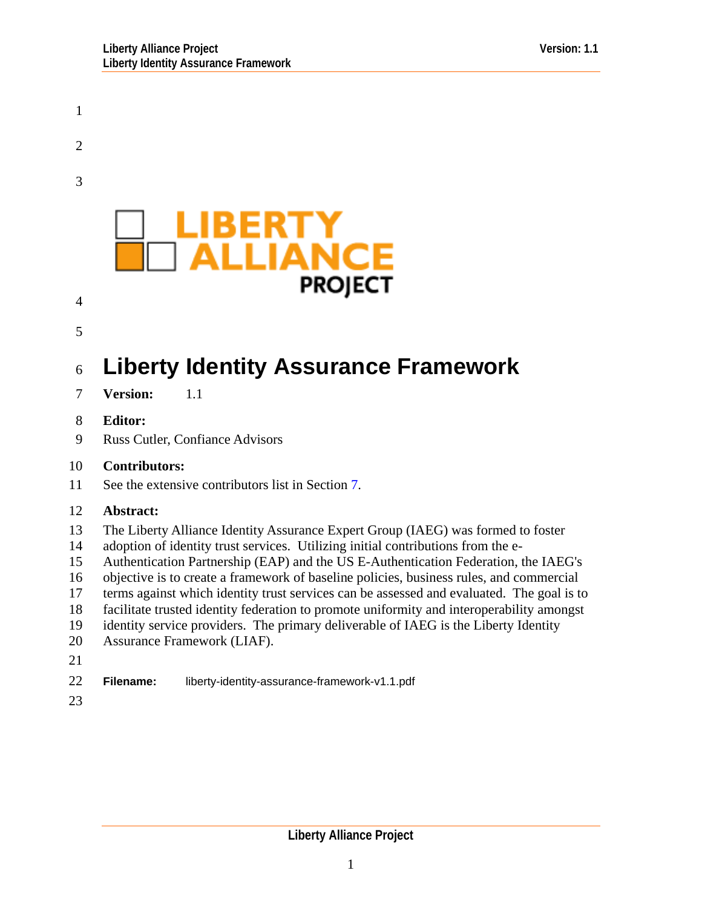

21

22 **Filename:** liberty-identity-assurance-framework-v1.1.pdf

23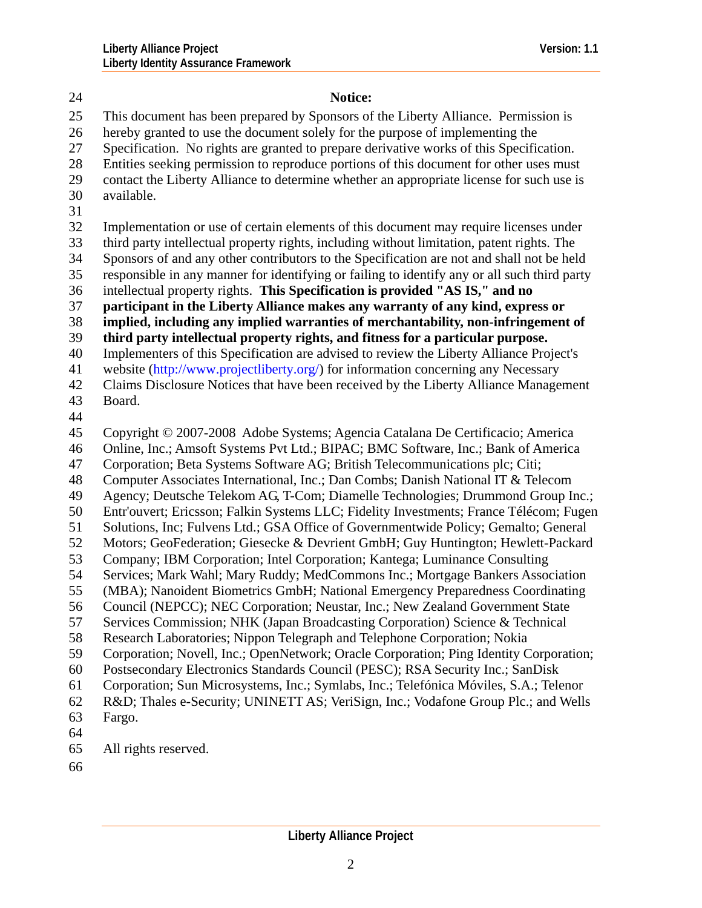24 **Notice:**  25 26 27 28 29 30 31 32 33 34 35 36 37 38 39 40 41 42 43 44 45 46 47 48 49 50 51 52 53 54 55 56 57 58 59 60 61 62 63 64 65 This document has been prepared by Sponsors of the Liberty Alliance. Permission is hereby granted to use the document solely for the purpose of implementing the Specification. No rights are granted to prepare derivative works of this Specification. Entities seeking permission to reproduce portions of this document for other uses must contact the Liberty Alliance to determine whether an appropriate license for such use is available. Implementation or use of certain elements of this document may require licenses under third party intellectual property rights, including without limitation, patent rights. The Sponsors of and any other contributors to the Specification are not and shall not be held responsible in any manner for identifying or failing to identify any or all such third party intellectual property rights. **This Specification is provided "AS IS," and no participant in the Liberty Alliance makes any warranty of any kind, express or implied, including any implied warranties of merchantability, non-infringement of third party intellectual property rights, and fitness for a particular purpose.** Implementers of this Specification are advised to review the Liberty Alliance Project's website (http://www.projectliberty.org/) for information concerning any Necessary Claims Disclosure Notices that have been received by the Liberty Alliance Management Board. Copyright © 2007-2008 Adobe Systems; Agencia Catalana De Certificacio; America Online, Inc.; Amsoft Systems Pvt Ltd.; BIPAC; BMC Software, Inc.; Bank of America Corporation; Beta Systems Software AG; British Telecommunications plc; Citi; Computer Associates International, Inc.; Dan Combs; Danish National IT & Telecom Agency; Deutsche Telekom AG, T-Com; Diamelle Technologies; Drummond Group Inc.; Entr'ouvert; Ericsson; Falkin Systems LLC; Fidelity Investments; France Télécom; Fugen Solutions, Inc; Fulvens Ltd.; GSA Office of Governmentwide Policy; Gemalto; General Motors; GeoFederation; Giesecke & Devrient GmbH; Guy Huntington; Hewlett-Packard Company; IBM Corporation; Intel Corporation; Kantega; Luminance Consulting Services; Mark Wahl; Mary Ruddy; MedCommons Inc.; Mortgage Bankers Association (MBA); Nanoident Biometrics GmbH; National Emergency Preparedness Coordinating Council (NEPCC); NEC Corporation; Neustar, Inc.; New Zealand Government State Services Commission; NHK (Japan Broadcasting Corporation) Science & Technical Research Laboratories; Nippon Telegraph and Telephone Corporation; Nokia Corporation; Novell, Inc.; OpenNetwork; Oracle Corporation; Ping Identity Corporation; Postsecondary Electronics Standards Council (PESC); RSA Security Inc.; SanDisk Corporation; Sun Microsystems, Inc.; Symlabs, Inc.; Telefónica Móviles, S.A.; Telenor R&D; Thales e-Security; UNINETT AS; VeriSign, Inc.; Vodafone Group Plc.; and Wells Fargo. All rights reserved.

66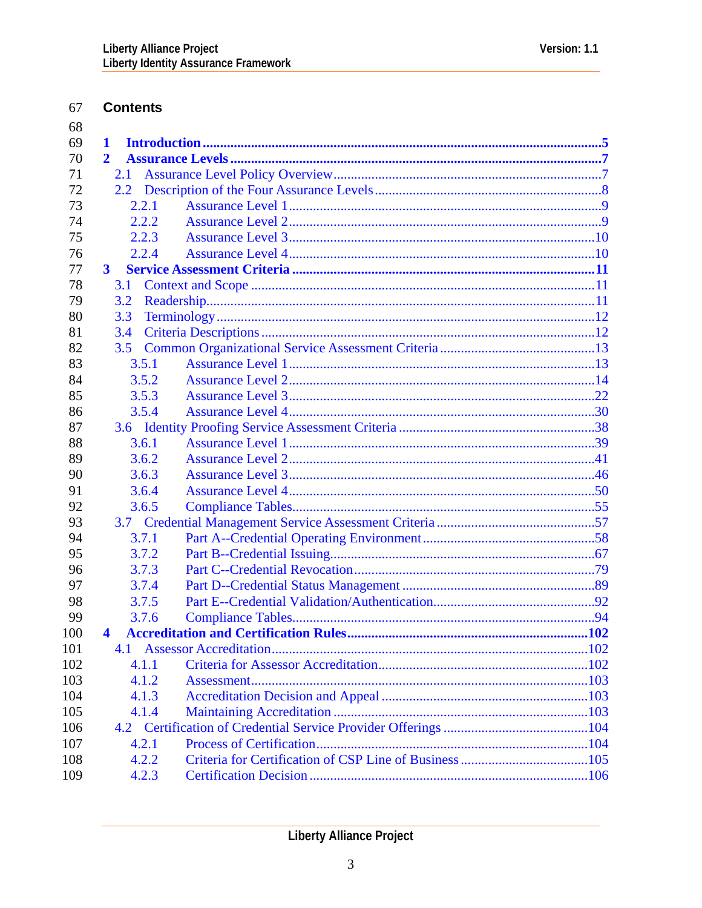#### 67 **Contents**

| 68  |              |  |
|-----|--------------|--|
| 69  | 1            |  |
| 70  | $\mathbf{2}$ |  |
| 71  | 2.1          |  |
| 72  |              |  |
| 73  | 2.2.1        |  |
| 74  | 2.2.2        |  |
| 75  | 2.2.3        |  |
| 76  | 2.2.4        |  |
| 77  | $3^{\circ}$  |  |
| 78  | <b>3.1</b>   |  |
| 79  | 3.2          |  |
| 80  | 3.3          |  |
| 81  | 3.4          |  |
| 82  | 3.5          |  |
| 83  | 3.5.1        |  |
| 84  | 3.5.2        |  |
| 85  | 3.5.3        |  |
| 86  | 3.5.4        |  |
| 87  |              |  |
| 88  | 3.6.1        |  |
| 89  | 3.6.2        |  |
| 90  | 3.6.3        |  |
| 91  | 3.6.4        |  |
| 92  | 3.6.5        |  |
| 93  |              |  |
| 94  | 3.7.1        |  |
| 95  | 3.7.2        |  |
| 96  | 3.7.3        |  |
| 97  | 3.7.4        |  |
| 98  | 3.7.5        |  |
| 99  | 3.7.6        |  |
| 100 |              |  |
| 101 | 4.1          |  |
| 102 | 4.1.1        |  |
| 103 | 4.1.2        |  |
| 104 | 4.1.3        |  |
| 105 | 4.1.4        |  |
| 106 |              |  |
| 107 | 4.2.1        |  |
| 108 | 4.2.2        |  |
| 109 | 4.2.3        |  |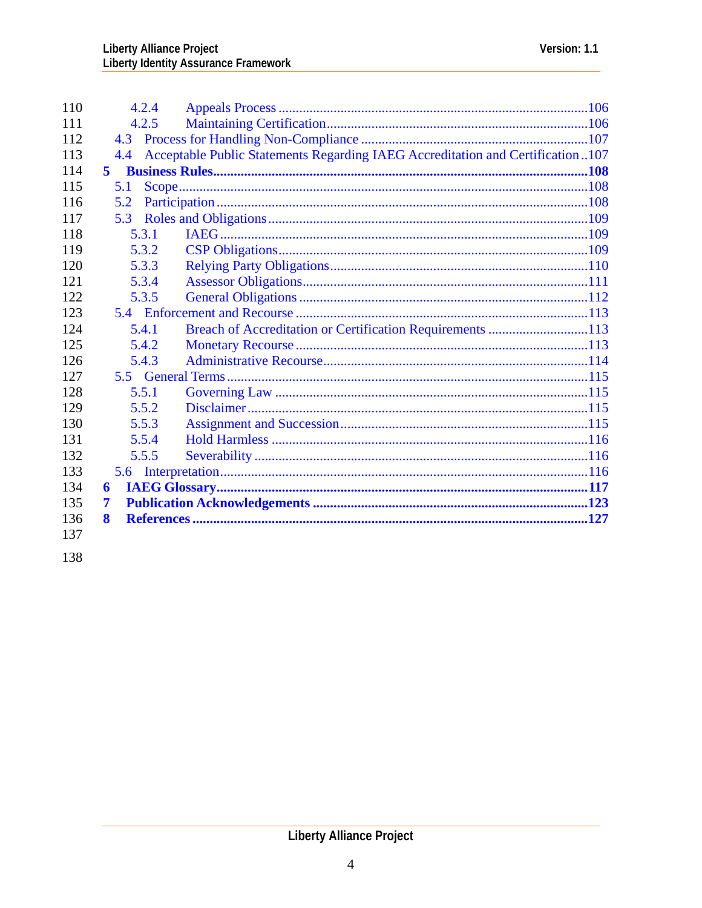| 110 | 4.2.4 |                                                                                |  |
|-----|-------|--------------------------------------------------------------------------------|--|
| 111 | 4.2.5 |                                                                                |  |
| 112 |       |                                                                                |  |
| 113 | 4.4   | Acceptable Public Statements Regarding IAEG Accreditation and Certification107 |  |
| 114 | 5.    |                                                                                |  |
| 115 | 5.1   |                                                                                |  |
| 116 | 5.2   |                                                                                |  |
| 117 | 5.3   |                                                                                |  |
| 118 | 5.3.1 |                                                                                |  |
| 119 | 5.3.2 |                                                                                |  |
| 120 | 5.3.3 |                                                                                |  |
| 121 | 5.3.4 |                                                                                |  |
| 122 | 5.3.5 |                                                                                |  |
| 123 |       |                                                                                |  |
| 124 | 5.4.1 | Breach of Accreditation or Certification Requirements 113                      |  |
| 125 | 5.4.2 |                                                                                |  |
| 126 | 5.4.3 |                                                                                |  |
| 127 |       |                                                                                |  |
| 128 | 5.5.1 |                                                                                |  |
| 129 | 5.5.2 |                                                                                |  |
| 130 | 5.5.3 |                                                                                |  |
| 131 | 5.5.4 |                                                                                |  |
| 132 | 5.5.5 |                                                                                |  |
| 133 |       |                                                                                |  |
| 134 | 6     |                                                                                |  |
| 135 | 7     |                                                                                |  |
| 136 | 8     |                                                                                |  |
| 137 |       |                                                                                |  |

138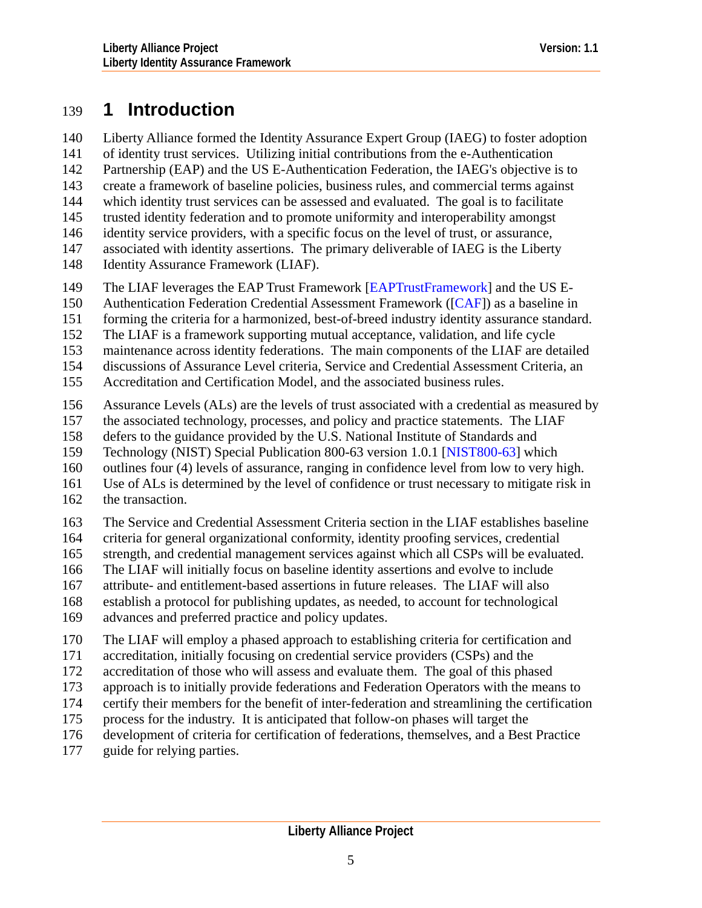# <span id="page-4-0"></span>139 **1 Introduction**

Liberty Alliance formed the Identity Assurance Expert Group (IAEG) to foster adoption of identity trust services. Utilizing initial contributions from the e-Authentication Partnership (EAP) and the US E-Authentication Federation, the IAEG's objective is to create a framework of baseline policies, business rules, and commercial terms against which identity trust services can be assessed and evaluated. The goal is to facilitate trusted identity federation and to promote uniformity and interoperability amongst identity service providers, with a specific focus on the level of trust, or assurance, associated with identity assertions. The primary deliverable of IAEG is the Liberty 140 141 142 143 144 145 146 147

- Identity Assurance Framework (LIAF). 148
- 149 The LIAF leverages the EAP Trust Framework [\[EAPTrustFramework](#page-126-0)] and the US E-
- 150 Authentication Federation Credential Assessment Framework ([\[CAF](#page-126-0)]) as a baseline in
- 151 forming the criteria for a harmonized, best-of-breed industry identity assurance standard.
- 152 The LIAF is a framework supporting mutual acceptance, validation, and life cycle
- 153 maintenance across identity federations. The main components of the LIAF are detailed
- 154 discussions of Assurance Level criteria, Service and Credential Assessment Criteria, an
- 155 Accreditation and Certification Model, and the associated business rules.
- 156 Assurance Levels (ALs) are the levels of trust associated with a credential as measured by
- 157 the associated technology, processes, and policy and practice statements. The LIAF
- 158 defers to the guidance provided by the U.S. National Institute of Standards and
- 159 Technology (NIST) Special Publication 800-63 version 1.0.1 [\[NIST800-63](#page-127-0)] which
- 160 outlines four (4) levels of assurance, ranging in confidence level from low to very high.
- 161 Use of ALs is determined by the level of confidence or trust necessary to mitigate risk in
- 162 the transaction.
- 163 The Service and Credential Assessment Criteria section in the LIAF establishes baseline
- 164 criteria for general organizational conformity, identity proofing services, credential
- 165 strength, and credential management services against which all CSPs will be evaluated.
- 166 The LIAF will initially focus on baseline identity assertions and evolve to include
- 167 attribute- and entitlement-based assertions in future releases. The LIAF will also
- 168 establish a protocol for publishing updates, as needed, to account for technological
- 169 advances and preferred practice and policy updates.
- 170 The LIAF will employ a phased approach to establishing criteria for certification and
- 171 accreditation, initially focusing on credential service providers (CSPs) and the
- 172 accreditation of those who will assess and evaluate them. The goal of this phased
- 173 approach is to initially provide federations and Federation Operators with the means to
- 174 certify their members for the benefit of inter-federation and streamlining the certification
- 175 process for the industry. It is anticipated that follow-on phases will target the
- 176 development of criteria for certification of federations, themselves, and a Best Practice
- 177 guide for relying parties.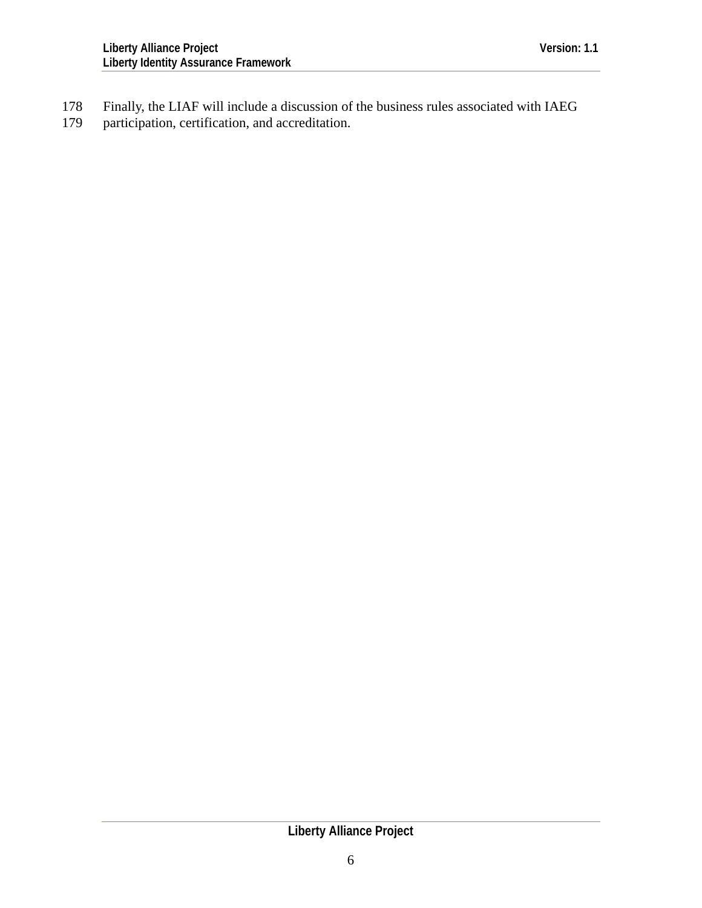Finally, the LIAF will include a discussion of the business rules associated with IAEG participation, certification, and accreditation. 178 179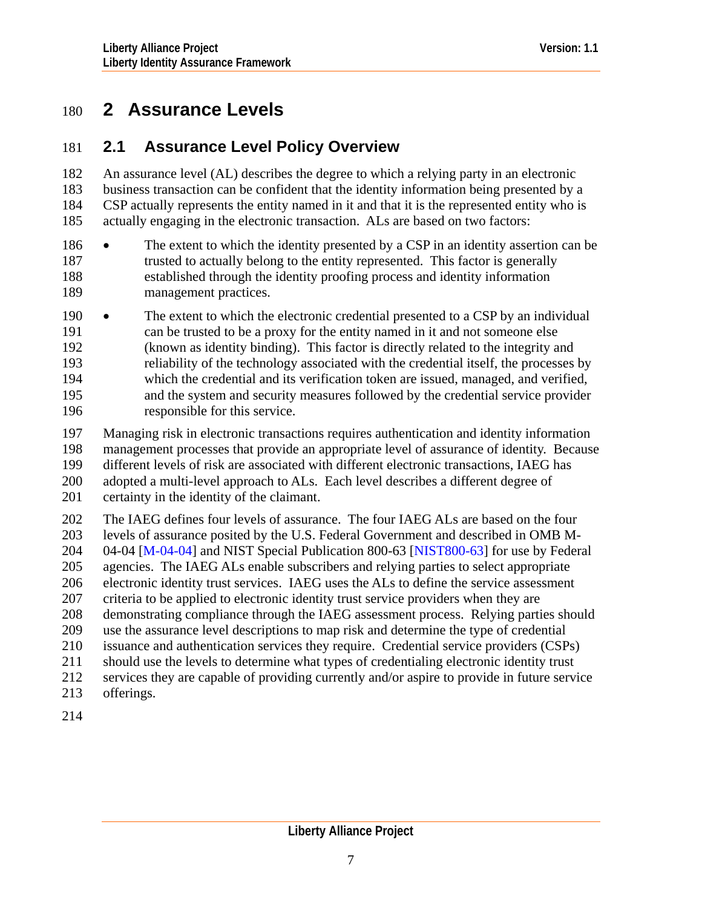# <span id="page-6-0"></span>180 **2 Assurance Levels**

# 181 **2.1 Assurance Level Policy Overview**

An assurance level (AL) describes the degree to which a relying party in an electronic business transaction can be confident that the identity information being presented by a CSP actually represents the entity named in it and that it is the represented entity who is actually engaging in the electronic transaction. ALs are based on two factors: 182 183 184 185

- 187 188 189 186 • The extent to which the identity presented by a CSP in an identity assertion can be trusted to actually belong to the entity represented. This factor is generally established through the identity proofing process and identity information management practices.
- 191 192 193 194 195 196 190 • The extent to which the electronic credential presented to a CSP by an individual can be trusted to be a proxy for the entity named in it and not someone else (known as identity binding). This factor is directly related to the integrity and reliability of the technology associated with the credential itself, the processes by which the credential and its verification token are issued, managed, and verified, and the system and security measures followed by the credential service provider responsible for this service.
- 197 198 199 200 201 Managing risk in electronic transactions requires authentication and identity information management processes that provide an appropriate level of assurance of identity. Because different levels of risk are associated with different electronic transactions, IAEG has adopted a multi-level approach to ALs. Each level describes a different degree of certainty in the identity of the claimant.
- 202 203 204 205 206 207 208 209 210 211 212 The IAEG defines four levels of assurance. The four IAEG ALs are based on the four levels of assurance posited by the U.S. Federal Government and described in OMB M-04-04 [\[M-04-04\]](#page-126-0) and NIST Special Publication 800-63 [\[NIST800-63](#page-127-0)] for use by Federal agencies. The IAEG ALs enable subscribers and relying parties to select appropriate electronic identity trust services. IAEG uses the ALs to define the service assessment criteria to be applied to electronic identity trust service providers when they are demonstrating compliance through the IAEG assessment process. Relying parties should use the assurance level descriptions to map risk and determine the type of credential issuance and authentication services they require. Credential service providers (CSPs) should use the levels to determine what types of credentialing electronic identity trust services they are capable of providing currently and/or aspire to provide in future service
- 213 offerings.
- 214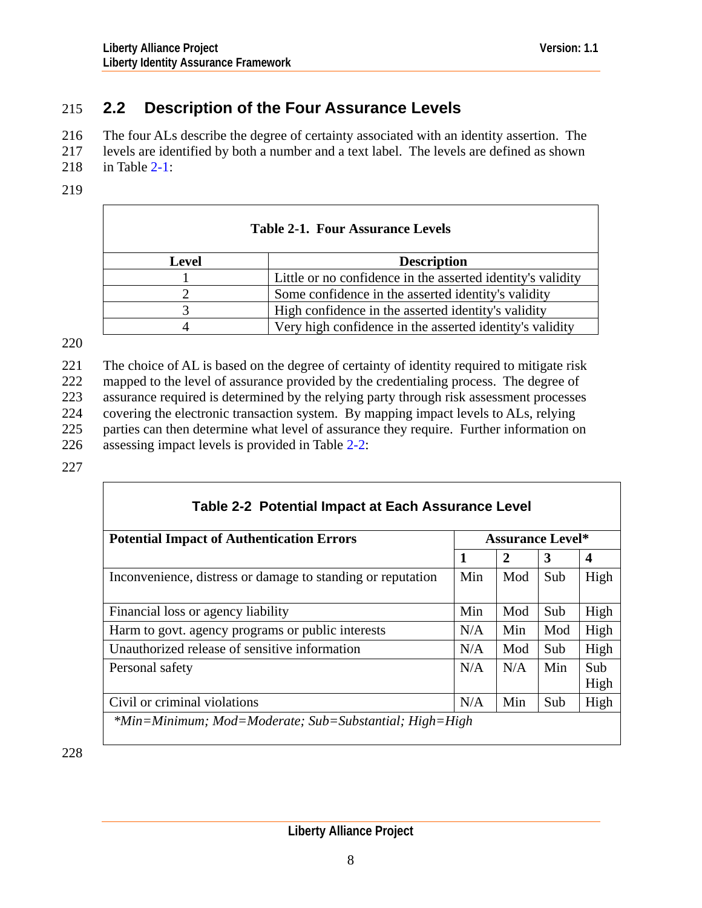# <span id="page-7-0"></span>215 **2.2 Description of the Four Assurance Levels**

The four ALs describe the degree of certainty associated with an identity assertion. The 216

levels are identified by both a number and a text label. The levels are defined as shown 217

- in Table [2-1:](#page-7-0) 218
- 219

| <b>Table 2-1. Four Assurance Levels</b> |                                                             |  |  |
|-----------------------------------------|-------------------------------------------------------------|--|--|
| <b>Level</b>                            | <b>Description</b>                                          |  |  |
|                                         | Little or no confidence in the asserted identity's validity |  |  |
|                                         | Some confidence in the asserted identity's validity         |  |  |
|                                         | High confidence in the asserted identity's validity         |  |  |
|                                         | Very high confidence in the asserted identity's validity    |  |  |

220

221 222 223 224 225 226 The choice of AL is based on the degree of certainty of identity required to mitigate risk mapped to the level of assurance provided by the credentialing process. The degree of assurance required is determined by the relying party through risk assessment processes covering the electronic transaction system. By mapping impact levels to ALs, relying parties can then determine what level of assurance they require. Further information on assessing impact levels is provided in Table [2-2:](#page-7-0)

227

| <b>Potential Impact of Authentication Errors</b>            |     | <b>Assurance Level*</b> |     |                         |  |
|-------------------------------------------------------------|-----|-------------------------|-----|-------------------------|--|
|                                                             | 1   | 2                       | 3   | $\overline{\mathbf{4}}$ |  |
| Inconvenience, distress or damage to standing or reputation | Min | Mod                     | Sub | High                    |  |
| Financial loss or agency liability                          | Min | Mod                     | Sub | High                    |  |
| Harm to govt. agency programs or public interests           | N/A | Min                     | Mod | High                    |  |
| Unauthorized release of sensitive information               | N/A | Mod                     | Sub | High                    |  |
| Personal safety                                             | N/A | N/A                     | Min | Sub<br>High             |  |
| Civil or criminal violations                                | N/A | Min                     | Sub | High                    |  |

228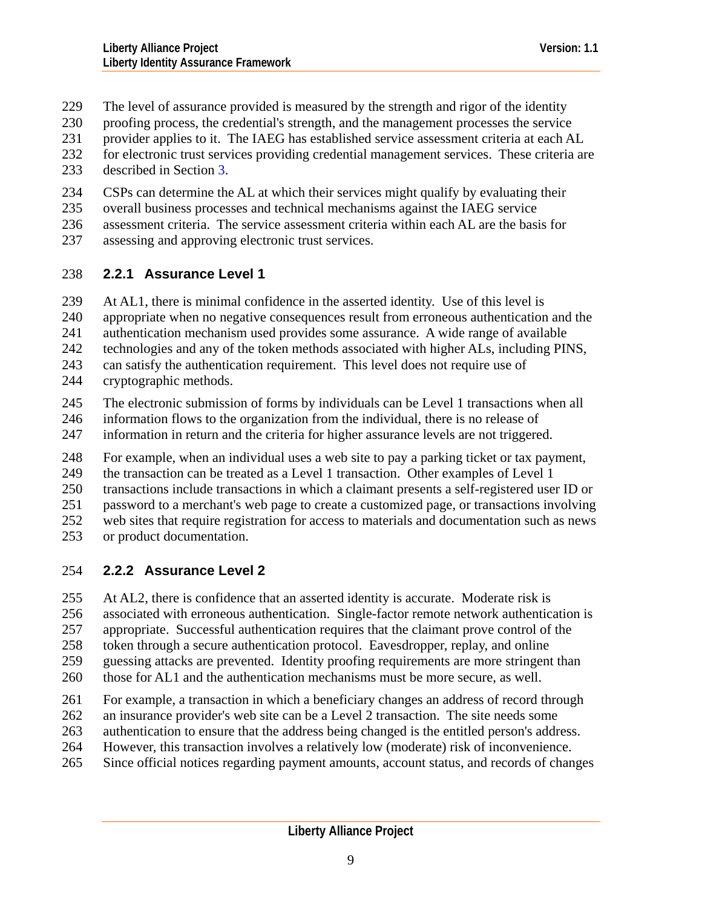- <span id="page-8-0"></span>The level of assurance provided is measured by the strength and rigor of the identity 229
- proofing process, the credential's strength, and the management processes the service 230
- provider applies to it. The IAEG has established service assessment criteria at each AL 231
- for electronic trust services providing credential management services. These criteria are 232
- described in Section [3](#page-10-0). 233
- 234 CSPs can determine the AL at which their services might qualify by evaluating their
- 235 overall business processes and technical mechanisms against the IAEG service
- 236 assessment criteria. The service assessment criteria within each AL are the basis for
- 237 assessing and approving electronic trust services.

# 238 **2.2.1 Assurance Level 1**

- 239 At AL1, there is minimal confidence in the asserted identity. Use of this level is
- 240 appropriate when no negative consequences result from erroneous authentication and the
- 241 authentication mechanism used provides some assurance. A wide range of available
- 242 technologies and any of the token methods associated with higher ALs, including PINS,
- 243 can satisfy the authentication requirement. This level does not require use of
- 244 cryptographic methods.
- 245 The electronic submission of forms by individuals can be Level 1 transactions when all
- 246 information flows to the organization from the individual, there is no release of
- 247 information in return and the criteria for higher assurance levels are not triggered.
- 248 For example, when an individual uses a web site to pay a parking ticket or tax payment,
- 249 the transaction can be treated as a Level 1 transaction. Other examples of Level 1
- 250 transactions include transactions in which a claimant presents a self-registered user ID or
- 251 password to a merchant's web page to create a customized page, or transactions involving
- 252 web sites that require registration for access to materials and documentation such as news
- 253 or product documentation.

# 254 **2.2.2 Assurance Level 2**

- 255 At AL2, there is confidence that an asserted identity is accurate. Moderate risk is
- 256 associated with erroneous authentication. Single-factor remote network authentication is
- 257 appropriate. Successful authentication requires that the claimant prove control of the
- 258 token through a secure authentication protocol. Eavesdropper, replay, and online
- 259 guessing attacks are prevented. Identity proofing requirements are more stringent than
- 260 those for AL1 and the authentication mechanisms must be more secure, as well.
- 261 For example, a transaction in which a beneficiary changes an address of record through
- 262 an insurance provider's web site can be a Level 2 transaction. The site needs some
- 263 authentication to ensure that the address being changed is the entitled person's address.
- 264 However, this transaction involves a relatively low (moderate) risk of inconvenience.
- 265 Since official notices regarding payment amounts, account status, and records of changes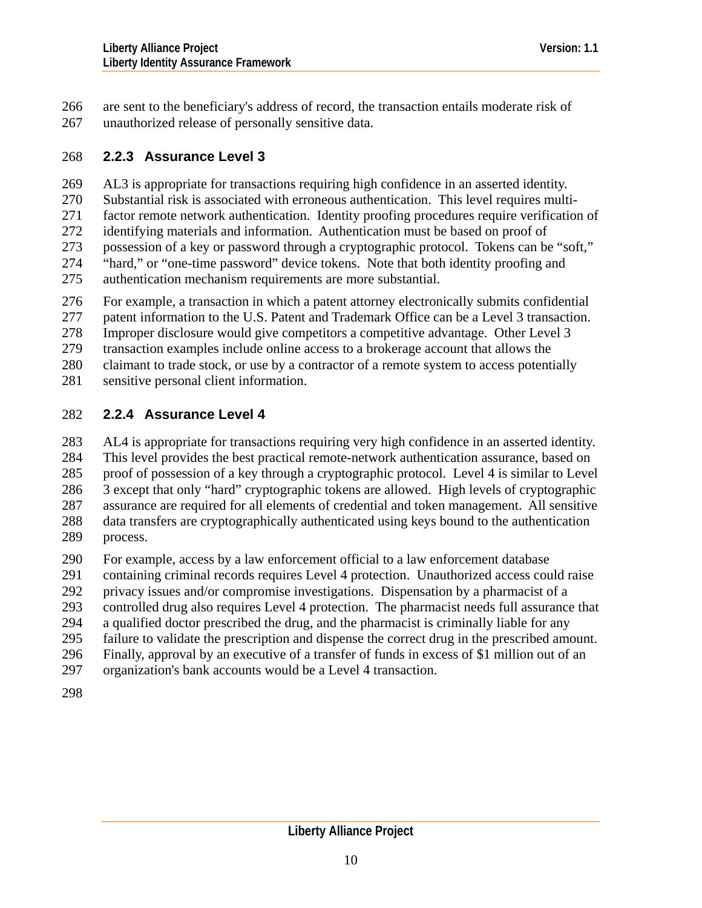<span id="page-9-0"></span>are sent to the beneficiary's address of record, the transaction entails moderate risk of unauthorized release of personally sensitive data. 266 267

# 268 **2.2.3 Assurance Level 3**

269 AL3 is appropriate for transactions requiring high confidence in an asserted identity.

270 Substantial risk is associated with erroneous authentication. This level requires multi-

271 factor remote network authentication. Identity proofing procedures require verification of

- 272 identifying materials and information. Authentication must be based on proof of
- 273 274 possession of a key or password through a cryptographic protocol. Tokens can be "soft," "hard," or "one-time password" device tokens. Note that both identity proofing and
- 275 authentication mechanism requirements are more substantial.
- 276 For example, a transaction in which a patent attorney electronically submits confidential
- 277 patent information to the U.S. Patent and Trademark Office can be a Level 3 transaction.
- 278 Improper disclosure would give competitors a competitive advantage. Other Level 3
- 279 transaction examples include online access to a brokerage account that allows the
- 280 claimant to trade stock, or use by a contractor of a remote system to access potentially
- 281 sensitive personal client information.

# 282 **2.2.4 Assurance Level 4**

283 284 285 286 287 288 289 AL4 is appropriate for transactions requiring very high confidence in an asserted identity. This level provides the best practical remote-network authentication assurance, based on proof of possession of a key through a cryptographic protocol. Level 4 is similar to Level 3 except that only "hard" cryptographic tokens are allowed. High levels of cryptographic assurance are required for all elements of credential and token management. All sensitive data transfers are cryptographically authenticated using keys bound to the authentication process.

- 290 For example, access by a law enforcement official to a law enforcement database
- 291 containing criminal records requires Level 4 protection. Unauthorized access could raise
- 292 privacy issues and/or compromise investigations. Dispensation by a pharmacist of a
- 293 controlled drug also requires Level 4 protection. The pharmacist needs full assurance that
- 294 a qualified doctor prescribed the drug, and the pharmacist is criminally liable for any
- 295 failure to validate the prescription and dispense the correct drug in the prescribed amount.
- 296 Finally, approval by an executive of a transfer of funds in excess of \$1 million out of an
- 297 organization's bank accounts would be a Level 4 transaction.
- 298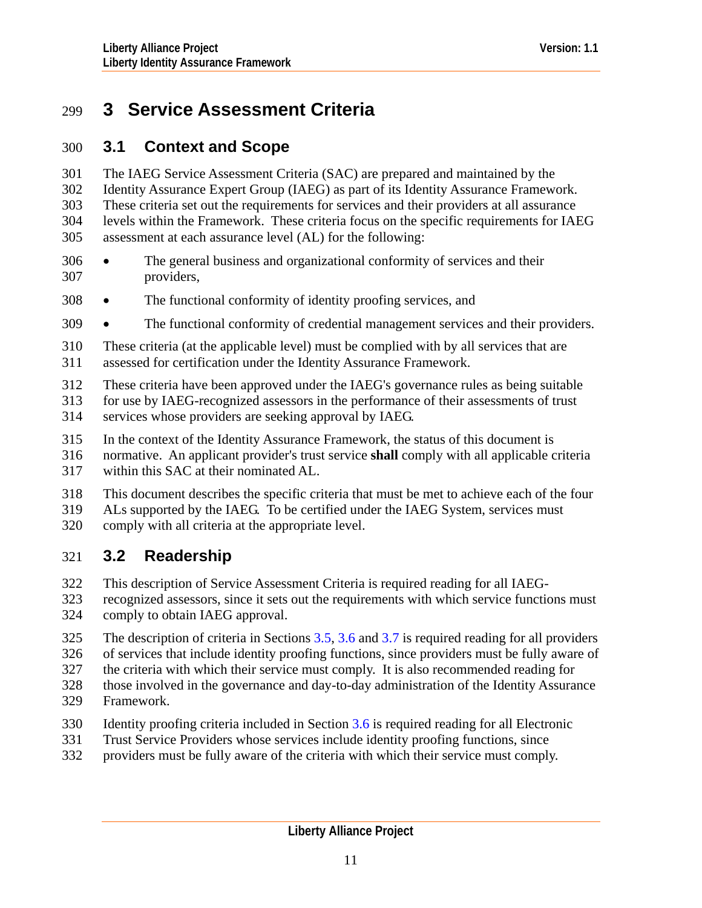# <span id="page-10-0"></span>299 **3 Service Assessment Criteria**

# 300 **3.1 Context and Scope**

The IAEG Service Assessment Criteria (SAC) are prepared and maintained by the Identity Assurance Expert Group (IAEG) as part of its Identity Assurance Framework. These criteria set out the requirements for services and their providers at all assurance levels within the Framework. These criteria focus on the specific requirements for IAEG assessment at each assurance level (AL) for the following: 301 302 303 304 305

- 307 306 • The general business and organizational conformity of services and their providers,
- 308 The functional conformity of identity proofing services, and
- 309 The functional conformity of credential management services and their providers.
- 310 311 These criteria (at the applicable level) must be complied with by all services that are assessed for certification under the Identity Assurance Framework.
- 312 These criteria have been approved under the IAEG's governance rules as being suitable
- 313 for use by IAEG-recognized assessors in the performance of their assessments of trust
- 314 services whose providers are seeking approval by IAEG.
- 315 In the context of the Identity Assurance Framework, the status of this document is
- 316 normative. An applicant provider's trust service **shall** comply with all applicable criteria
- 317 within this SAC at their nominated AL.
- 318 This document describes the specific criteria that must be met to achieve each of the four
- 319 ALs supported by the IAEG. To be certified under the IAEG System, services must
- 320 comply with all criteria at the appropriate level.

# 321 **3.2 Readership**

- 322 This description of Service Assessment Criteria is required reading for all IAEG-
- 323 324 recognized assessors, since it sets out the requirements with which service functions must comply to obtain IAEG approval.
- 325 The description of criteria in Sections [3.5,](#page-12-0) [3.6](#page-37-0) and [3.7](#page-56-0) is required reading for all providers
- 326 of services that include identity proofing functions, since providers must be fully aware of
- 327 the criteria with which their service must comply. It is also recommended reading for
- 328 those involved in the governance and day-to-day administration of the Identity Assurance
- 329 Framework.
- 330 Identity proofing criteria included in Section [3.6](#page-37-0) is required reading for all Electronic
- 331 Trust Service Providers whose services include identity proofing functions, since
- 332 providers must be fully aware of the criteria with which their service must comply.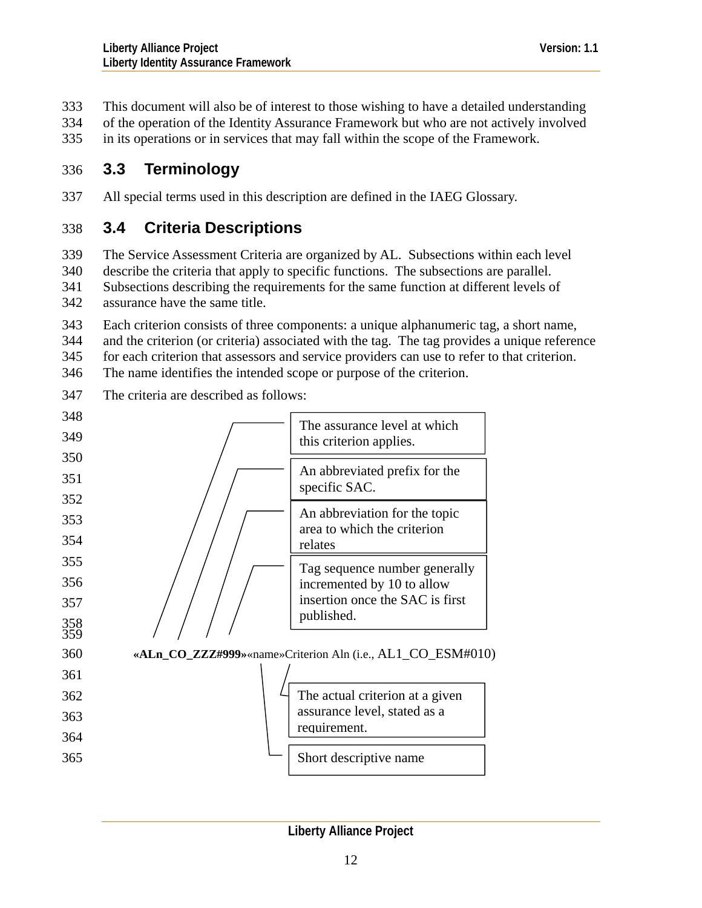- <span id="page-11-0"></span>This document will also be of interest to those wishing to have a detailed understanding 333
- of the operation of the Identity Assurance Framework but who are not actively involved 334
- in its operations or in services that may fall within the scope of the Framework. 335

# 336 **3.3 Terminology**

337 All special terms used in this description are defined in the IAEG Glossary.

# 338 **3.4 Criteria Descriptions**

339 The Service Assessment Criteria are organized by AL. Subsections within each level

- 340 describe the criteria that apply to specific functions. The subsections are parallel.
- 341 342 Subsections describing the requirements for the same function at different levels of assurance have the same title.
- 343 Each criterion consists of three components: a unique alphanumeric tag, a short name,
- 344 and the criterion (or criteria) associated with the tag. The tag provides a unique reference
- 345 for each criterion that assessors and service providers can use to refer to that criterion.
- 346 The name identifies the intended scope or purpose of the criterion.
- 347 The criteria are described as follows:

| 348        |                                                              |
|------------|--------------------------------------------------------------|
| 349        | The assurance level at which<br>this criterion applies.      |
| 350        |                                                              |
| 351        | An abbreviated prefix for the<br>specific SAC.               |
| 352        |                                                              |
| 353        | An abbreviation for the topic<br>area to which the criterion |
| 354        | relates                                                      |
| 355        | Tag sequence number generally                                |
| 356        | incremented by 10 to allow                                   |
| 357        | insertion once the SAC is first                              |
| 358<br>359 | published.                                                   |
| 360        | «ALn_CO_ZZZ#999» «name» Criterion Aln (i.e., AL1_CO_ESM#010) |
| 361        |                                                              |
| 362        | The actual criterion at a given                              |
| 363        | assurance level, stated as a                                 |
| 364        | requirement.                                                 |
| 365        | Short descriptive name                                       |
|            |                                                              |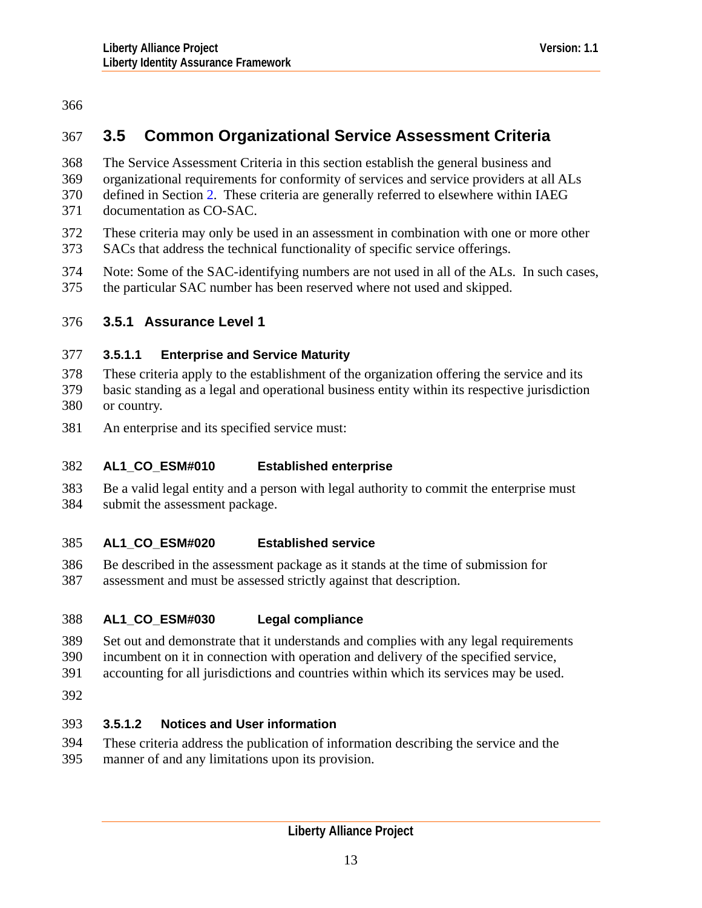# <span id="page-12-0"></span>366

# 367 **3.5 Common Organizational Service Assessment Criteria**

- 368 The Service Assessment Criteria in this section establish the general business and
- 369 organizational requirements for conformity of services and service providers at all ALs
- 370 defined in Section [2](#page-6-0). These criteria are generally referred to elsewhere within IAEG
- 371 documentation as CO-SAC.
- 372 These criteria may only be used in an assessment in combination with one or more other
- 373 SACs that address the technical functionality of specific service offerings.
- 374 Note: Some of the SAC-identifying numbers are not used in all of the ALs. In such cases,
- 375 the particular SAC number has been reserved where not used and skipped.

# 376 **3.5.1 Assurance Level 1**

# 377 **3.5.1.1 Enterprise and Service Maturity**

- 378 379 380 These criteria apply to the establishment of the organization offering the service and its basic standing as a legal and operational business entity within its respective jurisdiction or country.
- 381 An enterprise and its specified service must:

## 382 **AL1\_CO\_ESM#010 Established enterprise**

383 384 Be a valid legal entity and a person with legal authority to commit the enterprise must submit the assessment package.

## 385 **AL1\_CO\_ESM#020 Established service**

386 387 Be described in the assessment package as it stands at the time of submission for assessment and must be assessed strictly against that description.

## 388 **AL1\_CO\_ESM#030 Legal compliance**

- 389 Set out and demonstrate that it understands and complies with any legal requirements
- 390 incumbent on it in connection with operation and delivery of the specified service,
- 391 accounting for all jurisdictions and countries within which its services may be used.
- 392

# 393 **3.5.1.2 Notices and User information**

394 395 These criteria address the publication of information describing the service and the manner of and any limitations upon its provision.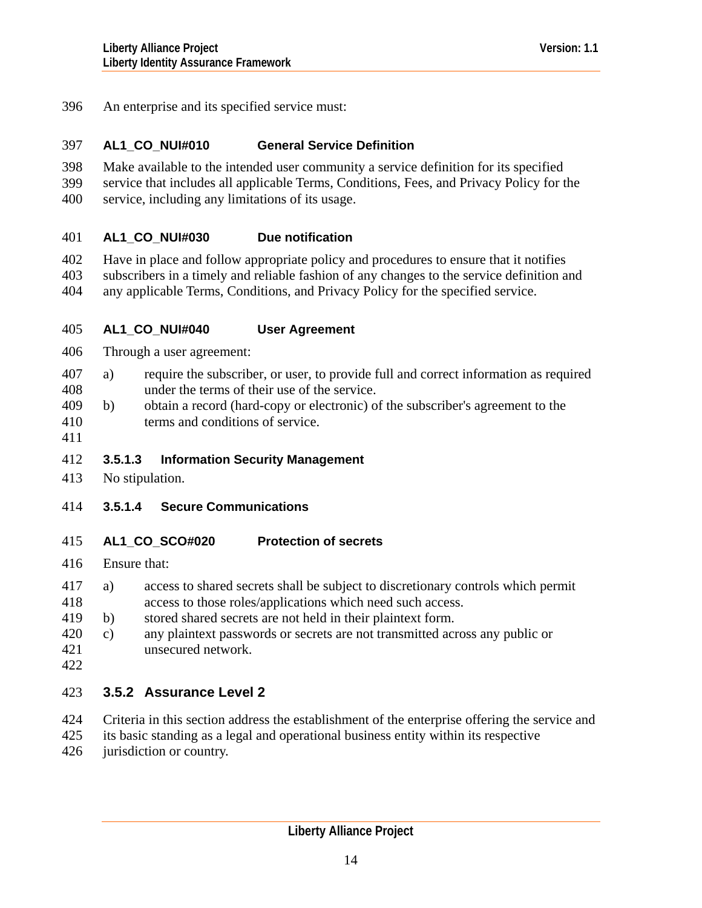<span id="page-13-0"></span>396 An enterprise and its specified service must:

#### 397 **AL1\_CO\_NUI#010 General Service Definition**

- 398 Make available to the intended user community a service definition for its specified
- 399 service that includes all applicable Terms, Conditions, Fees, and Privacy Policy for the
- 400 service, including any limitations of its usage.

#### 401 **AL1\_CO\_NUI#030 Due notification**

- 402 Have in place and follow appropriate policy and procedures to ensure that it notifies
- 403 subscribers in a timely and reliable fashion of any changes to the service definition and
- 404 any applicable Terms, Conditions, and Privacy Policy for the specified service.

#### 405 **AL1\_CO\_NUI#040 User Agreement**

- 406 Through a user agreement:
- 408 407 a) require the subscriber, or user, to provide full and correct information as required under the terms of their use of the service.
- 410 409 b) obtain a record (hard-copy or electronic) of the subscriber's agreement to the terms and conditions of service.
- 411

# 412 **3.5.1.3 Information Security Management**

- 413 No stipulation.
- 414 **3.5.1.4 Secure Communications**

#### 415 **AL1\_CO\_SCO#020 Protection of secrets**

- 416 Ensure that:
- 418 417 a) access to shared secrets shall be subject to discretionary controls which permit access to those roles/applications which need such access.
- 419 b) stored shared secrets are not held in their plaintext form.
- 421 420 c) any plaintext passwords or secrets are not transmitted across any public or unsecured network.
- 422

# 423 **3.5.2 Assurance Level 2**

- 424 Criteria in this section address the establishment of the enterprise offering the service and
- 425 its basic standing as a legal and operational business entity within its respective
- 426 jurisdiction or country.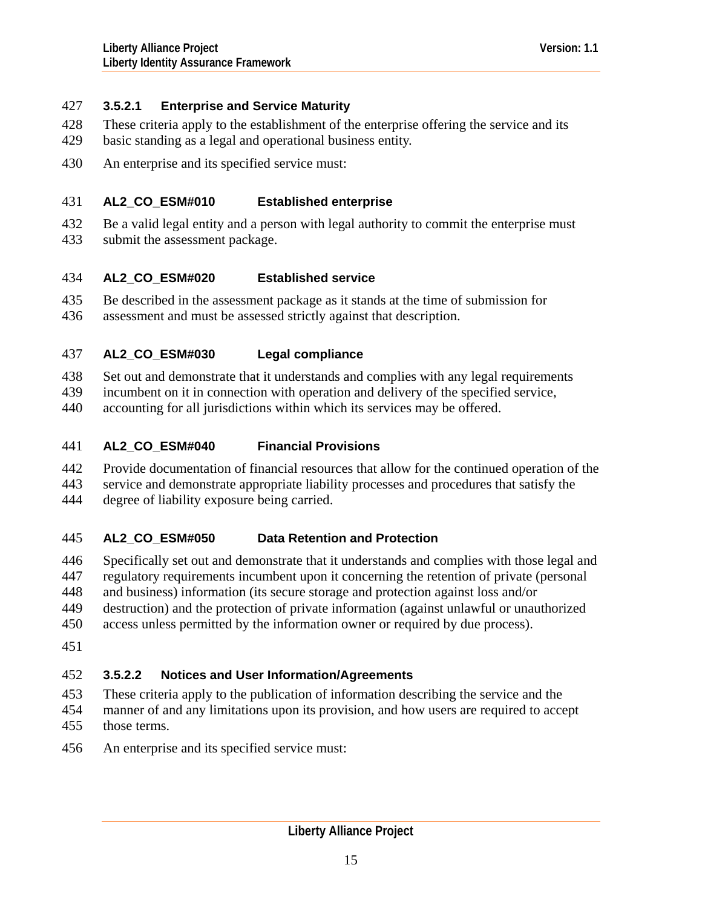# 427 **3.5.2.1 Enterprise and Service Maturity**

- These criteria apply to the establishment of the enterprise offering the service and its 428
- basic standing as a legal and operational business entity. 429
- 430 An enterprise and its specified service must:

### 431 **AL2\_CO\_ESM#010 Established enterprise**

- 432 Be a valid legal entity and a person with legal authority to commit the enterprise must
- 433 submit the assessment package.

#### 434 **AL2\_CO\_ESM#020 Established service**

- 435 Be described in the assessment package as it stands at the time of submission for
- 436 assessment and must be assessed strictly against that description.

### 437 **AL2\_CO\_ESM#030 Legal compliance**

438 Set out and demonstrate that it understands and complies with any legal requirements

439 incumbent on it in connection with operation and delivery of the specified service,

440 accounting for all jurisdictions within which its services may be offered.

### 441 **AL2\_CO\_ESM#040 Financial Provisions**

442 Provide documentation of financial resources that allow for the continued operation of the

443 service and demonstrate appropriate liability processes and procedures that satisfy the

444 degree of liability exposure being carried.

### 445 **AL2\_CO\_ESM#050 Data Retention and Protection**

446 Specifically set out and demonstrate that it understands and complies with those legal and

447 regulatory requirements incumbent upon it concerning the retention of private (personal

448 and business) information (its secure storage and protection against loss and/or

- 449 destruction) and the protection of private information (against unlawful or unauthorized
- 450 access unless permitted by the information owner or required by due process).
- 451

# 452 **3.5.2.2 Notices and User Information/Agreements**

- 453 These criteria apply to the publication of information describing the service and the manner of and any limitations upon its provision, and how users are required to accept
- 454 455 those terms.
- 456 An enterprise and its specified service must: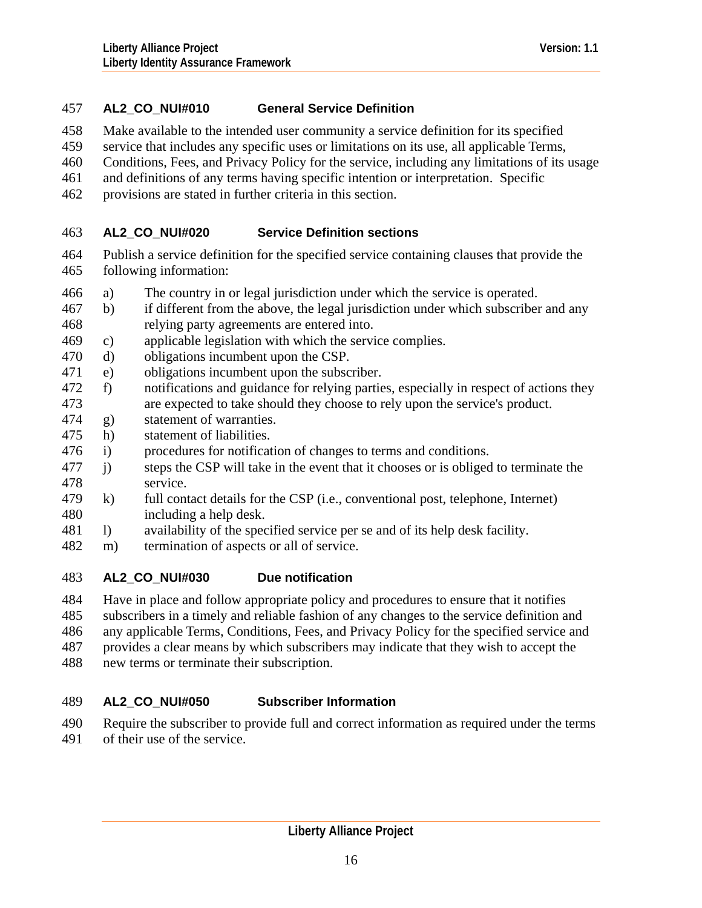# 457 **AL2\_CO\_NUI#010 General Service Definition**

- 458 Make available to the intended user community a service definition for its specified
- 459 service that includes any specific uses or limitations on its use, all applicable Terms,
- 460 Conditions, Fees, and Privacy Policy for the service, including any limitations of its usage
- 461 and definitions of any terms having specific intention or interpretation. Specific
- 462 provisions are stated in further criteria in this section.

#### 463 **AL2\_CO\_NUI#020 Service Definition sections**

- 464 465 Publish a service definition for the specified service containing clauses that provide the following information:
- 466 a) The country in or legal jurisdiction under which the service is operated.
- 468 467 b) if different from the above, the legal jurisdiction under which subscriber and any relying party agreements are entered into.
- 469 c) applicable legislation with which the service complies.
- 470 d) obligations incumbent upon the CSP.
- 471 e) obligations incumbent upon the subscriber.
- 473 472 f) notifications and guidance for relying parties, especially in respect of actions they are expected to take should they choose to rely upon the service's product.
- 474 g) statement of warranties.
- 475 h) statement of liabilities.
- 476 i) procedures for notification of changes to terms and conditions.
- 478 477 j) steps the CSP will take in the event that it chooses or is obliged to terminate the service.
- 480 479 k) full contact details for the CSP (i.e., conventional post, telephone, Internet) including a help desk.
- 481 l) availability of the specified service per se and of its help desk facility.
- 482 m) termination of aspects or all of service.

#### 483 **AL2\_CO\_NUI#030 Due notification**

484 Have in place and follow appropriate policy and procedures to ensure that it notifies

- 485 subscribers in a timely and reliable fashion of any changes to the service definition and
- 486 any applicable Terms, Conditions, Fees, and Privacy Policy for the specified service and
- 487 provides a clear means by which subscribers may indicate that they wish to accept the
- 488 new terms or terminate their subscription.

### 489 **AL2\_CO\_NUI#050 Subscriber Information**

- 490 Require the subscriber to provide full and correct information as required under the terms
- 491 of their use of the service.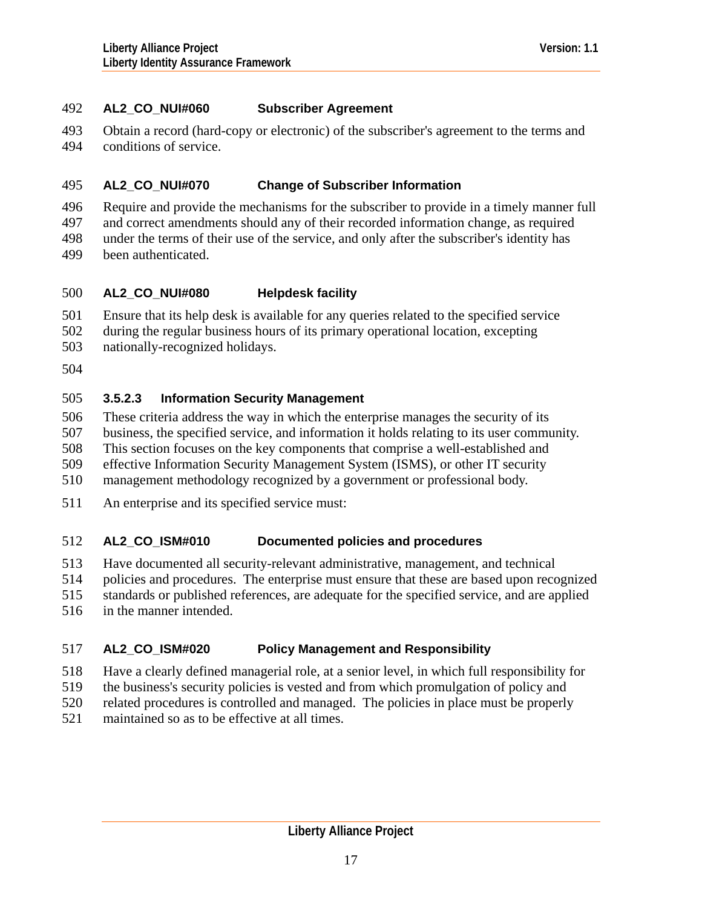# 492 **AL2\_CO\_NUI#060 Subscriber Agreement**

493 494 Obtain a record (hard-copy or electronic) of the subscriber's agreement to the terms and conditions of service.

#### 495 **AL2\_CO\_NUI#070 Change of Subscriber Information**

496 Require and provide the mechanisms for the subscriber to provide in a timely manner full

497 and correct amendments should any of their recorded information change, as required

498 499 under the terms of their use of the service, and only after the subscriber's identity has been authenticated.

#### 500 **AL2\_CO\_NUI#080 Helpdesk facility**

501 Ensure that its help desk is available for any queries related to the specified service

502 during the regular business hours of its primary operational location, excepting

503 nationally-recognized holidays.

504

# 505 **3.5.2.3 Information Security Management**

506 These criteria address the way in which the enterprise manages the security of its

507 business, the specified service, and information it holds relating to its user community.

508 This section focuses on the key components that comprise a well-established and

509 effective Information Security Management System (ISMS), or other IT security

510 management methodology recognized by a government or professional body.

511 An enterprise and its specified service must:

### 512 **AL2\_CO\_ISM#010 Documented policies and procedures**

513 Have documented all security-relevant administrative, management, and technical

514 policies and procedures. The enterprise must ensure that these are based upon recognized

515 standards or published references, are adequate for the specified service, and are applied

516 in the manner intended.

## 517 **AL2\_CO\_ISM#020 Policy Management and Responsibility**

- 518 Have a clearly defined managerial role, at a senior level, in which full responsibility for
- 519 the business's security policies is vested and from which promulgation of policy and
- 520 related procedures is controlled and managed. The policies in place must be properly
- 521 maintained so as to be effective at all times.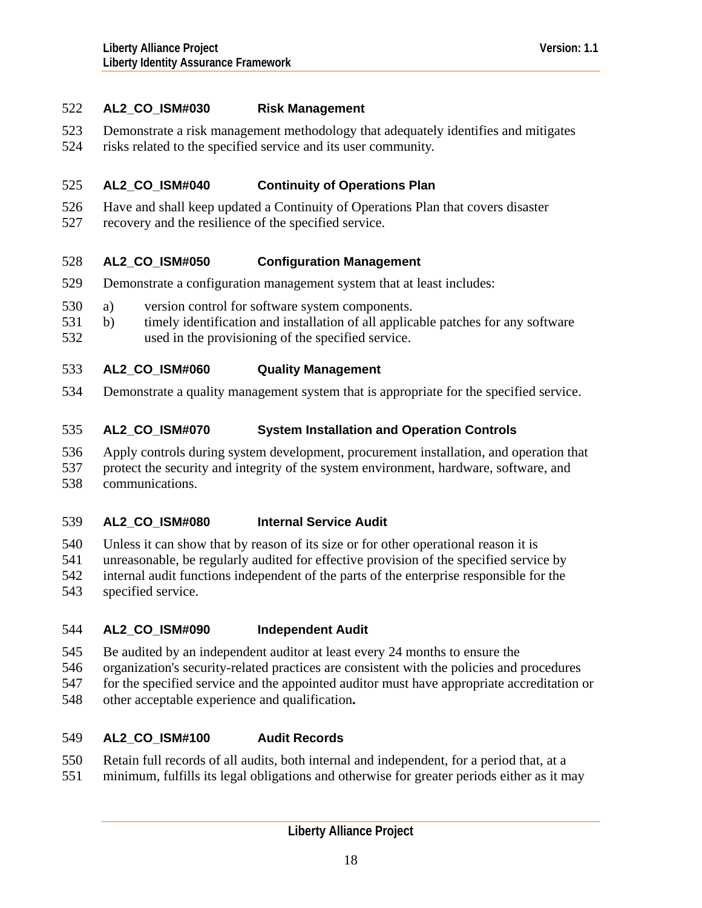# 522 **AL2\_CO\_ISM#030 Risk Management**

- 523 Demonstrate a risk management methodology that adequately identifies and mitigates
- 524 risks related to the specified service and its user community.

### 525 **AL2\_CO\_ISM#040 Continuity of Operations Plan**

- 526 Have and shall keep updated a Continuity of Operations Plan that covers disaster
- 527 recovery and the resilience of the specified service.

#### 528 **AL2\_CO\_ISM#050 Configuration Management**

- 529 Demonstrate a configuration management system that at least includes:
- 530 a) version control for software system components.
- 532 531 b) timely identification and installation of all applicable patches for any software used in the provisioning of the specified service.
- 533 **AL2\_CO\_ISM#060 Quality Management**
- 534 Demonstrate a quality management system that is appropriate for the specified service.

### 535 **AL2\_CO\_ISM#070 System Installation and Operation Controls**

- 536 Apply controls during system development, procurement installation, and operation that
- 537 protect the security and integrity of the system environment, hardware, software, and
- 538 communications.

### 539 **AL2\_CO\_ISM#080 Internal Service Audit**

540 Unless it can show that by reason of its size or for other operational reason it is

- 541 unreasonable, be regularly audited for effective provision of the specified service by
- 542 internal audit functions independent of the parts of the enterprise responsible for the
- 543 specified service.

## 544 **AL2\_CO\_ISM#090 Independent Audit**

- 545 Be audited by an independent auditor at least every 24 months to ensure the
- 546 organization's security-related practices are consistent with the policies and procedures
- 547 for the specified service and the appointed auditor must have appropriate accreditation or
- 548 other acceptable experience and qualification**.**

### 549 **AL2\_CO\_ISM#100 Audit Records**

- 550 Retain full records of all audits, both internal and independent, for a period that, at a
- 551 minimum, fulfills its legal obligations and otherwise for greater periods either as it may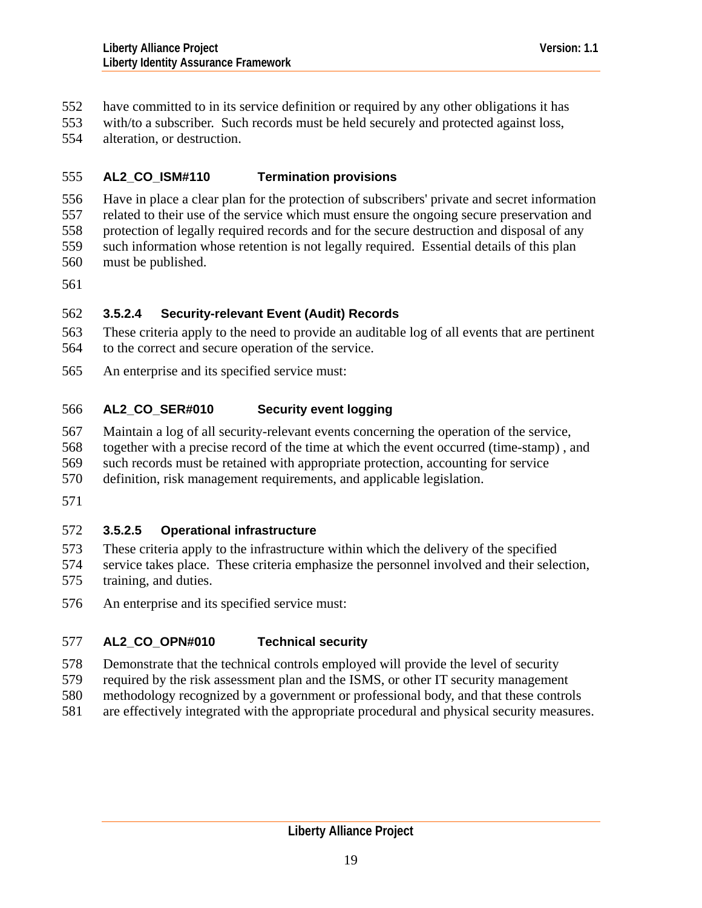- have committed to in its service definition or required by any other obligations it has 552
- with/to a subscriber. Such records must be held securely and protected against loss, 553
- alteration, or destruction. 554

### 555 **AL2\_CO\_ISM#110 Termination provisions**

556 557 Have in place a clear plan for the protection of subscribers' private and secret information related to their use of the service which must ensure the ongoing secure preservation and

- 558 protection of legally required records and for the secure destruction and disposal of any
- 559 such information whose retention is not legally required. Essential details of this plan
- 560 must be published.
- 561

# 562 **3.5.2.4 Security-relevant Event (Audit) Records**

- 563 564 These criteria apply to the need to provide an auditable log of all events that are pertinent to the correct and secure operation of the service.
- 565 An enterprise and its specified service must:

### 566 **AL2\_CO\_SER#010 Security event logging**

- 567 Maintain a log of all security-relevant events concerning the operation of the service,
- 568 together with a precise record of the time at which the event occurred (time-stamp) , and
- 569 such records must be retained with appropriate protection, accounting for service
- 570 definition, risk management requirements, and applicable legislation.
- 571

# 572 **3.5.2.5 Operational infrastructure**

- 573 These criteria apply to the infrastructure within which the delivery of the specified
- 574 575 service takes place. These criteria emphasize the personnel involved and their selection, training, and duties.
- 576 An enterprise and its specified service must:

## 577 **AL2\_CO\_OPN#010 Technical security**

- 578 Demonstrate that the technical controls employed will provide the level of security
- 579 required by the risk assessment plan and the ISMS, or other IT security management
- 580 methodology recognized by a government or professional body, and that these controls
- 581 are effectively integrated with the appropriate procedural and physical security measures.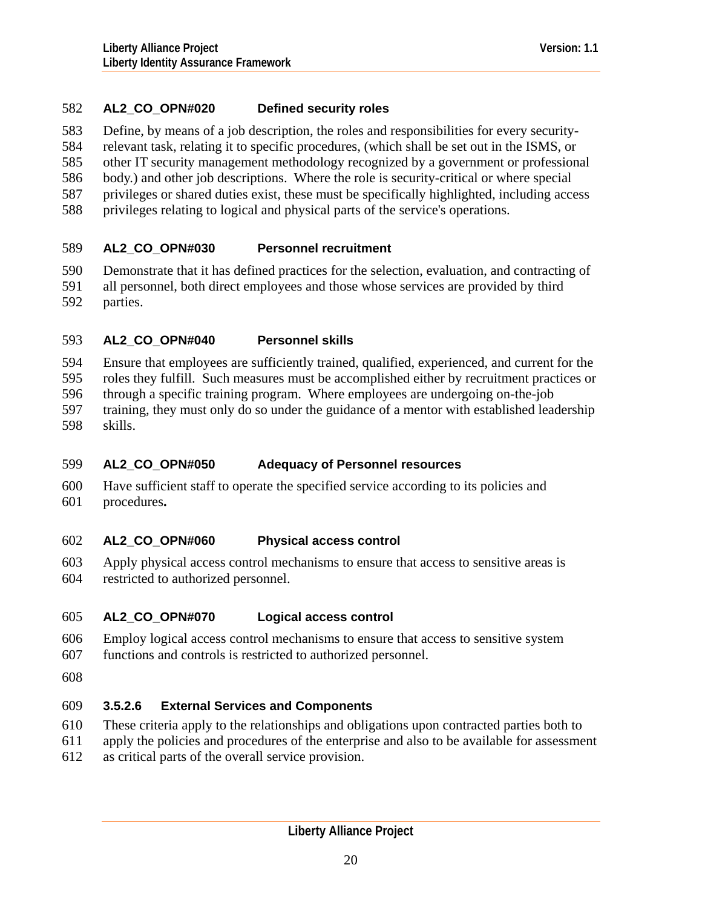# 582 **AL2\_CO\_OPN#020 Defined security roles**

583 Define, by means of a job description, the roles and responsibilities for every security-

584 relevant task, relating it to specific procedures, (which shall be set out in the ISMS, or

585 other IT security management methodology recognized by a government or professional

- 586 body.) and other job descriptions. Where the role is security-critical or where special
- 587 privileges or shared duties exist, these must be specifically highlighted, including access
- 588 privileges relating to logical and physical parts of the service's operations.

### 589 **AL2\_CO\_OPN#030 Personnel recruitment**

590 591 592 Demonstrate that it has defined practices for the selection, evaluation, and contracting of all personnel, both direct employees and those whose services are provided by third parties.

### 593 **AL2\_CO\_OPN#040 Personnel skills**

594 Ensure that employees are sufficiently trained, qualified, experienced, and current for the

595 roles they fulfill. Such measures must be accomplished either by recruitment practices or

596 through a specific training program. Where employees are undergoing on-the-job

597 598 training, they must only do so under the guidance of a mentor with established leadership skills.

### 599 **AL2\_CO\_OPN#050 Adequacy of Personnel resources**

600 601 Have sufficient staff to operate the specified service according to its policies and procedures**.** 

#### 602 **AL2\_CO\_OPN#060 Physical access control**

603 604 Apply physical access control mechanisms to ensure that access to sensitive areas is restricted to authorized personnel.

#### 605 **AL2\_CO\_OPN#070 Logical access control**

- 606 Employ logical access control mechanisms to ensure that access to sensitive system
- 607 functions and controls is restricted to authorized personnel.
- 608

# 609 **3.5.2.6 External Services and Components**

- 610 These criteria apply to the relationships and obligations upon contracted parties both to
- 611 apply the policies and procedures of the enterprise and also to be available for assessment
- 612 as critical parts of the overall service provision.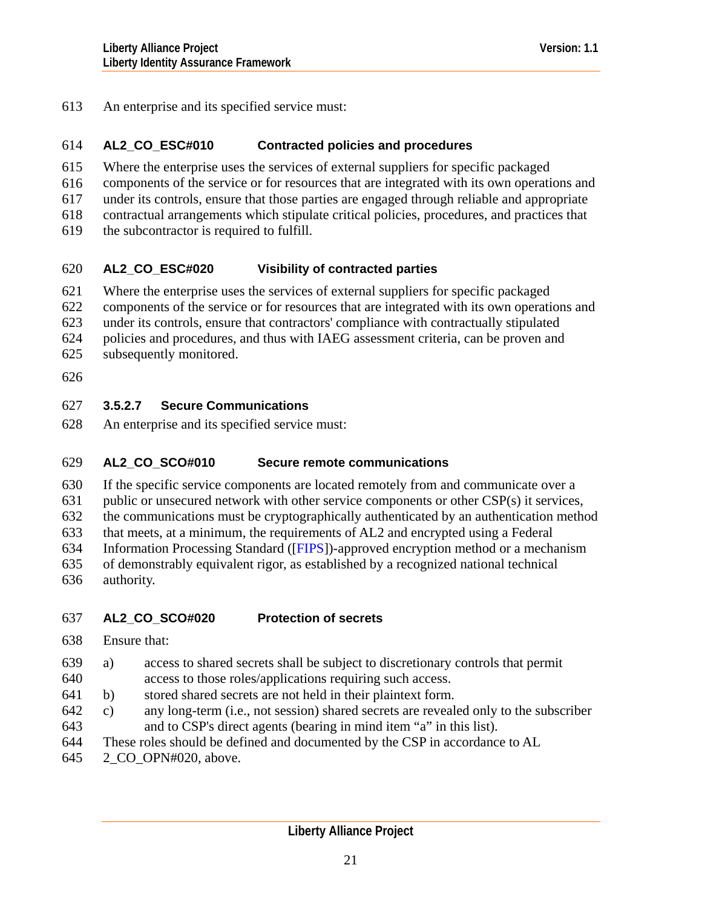613 An enterprise and its specified service must:

#### 614 **AL2\_CO\_ESC#010 Contracted policies and procedures**

- 615 Where the enterprise uses the services of external suppliers for specific packaged
- 616 components of the service or for resources that are integrated with its own operations and
- 617 under its controls, ensure that those parties are engaged through reliable and appropriate
- 618 contractual arrangements which stipulate critical policies, procedures, and practices that
- 619 the subcontractor is required to fulfill.

### 620 **AL2\_CO\_ESC#020 Visibility of contracted parties**

- 621 Where the enterprise uses the services of external suppliers for specific packaged
- 622 components of the service or for resources that are integrated with its own operations and
- 623 under its controls, ensure that contractors' compliance with contractually stipulated
- 624 policies and procedures, and thus with IAEG assessment criteria, can be proven and
- 625 subsequently monitored.
- 626

# 627 **3.5.2.7 Secure Communications**

628 An enterprise and its specified service must:

### 629 **AL2\_CO\_SCO#010 Secure remote communications**

- 630 If the specific service components are located remotely from and communicate over a
- 631 public or unsecured network with other service components or other CSP(s) it services,

632 the communications must be cryptographically authenticated by an authentication method

- 633 that meets, at a minimum, the requirements of AL2 and encrypted using a Federal
- 634 Information Processing Standard ([[FIPS\]](#page-126-0))-approved encryption method or a mechanism
- 635 636 of demonstrably equivalent rigor, as established by a recognized national technical authority.

# 637 **AL2\_CO\_SCO#020 Protection of secrets**

- 638 Ensure that:
- 639 a) access to shared secrets shall be subject to discretionary controls that permit
- 640 access to those roles/applications requiring such access.
- 641 b) stored shared secrets are not held in their plaintext form.
- 643 642 c) any long-term (i.e., not session) shared secrets are revealed only to the subscriber and to CSP's direct agents (bearing in mind item "a" in this list).
- 644 These roles should be defined and documented by the CSP in accordance to AL
- 645 2\_CO\_OPN#020, above.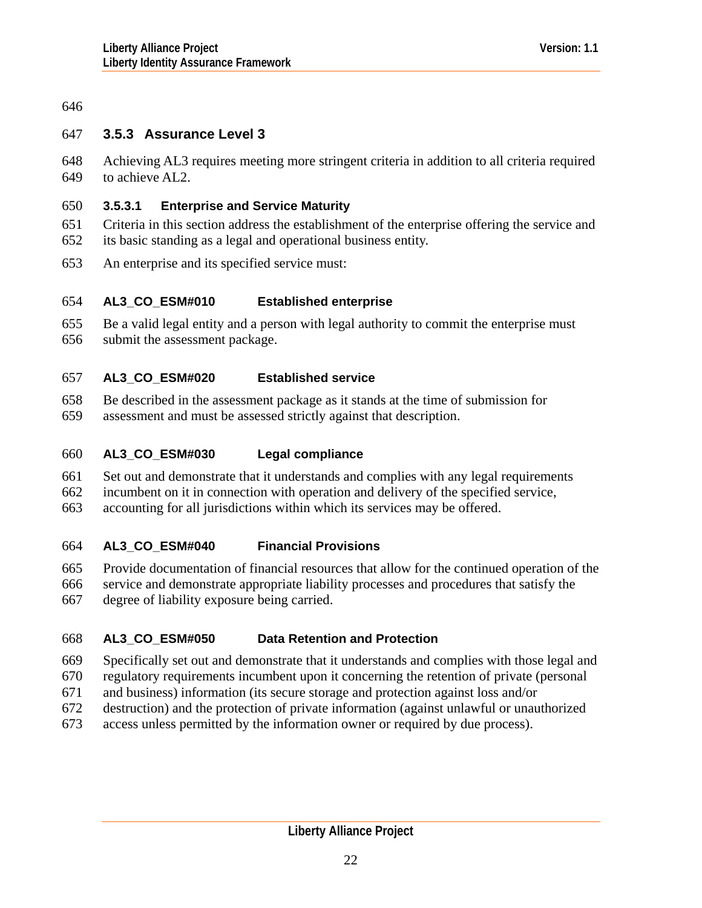# <span id="page-21-0"></span>646

# 647 **3.5.3 Assurance Level 3**

648 649 Achieving AL3 requires meeting more stringent criteria in addition to all criteria required to achieve AL2.

# 650 **3.5.3.1 Enterprise and Service Maturity**

651 652 Criteria in this section address the establishment of the enterprise offering the service and its basic standing as a legal and operational business entity.

653 An enterprise and its specified service must:

#### 654 **AL3\_CO\_ESM#010 Established enterprise**

655 656 Be a valid legal entity and a person with legal authority to commit the enterprise must submit the assessment package.

#### 657 **AL3\_CO\_ESM#020 Established service**

- 658 Be described in the assessment package as it stands at the time of submission for
- 659 assessment and must be assessed strictly against that description.

#### 660 **AL3\_CO\_ESM#030 Legal compliance**

- 661 Set out and demonstrate that it understands and complies with any legal requirements
- 662 incumbent on it in connection with operation and delivery of the specified service,
- 663 accounting for all jurisdictions within which its services may be offered.

#### 664 **AL3\_CO\_ESM#040 Financial Provisions**

- 665 Provide documentation of financial resources that allow for the continued operation of the
- 666 service and demonstrate appropriate liability processes and procedures that satisfy the
- 667 degree of liability exposure being carried.

#### 668 **AL3\_CO\_ESM#050 Data Retention and Protection**

- 669 Specifically set out and demonstrate that it understands and complies with those legal and
- 670 regulatory requirements incumbent upon it concerning the retention of private (personal
- 671 and business) information (its secure storage and protection against loss and/or
- 672 destruction) and the protection of private information (against unlawful or unauthorized
- 673 access unless permitted by the information owner or required by due process).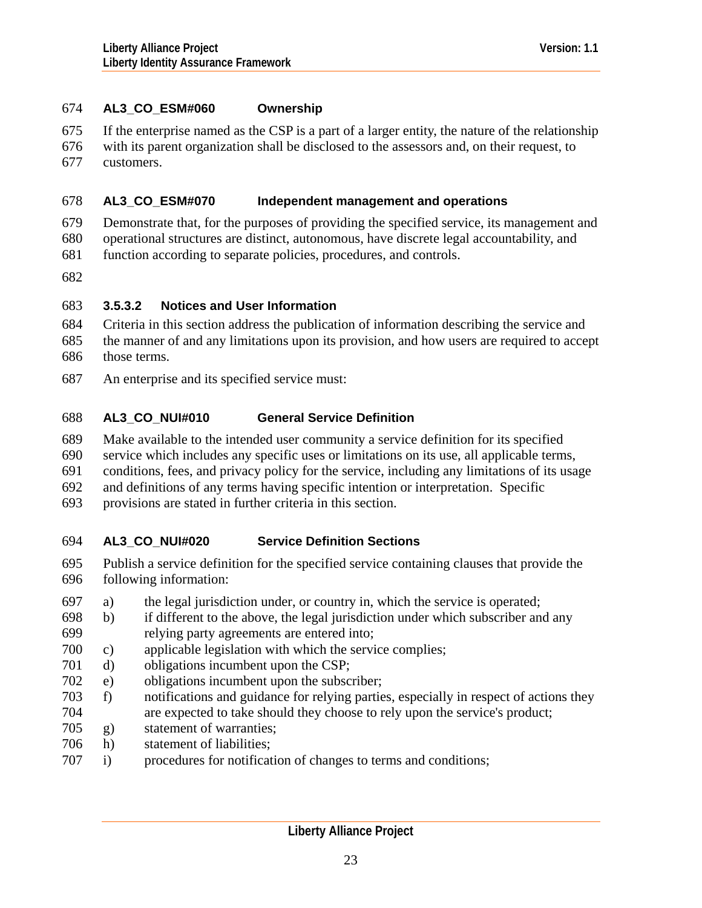# 674 **AL3\_CO\_ESM#060 Ownership**

675 If the enterprise named as the CSP is a part of a larger entity, the nature of the relationship

676 677 with its parent organization shall be disclosed to the assessors and, on their request, to customers.

#### 678 **AL3\_CO\_ESM#070 Independent management and operations**

679 680 Demonstrate that, for the purposes of providing the specified service, its management and operational structures are distinct, autonomous, have discrete legal accountability, and

- 681 function according to separate policies, procedures, and controls.
- 682

# 683 **3.5.3.2 Notices and User Information**

- 684 685 686 Criteria in this section address the publication of information describing the service and the manner of and any limitations upon its provision, and how users are required to accept those terms.
- 687 An enterprise and its specified service must:

#### 688 **AL3\_CO\_NUI#010 General Service Definition**

- 689 Make available to the intended user community a service definition for its specified
- 690 service which includes any specific uses or limitations on its use, all applicable terms,
- 691 conditions, fees, and privacy policy for the service, including any limitations of its usage
- 692 and definitions of any terms having specific intention or interpretation. Specific
- 693 provisions are stated in further criteria in this section.

#### 694 **AL3\_CO\_NUI#020 Service Definition Sections**

- 695 696 Publish a service definition for the specified service containing clauses that provide the following information:
- 697 a) the legal jurisdiction under, or country in, which the service is operated;
- 699 698 b) if different to the above, the legal jurisdiction under which subscriber and any relying party agreements are entered into;
- 700 c) applicable legislation with which the service complies;
- 701 d) obligations incumbent upon the CSP;
- 702 e) obligations incumbent upon the subscriber;
- 704 703 f) notifications and guidance for relying parties, especially in respect of actions they are expected to take should they choose to rely upon the service's product;
- 705 g) statement of warranties;
- 706 h) statement of liabilities;
- 707 i) procedures for notification of changes to terms and conditions;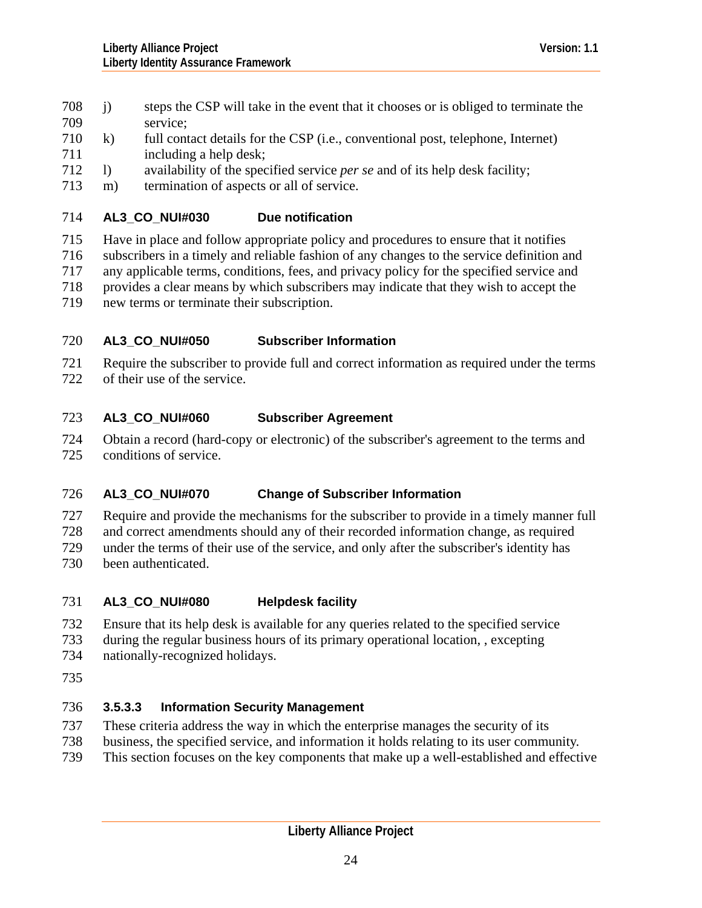- 708 j) steps the CSP will take in the event that it chooses or is obliged to terminate the 709 service;
- 711 710 k) full contact details for the CSP (i.e., conventional post, telephone, Internet) including a help desk;
- 712 l) availability of the specified service *per se* and of its help desk facility;
- 713 m) termination of aspects or all of service.

### 714 **AL3\_CO\_NUI#030 Due notification**

715 Have in place and follow appropriate policy and procedures to ensure that it notifies

- 716 subscribers in a timely and reliable fashion of any changes to the service definition and
- 717 any applicable terms, conditions, fees, and privacy policy for the specified service and
- 718 provides a clear means by which subscribers may indicate that they wish to accept the
- 719 new terms or terminate their subscription.

## 720 **AL3\_CO\_NUI#050 Subscriber Information**

721 722 Require the subscriber to provide full and correct information as required under the terms of their use of the service.

### 723 **AL3\_CO\_NUI#060 Subscriber Agreement**

724 725 Obtain a record (hard-copy or electronic) of the subscriber's agreement to the terms and conditions of service.

## 726 **AL3\_CO\_NUI#070 Change of Subscriber Information**

727 Require and provide the mechanisms for the subscriber to provide in a timely manner full

728 and correct amendments should any of their recorded information change, as required

729 under the terms of their use of the service, and only after the subscriber's identity has

730 been authenticated.

## 731 **AL3\_CO\_NUI#080 Helpdesk facility**

- 732 Ensure that its help desk is available for any queries related to the specified service
- 733 during the regular business hours of its primary operational location, , excepting
- 734 nationally-recognized holidays.
- 735

# 736 **3.5.3.3 Information Security Management**

- 737 These criteria address the way in which the enterprise manages the security of its
- 738 business, the specified service, and information it holds relating to its user community.
- 739 This section focuses on the key components that make up a well-established and effective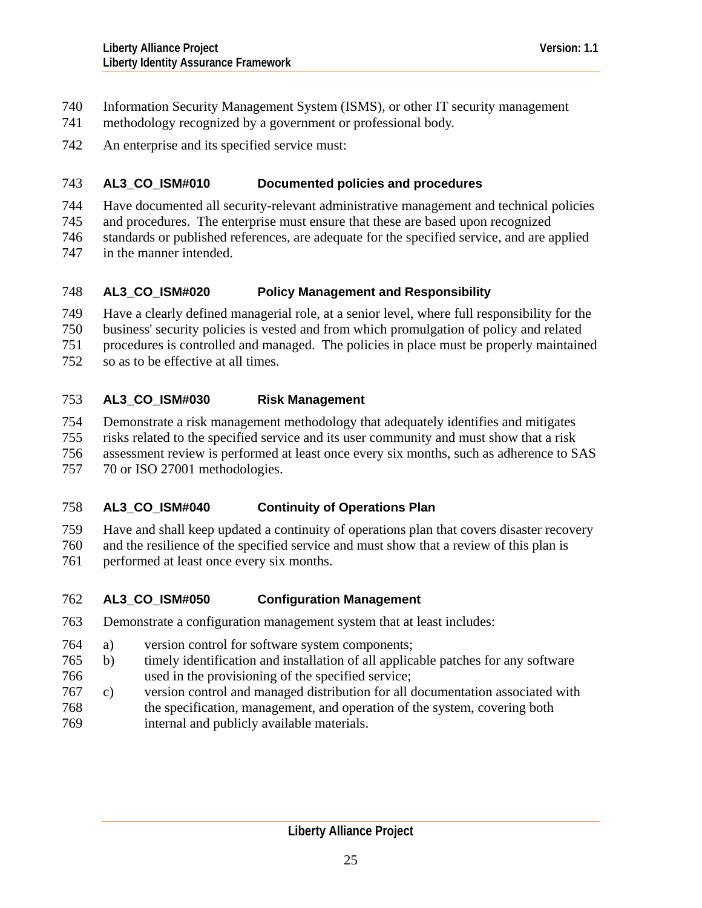- Information Security Management System (ISMS), or other IT security management 740
- methodology recognized by a government or professional body. 741
- 742 An enterprise and its specified service must:

### 743 **AL3\_CO\_ISM#010 Documented policies and procedures**

- 744 Have documented all security-relevant administrative management and technical policies
- 745 and procedures. The enterprise must ensure that these are based upon recognized
- 746 standards or published references, are adequate for the specified service, and are applied
- 747 in the manner intended.

## 748 **AL3\_CO\_ISM#020 Policy Management and Responsibility**

749 Have a clearly defined managerial role, at a senior level, where full responsibility for the

- 750 business' security policies is vested and from which promulgation of policy and related
- 751 procedures is controlled and managed. The policies in place must be properly maintained
- 752 so as to be effective at all times.

# 753 **AL3\_CO\_ISM#030 Risk Management**

- 754 Demonstrate a risk management methodology that adequately identifies and mitigates
- 755 risks related to the specified service and its user community and must show that a risk
- 756 assessment review is performed at least once every six months, such as adherence to SAS

757 70 or ISO 27001 methodologies.

# 758 **AL3\_CO\_ISM#040 Continuity of Operations Plan**

759 Have and shall keep updated a continuity of operations plan that covers disaster recovery

- 760 and the resilience of the specified service and must show that a review of this plan is
- 761 performed at least once every six months.

# 762 **AL3\_CO\_ISM#050 Configuration Management**

- 763 Demonstrate a configuration management system that at least includes:
- 764 a) version control for software system components;
- 766 765 b) timely identification and installation of all applicable patches for any software used in the provisioning of the specified service;
- 767 c) version control and managed distribution for all documentation associated with
- 768 769 the specification, management, and operation of the system, covering both internal and publicly available materials.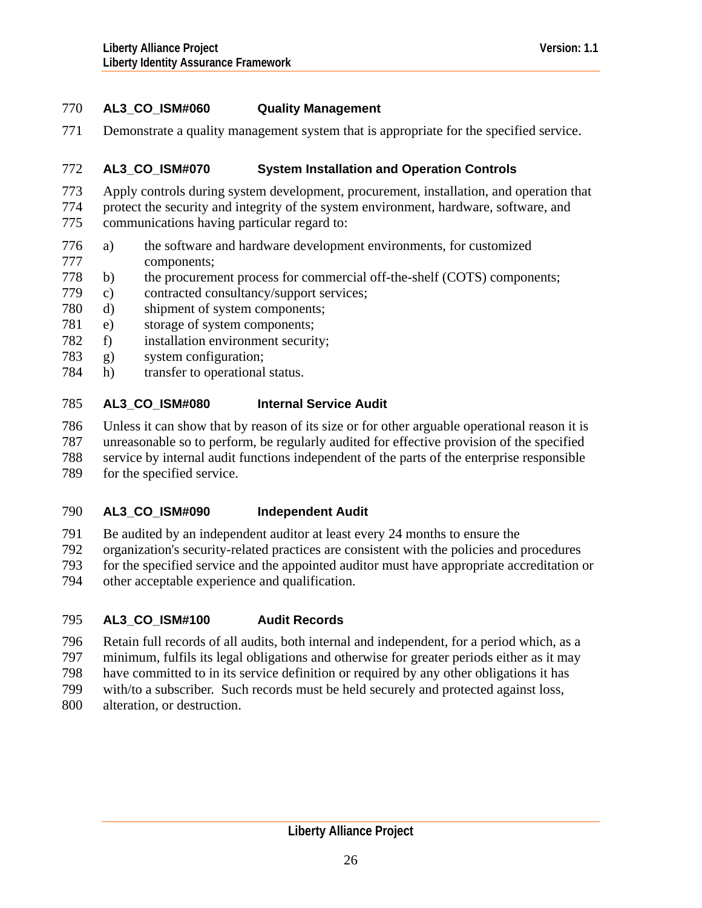# 770 **AL3\_CO\_ISM#060 Quality Management**

771 Demonstrate a quality management system that is appropriate for the specified service.

#### 772 **AL3\_CO\_ISM#070 System Installation and Operation Controls**

- 773 Apply controls during system development, procurement, installation, and operation that
- 774 protect the security and integrity of the system environment, hardware, software, and
- 775 communications having particular regard to:
- 777 776 a) the software and hardware development environments, for customized components;
- 778 b) the procurement process for commercial off-the-shelf (COTS) components;
- 779 c) contracted consultancy/support services;
- 780 d) shipment of system components;
- 781 e) storage of system components;
- 782 f) installation environment security;
- 783 g) system configuration;
- 784 h) transfer to operational status.

### 785 **AL3\_CO\_ISM#080 Internal Service Audit**

- 786 Unless it can show that by reason of its size or for other arguable operational reason it is
- 787 unreasonable so to perform, be regularly audited for effective provision of the specified
- 788 service by internal audit functions independent of the parts of the enterprise responsible
- 789 for the specified service.

## 790 **AL3\_CO\_ISM#090 Independent Audit**

- 791 Be audited by an independent auditor at least every 24 months to ensure the
- 792 organization's security-related practices are consistent with the policies and procedures
- 793 for the specified service and the appointed auditor must have appropriate accreditation or
- 794 other acceptable experience and qualification.

## 795 **AL3\_CO\_ISM#100 Audit Records**

- 796 Retain full records of all audits, both internal and independent, for a period which, as a
- 797 minimum, fulfils its legal obligations and otherwise for greater periods either as it may
- 798 have committed to in its service definition or required by any other obligations it has
- 799 with/to a subscriber. Such records must be held securely and protected against loss,
- 800 alteration, or destruction.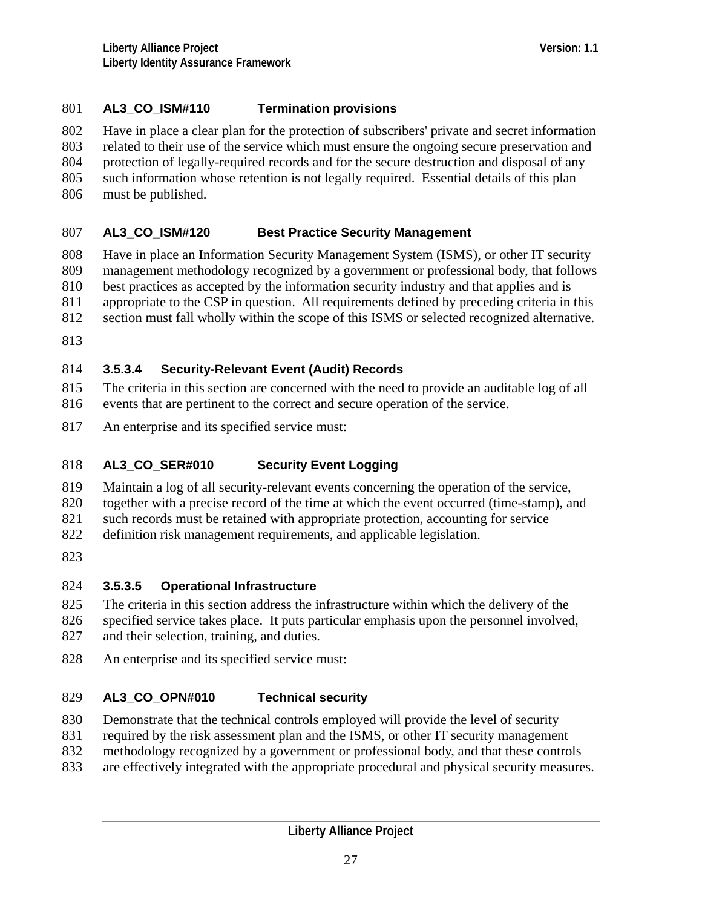# 801 **AL3\_CO\_ISM#110 Termination provisions**

802 Have in place a clear plan for the protection of subscribers' private and secret information

803 related to their use of the service which must ensure the ongoing secure preservation and

804 protection of legally-required records and for the secure destruction and disposal of any

- 805 such information whose retention is not legally required. Essential details of this plan
- 806 must be published.

### 807 **AL3\_CO\_ISM#120 Best Practice Security Management**

808 809 810 Have in place an Information Security Management System (ISMS), or other IT security management methodology recognized by a government or professional body, that follows best practices as accepted by the information security industry and that applies and is

811 appropriate to the CSP in question. All requirements defined by preceding criteria in this

- 812 section must fall wholly within the scope of this ISMS or selected recognized alternative.
- 813

# 814 **3.5.3.4 Security-Relevant Event (Audit) Records**

815 816 The criteria in this section are concerned with the need to provide an auditable log of all events that are pertinent to the correct and secure operation of the service.

817 An enterprise and its specified service must:

## 818 **AL3\_CO\_SER#010 Security Event Logging**

819 Maintain a log of all security-relevant events concerning the operation of the service,

820 together with a precise record of the time at which the event occurred (time-stamp), and

821 such records must be retained with appropriate protection, accounting for service

- 822 definition risk management requirements, and applicable legislation.
- 823

# 824 **3.5.3.5 Operational Infrastructure**

825 The criteria in this section address the infrastructure within which the delivery of the

826 827 specified service takes place. It puts particular emphasis upon the personnel involved, and their selection, training, and duties.

828 An enterprise and its specified service must:

# 829 **AL3\_CO\_OPN#010 Technical security**

- 830 Demonstrate that the technical controls employed will provide the level of security
- 831 required by the risk assessment plan and the ISMS, or other IT security management
- 832 methodology recognized by a government or professional body, and that these controls
- 833 are effectively integrated with the appropriate procedural and physical security measures.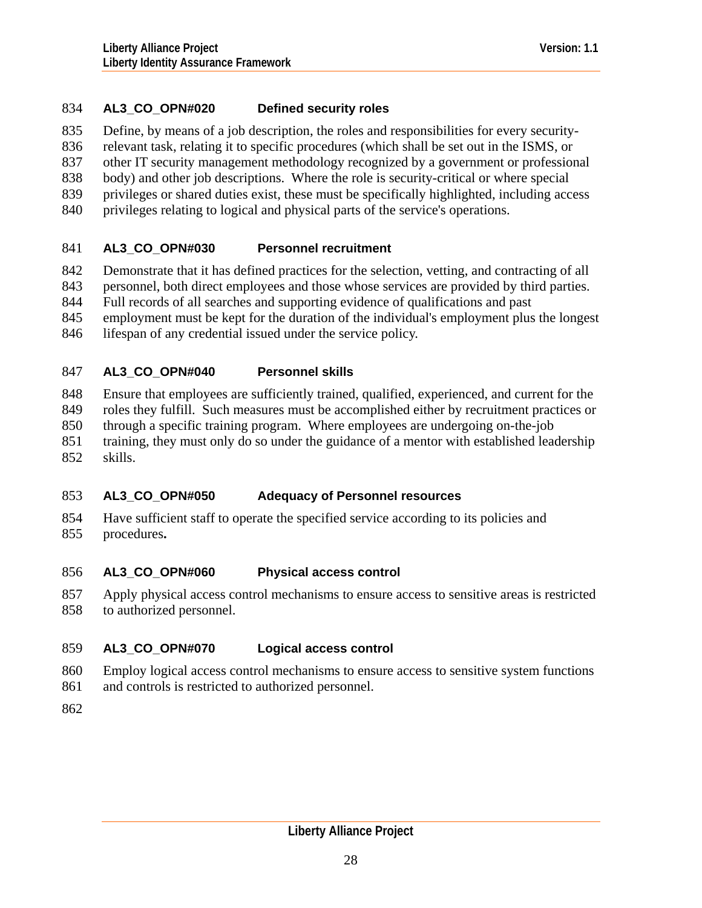# 834 **AL3\_CO\_OPN#020 Defined security roles**

835 Define, by means of a job description, the roles and responsibilities for every security-

836 relevant task, relating it to specific procedures (which shall be set out in the ISMS, or

837 other IT security management methodology recognized by a government or professional

- 838 body) and other job descriptions. Where the role is security-critical or where special
- 839 privileges or shared duties exist, these must be specifically highlighted, including access
- 840 privileges relating to logical and physical parts of the service's operations.

### 841 **AL3\_CO\_OPN#030 Personnel recruitment**

842 Demonstrate that it has defined practices for the selection, vetting, and contracting of all

- 843 personnel, both direct employees and those whose services are provided by third parties.
- 844 Full records of all searches and supporting evidence of qualifications and past
- 845 employment must be kept for the duration of the individual's employment plus the longest

846 lifespan of any credential issued under the service policy.

### 847 **AL3\_CO\_OPN#040 Personnel skills**

848 Ensure that employees are sufficiently trained, qualified, experienced, and current for the

- 849 roles they fulfill. Such measures must be accomplished either by recruitment practices or
- 850 through a specific training program. Where employees are undergoing on-the-job
- 851 training, they must only do so under the guidance of a mentor with established leadership
- 852 skills.

## 853 **AL3\_CO\_OPN#050 Adequacy of Personnel resources**

854 855 Have sufficient staff to operate the specified service according to its policies and procedures**.** 

### 856 **AL3\_CO\_OPN#060 Physical access control**

857 858 Apply physical access control mechanisms to ensure access to sensitive areas is restricted to authorized personnel.

## 859 **AL3\_CO\_OPN#070 Logical access control**

- 860 Employ logical access control mechanisms to ensure access to sensitive system functions
- 861 and controls is restricted to authorized personnel.
- 862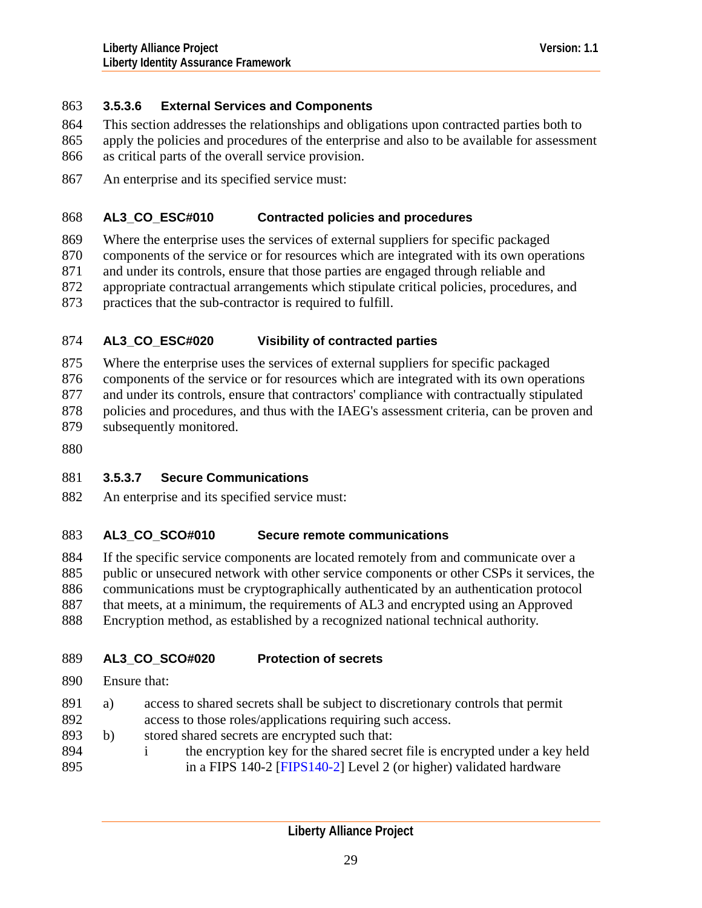# 863 **3.5.3.6 External Services and Components**

- This section addresses the relationships and obligations upon contracted parties both to 864
- apply the policies and procedures of the enterprise and also to be available for assessment as critical parts of the overall service provision. 865 866
- 867 An enterprise and its specified service must:

#### 868 **AL3\_CO\_ESC#010 Contracted policies and procedures**

- 869 Where the enterprise uses the services of external suppliers for specific packaged
- 870 components of the service or for resources which are integrated with its own operations
- 871 and under its controls, ensure that those parties are engaged through reliable and
- 872 appropriate contractual arrangements which stipulate critical policies, procedures, and
- 873 practices that the sub-contractor is required to fulfill.

### 874 **AL3\_CO\_ESC#020 Visibility of contracted parties**

- 875 Where the enterprise uses the services of external suppliers for specific packaged
- 876 components of the service or for resources which are integrated with its own operations
- 877 and under its controls, ensure that contractors' compliance with contractually stipulated
- 878 policies and procedures, and thus with the IAEG's assessment criteria, can be proven and
- 879 subsequently monitored.
- 880

# 881 **3.5.3.7 Secure Communications**

882 An enterprise and its specified service must:

### 883 **AL3\_CO\_SCO#010 Secure remote communications**

- 884 If the specific service components are located remotely from and communicate over a
- 885 public or unsecured network with other service components or other CSPs it services, the
- 886 communications must be cryptographically authenticated by an authentication protocol
- 887 that meets, at a minimum, the requirements of AL3 and encrypted using an Approved
- 888 Encryption method, as established by a recognized national technical authority.

## 889 **AL3\_CO\_SCO#020 Protection of secrets**

- 890 Ensure that:
- 891 a) access to shared secrets shall be subject to discretionary controls that permit
- 892 access to those roles/applications requiring such access.
- 893 b) stored shared secrets are encrypted such that:
- 894 895 i the encryption key for the shared secret file is encrypted under a key held in a FIPS 140-2 [[FIPS140-2\]](#page-126-0) Level 2 (or higher) validated hardware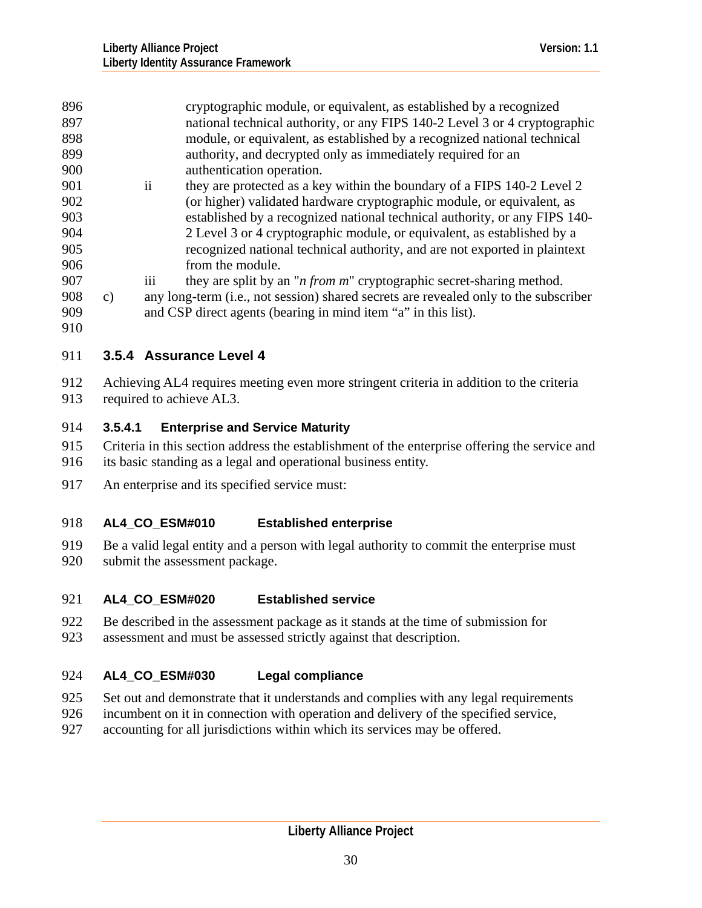<span id="page-29-0"></span>

| 896 |    |                 | cryptographic module, or equivalent, as established by a recognized                  |
|-----|----|-----------------|--------------------------------------------------------------------------------------|
| 897 |    |                 | national technical authority, or any FIPS 140-2 Level 3 or 4 cryptographic           |
| 898 |    |                 | module, or equivalent, as established by a recognized national technical             |
| 899 |    |                 | authority, and decrypted only as immediately required for an                         |
| 900 |    |                 | authentication operation.                                                            |
| 901 |    | $\overline{11}$ | they are protected as a key within the boundary of a FIPS 140-2 Level 2              |
| 902 |    |                 | (or higher) validated hardware cryptographic module, or equivalent, as               |
| 903 |    |                 | established by a recognized national technical authority, or any FIPS 140-           |
| 904 |    |                 | 2 Level 3 or 4 cryptographic module, or equivalent, as established by a              |
| 905 |    |                 | recognized national technical authority, and are not exported in plaintext           |
| 906 |    |                 | from the module.                                                                     |
| 907 |    | iii             | they are split by an " <i>n from m</i> " cryptographic secret-sharing method.        |
| 908 | C) |                 | any long-term (i.e., not session) shared secrets are revealed only to the subscriber |

- 909 and CSP direct agents (bearing in mind item "a" in this list).
- 910

# 911 **3.5.4 Assurance Level 4**

912 913 Achieving AL4 requires meeting even more stringent criteria in addition to the criteria required to achieve AL3.

# 914 **3.5.4.1 Enterprise and Service Maturity**

- 915 916 Criteria in this section address the establishment of the enterprise offering the service and its basic standing as a legal and operational business entity.
- 917 An enterprise and its specified service must:

#### 918 **AL4\_CO\_ESM#010 Established enterprise**

- 919 Be a valid legal entity and a person with legal authority to commit the enterprise must
- 920 submit the assessment package.

### 921 **AL4\_CO\_ESM#020 Established service**

- 922 Be described in the assessment package as it stands at the time of submission for
- 923 assessment and must be assessed strictly against that description.

#### 924 **AL4\_CO\_ESM#030 Legal compliance**

- 925 Set out and demonstrate that it understands and complies with any legal requirements
- 926 incumbent on it in connection with operation and delivery of the specified service,
- 927 accounting for all jurisdictions within which its services may be offered.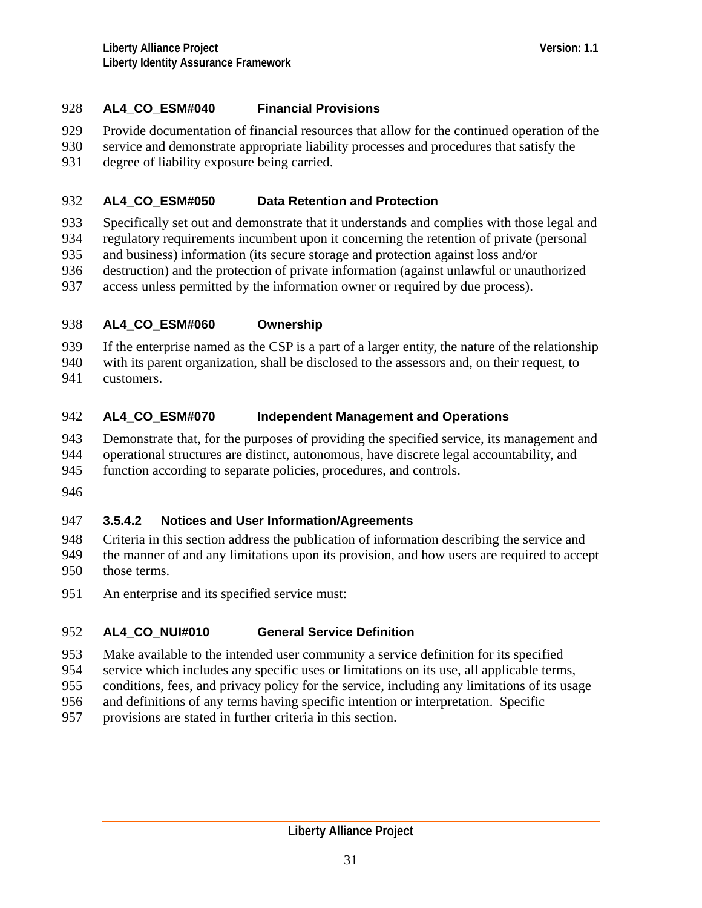# 928 **AL4\_CO\_ESM#040 Financial Provisions**

- 929 Provide documentation of financial resources that allow for the continued operation of the
- 930 service and demonstrate appropriate liability processes and procedures that satisfy the
- 931 degree of liability exposure being carried.

#### 932 **AL4\_CO\_ESM#050 Data Retention and Protection**

- 933 Specifically set out and demonstrate that it understands and complies with those legal and
- 934 regulatory requirements incumbent upon it concerning the retention of private (personal
- 935 and business) information (its secure storage and protection against loss and/or
- 936 destruction) and the protection of private information (against unlawful or unauthorized
- 937 access unless permitted by the information owner or required by due process).

### 938 **AL4\_CO\_ESM#060 Ownership**

939 If the enterprise named as the CSP is a part of a larger entity, the nature of the relationship

940 941 with its parent organization, shall be disclosed to the assessors and, on their request, to customers.

### 942 **AL4\_CO\_ESM#070 Independent Management and Operations**

943 944 Demonstrate that, for the purposes of providing the specified service, its management and operational structures are distinct, autonomous, have discrete legal accountability, and

- 945 function according to separate policies, procedures, and controls.
- 946

# 947 **3.5.4.2 Notices and User Information/Agreements**

948 949 950 Criteria in this section address the publication of information describing the service and the manner of and any limitations upon its provision, and how users are required to accept those terms.

951 An enterprise and its specified service must:

### 952 **AL4\_CO\_NUI#010 General Service Definition**

- 953 Make available to the intended user community a service definition for its specified
- 954 service which includes any specific uses or limitations on its use, all applicable terms,
- 955 conditions, fees, and privacy policy for the service, including any limitations of its usage
- 956 and definitions of any terms having specific intention or interpretation. Specific
- 957 provisions are stated in further criteria in this section.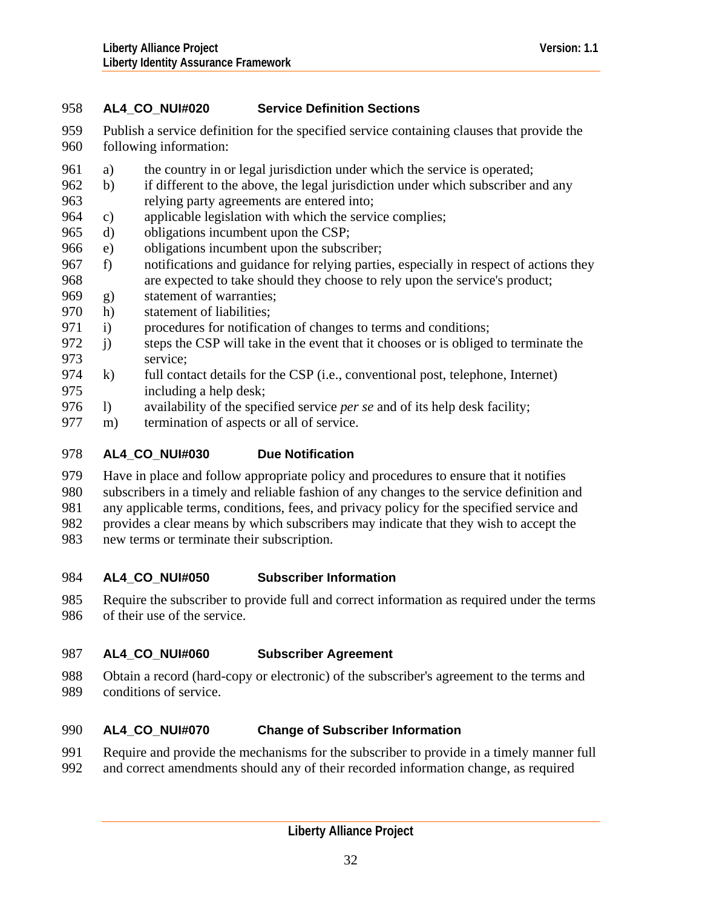# 958 **AL4\_CO\_NUI#020 Service Definition Sections**

- 959 960 Publish a service definition for the specified service containing clauses that provide the following information:
- 961 a) the country in or legal jurisdiction under which the service is operated;
- 963 962 b) if different to the above, the legal jurisdiction under which subscriber and any relying party agreements are entered into;
- 964 c) applicable legislation with which the service complies;
- 965 d) obligations incumbent upon the CSP;
- 966 e) obligations incumbent upon the subscriber;
- 968 967 f) notifications and guidance for relying parties, especially in respect of actions they are expected to take should they choose to rely upon the service's product;
- 969 g) statement of warranties;
- 970 h) statement of liabilities;
- 971 i) procedures for notification of changes to terms and conditions;
- 973 972 j) steps the CSP will take in the event that it chooses or is obliged to terminate the service;
- 975 974 k) full contact details for the CSP (i.e., conventional post, telephone, Internet) including a help desk;
- 976 l) availability of the specified service *per se* and of its help desk facility;
- 977 m) termination of aspects or all of service.

#### 978 **AL4\_CO\_NUI#030 Due Notification**

- 979 Have in place and follow appropriate policy and procedures to ensure that it notifies
- 980 subscribers in a timely and reliable fashion of any changes to the service definition and
- 981 any applicable terms, conditions, fees, and privacy policy for the specified service and
- 982 provides a clear means by which subscribers may indicate that they wish to accept the
- 983 new terms or terminate their subscription.

#### 984 **AL4\_CO\_NUI#050 Subscriber Information**

985 986 Require the subscriber to provide full and correct information as required under the terms of their use of the service.

#### 987 **AL4\_CO\_NUI#060 Subscriber Agreement**

988 989 Obtain a record (hard-copy or electronic) of the subscriber's agreement to the terms and conditions of service.

### 990 **AL4\_CO\_NUI#070 Change of Subscriber Information**

- 991 Require and provide the mechanisms for the subscriber to provide in a timely manner full
- 992 and correct amendments should any of their recorded information change, as required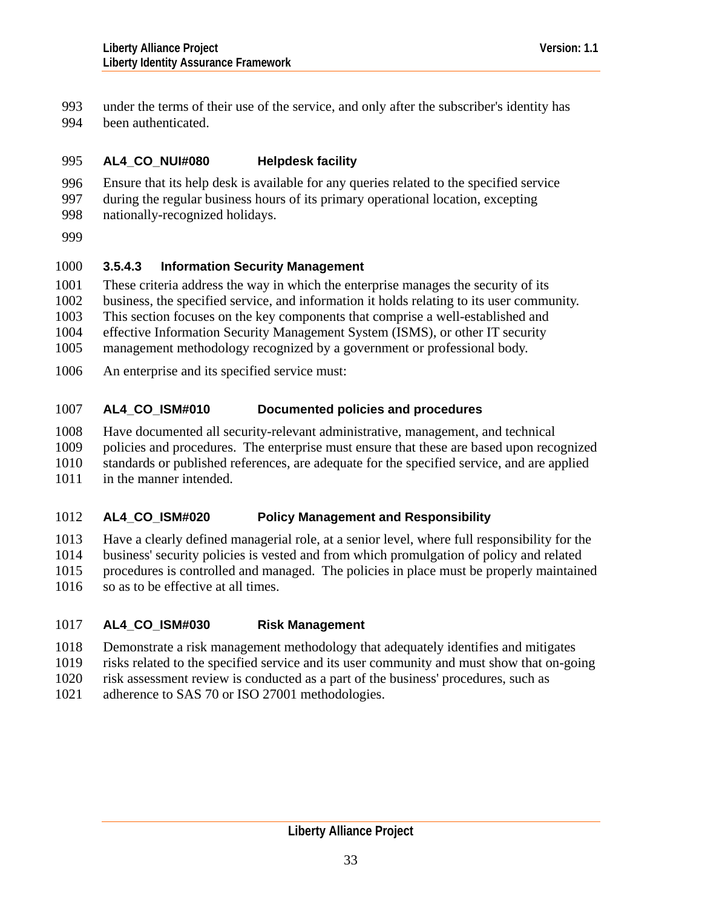under the terms of their use of the service, and only after the subscriber's identity has been authenticated. 993 994

#### 995 **AL4\_CO\_NUI#080 Helpdesk facility**

996 997 Ensure that its help desk is available for any queries related to the specified service during the regular business hours of its primary operational location, excepting

998 nationally-recognized holidays.

999

# 1000 **3.5.4.3 Information Security Management**

1001 These criteria address the way in which the enterprise manages the security of its

1002 business, the specified service, and information it holds relating to its user community.

1003 This section focuses on the key components that comprise a well-established and

1004 effective Information Security Management System (ISMS), or other IT security

1005 management methodology recognized by a government or professional body.

1006 An enterprise and its specified service must:

## 1007 **AL4\_CO\_ISM#010 Documented policies and procedures**

1008 Have documented all security-relevant administrative, management, and technical

1009 policies and procedures. The enterprise must ensure that these are based upon recognized

1010 standards or published references, are adequate for the specified service, and are applied

1011 in the manner intended.

## 1012 **AL4\_CO\_ISM#020 Policy Management and Responsibility**

1013 Have a clearly defined managerial role, at a senior level, where full responsibility for the

1014 business' security policies is vested and from which promulgation of policy and related

1015 procedures is controlled and managed. The policies in place must be properly maintained

1016 so as to be effective at all times.

# 1017 **AL4\_CO\_ISM#030 Risk Management**

- 1018 Demonstrate a risk management methodology that adequately identifies and mitigates
- 1019 risks related to the specified service and its user community and must show that on-going
- 1020 risk assessment review is conducted as a part of the business' procedures, such as
- 1021 adherence to SAS 70 or ISO 27001 methodologies.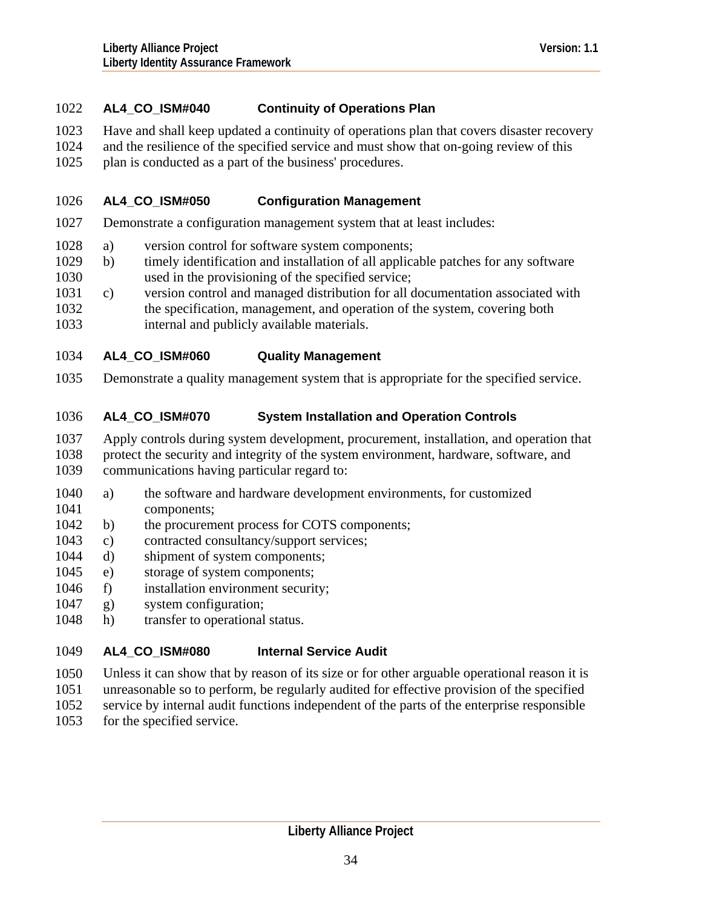# 1022 **AL4\_CO\_ISM#040 Continuity of Operations Plan**

- 1023 Have and shall keep updated a continuity of operations plan that covers disaster recovery
- 1024 and the resilience of the specified service and must show that on-going review of this
- 1025 plan is conducted as a part of the business' procedures.

### 1026 **AL4\_CO\_ISM#050 Configuration Management**

- 1027 Demonstrate a configuration management system that at least includes:
- 1028 a) version control for software system components;
- 1030 1029 b) timely identification and installation of all applicable patches for any software used in the provisioning of the specified service;
- 1031 c) version control and managed distribution for all documentation associated with
- 1032 1033 the specification, management, and operation of the system, covering both internal and publicly available materials.

### 1034 **AL4\_CO\_ISM#060 Quality Management**

1035 Demonstrate a quality management system that is appropriate for the specified service.

### 1036 **AL4\_CO\_ISM#070 System Installation and Operation Controls**

- 1037 Apply controls during system development, procurement, installation, and operation that
- 1038 protect the security and integrity of the system environment, hardware, software, and
- 1039 communications having particular regard to:
- 1041 1040 a) the software and hardware development environments, for customized components;
- 1042 b) the procurement process for COTS components;
- 1043 c) contracted consultancy/support services;
- 1044 d) shipment of system components;
- 1045 e) storage of system components;
- 1046 f) installation environment security;
- 1047 g) system configuration;
- 1048 h) transfer to operational status.

### 1049 **AL4\_CO\_ISM#080 Internal Service Audit**

- 1050 Unless it can show that by reason of its size or for other arguable operational reason it is
- 1051 unreasonable so to perform, be regularly audited for effective provision of the specified
- 1052 service by internal audit functions independent of the parts of the enterprise responsible
- 1053 for the specified service.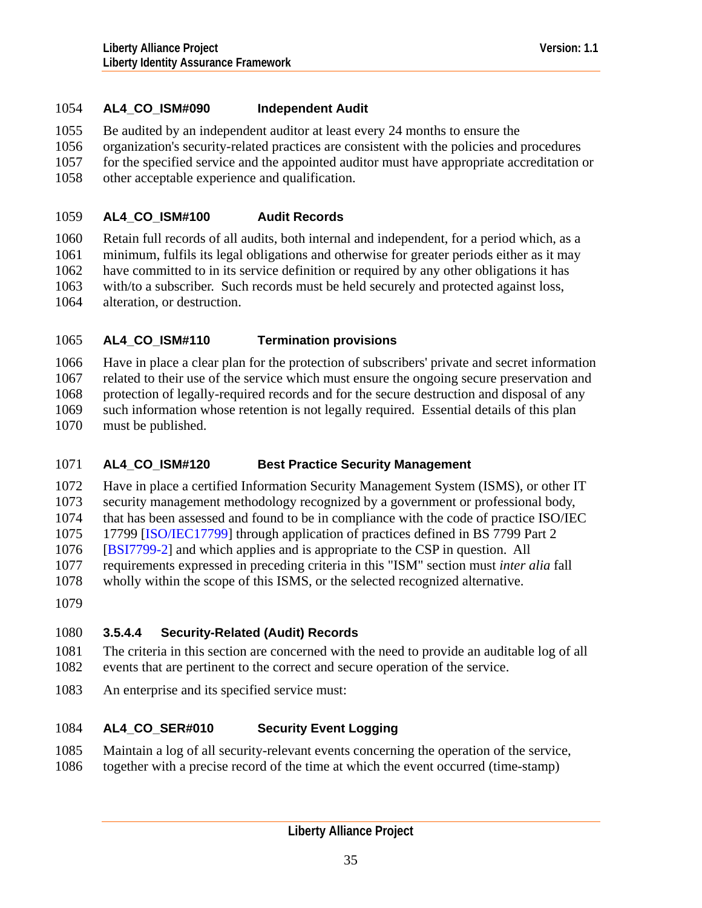# 1054 **AL4\_CO\_ISM#090 Independent Audit**

1055 Be audited by an independent auditor at least every 24 months to ensure the

1056 organization's security-related practices are consistent with the policies and procedures

1057 for the specified service and the appointed auditor must have appropriate accreditation or

1058 other acceptable experience and qualification.

### 1059 **AL4\_CO\_ISM#100 Audit Records**

1060 1061 1062 1063 1064 Retain full records of all audits, both internal and independent, for a period which, as a minimum, fulfils its legal obligations and otherwise for greater periods either as it may have committed to in its service definition or required by any other obligations it has with/to a subscriber. Such records must be held securely and protected against loss, alteration, or destruction.

### 1065 **AL4\_CO\_ISM#110 Termination provisions**

1066 1067 1068 1069 1070 Have in place a clear plan for the protection of subscribers' private and secret information related to their use of the service which must ensure the ongoing secure preservation and protection of legally-required records and for the secure destruction and disposal of any such information whose retention is not legally required. Essential details of this plan must be published.

### 1071 **AL4\_CO\_ISM#120 Best Practice Security Management**

1072 1073 Have in place a certified Information Security Management System (ISMS), or other IT security management methodology recognized by a government or professional body,

1074 that has been assessed and found to be in compliance with the code of practice ISO/IEC

1075 17799 [[ISO/IEC17799\]](#page-126-0) through application of practices defined in BS 7799 Part 2

1076 [[BSI7799-2\]](#page-126-0) and which applies and is appropriate to the CSP in question. All

1077 requirements expressed in preceding criteria in this "ISM" section must *inter alia* fall

- 1078 wholly within the scope of this ISMS, or the selected recognized alternative.
- 1079

# 1080 **3.5.4.4 Security-Related (Audit) Records**

- 1081 1082 The criteria in this section are concerned with the need to provide an auditable log of all events that are pertinent to the correct and secure operation of the service.
- 1083 An enterprise and its specified service must:

## 1084 **AL4\_CO\_SER#010 Security Event Logging**

1085 1086 Maintain a log of all security-relevant events concerning the operation of the service, together with a precise record of the time at which the event occurred (time-stamp)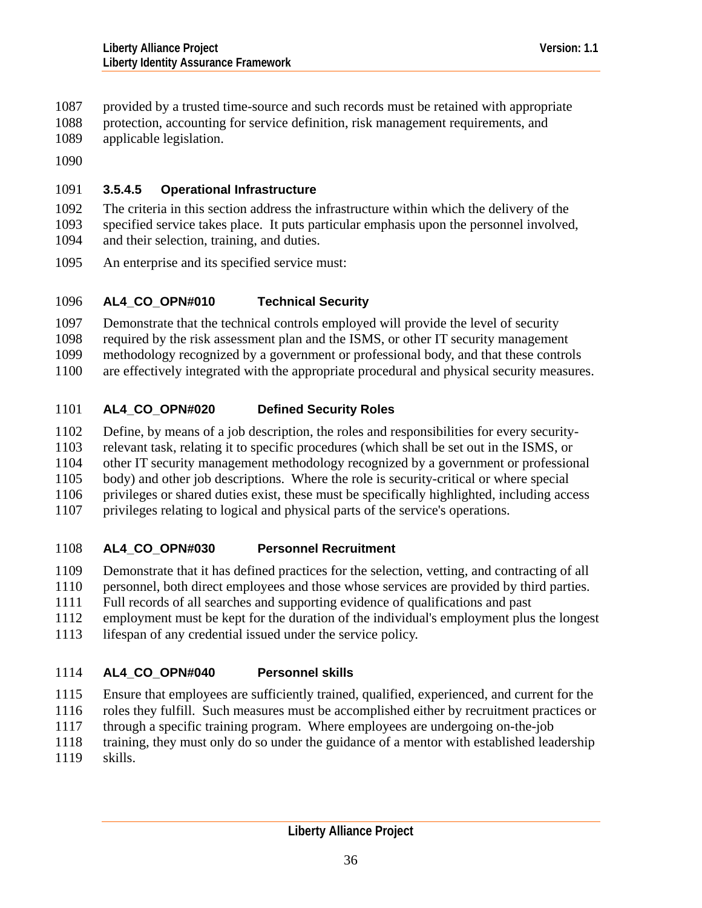- provided by a trusted time-source and such records must be retained with appropriate 1087
- protection, accounting for service definition, risk management requirements, and 1088
- applicable legislation. 1089
- 1090

# 1091 **3.5.4.5 Operational Infrastructure**

- 1092 1093 The criteria in this section address the infrastructure within which the delivery of the specified service takes place. It puts particular emphasis upon the personnel involved,
- 1094 and their selection, training, and duties.
- 1095 An enterprise and its specified service must:

# 1096 **AL4\_CO\_OPN#010 Technical Security**

1097 Demonstrate that the technical controls employed will provide the level of security

1098 required by the risk assessment plan and the ISMS, or other IT security management

1099 methodology recognized by a government or professional body, and that these controls

1100 are effectively integrated with the appropriate procedural and physical security measures.

# 1101 **AL4\_CO\_OPN#020 Defined Security Roles**

1102 Define, by means of a job description, the roles and responsibilities for every security-

1103 relevant task, relating it to specific procedures (which shall be set out in the ISMS, or

1104 other IT security management methodology recognized by a government or professional

1105 body) and other job descriptions. Where the role is security-critical or where special

1106 privileges or shared duties exist, these must be specifically highlighted, including access

1107 privileges relating to logical and physical parts of the service's operations.

# 1108 **AL4\_CO\_OPN#030 Personnel Recruitment**

1109 Demonstrate that it has defined practices for the selection, vetting, and contracting of all

1110 personnel, both direct employees and those whose services are provided by third parties.

1111 Full records of all searches and supporting evidence of qualifications and past

1112 employment must be kept for the duration of the individual's employment plus the longest

1113 lifespan of any credential issued under the service policy.

# 1114 **AL4\_CO\_OPN#040 Personnel skills**

1115 Ensure that employees are sufficiently trained, qualified, experienced, and current for the

- 1116 roles they fulfill. Such measures must be accomplished either by recruitment practices or
- 1117 through a specific training program. Where employees are undergoing on-the-job
- 1118 training, they must only do so under the guidance of a mentor with established leadership
- 1119 skills.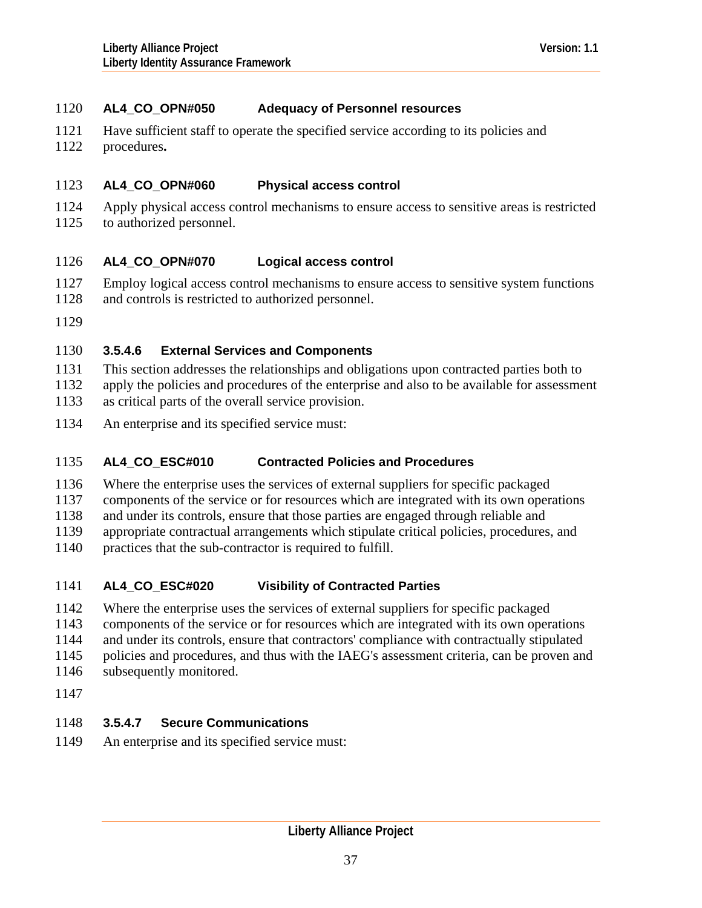# 1120 **AL4\_CO\_OPN#050 Adequacy of Personnel resources**

- 1121 Have sufficient staff to operate the specified service according to its policies and
- 1122 procedures**.**

#### 1123 **AL4\_CO\_OPN#060 Physical access control**

1124 1125 Apply physical access control mechanisms to ensure access to sensitive areas is restricted to authorized personnel.

#### 1126 **AL4\_CO\_OPN#070 Logical access control**

- 1127 Employ logical access control mechanisms to ensure access to sensitive system functions
- 1128 and controls is restricted to authorized personnel.
- 1129

# 1130 **3.5.4.6 External Services and Components**

- 1131 This section addresses the relationships and obligations upon contracted parties both to
- 1132 apply the policies and procedures of the enterprise and also to be available for assessment
- 1133 as critical parts of the overall service provision.
- 1134 An enterprise and its specified service must:

### 1135 **AL4\_CO\_ESC#010 Contracted Policies and Procedures**

1136 Where the enterprise uses the services of external suppliers for specific packaged

1137 components of the service or for resources which are integrated with its own operations

1138 and under its controls, ensure that those parties are engaged through reliable and

- 1139 appropriate contractual arrangements which stipulate critical policies, procedures, and
- 1140 practices that the sub-contractor is required to fulfill.

### 1141 **AL4\_CO\_ESC#020 Visibility of Contracted Parties**

- 1142 Where the enterprise uses the services of external suppliers for specific packaged
- 1143 components of the service or for resources which are integrated with its own operations
- 1144 and under its controls, ensure that contractors' compliance with contractually stipulated
- 1145 policies and procedures, and thus with the IAEG's assessment criteria, can be proven and
- 1146 subsequently monitored.
- 1147

# 1148 **3.5.4.7 Secure Communications**

1149 An enterprise and its specified service must: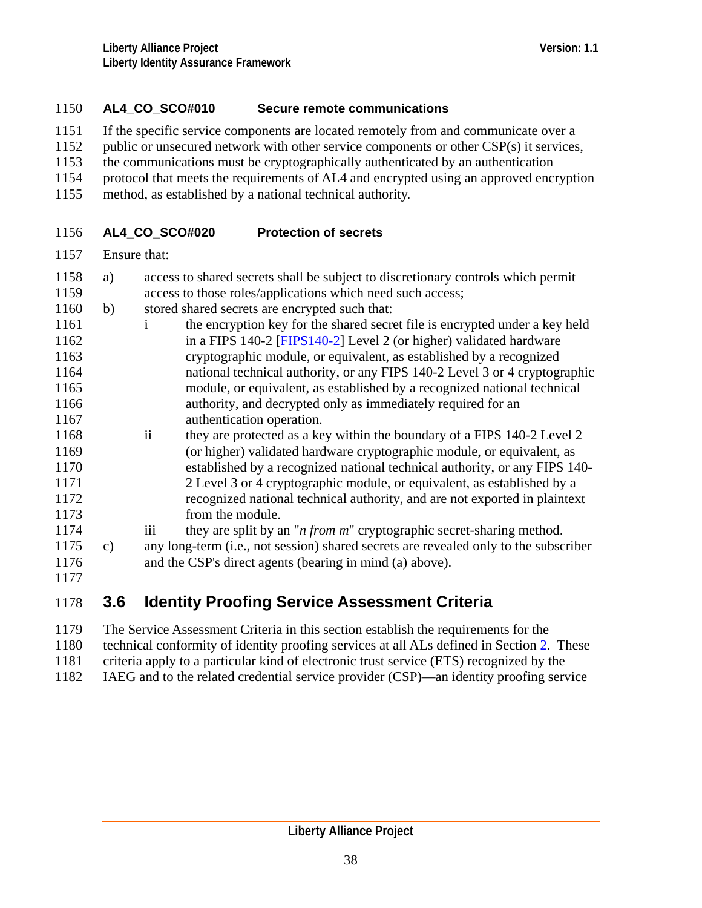# 1150 **AL4\_CO\_SCO#010 Secure remote communications**

- 1151 If the specific service components are located remotely from and communicate over a
- 1152 public or unsecured network with other service components or other CSP(s) it services,
- 1153 the communications must be cryptographically authenticated by an authentication
- 1154 protocol that meets the requirements of AL4 and encrypted using an approved encryption
- 1155 method, as established by a national technical authority.

### 1156 **AL4\_CO\_SCO#020 Protection of secrets**

1157 Ensure that:

| 1158 | a) | access to shared secrets shall be subject to discretionary controls which permit         |
|------|----|------------------------------------------------------------------------------------------|
| 1159 |    | access to those roles/applications which need such access;                               |
| 1160 | b) | stored shared secrets are encrypted such that:                                           |
| 1161 |    | the encryption key for the shared secret file is encrypted under a key held<br>Ť.        |
| 1162 |    | in a FIPS 140-2 [FIPS140-2] Level 2 (or higher) validated hardware                       |
| 1163 |    | cryptographic module, or equivalent, as established by a recognized                      |
| 1164 |    | national technical authority, or any FIPS 140-2 Level 3 or 4 cryptographic               |
| 1165 |    | module, or equivalent, as established by a recognized national technical                 |
| 1166 |    | authority, and decrypted only as immediately required for an                             |
| 1167 |    | authentication operation.                                                                |
| 1168 |    | $\mathbf{ii}$<br>they are protected as a key within the boundary of a FIPS 140-2 Level 2 |
| 1169 |    | (or higher) validated hardware cryptographic module, or equivalent, as                   |
| 1170 |    | established by a recognized national technical authority, or any FIPS 140-               |
| 1171 |    | 2 Level 3 or 4 cryptographic module, or equivalent, as established by a                  |
| 1172 |    | recognized national technical authority, and are not exported in plaintext               |
| 1173 |    | from the module.                                                                         |
| 1174 |    | iii<br>they are split by an " <i>n from m</i> " cryptographic secret-sharing method.     |
| 1175 | c) | any long-term (i.e., not session) shared secrets are revealed only to the subscriber     |
| 1176 |    | and the CSP's direct agents (bearing in mind (a) above).                                 |
| 1177 |    |                                                                                          |
|      |    |                                                                                          |

<span id="page-37-0"></span>

# 1178 **3.6 Identity Proofing Service Assessment Criteria**

1179 1180 1181 1182 The Service Assessment Criteria in this section establish the requirements for the technical conformity of identity proofing services at all ALs defined in Section [2](#page-6-0). These criteria apply to a particular kind of electronic trust service (ETS) recognized by the IAEG and to the related credential service provider (CSP)—an identity proofing service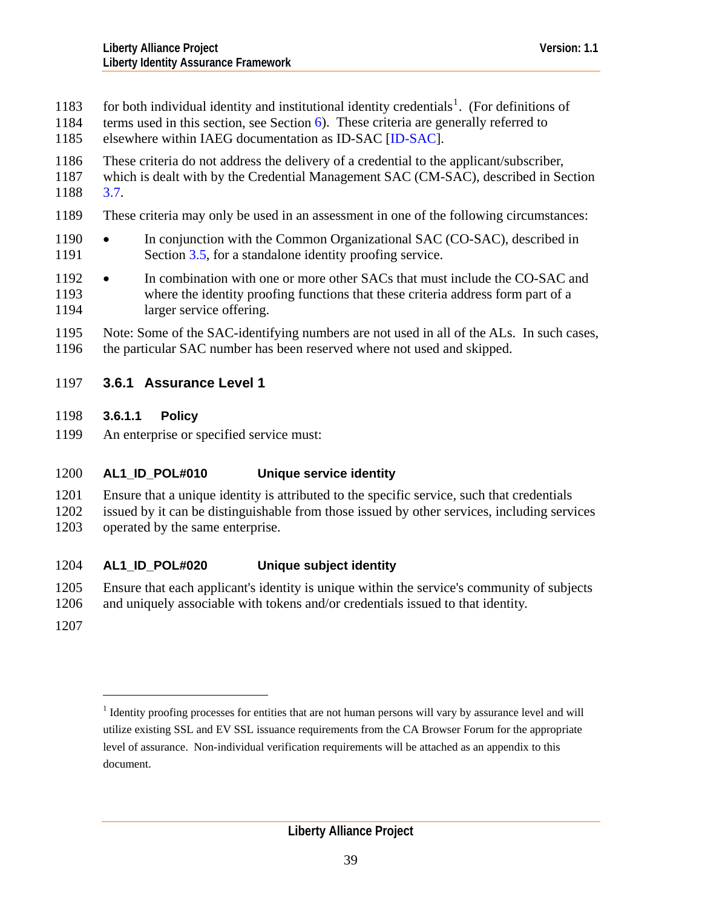- <span id="page-38-1"></span>for both individual identity and institutional identity credentials<sup>[1](#page-38-0)</sup>. (For definitions of 1183
- terms used in this section, see Section [6\)](#page-116-0). These criteria are generally referred to 1184
- 1185 elsewhere within IAEG documentation as ID-SAC [[ID-SAC\]](#page-126-0).
- 1186 These criteria do not address the delivery of a credential to the applicant/subscriber,
- 1187 1188 which is dealt with by the Credential Management SAC (CM-SAC), described in Section [3.7](#page-56-0).
- 1189 These criteria may only be used in an assessment in one of the following circumstances:
- 1191 1190 • In conjunction with the Common Organizational SAC (CO-SAC), described in Section [3.5](#page-12-0), for a standalone identity proofing service.
- 1193 1194 1192 • In combination with one or more other SACs that must include the CO-SAC and where the identity proofing functions that these criteria address form part of a larger service offering.

1195 1196 Note: Some of the SAC-identifying numbers are not used in all of the ALs. In such cases, the particular SAC number has been reserved where not used and skipped.

# 1197 **3.6.1 Assurance Level 1**

- 1198 **3.6.1.1 Policy**
- 1199 An enterprise or specified service must:

## 1200 **AL1\_ID\_POL#010 Unique service identity**

- 1201 Ensure that a unique identity is attributed to the specific service, such that credentials
- 1202 1203 issued by it can be distinguishable from those issued by other services, including services operated by the same enterprise.

## 1204 **AL1\_ID\_POL#020 Unique subject identity**

- 1205 Ensure that each applicant's identity is unique within the service's community of subjects
- 1206 and uniquely associable with tokens and/or credentials issued to that identity.
- <span id="page-38-0"></span>1207

 $\overline{a}$ 

<sup>&</sup>lt;sup>1</sup> Identity proofing processes for entities that are not human persons will vary by assurance level and will utilize existing SSL and EV SSL issuance requirements from the CA Browser Forum for the appropriate level of assurance. Non-individual verification requirements will be attached as an appendix to this document.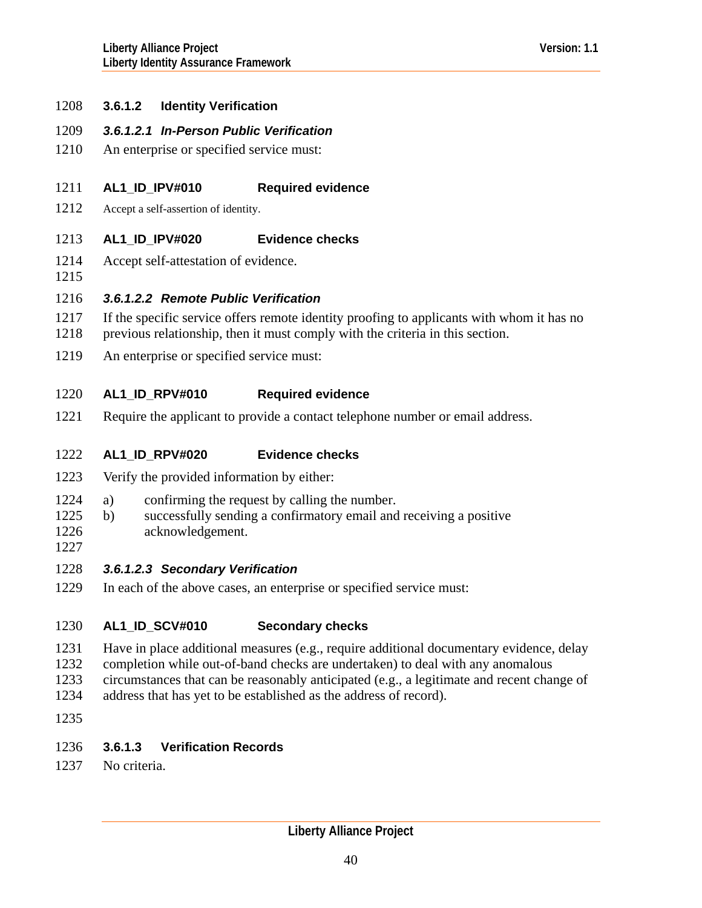# <span id="page-39-0"></span>1208 **3.6.1.2 Identity Verification**

# 1209 *3.6.1.2.1 In-Person Public Verification*

1210 An enterprise or specified service must:

#### 1211 **AL1\_ID\_IPV#010 Required evidence**

- 1212 Accept a self-assertion of identity.
- 1213 **AL1\_ID\_IPV#020 Evidence checks**
- 1214 Accept self-attestation of evidence.
- 1215

# 1216 *3.6.1.2.2 Remote Public Verification*

- 1217 If the specific service offers remote identity proofing to applicants with whom it has no
- 1218 previous relationship, then it must comply with the criteria in this section.
- 1219 An enterprise or specified service must:

### 1220 **AL1\_ID\_RPV#010 Required evidence**

1221 Require the applicant to provide a contact telephone number or email address.

#### 1222 **AL1\_ID\_RPV#020 Evidence checks**

- 1223 Verify the provided information by either:
- 1224 a) confirming the request by calling the number.
- 1226 1225 b) successfully sending a confirmatory email and receiving a positive acknowledgement.
- 1227

# 1228 *3.6.1.2.3 Secondary Verification*

1229 In each of the above cases, an enterprise or specified service must:

### 1230 **AL1\_ID\_SCV#010 Secondary checks**

- 1231 Have in place additional measures (e.g., require additional documentary evidence, delay
- 1232 completion while out-of-band checks are undertaken) to deal with any anomalous
- 1233 circumstances that can be reasonably anticipated (e.g., a legitimate and recent change of
- 1234 address that has yet to be established as the address of record).
- 1235

# 1236 **3.6.1.3 Verification Records**

1237 No criteria.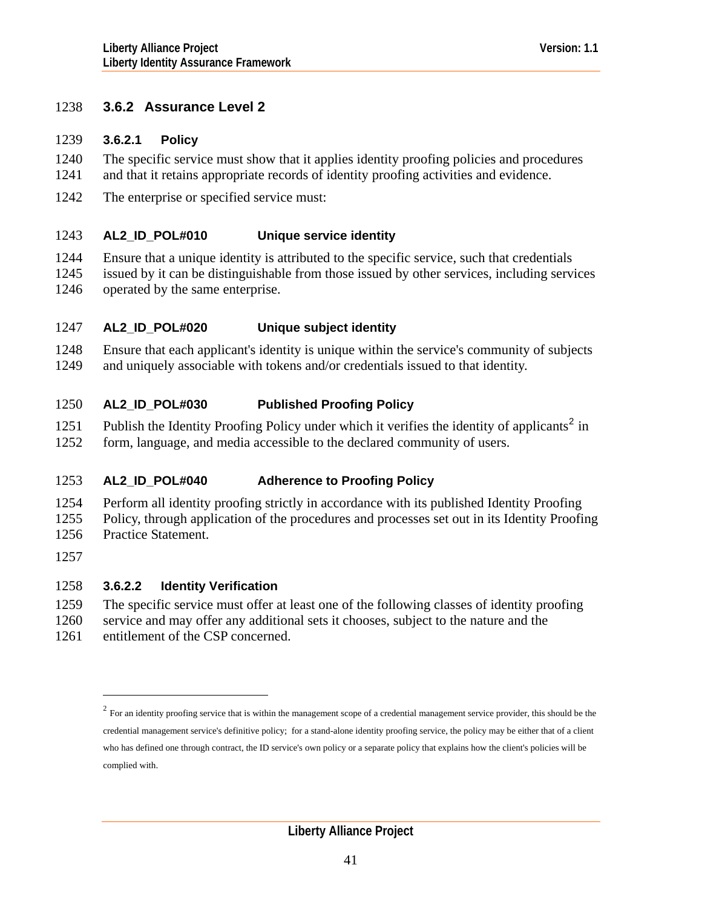# <span id="page-40-1"></span>1238 **3.6.2 Assurance Level 2**

# 1239 **3.6.2.1 Policy**

The specific service must show that it applies identity proofing policies and procedures and that it retains appropriate records of identity proofing activities and evidence. 1240 1241

1242 The enterprise or specified service must:

### 1243 **AL2\_ID\_POL#010 Unique service identity**

1244 1245 1246 Ensure that a unique identity is attributed to the specific service, such that credentials issued by it can be distinguishable from those issued by other services, including services operated by the same enterprise.

### 1247 **AL2\_ID\_POL#020 Unique subject identity**

1248 1249 Ensure that each applicant's identity is unique within the service's community of subjects and uniquely associable with tokens and/or credentials issued to that identity.

### 1250 **AL2\_ID\_POL#030 Published Proofing Policy**

1251 Publish the Identity Proofing Policy under which it verifies the identity of applicants<sup>[2](#page-40-0)</sup> in

1252 form, language, and media accessible to the declared community of users.

### 1253 **AL2\_ID\_POL#040 Adherence to Proofing Policy**

1254 1255 1256 Perform all identity proofing strictly in accordance with its published Identity Proofing Policy, through application of the procedures and processes set out in its Identity Proofing Practice Statement.

1257

 $\overline{a}$ 

# 1258 **3.6.2.2 Identity Verification**

1259 The specific service must offer at least one of the following classes of identity proofing

1260 service and may offer any additional sets it chooses, subject to the nature and the

<span id="page-40-0"></span>1261 entitlement of the CSP concerned.

 $2$  For an identity proofing service that is within the management scope of a credential management service provider, this should be the credential management service's definitive policy; for a stand-alone identity proofing service, the policy may be either that of a client who has defined one through contract, the ID service's own policy or a separate policy that explains how the client's policies will be complied with.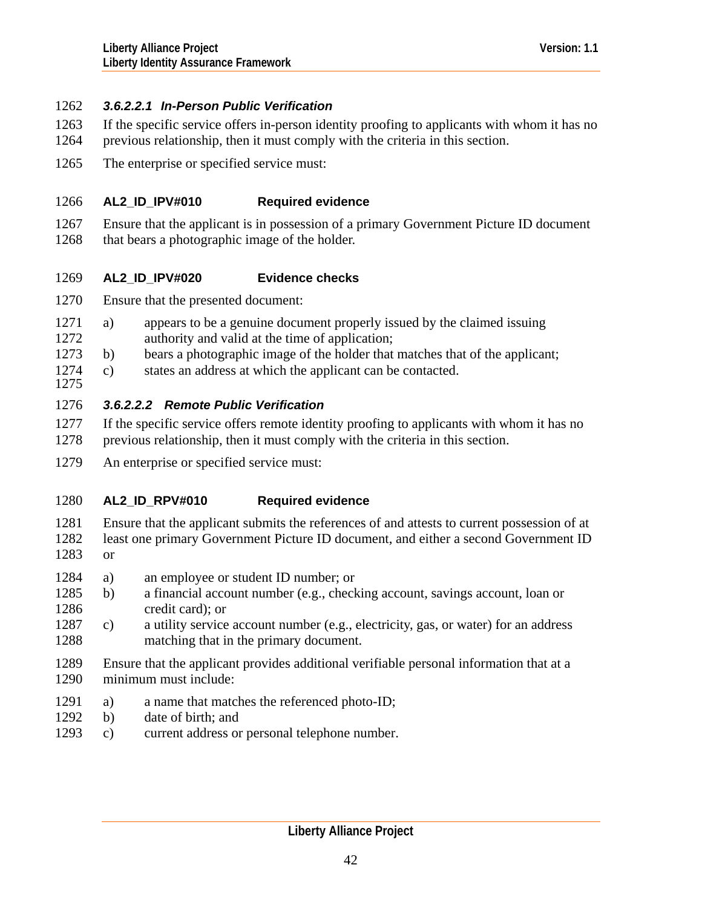# <span id="page-41-0"></span>1262 *3.6.2.2.1 In-Person Public Verification*

- If the specific service offers in-person identity proofing to applicants with whom it has no 1263
- previous relationship, then it must comply with the criteria in this section. 1264
- 1265 The enterprise or specified service must:

### 1266 **AL2\_ID\_IPV#010 Required evidence**

1267 1268 Ensure that the applicant is in possession of a primary Government Picture ID document that bears a photographic image of the holder.

### 1269 **AL2\_ID\_IPV#020 Evidence checks**

- 1270 Ensure that the presented document:
- 1272 1271 a) appears to be a genuine document properly issued by the claimed issuing authority and valid at the time of application;
- 1273 b) bears a photographic image of the holder that matches that of the applicant;
- 1275 1274 c) states an address at which the applicant can be contacted.

# 1276 *3.6.2.2.2 Remote Public Verification*

- 1277 1278 If the specific service offers remote identity proofing to applicants with whom it has no previous relationship, then it must comply with the criteria in this section.
- 1279 An enterprise or specified service must:

## 1280 **AL2\_ID\_RPV#010 Required evidence**

- 1281 1282 1283 Ensure that the applicant submits the references of and attests to current possession of at least one primary Government Picture ID document, and either a second Government ID or
- 1284 a) an employee or student ID number; or
- 1286 1285 b) a financial account number (e.g., checking account, savings account, loan or credit card); or
- 1288 1287 c) a utility service account number (e.g., electricity, gas, or water) for an address matching that in the primary document.
- 1289 1290 Ensure that the applicant provides additional verifiable personal information that at a minimum must include:
- 1291 a) a name that matches the referenced photo-ID;
- 1292 b) date of birth; and
- 1293 c) current address or personal telephone number.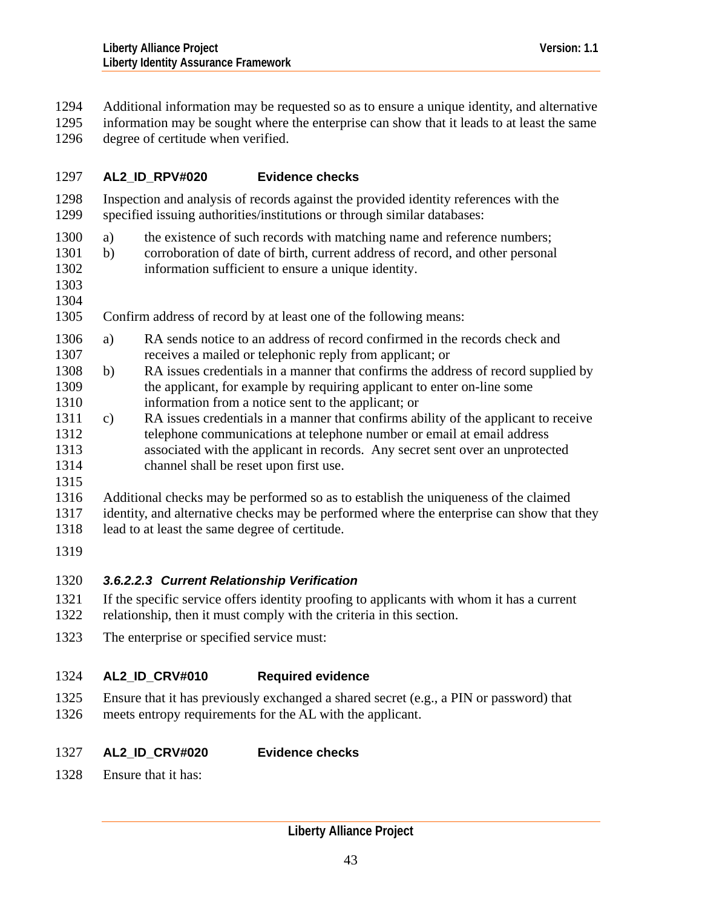<span id="page-42-0"></span>Additional information may be requested so as to ensure a unique identity, and alternative 1294

information may be sought where the enterprise can show that it leads to at least the same degree of certitude when verified. 1295 1296

## 1297 **AL2\_ID\_RPV#020 Evidence checks**

1298 1299 Inspection and analysis of records against the provided identity references with the specified issuing authorities/institutions or through similar databases:

- 1300 a) the existence of such records with matching name and reference numbers;
- 1302 1301 b) corroboration of date of birth, current address of record, and other personal information sufficient to ensure a unique identity.
- 1303 1304

1305 Confirm address of record by at least one of the following means:

- 1307 1306 a) RA sends notice to an address of record confirmed in the records check and receives a mailed or telephonic reply from applicant; or
- 1309 1310 1308 b) RA issues credentials in a manner that confirms the address of record supplied by the applicant, for example by requiring applicant to enter on-line some information from a notice sent to the applicant; or
- 1312 1313 1311 c) RA issues credentials in a manner that confirms ability of the applicant to receive telephone communications at telephone number or email at email address associated with the applicant in records. Any secret sent over an unprotected
- 1314 channel shall be reset upon first use.
- 1315

1316 1317 Additional checks may be performed so as to establish the uniqueness of the claimed identity, and alternative checks may be performed where the enterprise can show that they

- 1318 lead to at least the same degree of certitude.
- 1319

# 1320 *3.6.2.2.3 Current Relationship Verification*

- 1321 1322 If the specific service offers identity proofing to applicants with whom it has a current relationship, then it must comply with the criteria in this section.
- 1323 The enterprise or specified service must:

## 1324 **AL2\_ID\_CRV#010 Required evidence**

1325 1326 Ensure that it has previously exchanged a shared secret (e.g., a PIN or password) that meets entropy requirements for the AL with the applicant.

## 1327 **AL2\_ID\_CRV#020 Evidence checks**

1328 Ensure that it has: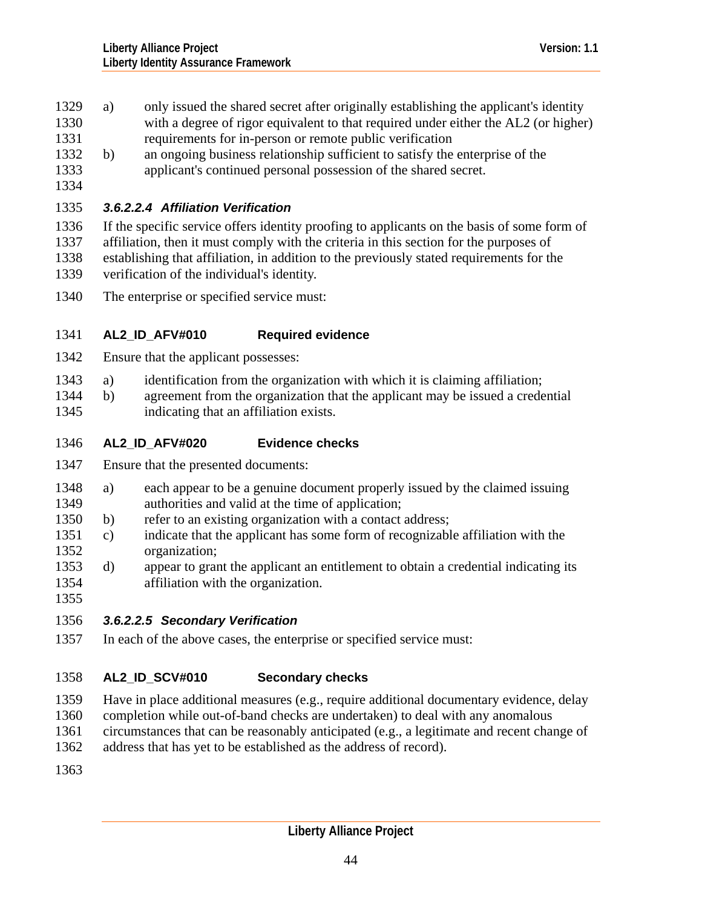- <span id="page-43-0"></span>1329 a) only issued the shared secret after originally establishing the applicant's identity
- with a degree of rigor equivalent to that required under either the AL2 (or higher) requirements for in-person or remote public verification 1330 1331
- 1333 1332 b) an ongoing business relationship sufficient to satisfy the enterprise of the applicant's continued personal possession of the shared secret.
- 1334

# 1335 *3.6.2.2.4 Affiliation Verification*

1336 1337 1338 1339 If the specific service offers identity proofing to applicants on the basis of some form of affiliation, then it must comply with the criteria in this section for the purposes of establishing that affiliation, in addition to the previously stated requirements for the verification of the individual's identity.

1340 The enterprise or specified service must:

## 1341 **AL2\_ID\_AFV#010 Required evidence**

- 1342 Ensure that the applicant possesses:
- 1343 a) identification from the organization with which it is claiming affiliation;
- 1345 1344 b) agreement from the organization that the applicant may be issued a credential indicating that an affiliation exists.
- 1346 **AL2\_ID\_AFV#020 Evidence checks**
- 1347 Ensure that the presented documents:
- 1349 1348 a) each appear to be a genuine document properly issued by the claimed issuing authorities and valid at the time of application;
- 1350 b) refer to an existing organization with a contact address;
- 1352 1351 c) indicate that the applicant has some form of recognizable affiliation with the organization;
- 1354 1353 d) appear to grant the applicant an entitlement to obtain a credential indicating its affiliation with the organization.
- 1355

# 1356 *3.6.2.2.5 Secondary Verification*

1357 In each of the above cases, the enterprise or specified service must:

## 1358 **AL2\_ID\_SCV#010 Secondary checks**

- 1359 Have in place additional measures (e.g., require additional documentary evidence, delay
- 1360 completion while out-of-band checks are undertaken) to deal with any anomalous
- 1361 circumstances that can be reasonably anticipated (e.g., a legitimate and recent change of
- 1362 address that has yet to be established as the address of record).
- 1363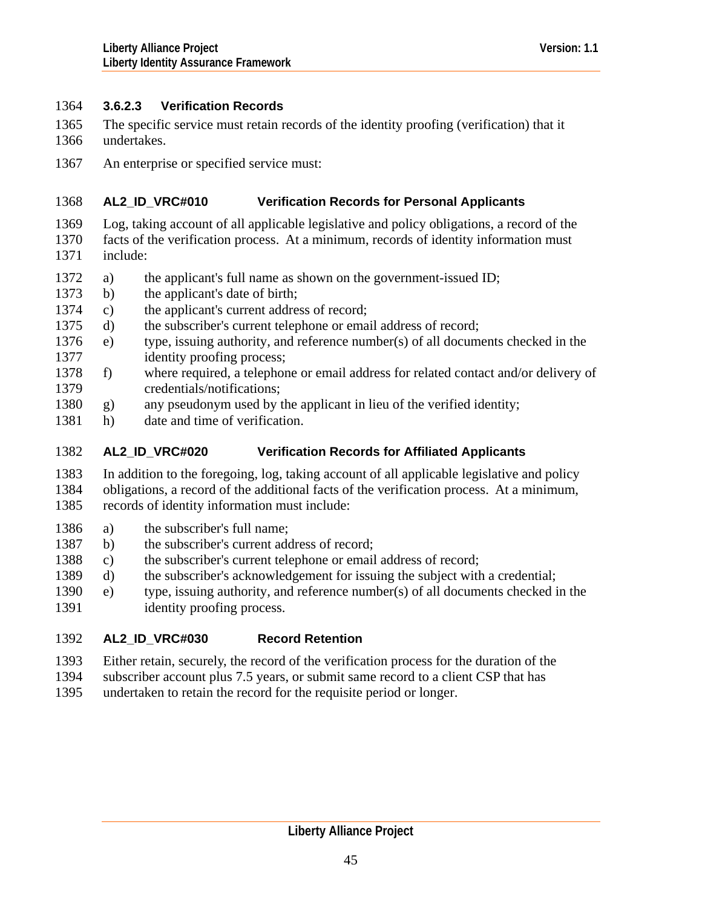# <span id="page-44-0"></span>1364 **3.6.2.3 Verification Records**

- The specific service must retain records of the identity proofing (verification) that it undertakes. 1365 1366
- 1367 An enterprise or specified service must:

### 1368 **AL2\_ID\_VRC#010 Verification Records for Personal Applicants**

- 1369 Log, taking account of all applicable legislative and policy obligations, a record of the
- 1370 1371 facts of the verification process. At a minimum, records of identity information must include:
- 1372 a) the applicant's full name as shown on the government-issued ID;
- 1373 b) the applicant's date of birth;
- 1374 c) the applicant's current address of record;
- 1375 d) the subscriber's current telephone or email address of record;
- 1377 1376 e) type, issuing authority, and reference number(s) of all documents checked in the identity proofing process;
- 1379 1378 f) where required, a telephone or email address for related contact and/or delivery of credentials/notifications;
- 1380 g) any pseudonym used by the applicant in lieu of the verified identity;
- 1381 h) date and time of verification.

## 1382 **AL2\_ID\_VRC#020 Verification Records for Affiliated Applicants**

1383 1384 1385 In addition to the foregoing, log, taking account of all applicable legislative and policy obligations, a record of the additional facts of the verification process. At a minimum, records of identity information must include:

- 1386 a) the subscriber's full name;
- 1387 b) the subscriber's current address of record;
- 1388 c) the subscriber's current telephone or email address of record;
- 1389 d) the subscriber's acknowledgement for issuing the subject with a credential;
- 1391 1390 e) type, issuing authority, and reference number(s) of all documents checked in the identity proofing process.

## 1392 **AL2\_ID\_VRC#030 Record Retention**

- 1393 Either retain, securely, the record of the verification process for the duration of the
- 1394 subscriber account plus 7.5 years, or submit same record to a client CSP that has
- 1395 undertaken to retain the record for the requisite period or longer.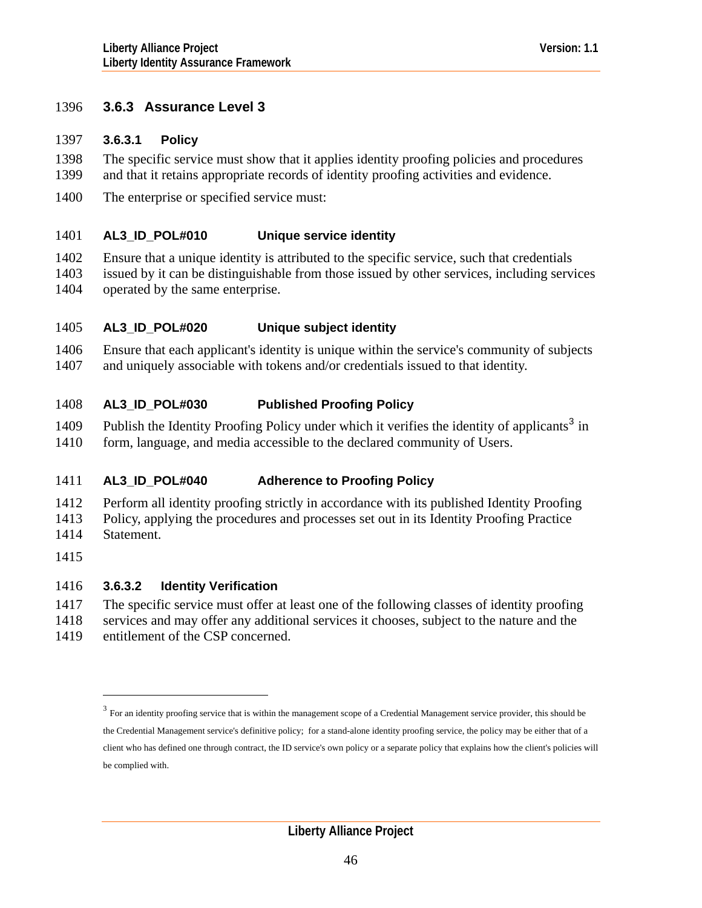# <span id="page-45-1"></span>1396 **3.6.3 Assurance Level 3**

## 1397 **3.6.3.1 Policy**

- The specific service must show that it applies identity proofing policies and procedures and that it retains appropriate records of identity proofing activities and evidence. 1398 1399
- 1400 The enterprise or specified service must:

#### 1401 **AL3\_ID\_POL#010 Unique service identity**

- 1402 1403 Ensure that a unique identity is attributed to the specific service, such that credentials issued by it can be distinguishable from those issued by other services, including services
- 1404 operated by the same enterprise.

### 1405 **AL3\_ID\_POL#020 Unique subject identity**

1406 1407 Ensure that each applicant's identity is unique within the service's community of subjects and uniquely associable with tokens and/or credentials issued to that identity.

#### 1408 **AL3\_ID\_POL#030 Published Proofing Policy**

- 1409 Publish the Identity Proofing Policy under which it verifies the identity of applicants<sup>[3](#page-45-0)</sup> in
- 1410 form, language, and media accessible to the declared community of Users.

### 1411 **AL3\_ID\_POL#040 Adherence to Proofing Policy**

- 1412 Perform all identity proofing strictly in accordance with its published Identity Proofing
- 1413 Policy, applying the procedures and processes set out in its Identity Proofing Practice
- 1414 Statement.

 $\overline{a}$ 

1415

# 1416 **3.6.3.2 Identity Verification**

- 1417 The specific service must offer at least one of the following classes of identity proofing
- 1418 1419 services and may offer any additional services it chooses, subject to the nature and the entitlement of the CSP concerned.
- <span id="page-45-0"></span>

 $3$  For an identity proofing service that is within the management scope of a Credential Management service provider, this should be the Credential Management service's definitive policy; for a stand-alone identity proofing service, the policy may be either that of a client who has defined one through contract, the ID service's own policy or a separate policy that explains how the client's policies will be complied with.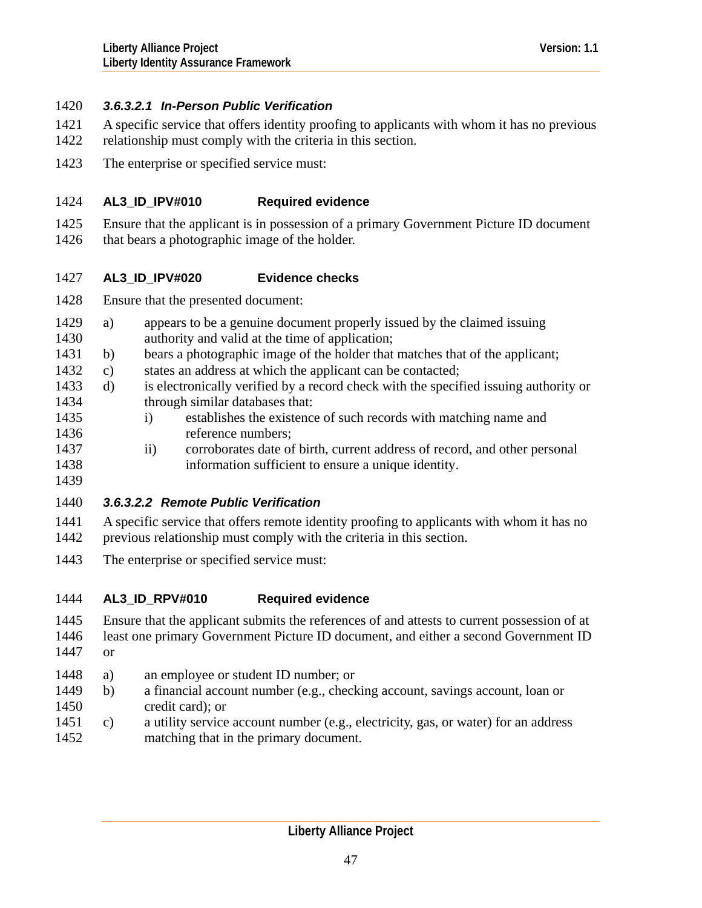# <span id="page-46-0"></span>1420 *3.6.3.2.1 In-Person Public Verification*

- A specific service that offers identity proofing to applicants with whom it has no previous 1421
- relationship must comply with the criteria in this section. 1422
- 1423 The enterprise or specified service must:

### 1424 **AL3\_ID\_IPV#010 Required evidence**

- 1425 Ensure that the applicant is in possession of a primary Government Picture ID document
- 1426 that bears a photographic image of the holder.

### 1427 **AL3\_ID\_IPV#020 Evidence checks**

- 1428 Ensure that the presented document:
- 1430 1429 a) appears to be a genuine document properly issued by the claimed issuing authority and valid at the time of application;
- 1431 b) bears a photographic image of the holder that matches that of the applicant;
- 1432 c) states an address at which the applicant can be contacted;
- 1434 1433 d) is electronically verified by a record check with the specified issuing authority or through similar databases that:
- 1435 1436 i) establishes the existence of such records with matching name and reference numbers;
- 1437 1438 ii) corroborates date of birth, current address of record, and other personal information sufficient to ensure a unique identity.
- 1439

# 1440 *3.6.3.2.2 Remote Public Verification*

- 1441 1442 A specific service that offers remote identity proofing to applicants with whom it has no previous relationship must comply with the criteria in this section.
- 1443 The enterprise or specified service must:

## 1444 **AL3\_ID\_RPV#010 Required evidence**

- 1445 Ensure that the applicant submits the references of and attests to current possession of at
- 1446 1447 least one primary Government Picture ID document, and either a second Government ID or
- 1448 a) an employee or student ID number; or
- 1449 1450 b) a financial account number (e.g., checking account, savings account, loan or credit card); or
- 1451 1452 c) a utility service account number (e.g., electricity, gas, or water) for an address matching that in the primary document.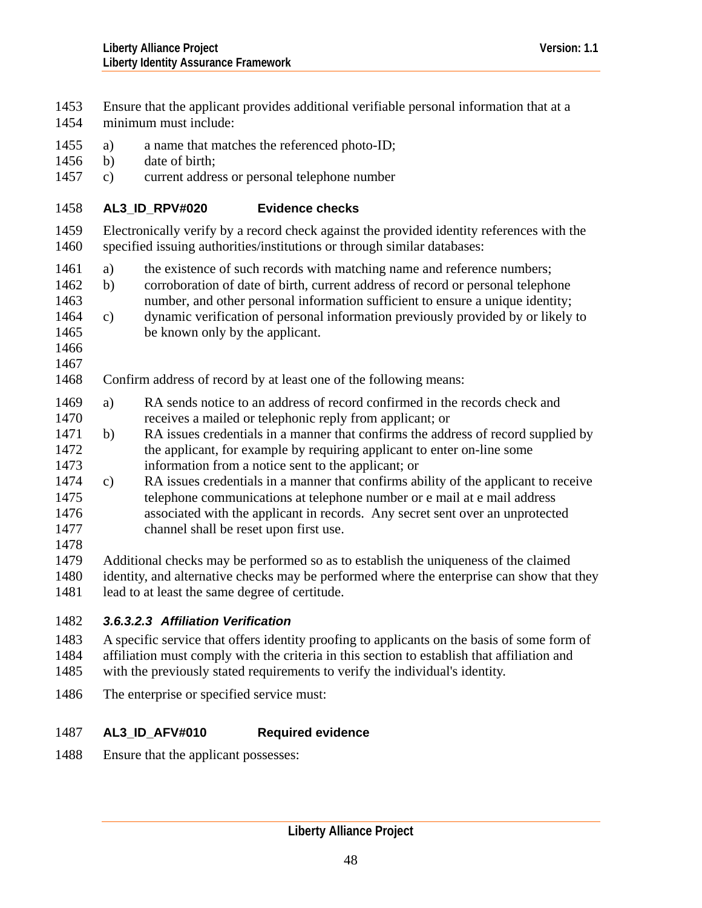<span id="page-47-0"></span>Ensure that the applicant provides additional verifiable personal information that at a minimum must include: 1453 1454 1455 1456 1457 1458 1459 1460 1463 1465 1466 1467 1468 1470 1472 1473 1475 1476 1477 1478 a) a name that matches the referenced photo-ID; b) date of birth; c) current address or personal telephone number **AL3\_ID\_RPV#020 Evidence checks**  Electronically verify by a record check against the provided identity references with the specified issuing authorities/institutions or through similar databases: 1461 a) the existence of such records with matching name and reference numbers; 1462 b) corroboration of date of birth, current address of record or personal telephone number, and other personal information sufficient to ensure a unique identity; 1464 c) dynamic verification of personal information previously provided by or likely to be known only by the applicant. Confirm address of record by at least one of the following means: 1469 a) RA sends notice to an address of record confirmed in the records check and receives a mailed or telephonic reply from applicant; or 1471 b) RA issues credentials in a manner that confirms the address of record supplied by the applicant, for example by requiring applicant to enter on-line some information from a notice sent to the applicant; or 1474 c) RA issues credentials in a manner that confirms ability of the applicant to receive telephone communications at telephone number or e mail at e mail address associated with the applicant in records. Any secret sent over an unprotected channel shall be reset upon first use.

- 1479 1480 1481 Additional checks may be performed so as to establish the uniqueness of the claimed identity, and alternative checks may be performed where the enterprise can show that they lead to at least the same degree of certitude.
- 

# 1482 *3.6.3.2.3 Affiliation Verification*

- 1483 1484 A specific service that offers identity proofing to applicants on the basis of some form of affiliation must comply with the criteria in this section to establish that affiliation and
- 1485 with the previously stated requirements to verify the individual's identity.
- 1486 The enterprise or specified service must:

## 1487 **AL3\_ID\_AFV#010 Required evidence**

1488 Ensure that the applicant possesses: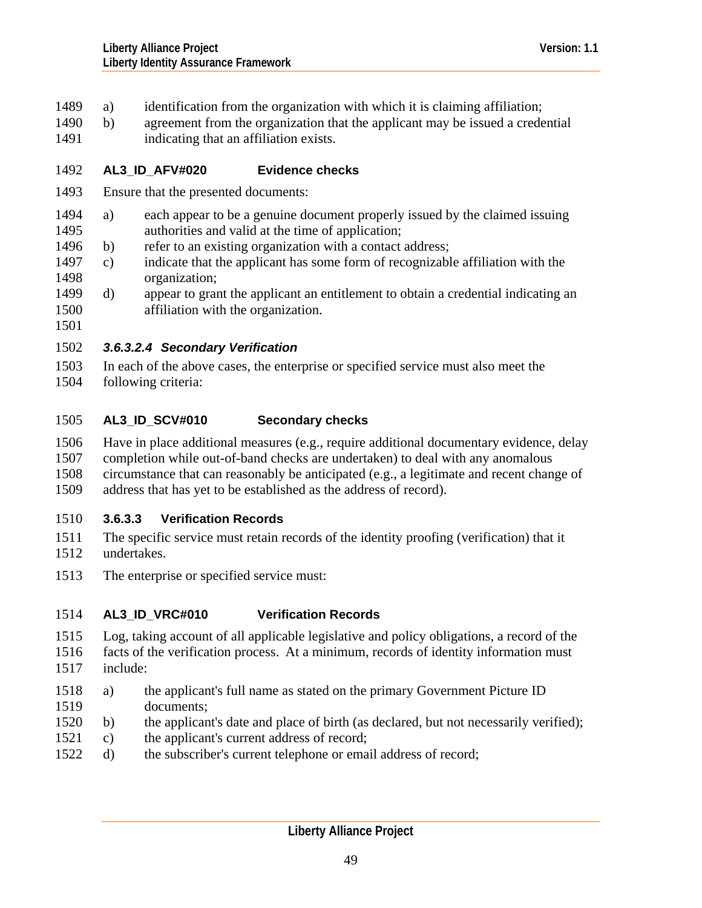- <span id="page-48-0"></span>1489 a) identification from the organization with which it is claiming affiliation;
- 1490 b) agreement from the organization that the applicant may be issued a credential 1491 indicating that an affiliation exists.
- 

## 1492 **AL3\_ID\_AFV#020 Evidence checks**

- 1493 Ensure that the presented documents:
- 1495 1494 a) each appear to be a genuine document properly issued by the claimed issuing authorities and valid at the time of application;
- 1496 b) refer to an existing organization with a contact address;
- 1498 1497 c) indicate that the applicant has some form of recognizable affiliation with the organization;
- 1500 1499 d) appear to grant the applicant an entitlement to obtain a credential indicating an affiliation with the organization.
- 1501

# 1502 *3.6.3.2.4 Secondary Verification*

1503 1504 In each of the above cases, the enterprise or specified service must also meet the following criteria:

## 1505 **AL3\_ID\_SCV#010 Secondary checks**

1506 1507 1508 1509 Have in place additional measures (e.g., require additional documentary evidence, delay completion while out-of-band checks are undertaken) to deal with any anomalous circumstance that can reasonably be anticipated (e.g., a legitimate and recent change of address that has yet to be established as the address of record).

# 1510 **3.6.3.3 Verification Records**

- 1511 1512 The specific service must retain records of the identity proofing (verification) that it undertakes.
- 1513 The enterprise or specified service must:

## 1514 **AL3\_ID\_VRC#010 Verification Records**

- 1515 Log, taking account of all applicable legislative and policy obligations, a record of the
- 1516 facts of the verification process. At a minimum, records of identity information must
- 1517 include:
- 1519 1518 a) the applicant's full name as stated on the primary Government Picture ID documents;
- 1520 b) the applicant's date and place of birth (as declared, but not necessarily verified);
- 1521 c) the applicant's current address of record;
- 1522 d) the subscriber's current telephone or email address of record;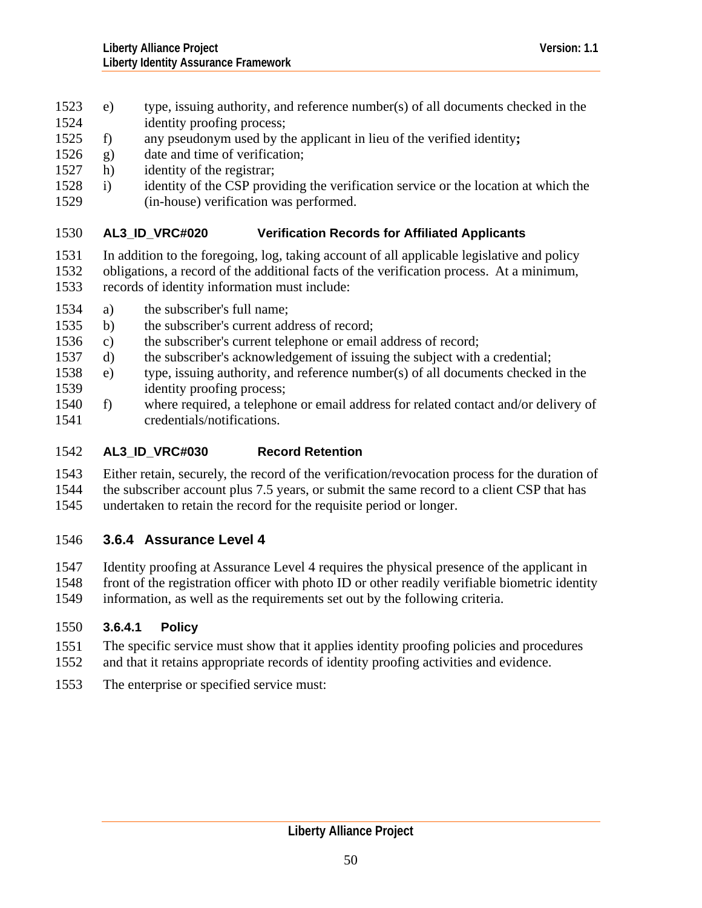- <span id="page-49-0"></span>1523 e) type, issuing authority, and reference number(s) of all documents checked in the
- 1524 identity proofing process;
- 1525 f) any pseudonym used by the applicant in lieu of the verified identity**;**
- 1526 g) date and time of verification;
- 1527 h) identity of the registrar;
- 1529 1528 i) identity of the CSP providing the verification service or the location at which the (in-house) verification was performed.

## 1530 **AL3\_ID\_VRC#020 Verification Records for Affiliated Applicants**

- 1531 In addition to the foregoing, log, taking account of all applicable legislative and policy
- 1532 1533 obligations, a record of the additional facts of the verification process. At a minimum, records of identity information must include:
- 1534 a) the subscriber's full name;
- 1535 b) the subscriber's current address of record;
- 1536 c) the subscriber's current telephone or email address of record;
- 1537 d) the subscriber's acknowledgement of issuing the subject with a credential;
- 1539 1538 e) type, issuing authority, and reference number(s) of all documents checked in the identity proofing process;
- 1541 1540 f) where required, a telephone or email address for related contact and/or delivery of credentials/notifications.

## 1542 **AL3\_ID\_VRC#030 Record Retention**

1543 1544 1545 Either retain, securely, the record of the verification/revocation process for the duration of the subscriber account plus 7.5 years, or submit the same record to a client CSP that has undertaken to retain the record for the requisite period or longer.

# 1546 **3.6.4 Assurance Level 4**

1547 1548 1549 Identity proofing at Assurance Level 4 requires the physical presence of the applicant in front of the registration officer with photo ID or other readily verifiable biometric identity information, as well as the requirements set out by the following criteria.

# 1550 **3.6.4.1 Policy**

- 1551 1552 The specific service must show that it applies identity proofing policies and procedures and that it retains appropriate records of identity proofing activities and evidence.
- 1553 The enterprise or specified service must: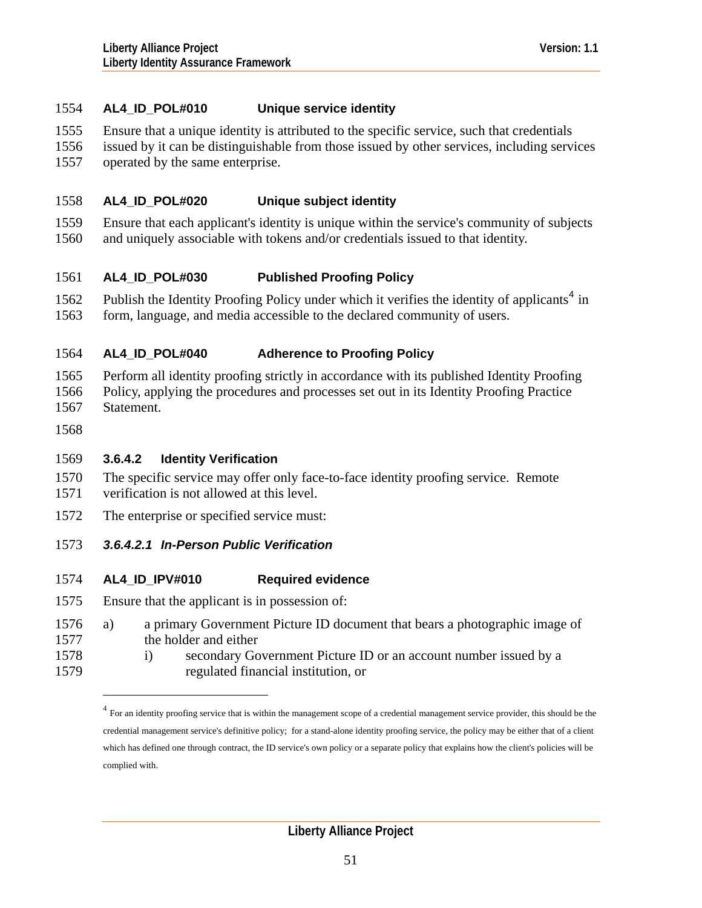# <span id="page-50-1"></span>1554 **AL4\_ID\_POL#010 Unique service identity**

- 1555 Ensure that a unique identity is attributed to the specific service, such that credentials
- 1556 1557 issued by it can be distinguishable from those issued by other services, including services operated by the same enterprise.

#### 1558 **AL4\_ID\_POL#020 Unique subject identity**

1559 1560 Ensure that each applicant's identity is unique within the service's community of subjects and uniquely associable with tokens and/or credentials issued to that identity.

#### 1561 **AL4\_ID\_POL#030 Published Proofing Policy**

1562 1563 Publish the Identity Proofing Policy under which it verifies the identity of applicants<sup>[4](#page-50-0)</sup> in form, language, and media accessible to the declared community of users.

#### 1564 **AL4\_ID\_POL#040 Adherence to Proofing Policy**

- 1565 1566 1567 Perform all identity proofing strictly in accordance with its published Identity Proofing Policy, applying the procedures and processes set out in its Identity Proofing Practice Statement.
- 1568

 $\overline{a}$ 

# 1569 **3.6.4.2 Identity Verification**

- 1570 1571 The specific service may offer only face-to-face identity proofing service. Remote verification is not allowed at this level.
- 1572 The enterprise or specified service must:

## 1573 *3.6.4.2.1 In-Person Public Verification*

#### 1574 **AL4\_ID\_IPV#010 Required evidence**

- 1575 Ensure that the applicant is in possession of:
- 1577 1576 a) a primary Government Picture ID document that bears a photographic image of the holder and either
- <span id="page-50-0"></span>1578 1579 i) secondary Government Picture ID or an account number issued by a regulated financial institution, or

 $4$  For an identity proofing service that is within the management scope of a credential management service provider, this should be the credential management service's definitive policy; for a stand-alone identity proofing service, the policy may be either that of a client which has defined one through contract, the ID service's own policy or a separate policy that explains how the client's policies will be complied with.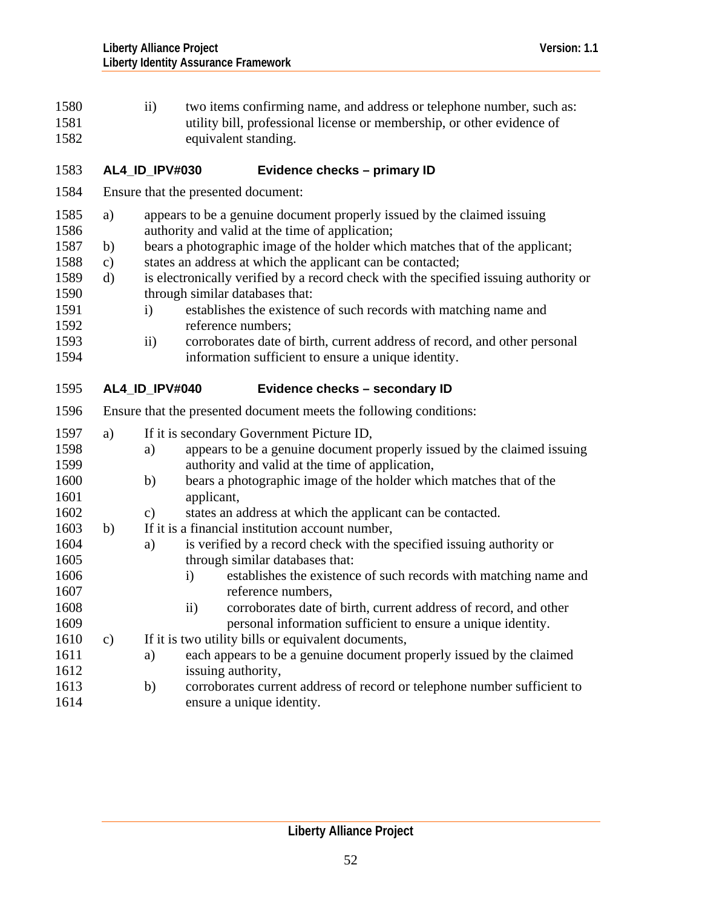| 1580<br>1581<br>1582 | $\overline{11}$ )                      | two items confirming name, and address or telephone number, such as:<br>utility bill, professional license or membership, or other evidence of<br>equivalent standing. |
|----------------------|----------------------------------------|------------------------------------------------------------------------------------------------------------------------------------------------------------------------|
| 1583                 | <b>AL4 ID IPV#030</b>                  | Evidence checks - primary ID                                                                                                                                           |
|                      | $1.504$ $\Box$ $1.1$ $1.1$ $1.1$ $1.1$ |                                                                                                                                                                        |

- 1584 Ensure that the presented document:
- 1586 1585 a) appears to be a genuine document properly issued by the claimed issuing authority and valid at the time of application;
- 1587 b) bears a photographic image of the holder which matches that of the applicant;
- 1588 c) states an address at which the applicant can be contacted;
- 1590 1589 d) is electronically verified by a record check with the specified issuing authority or through similar databases that:
- 1591 1592 i) establishes the existence of such records with matching name and reference numbers;
- 1593 1594 ii) corroborates date of birth, current address of record, and other personal information sufficient to ensure a unique identity.
- 1595 **AL4\_ID\_IPV#040 Evidence checks – secondary ID**

| 1596                 | Ensure that the presented document meets the following conditions: |                                                                                                                                                                               |  |
|----------------------|--------------------------------------------------------------------|-------------------------------------------------------------------------------------------------------------------------------------------------------------------------------|--|
| 1597<br>1598<br>1599 | a)                                                                 | If it is secondary Government Picture ID,<br>appears to be a genuine document properly issued by the claimed issuing<br>a)<br>authority and valid at the time of application, |  |
| 1600<br>1601<br>1602 |                                                                    | bears a photographic image of the holder which matches that of the<br>b)<br>applicant,<br>states an address at which the applicant can be contacted.<br>$\mathbf{c})$         |  |
| 1603<br>1604         | b)                                                                 | If it is a financial institution account number,<br>is verified by a record check with the specified issuing authority or<br>a)                                               |  |
| 1605<br>1606<br>1607 |                                                                    | through similar databases that:<br>establishes the existence of such records with matching name and<br>$\mathbf{i}$<br>reference numbers,                                     |  |
| 1608<br>1609         |                                                                    | corroborates date of birth, current address of record, and other<br>$\mathbf{ii}$<br>personal information sufficient to ensure a unique identity.                             |  |
| 1610<br>1611<br>1612 | $\mathbf{c})$                                                      | If it is two utility bills or equivalent documents,<br>each appears to be a genuine document properly issued by the claimed<br>a)<br>issuing authority,                       |  |
| 1613<br>1614         |                                                                    | corroborates current address of record or telephone number sufficient to<br>b)<br>ensure a unique identity.                                                                   |  |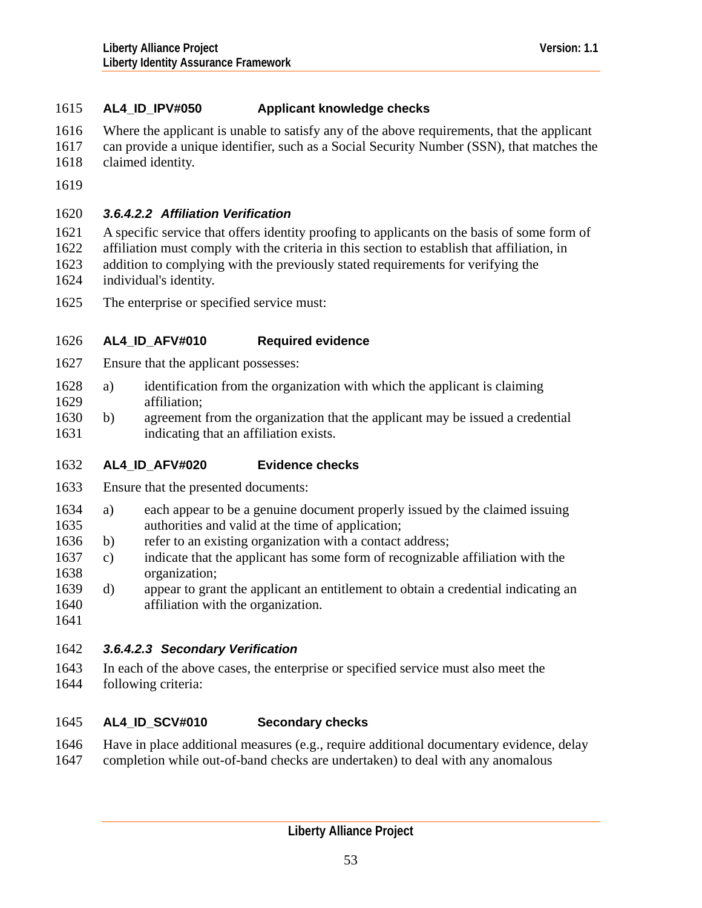# <span id="page-52-0"></span>1615 **AL4\_ID\_IPV#050 Applicant knowledge checks**

- 1616 Where the applicant is unable to satisfy any of the above requirements, that the applicant
- 1617 1618 can provide a unique identifier, such as a Social Security Number (SSN), that matches the claimed identity.
- 1619

# 1620 *3.6.4.2.2 Affiliation Verification*

- 1621 1622 A specific service that offers identity proofing to applicants on the basis of some form of
- 1623 affiliation must comply with the criteria in this section to establish that affiliation, in addition to complying with the previously stated requirements for verifying the
- 1624 individual's identity.
- 1625 The enterprise or specified service must:

## 1626 **AL4\_ID\_AFV#010 Required evidence**

- 1627 Ensure that the applicant possesses:
- 1629 1628 a) identification from the organization with which the applicant is claiming affiliation;
- 1631 1630 b) agreement from the organization that the applicant may be issued a credential indicating that an affiliation exists.

## 1632 **AL4\_ID\_AFV#020 Evidence checks**

- 1633 Ensure that the presented documents:
- 1635 1634 a) each appear to be a genuine document properly issued by the claimed issuing authorities and valid at the time of application;
- 1636 b) refer to an existing organization with a contact address;
- 1638 1637 c) indicate that the applicant has some form of recognizable affiliation with the organization;
- 1640 1639 d) appear to grant the applicant an entitlement to obtain a credential indicating an affiliation with the organization.
- 1641

# 1642 *3.6.4.2.3 Secondary Verification*

1643 1644 In each of the above cases, the enterprise or specified service must also meet the following criteria:

## 1645 **AL4\_ID\_SCV#010 Secondary checks**

1646 1647 Have in place additional measures (e.g., require additional documentary evidence, delay completion while out-of-band checks are undertaken) to deal with any anomalous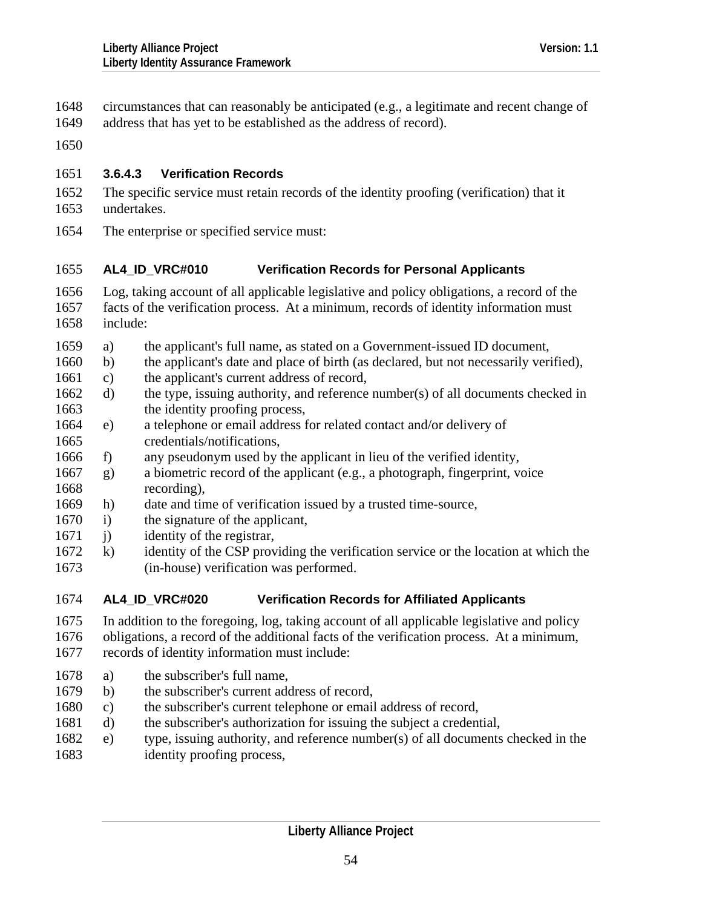- <span id="page-53-0"></span>circumstances that can reasonably be anticipated (e.g., a legitimate and recent change of 1648
- address that has yet to be established as the address of record). 1649
- 1650

# 1651 **3.6.4.3 Verification Records**

- 1652 1653 The specific service must retain records of the identity proofing (verification) that it undertakes.
- 1654 The enterprise or specified service must:

## 1655 **AL4\_ID\_VRC#010 Verification Records for Personal Applicants**

- 1656 1657 1658 Log, taking account of all applicable legislative and policy obligations, a record of the facts of the verification process. At a minimum, records of identity information must include:
- 1659 a) the applicant's full name, as stated on a Government-issued ID document,
- 1660 b) the applicant's date and place of birth (as declared, but not necessarily verified),
- 1661 c) the applicant's current address of record,
- 1663 1662 d) the type, issuing authority, and reference number(s) of all documents checked in the identity proofing process,
- 1665 1664 e) a telephone or email address for related contact and/or delivery of credentials/notifications,
- 1666 f) any pseudonym used by the applicant in lieu of the verified identity,
- 1668 1667 g) a biometric record of the applicant (e.g., a photograph, fingerprint, voice recording),
- 1669 h) date and time of verification issued by a trusted time-source,
- 1670 i) the signature of the applicant,
- 1671 j) identity of the registrar,
- 1673 1672 k) identity of the CSP providing the verification service or the location at which the (in-house) verification was performed.
- 1674 **AL4\_ID\_VRC#020 Verification Records for Affiliated Applicants**
- 1675 In addition to the foregoing, log, taking account of all applicable legislative and policy
- 1676 1677 obligations, a record of the additional facts of the verification process. At a minimum, records of identity information must include:
- 1678 a) the subscriber's full name,
- 1679 b) the subscriber's current address of record,
- 1680 c) the subscriber's current telephone or email address of record,
- 1681 d) the subscriber's authorization for issuing the subject a credential,
- 1683 1682 e) type, issuing authority, and reference number(s) of all documents checked in the identity proofing process,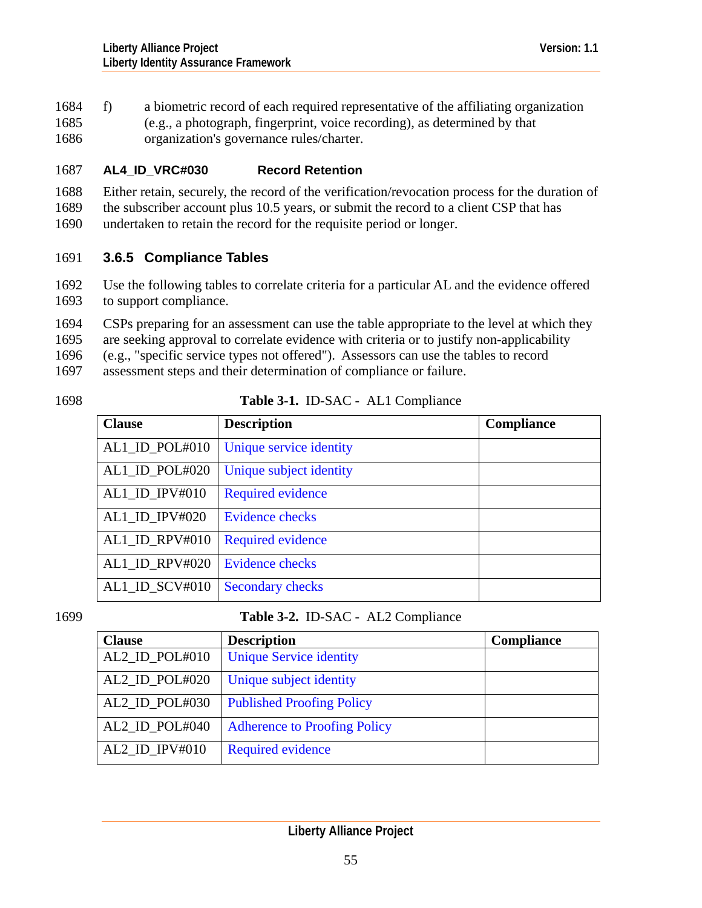1684 f) a biometric record of each required representative of the affiliating organization (e.g., a photograph, fingerprint, voice recording), as determined by that organization's governance rules/charter. 1685 1686

#### 1687 **AL4\_ID\_VRC#030 Record Retention**

1688 1689 Either retain, securely, the record of the verification/revocation process for the duration of the subscriber account plus 10.5 years, or submit the record to a client CSP that has

1690 undertaken to retain the record for the requisite period or longer.

# 1691 **3.6.5 Compliance Tables**

- 1692 1693 Use the following tables to correlate criteria for a particular AL and the evidence offered to support compliance.
- 1694 CSPs preparing for an assessment can use the table appropriate to the level at which they
- 1695 are seeking approval to correlate evidence with criteria or to justify non-applicability
- 1696 (e.g., "specific service types not offered"). Assessors can use the tables to record

1697 assessment steps and their determination of compliance or failure.

1698

# **Table 3-1.** ID-SAC - AL1 Compliance

| <b>Clause</b>     | <b>Description</b>       | Compliance |
|-------------------|--------------------------|------------|
| AL1_ID_POL#010    | Unique service identity  |            |
| AL1_ID_POL#020    | Unique subject identity  |            |
| $AL1$ _ID_IPV#010 | <b>Required evidence</b> |            |
| $AL1$ _ID_IPV#020 | <b>Evidence checks</b>   |            |
| AL1_ID_RPV#010    | <b>Required evidence</b> |            |
| AL1 ID RPV#020    | <b>Evidence checks</b>   |            |
| $AL1$ _ID_SCV#010 | Secondary checks         |            |

# 1699 **Table 3-2.** ID-SAC - AL2 Compliance

| <b>Clause</b>     | <b>Description</b>                  | <b>Compliance</b> |
|-------------------|-------------------------------------|-------------------|
| $AL2$ _ID_POL#010 | <b>Unique Service identity</b>      |                   |
| $AL2$ _ID_POL#020 | Unique subject identity             |                   |
| AL2_ID_POL#030    | <b>Published Proofing Policy</b>    |                   |
| AL2_ID_POL#040    | <b>Adherence to Proofing Policy</b> |                   |
| $AL2$ _ID_IPV#010 | <b>Required evidence</b>            |                   |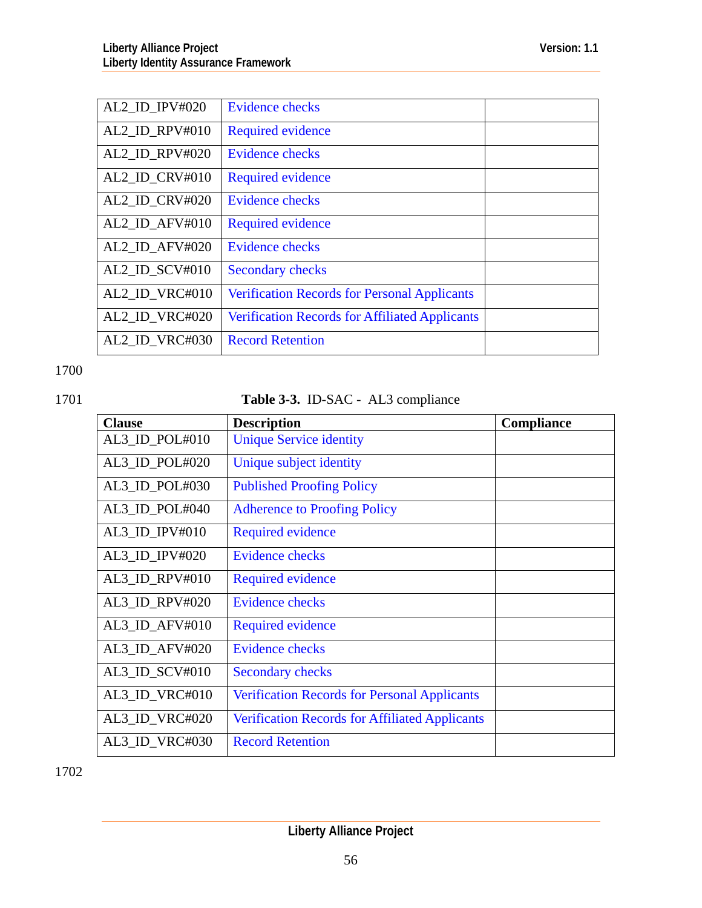| AL2 ID IPV#020               | <b>Evidence checks</b>                                |  |
|------------------------------|-------------------------------------------------------|--|
| AL2_ID_RPV#010               | <b>Required evidence</b>                              |  |
| AL2 ID RPV#020               | Evidence checks                                       |  |
| AL2 ID CRV#010               | <b>Required evidence</b>                              |  |
| AL2 ID CRV#020               | <b>Evidence checks</b>                                |  |
| $AL2$ _ID_AFV#010            | <b>Required evidence</b>                              |  |
| $AL2$ <sub>-ID_AFV#020</sub> | <b>Evidence checks</b>                                |  |
| AL2 ID SCV#010               | <b>Secondary checks</b>                               |  |
| AL2 ID VRC#010               | <b>Verification Records for Personal Applicants</b>   |  |
| AL2 ID VRC#020               | <b>Verification Records for Affiliated Applicants</b> |  |
| AL2 ID VRC#030               | <b>Record Retention</b>                               |  |

1700

# 1701 **Table 3-3.** ID-SAC - AL3 compliance

| <b>Clause</b>                 | <b>Description</b>                                    | Compliance |
|-------------------------------|-------------------------------------------------------|------------|
| AL3_ID_POL#010                | <b>Unique Service identity</b>                        |            |
| AL3 ID POL#020                | Unique subject identity                               |            |
| AL3_ID_POL#030                | <b>Published Proofing Policy</b>                      |            |
| AL3_ID_POL#040                | <b>Adherence to Proofing Policy</b>                   |            |
| $AL3$ <sub>ID</sub> $IPV#010$ | <b>Required evidence</b>                              |            |
| $AL3$ <sub>ID</sub> $IPV#020$ | <b>Evidence checks</b>                                |            |
| AL3_ID_RPV#010                | <b>Required evidence</b>                              |            |
| AL3_ID_RPV#020                | <b>Evidence checks</b>                                |            |
| AL3_ID_AFV#010                | <b>Required evidence</b>                              |            |
| AL3_ID_AFV#020                | <b>Evidence checks</b>                                |            |
| $AL3$ <sub>_ID_SCV#010</sub>  | <b>Secondary checks</b>                               |            |
| $AL3$ _ID_VRC#010             | <b>Verification Records for Personal Applicants</b>   |            |
| AL3_ID_VRC#020                | <b>Verification Records for Affiliated Applicants</b> |            |
| AL3_ID_VRC#030                | <b>Record Retention</b>                               |            |

1702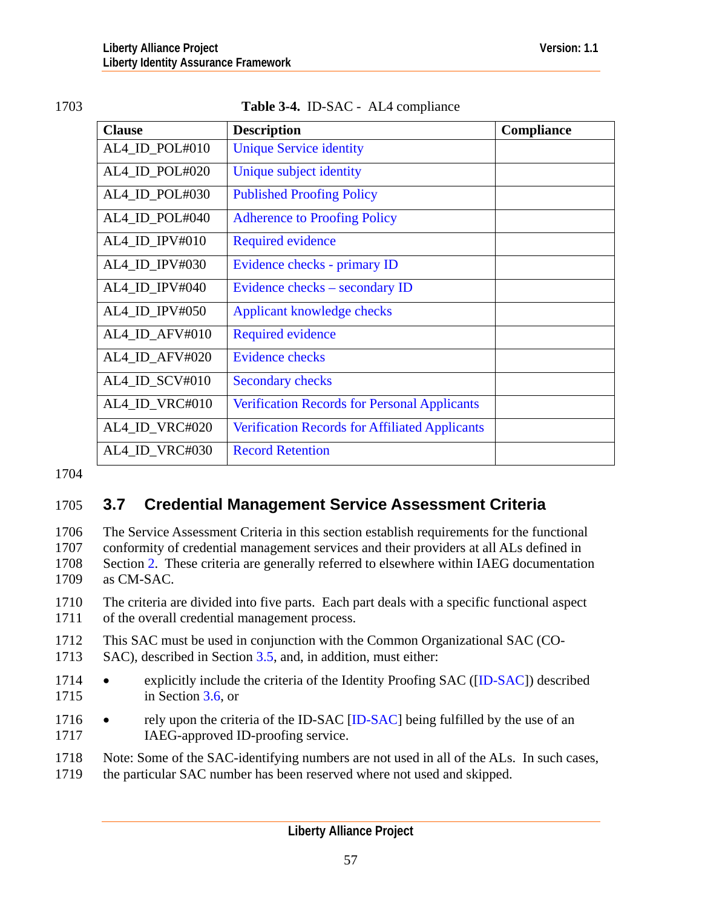<span id="page-56-0"></span>

# Table 3-4. **ID-SAC** - AL4 compliance

| <b>Clause</b>                 | <b>Description</b>                                    | Compliance |
|-------------------------------|-------------------------------------------------------|------------|
| AL4_ID_POL#010                | <b>Unique Service identity</b>                        |            |
| AL4_ID_POL#020                | Unique subject identity                               |            |
| AL4_ID_POL#030                | <b>Published Proofing Policy</b>                      |            |
| AL4 ID POL#040                | <b>Adherence to Proofing Policy</b>                   |            |
| $AL4$ <sub>_ID</sub> _IPV#010 | <b>Required evidence</b>                              |            |
| AL4 ID IPV#030                | Evidence checks - primary ID                          |            |
| $AL4$ _ID_IPV#040             | Evidence checks – secondary ID                        |            |
| AL4 ID IPV#050                | Applicant knowledge checks                            |            |
| AL4_ID_AFV#010                | <b>Required evidence</b>                              |            |
| AL4 ID AFV#020                | <b>Evidence checks</b>                                |            |
| AL4_ID_SCV#010                | <b>Secondary checks</b>                               |            |
| AL4_ID_VRC#010                | <b>Verification Records for Personal Applicants</b>   |            |
| AL4_ID_VRC#020                | <b>Verification Records for Affiliated Applicants</b> |            |
| AL4_ID_VRC#030                | <b>Record Retention</b>                               |            |

1704

# 1705 **3.7 Credential Management Service Assessment Criteria**

1706 1707 1708 1709 The Service Assessment Criteria in this section establish requirements for the functional conformity of credential management services and their providers at all ALs defined in Section [2](#page-6-0). These criteria are generally referred to elsewhere within IAEG documentation as CM-SAC.

1710 1711 The criteria are divided into five parts. Each part deals with a specific functional aspect of the overall credential management process.

- 1712 1713 This SAC must be used in conjunction with the Common Organizational SAC (CO-SAC), described in Section [3.5,](#page-12-0) and, in addition, must either:
- 1715 1714 • explicitly include the criteria of the Identity Proofing SAC ([[ID-SAC\]](#page-126-0)) described in Section [3.6](#page-37-0), or
- 1717 1716 • rely upon the criteria of the ID-SAC [\[ID-SAC\]](#page-126-0) being fulfilled by the use of an IAEG-approved ID-proofing service.
- 1718 Note: Some of the SAC-identifying numbers are not used in all of the ALs. In such cases,
- 1719 the particular SAC number has been reserved where not used and skipped.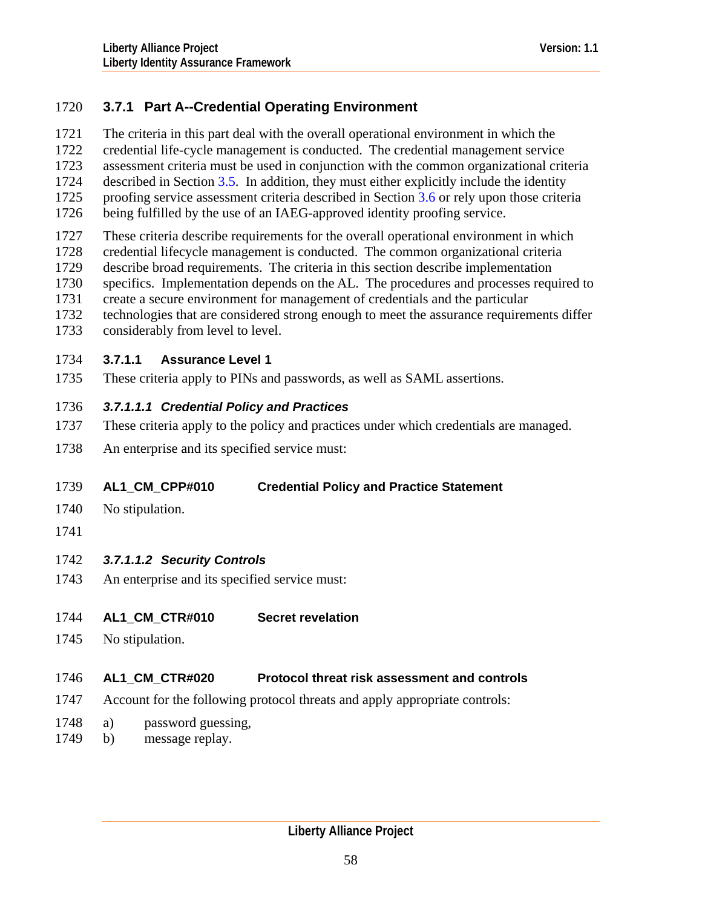# 1720 **3.7.1 Part A--Credential Operating Environment**

The criteria in this part deal with the overall operational environment in which the 1721

credential life-cycle management is conducted. The credential management service 1722

assessment criteria must be used in conjunction with the common organizational criteria 1723

described in Section [3.5](#page-12-0). In addition, they must either explicitly include the identity 1724

1725 proofing service assessment criteria described in Section [3.6](#page-37-0) or rely upon those criteria

- 1726 being fulfilled by the use of an IAEG-approved identity proofing service.
- 1727 These criteria describe requirements for the overall operational environment in which
- 1728 credential lifecycle management is conducted. The common organizational criteria
- 1729 describe broad requirements. The criteria in this section describe implementation
- 1730 specifics. Implementation depends on the AL. The procedures and processes required to
- 1731 create a secure environment for management of credentials and the particular
- 1732 1733 technologies that are considered strong enough to meet the assurance requirements differ considerably from level to level.

# 1734 **3.7.1.1 Assurance Level 1**

1735 These criteria apply to PINs and passwords, as well as SAML assertions.

# 1736 *3.7.1.1.1 Credential Policy and Practices*

- 1737 These criteria apply to the policy and practices under which credentials are managed.
- 1738 An enterprise and its specified service must:

## 1739 **AL1\_CM\_CPP#010 Credential Policy and Practice Statement**

- 1740 No stipulation.
- 1741

# 1742 *3.7.1.1.2 Security Controls*

1743 An enterprise and its specified service must:

## 1744 **AL1\_CM\_CTR#010 Secret revelation**

1745 No stipulation.

## 1746 **AL1\_CM\_CTR#020 Protocol threat risk assessment and controls**

- 1747 Account for the following protocol threats and apply appropriate controls:
- 1748 a) password guessing,
- 1749 b) message replay.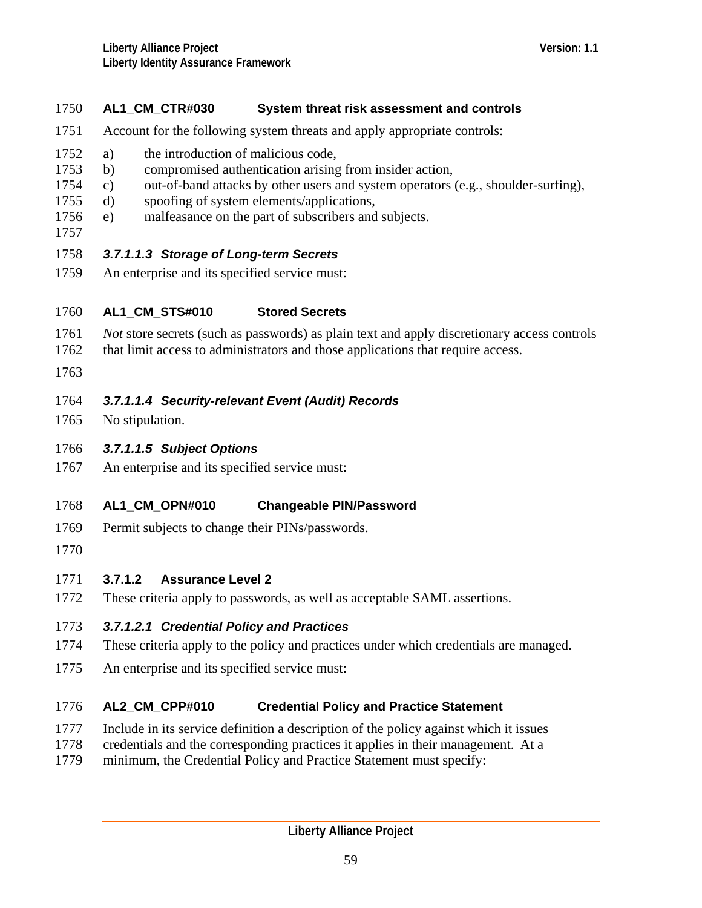# 1750 **AL1\_CM\_CTR#030 System threat risk assessment and controls**

- 1751 Account for the following system threats and apply appropriate controls:
- 1752 a) the introduction of malicious code,
- 1753 b) compromised authentication arising from insider action,
- 1754 c) out-of-band attacks by other users and system operators (e.g., shoulder-surfing),
- 1755 d) spoofing of system elements/applications,
- 1756 e) malfeasance on the part of subscribers and subjects.
- 1757

# 1758 *3.7.1.1.3 Storage of Long-term Secrets*

1759 An enterprise and its specified service must:

### 1760 **AL1\_CM\_STS#010 Stored Secrets**

- 1761 *Not* store secrets (such as passwords) as plain text and apply discretionary access controls
- 1762 that limit access to administrators and those applications that require access.
- 1763

# 1764 *3.7.1.1.4 Security-relevant Event (Audit) Records*

- 1765 No stipulation.
- 1766 *3.7.1.1.5 Subject Options*
- 1767 An enterprise and its specified service must:

### 1768 **AL1\_CM\_OPN#010 Changeable PIN/Password**

- 1769 Permit subjects to change their PINs/passwords.
- 1770

# 1771 **3.7.1.2 Assurance Level 2**

1772 These criteria apply to passwords, as well as acceptable SAML assertions.

# 1773 *3.7.1.2.1 Credential Policy and Practices*

- 1774 These criteria apply to the policy and practices under which credentials are managed.
- 1775 An enterprise and its specified service must:

## 1776 **AL2\_CM\_CPP#010 Credential Policy and Practice Statement**

- 1777 Include in its service definition a description of the policy against which it issues
- 1778 credentials and the corresponding practices it applies in their management. At a
- 1779 minimum, the Credential Policy and Practice Statement must specify: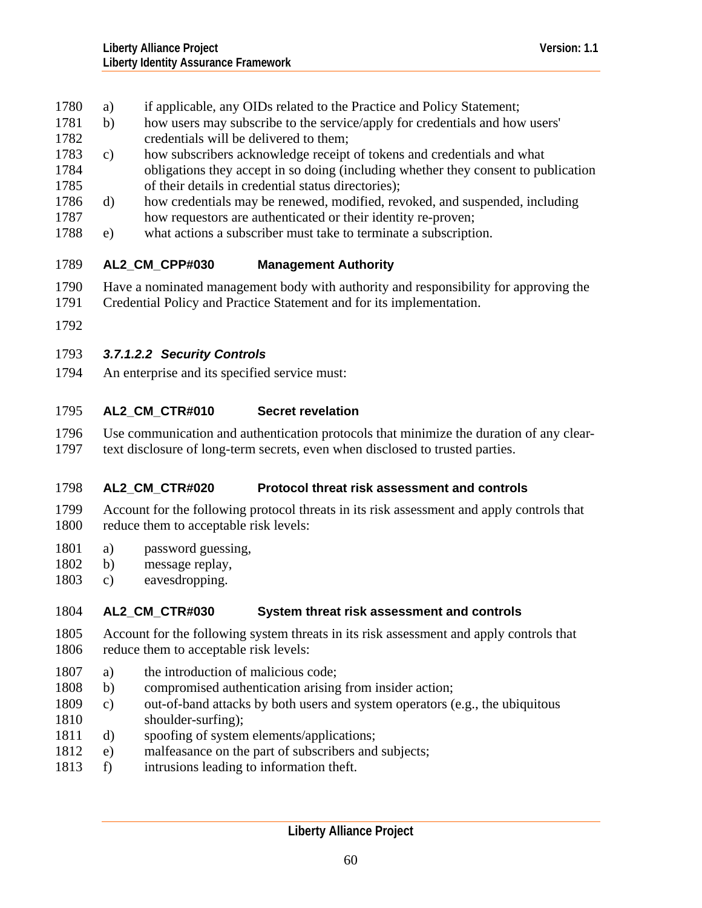- 1780 a) if applicable, any OIDs related to the Practice and Policy Statement;
- 1781 b) how users may subscribe to the service/apply for credentials and how users' 1782 credentials will be delivered to them;
- 1784 1785 1783 c) how subscribers acknowledge receipt of tokens and credentials and what obligations they accept in so doing (including whether they consent to publication of their details in credential status directories);
- 1787 1786 d) how credentials may be renewed, modified, revoked, and suspended, including how requestors are authenticated or their identity re-proven;
- 1788 e) what actions a subscriber must take to terminate a subscription.

## 1789 **AL2\_CM\_CPP#030 Management Authority**

- 1790 Have a nominated management body with authority and responsibility for approving the
- 1791 Credential Policy and Practice Statement and for its implementation.
- 1792

# 1793 *3.7.1.2.2 Security Controls*

1794 An enterprise and its specified service must:

## 1795 **AL2\_CM\_CTR#010 Secret revelation**

1796 1797 Use communication and authentication protocols that minimize the duration of any cleartext disclosure of long-term secrets, even when disclosed to trusted parties.

## 1798 **AL2\_CM\_CTR#020 Protocol threat risk assessment and controls**

- 1799 1800 Account for the following protocol threats in its risk assessment and apply controls that reduce them to acceptable risk levels:
- 1801 a) password guessing,
- 1802 b) message replay,
- 1803 c) eavesdropping.

## 1804 **AL2\_CM\_CTR#030 System threat risk assessment and controls**

- 1805 1806 Account for the following system threats in its risk assessment and apply controls that reduce them to acceptable risk levels:
- 1807 a) the introduction of malicious code;
- 1808 b) compromised authentication arising from insider action;
- 1810 1809 c) out-of-band attacks by both users and system operators (e.g., the ubiquitous shoulder-surfing);
- 1811 d) spoofing of system elements/applications;
- 1812 e) malfeasance on the part of subscribers and subjects;
- 1813 f) intrusions leading to information theft.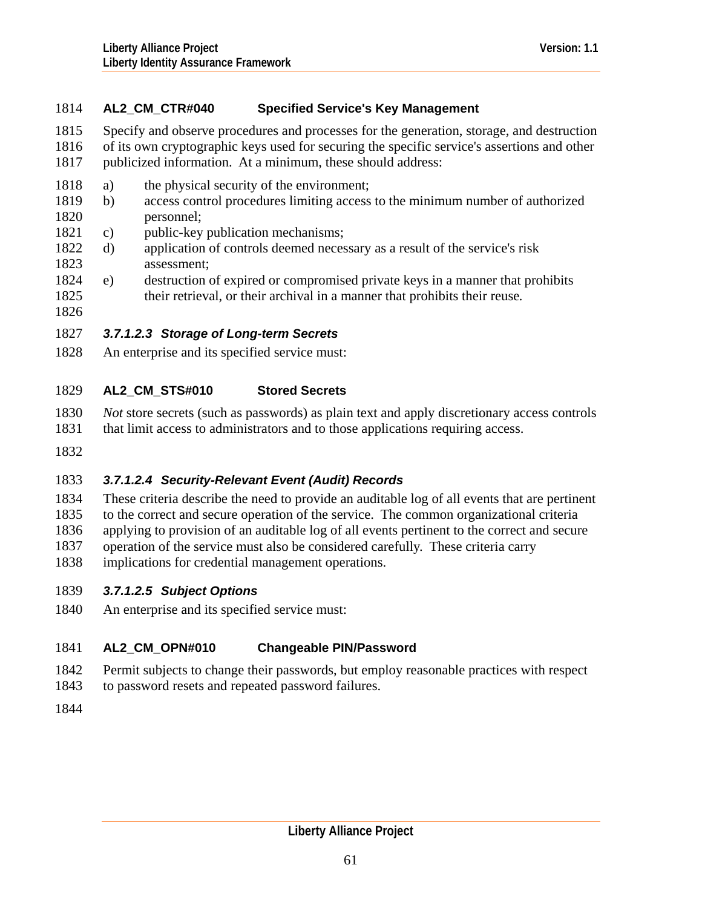# 1814 **AL2\_CM\_CTR#040 Specified Service's Key Management**

- 1815 Specify and observe procedures and processes for the generation, storage, and destruction
- 1816 1817 of its own cryptographic keys used for securing the specific service's assertions and other publicized information. At a minimum, these should address:
- 1818 a) the physical security of the environment;
- 1820 1819 b) access control procedures limiting access to the minimum number of authorized personnel;
- 1821 c) public-key publication mechanisms;
- 1823 1822 d) application of controls deemed necessary as a result of the service's risk assessment;
- 1825 1824 e) destruction of expired or compromised private keys in a manner that prohibits their retrieval, or their archival in a manner that prohibits their reuse*.*
- 1826

# 1827 *3.7.1.2.3 Storage of Long-term Secrets*

1828 An enterprise and its specified service must:

### 1829 **AL2\_CM\_STS#010 Stored Secrets**

- 1830 *Not* store secrets (such as passwords) as plain text and apply discretionary access controls
- 1831 that limit access to administrators and to those applications requiring access.
- 1832

# 1833 *3.7.1.2.4 Security-Relevant Event (Audit) Records*

- 1834 These criteria describe the need to provide an auditable log of all events that are pertinent
- 1835 to the correct and secure operation of the service. The common organizational criteria
- 1836 applying to provision of an auditable log of all events pertinent to the correct and secure
- 1837 operation of the service must also be considered carefully. These criteria carry
- 1838 implications for credential management operations.
- 1839 *3.7.1.2.5 Subject Options*
- 1840 An enterprise and its specified service must:

## 1841 **AL2\_CM\_OPN#010 Changeable PIN/Password**

- 1842 Permit subjects to change their passwords, but employ reasonable practices with respect
- 1843 to password resets and repeated password failures.
- 1844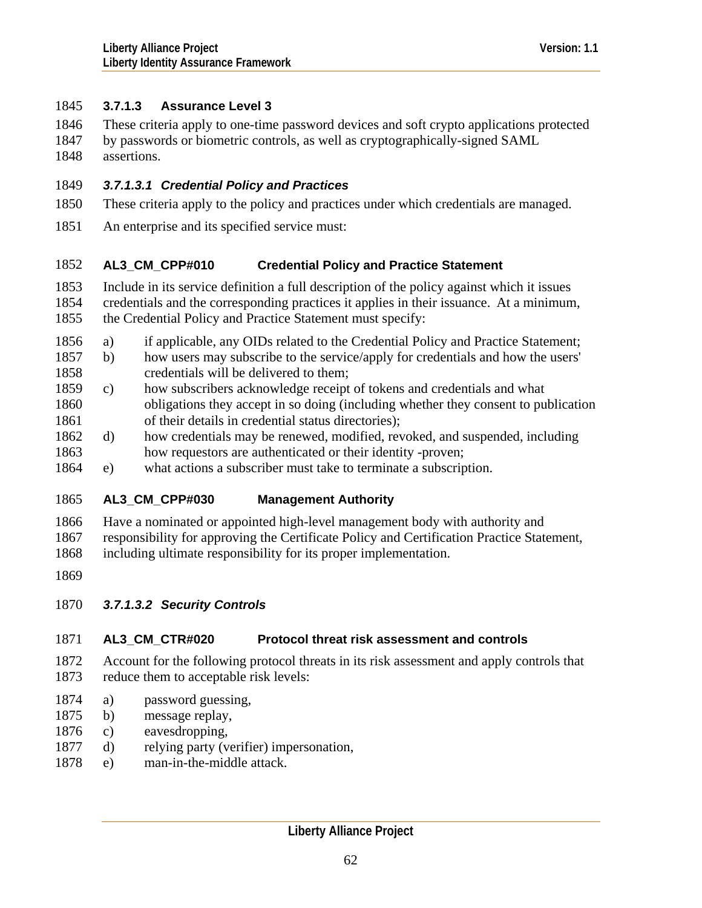# 1845 **3.7.1.3 Assurance Level 3**

- These criteria apply to one-time password devices and soft crypto applications protected 1846
- by passwords or biometric controls, as well as cryptographically-signed SAML assertions. 1847 1848
- 1849 *3.7.1.3.1 Credential Policy and Practices*
- 1850 These criteria apply to the policy and practices under which credentials are managed.
- 1851 An enterprise and its specified service must:

## 1852 **AL3\_CM\_CPP#010 Credential Policy and Practice Statement**

- 1853 Include in its service definition a full description of the policy against which it issues
- 1854 1855 credentials and the corresponding practices it applies in their issuance. At a minimum, the Credential Policy and Practice Statement must specify:
- 1856 a) if applicable, any OIDs related to the Credential Policy and Practice Statement;
- 1858 1857 b) how users may subscribe to the service/apply for credentials and how the users' credentials will be delivered to them;
- 1860 1861 1859 c) how subscribers acknowledge receipt of tokens and credentials and what obligations they accept in so doing (including whether they consent to publication of their details in credential status directories);
- 1863 1862 d) how credentials may be renewed, modified, revoked, and suspended, including how requestors are authenticated or their identity -proven;
- 1864 e) what actions a subscriber must take to terminate a subscription.

## 1865 **AL3\_CM\_CPP#030 Management Authority**

- 1866 Have a nominated or appointed high-level management body with authority and
- 1867 responsibility for approving the Certificate Policy and Certification Practice Statement,
- 1868 including ultimate responsibility for its proper implementation.
- 1869
- 1870 *3.7.1.3.2 Security Controls*

## 1871 **AL3\_CM\_CTR#020 Protocol threat risk assessment and controls**

- 1872 1873 Account for the following protocol threats in its risk assessment and apply controls that reduce them to acceptable risk levels:
- 1874 a) password guessing,
- 1875 b) message replay,
- 1876 c) eavesdropping,
- 1877 d) relying party (verifier) impersonation,
- 1878 e) man-in-the-middle attack.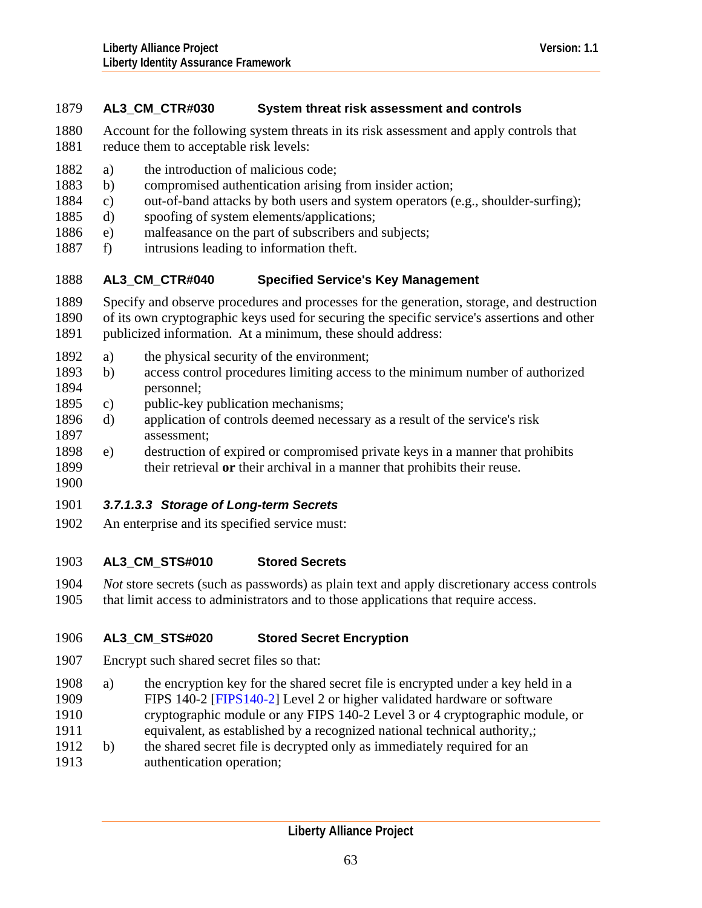# 1879 **AL3\_CM\_CTR#030 System threat risk assessment and controls**

- 1880 1881 Account for the following system threats in its risk assessment and apply controls that reduce them to acceptable risk levels:
- 1882 a) the introduction of malicious code;
- 1883 b) compromised authentication arising from insider action;
- 1884 c) out-of-band attacks by both users and system operators (e.g., shoulder-surfing);
- 1885 d) spoofing of system elements/applications;
- 1886 e) malfeasance on the part of subscribers and subjects;
- 1887 f) intrusions leading to information theft.

#### 1888 **AL3\_CM\_CTR#040 Specified Service's Key Management**

- 1889 Specify and observe procedures and processes for the generation, storage, and destruction
- 1890 of its own cryptographic keys used for securing the specific service's assertions and other
- 1891 publicized information. At a minimum, these should address:
- 1892 a) the physical security of the environment;
- 1894 1893 b) access control procedures limiting access to the minimum number of authorized personnel;
- 1895 c) public-key publication mechanisms;
- 1897 1896 d) application of controls deemed necessary as a result of the service's risk assessment;
- 1899 1898 e) destruction of expired or compromised private keys in a manner that prohibits their retrieval **or** their archival in a manner that prohibits their reuse.
- 1900

# 1901 *3.7.1.3.3 Storage of Long-term Secrets*

1902 An enterprise and its specified service must:

### 1903 **AL3\_CM\_STS#010 Stored Secrets**

- 1904 *Not* store secrets (such as passwords) as plain text and apply discretionary access controls
- 1905 that limit access to administrators and to those applications that require access.

### 1906 **AL3\_CM\_STS#020 Stored Secret Encryption**

- 1907 Encrypt such shared secret files so that:
- 1909 1908 a) the encryption key for the shared secret file is encrypted under a key held in a FIPS 140-2 [[FIPS140-2\]](#page-126-0) Level 2 or higher validated hardware or software
- 1910 cryptographic module or any FIPS 140-2 Level 3 or 4 cryptographic module, or
- 1911 equivalent, as established by a recognized national technical authority,;
- 1912 b) the shared secret file is decrypted only as immediately required for an
- 1913 authentication operation;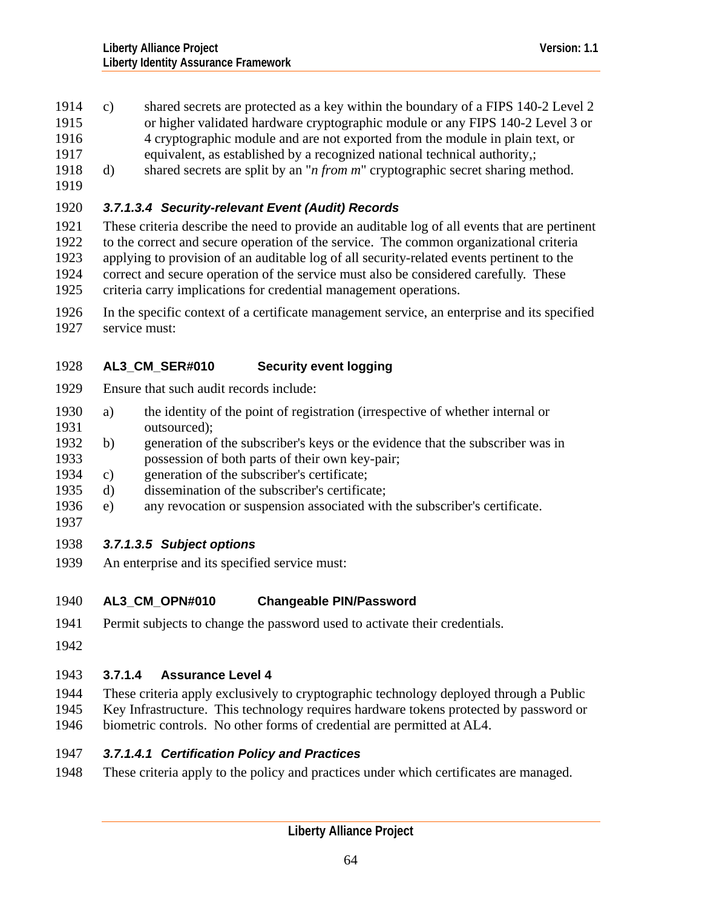- 1914 c) shared secrets are protected as a key within the boundary of a FIPS 140-2 Level 2
- or higher validated hardware cryptographic module or any FIPS 140-2 Level 3 or 1915
- 4 cryptographic module and are not exported from the module in plain text, or 1916
- equivalent, as established by a recognized national technical authority,; 1917
- 1918 d) shared secrets are split by an "*n from m*" cryptographic secret sharing method.
- 1919

# 1920 *3.7.1.3.4 Security-relevant Event (Audit) Records*

- 1921 1922 These criteria describe the need to provide an auditable log of all events that are pertinent to the correct and secure operation of the service. The common organizational criteria
- 1923 applying to provision of an auditable log of all security-related events pertinent to the
- 1924 correct and secure operation of the service must also be considered carefully. These
- 1925 criteria carry implications for credential management operations.
- 1926 1927 In the specific context of a certificate management service, an enterprise and its specified service must:

## 1928 **AL3\_CM\_SER#010 Security event logging**

- 1929 Ensure that such audit records include:
- 1931 1930 a) the identity of the point of registration (irrespective of whether internal or outsourced);
- 1933 1932 b) generation of the subscriber's keys or the evidence that the subscriber was in possession of both parts of their own key-pair;
- 1934 c) generation of the subscriber's certificate;
- 1935 d) dissemination of the subscriber's certificate;
- 1936 e) any revocation or suspension associated with the subscriber's certificate.
- 1937

# 1938 *3.7.1.3.5 Subject options*

1939 An enterprise and its specified service must:

## 1940 **AL3\_CM\_OPN#010 Changeable PIN/Password**

- 1941 Permit subjects to change the password used to activate their credentials.
- 1942

# 1943 **3.7.1.4 Assurance Level 4**

1944 1945 1946 These criteria apply exclusively to cryptographic technology deployed through a Public Key Infrastructure. This technology requires hardware tokens protected by password or biometric controls. No other forms of credential are permitted at AL4.

# 1947 *3.7.1.4.1 Certification Policy and Practices*

1948 These criteria apply to the policy and practices under which certificates are managed.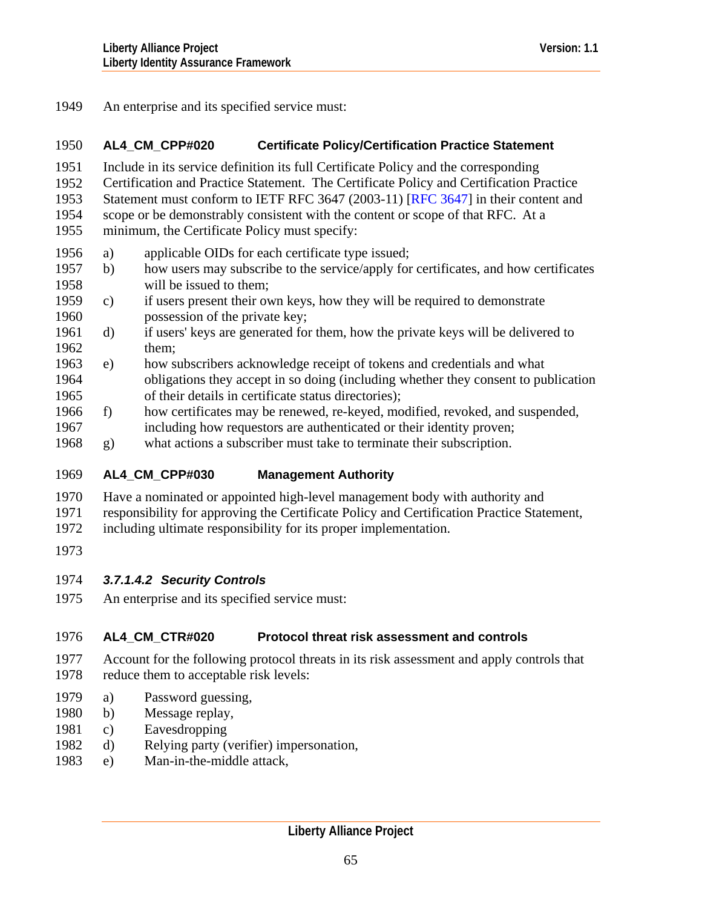1949 An enterprise and its specified service must:

### 1950 **AL4\_CM\_CPP#020 Certificate Policy/Certification Practice Statement**

- 1951 Include in its service definition its full Certificate Policy and the corresponding
- 1952 Certification and Practice Statement. The Certificate Policy and Certification Practice
- 1953 Statement must conform to IETF [RFC 3647](#page-127-0) (2003-11) [RFC 3647] in their content and
- 1954 scope or be demonstrably consistent with the content or scope of that RFC. At a
- 1955 minimum, the Certificate Policy must specify:
- 1956 a) applicable OIDs for each certificate type issued;
- 1958 1957 b) how users may subscribe to the service/apply for certificates, and how certificates will be issued to them;
- 1960 1959 c) if users present their own keys, how they will be required to demonstrate possession of the private key;
- 1962 1961 d) if users' keys are generated for them, how the private keys will be delivered to them;
- 1964 1965 1963 e) how subscribers acknowledge receipt of tokens and credentials and what obligations they accept in so doing (including whether they consent to publication of their details in certificate status directories);
- 1967 1966 f) how certificates may be renewed, re-keyed, modified, revoked, and suspended, including how requestors are authenticated or their identity proven;
- 1968 g) what actions a subscriber must take to terminate their subscription.

### 1969 **AL4\_CM\_CPP#030 Management Authority**

- 1970 Have a nominated or appointed high-level management body with authority and
- 1971 responsibility for approving the Certificate Policy and Certification Practice Statement,
- 1972 including ultimate responsibility for its proper implementation.
- 1973

# 1974 *3.7.1.4.2 Security Controls*

1975 An enterprise and its specified service must:

## 1976 **AL4\_CM\_CTR#020 Protocol threat risk assessment and controls**

- 1977 1978 Account for the following protocol threats in its risk assessment and apply controls that reduce them to acceptable risk levels:
- 1979 a) Password guessing,
- 1980 b) Message replay,
- 1981 c) Eavesdropping
- 1982 d) Relying party (verifier) impersonation,
- 1983 e) Man-in-the-middle attack,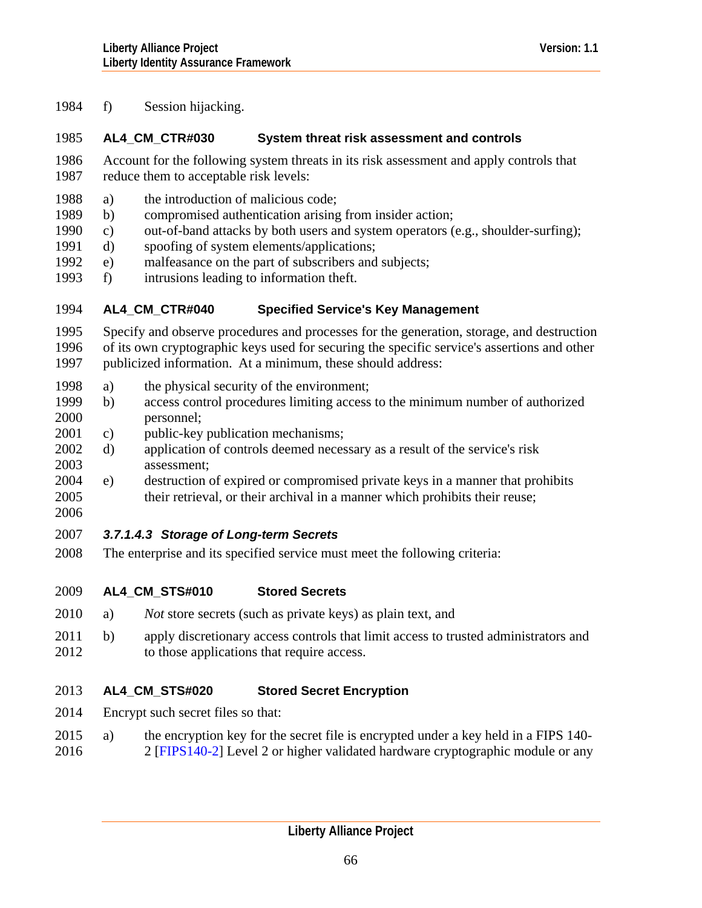1984 f) Session hijacking.

# 1985 **AL4\_CM\_CTR#030 System threat risk assessment and controls**

- 1986 1987 Account for the following system threats in its risk assessment and apply controls that reduce them to acceptable risk levels:
- 1988 a) the introduction of malicious code;
- 1989 b) compromised authentication arising from insider action;
- 1990 c) out-of-band attacks by both users and system operators (e.g., shoulder-surfing);
- 1991 d) spoofing of system elements/applications;
- 1992 e) malfeasance on the part of subscribers and subjects;
- 1993 f) intrusions leading to information theft.

### 1994 **AL4\_CM\_CTR#040 Specified Service's Key Management**

- 1995 1996 1997 Specify and observe procedures and processes for the generation, storage, and destruction of its own cryptographic keys used for securing the specific service's assertions and other publicized information. At a minimum, these should address:
- 1998 a) the physical security of the environment;
- 2000 1999 b) access control procedures limiting access to the minimum number of authorized personnel;
- 2001 c) public-key publication mechanisms;
- 2003 2002 d) application of controls deemed necessary as a result of the service's risk assessment;
- 2005 2004 e) destruction of expired or compromised private keys in a manner that prohibits their retrieval, or their archival in a manner which prohibits their reuse;
- 2006

# 2007 *3.7.1.4.3 Storage of Long-term Secrets*

2008 The enterprise and its specified service must meet the following criteria:

#### 2009 **AL4\_CM\_STS#010 Stored Secrets**

- 2010 a) *Not* store secrets (such as private keys) as plain text, and
- 2011 2012 b) apply discretionary access controls that limit access to trusted administrators and to those applications that require access.

### 2013 **AL4\_CM\_STS#020 Stored Secret Encryption**

- 2014 Encrypt such secret files so that:
- 2016 2015 a) the encryption key for the secret file is encrypted under a key held in a FIPS 140- 2 [[FIPS140-2\]](#page-126-0) Level 2 or higher validated hardware cryptographic module or any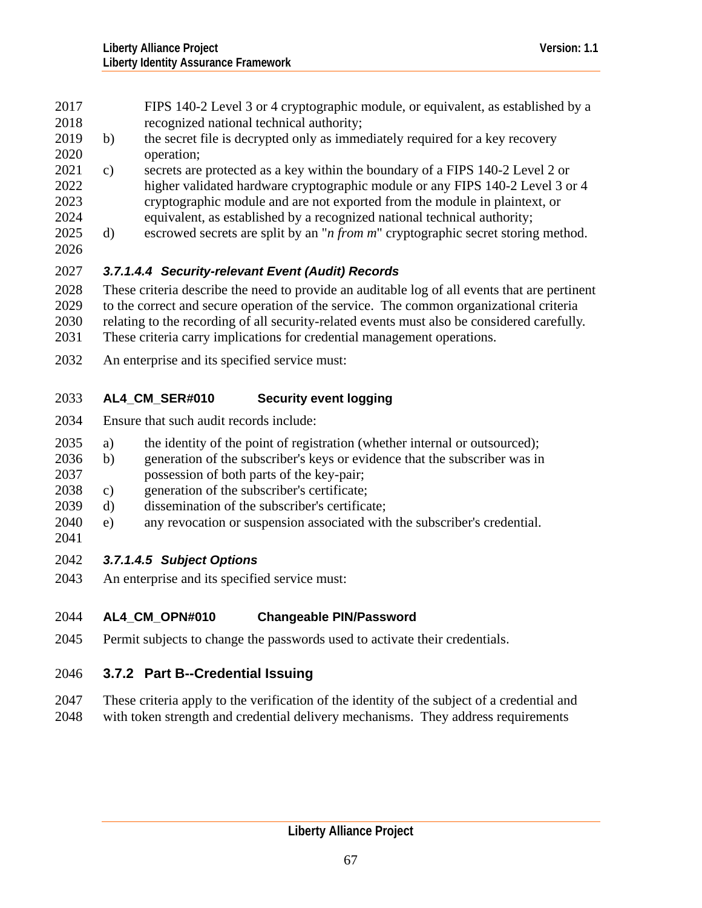- FIPS 140-2 Level 3 or 4 cryptographic module, or equivalent, as established by a recognized national technical authority; 2017 2018
- 2020 2019 b) the secret file is decrypted only as immediately required for a key recovery operation;
- 2022 2023 2021 c) secrets are protected as a key within the boundary of a FIPS 140-2 Level 2 or higher validated hardware cryptographic module or any FIPS 140-2 Level 3 or 4 cryptographic module and are not exported from the module in plaintext, or
- 2024 equivalent, as established by a recognized national technical authority;
- 2026 2025 d) escrowed secrets are split by an "*n from m*" cryptographic secret storing method.

# 2027 *3.7.1.4.4 Security-relevant Event (Audit) Records*

2028 2029 2030 2031 These criteria describe the need to provide an auditable log of all events that are pertinent to the correct and secure operation of the service. The common organizational criteria relating to the recording of all security-related events must also be considered carefully. These criteria carry implications for credential management operations.

2032 An enterprise and its specified service must:

## 2033 **AL4\_CM\_SER#010 Security event logging**

2034 Ensure that such audit records include:

- 2035 a) the identity of the point of registration (whether internal or outsourced);
- 2037 2036 b) generation of the subscriber's keys or evidence that the subscriber was in possession of both parts of the key-pair;
- 2038 c) generation of the subscriber's certificate;
- 2039 d) dissemination of the subscriber's certificate;
- 2040 e) any revocation or suspension associated with the subscriber's credential.
- 2041

# 2042 *3.7.1.4.5 Subject Options*

2043 An enterprise and its specified service must:

## 2044 **AL4\_CM\_OPN#010 Changeable PIN/Password**

2045 Permit subjects to change the passwords used to activate their credentials.

# 2046 **3.7.2 Part B--Credential Issuing**

- 2047 These criteria apply to the verification of the identity of the subject of a credential and
- 2048 with token strength and credential delivery mechanisms. They address requirements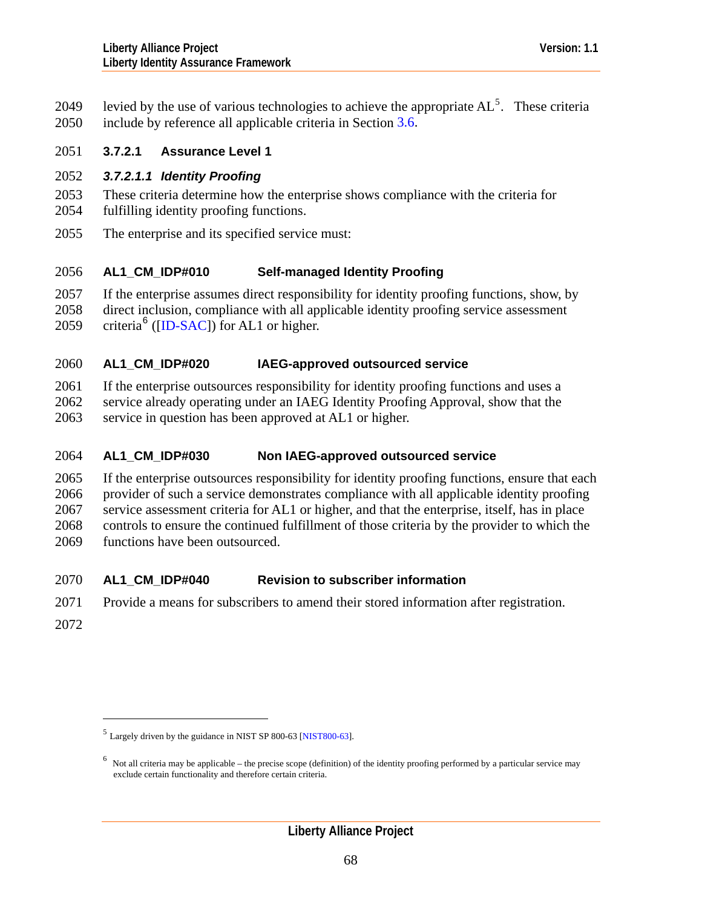levied by the use of various technologies to achieve the appropriate  $AL^5$  $AL^5$ . These criteria include by reference all applicable criteria in Section [3.6.](#page-37-0) 2049 2050

# 2051 **3.7.2.1 Assurance Level 1**

# 2052 *3.7.2.1.1 Identity Proofing*

- 2053 2054 These criteria determine how the enterprise shows compliance with the criteria for fulfilling identity proofing functions.
- 2055 The enterprise and its specified service must:

### 2056 **AL1\_CM\_IDP#010 Self-managed Identity Proofing**

2057 2058 2059 If the enterprise assumes direct responsibility for identity proofing functions, show, by direct inclusion, compliance with all applicable identity proofing service assessment criteria<sup>[6](#page-67-1)</sup> ([\[ID-SAC](#page-126-0)]) for AL1 or higher.

### 2060 **AL1\_CM\_IDP#020 IAEG-approved outsourced service**

2061 If the enterprise outsources responsibility for identity proofing functions and uses a

2062 service already operating under an IAEG Identity Proofing Approval, show that the

2063 service in question has been approved at AL1 or higher.

### 2064 **AL1\_CM\_IDP#030 Non IAEG-approved outsourced service**

2065 2066 2067 2068 2069 If the enterprise outsources responsibility for identity proofing functions, ensure that each provider of such a service demonstrates compliance with all applicable identity proofing service assessment criteria for AL1 or higher, and that the enterprise, itself, has in place controls to ensure the continued fulfillment of those criteria by the provider to which the functions have been outsourced.

## 2070 **AL1\_CM\_IDP#040 Revision to subscriber information**

- 2071 Provide a means for subscribers to amend their stored information after registration.
- 2072

 $\overline{a}$ 

<span id="page-67-0"></span><sup>5</sup> Largely driven by the guidance in NIST SP 800-63 [[NIST800-63](#page-127-0)].

<span id="page-67-1"></span> $<sup>6</sup>$  Not all criteria may be applicable – the precise scope (definition) of the identity proofing performed by a particular service may</sup> exclude certain functionality and therefore certain criteria.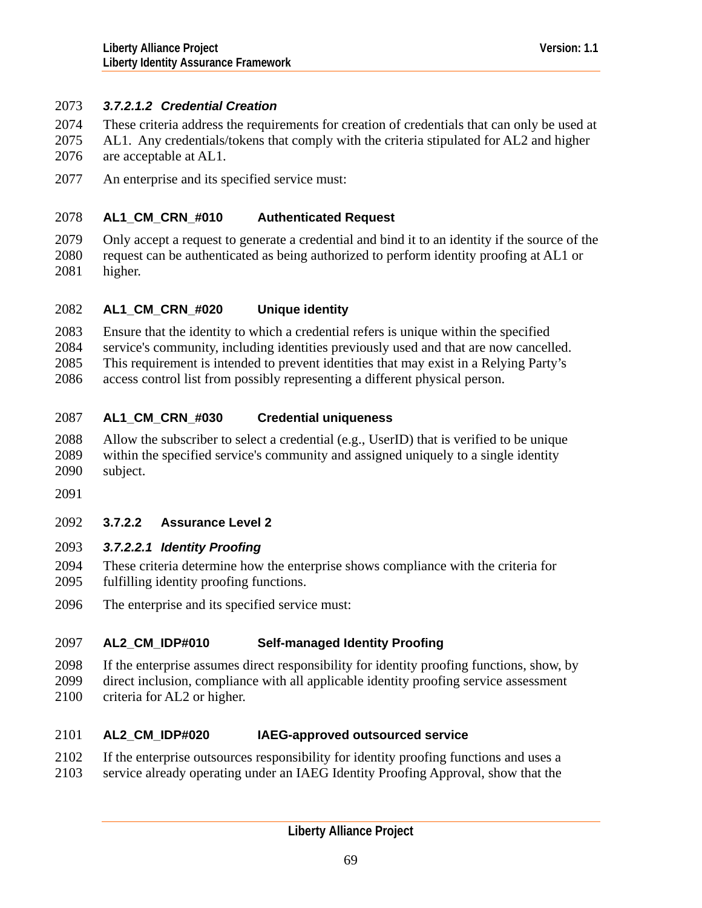# 2073 *3.7.2.1.2 Credential Creation*

- These criteria address the requirements for creation of credentials that can only be used at 2074
- AL1. Any credentials/tokens that comply with the criteria stipulated for AL2 and higher are acceptable at AL1. 2075 2076
- 2077 An enterprise and its specified service must:

### 2078 **AL1\_CM\_CRN\_#010 Authenticated Request**

2079 2080 2081 Only accept a request to generate a credential and bind it to an identity if the source of the request can be authenticated as being authorized to perform identity proofing at AL1 or higher.

### 2082 **AL1\_CM\_CRN\_#020 Unique identity**

2083 Ensure that the identity to which a credential refers is unique within the specified

2084 service's community, including identities previously used and that are now cancelled.

2085 This requirement is intended to prevent identities that may exist in a Relying Party's

2086 access control list from possibly representing a different physical person.

### 2087 **AL1\_CM\_CRN\_#030 Credential uniqueness**

- 2088 2089 2090 Allow the subscriber to select a credential (e.g., UserID) that is verified to be unique within the specified service's community and assigned uniquely to a single identity subject.
- 2091

# 2092 **3.7.2.2 Assurance Level 2**

# 2093 *3.7.2.2.1 Identity Proofing*

- 2094 2095 These criteria determine how the enterprise shows compliance with the criteria for fulfilling identity proofing functions.
- 2096 The enterprise and its specified service must:

## 2097 **AL2\_CM\_IDP#010 Self-managed Identity Proofing**

- 2098 If the enterprise assumes direct responsibility for identity proofing functions, show, by
- 2099 direct inclusion, compliance with all applicable identity proofing service assessment
- 2100 criteria for AL2 or higher.

### 2101 **AL2\_CM\_IDP#020 IAEG-approved outsourced service**

- 2102 If the enterprise outsources responsibility for identity proofing functions and uses a
- 2103 service already operating under an IAEG Identity Proofing Approval, show that the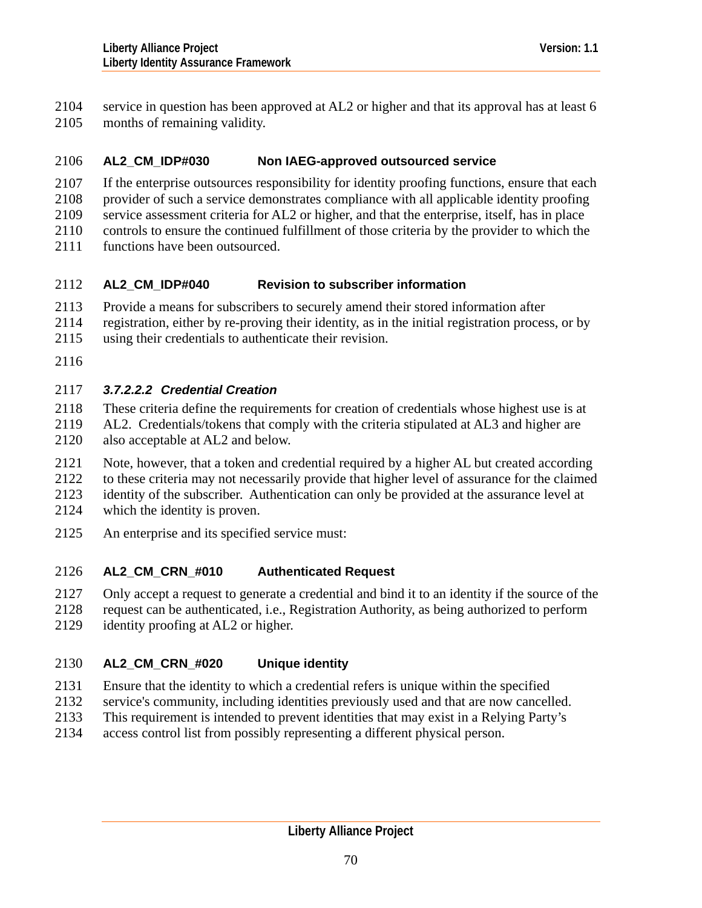service in question has been approved at AL2 or higher and that its approval has at least 6 months of remaining validity. 2104 2105

## 2106 **AL2\_CM\_IDP#030 Non IAEG-approved outsourced service**

- 2107 If the enterprise outsources responsibility for identity proofing functions, ensure that each
- 2108 provider of such a service demonstrates compliance with all applicable identity proofing
- 2109 service assessment criteria for AL2 or higher, and that the enterprise, itself, has in place
- 2110 controls to ensure the continued fulfillment of those criteria by the provider to which the
- 2111 functions have been outsourced.

## 2112 **AL2\_CM\_IDP#040 Revision to subscriber information**

- 2113 Provide a means for subscribers to securely amend their stored information after
- 2114 registration, either by re-proving their identity, as in the initial registration process, or by
- 2115 using their credentials to authenticate their revision.
- 2116

# 2117 *3.7.2.2.2 Credential Creation*

- 2118 These criteria define the requirements for creation of credentials whose highest use is at
- 2119 2120 AL2. Credentials/tokens that comply with the criteria stipulated at AL3 and higher are also acceptable at AL2 and below.
- 2121 Note, however, that a token and credential required by a higher AL but created according
- 2122 2123 to these criteria may not necessarily provide that higher level of assurance for the claimed identity of the subscriber. Authentication can only be provided at the assurance level at
- 2124 which the identity is proven.
- 2125 An enterprise and its specified service must:

## 2126 **AL2\_CM\_CRN\_#010 Authenticated Request**

- 2127 Only accept a request to generate a credential and bind it to an identity if the source of the
- 2128 request can be authenticated, i.e., Registration Authority, as being authorized to perform
- 2129 identity proofing at AL2 or higher.

## 2130 **AL2\_CM\_CRN\_#020 Unique identity**

- 2131 Ensure that the identity to which a credential refers is unique within the specified
- 2132 service's community, including identities previously used and that are now cancelled.
- 2133 This requirement is intended to prevent identities that may exist in a Relying Party's
- 2134 access control list from possibly representing a different physical person.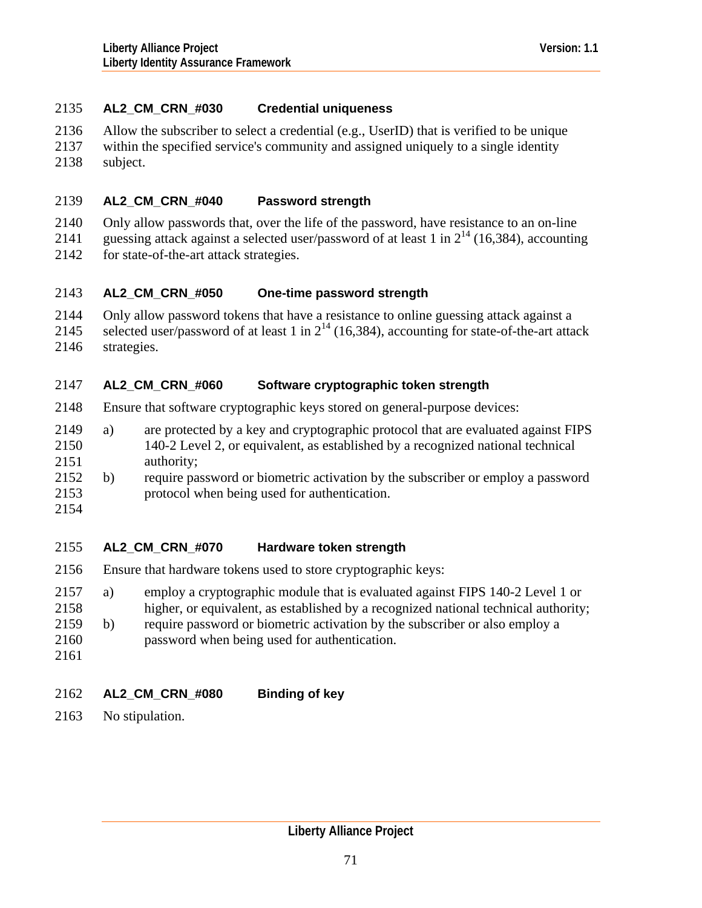# 2135 **AL2\_CM\_CRN\_#030 Credential uniqueness**

- 2136 Allow the subscriber to select a credential (e.g., UserID) that is verified to be unique
- 2137 2138 within the specified service's community and assigned uniquely to a single identity subject.

## 2139 **AL2\_CM\_CRN\_#040 Password strength**

2140 Only allow passwords that, over the life of the password, have resistance to an on-line

2141 guessing attack against a selected user/password of at least 1 in  $2^{14}$  (16,384), accounting

2142 for state-of-the-art attack strategies.

### 2143 **AL2\_CM\_CRN\_#050 One-time password strength**

- 2144 Only allow password tokens that have a resistance to online guessing attack against a
- 2145 selected user/password of at least 1 in  $2^{14}$  (16,384), accounting for state-of-the-art attack
- 2146 strategies.

## 2147 **AL2\_CM\_CRN\_#060 Software cryptographic token strength**

- 2148 Ensure that software cryptographic keys stored on general-purpose devices:
- 2150 2151 2149 a) are protected by a key and cryptographic protocol that are evaluated against FIPS 140-2 Level 2, or equivalent, as established by a recognized national technical authority;
- 2153 2152 b) require password or biometric activation by the subscriber or employ a password protocol when being used for authentication.
- 2154

## 2155 **AL2\_CM\_CRN\_#070 Hardware token strength**

- 2156 Ensure that hardware tokens used to store cryptographic keys:
- 2157 a) employ a cryptographic module that is evaluated against FIPS 140-2 Level 1 or
- 2158 higher, or equivalent, as established by a recognized national technical authority;
- 2159 b) require password or biometric activation by the subscriber or also employ a
- 2160 password when being used for authentication.
- 2161

## 2162 **AL2\_CM\_CRN\_#080 Binding of key**

2163 No stipulation.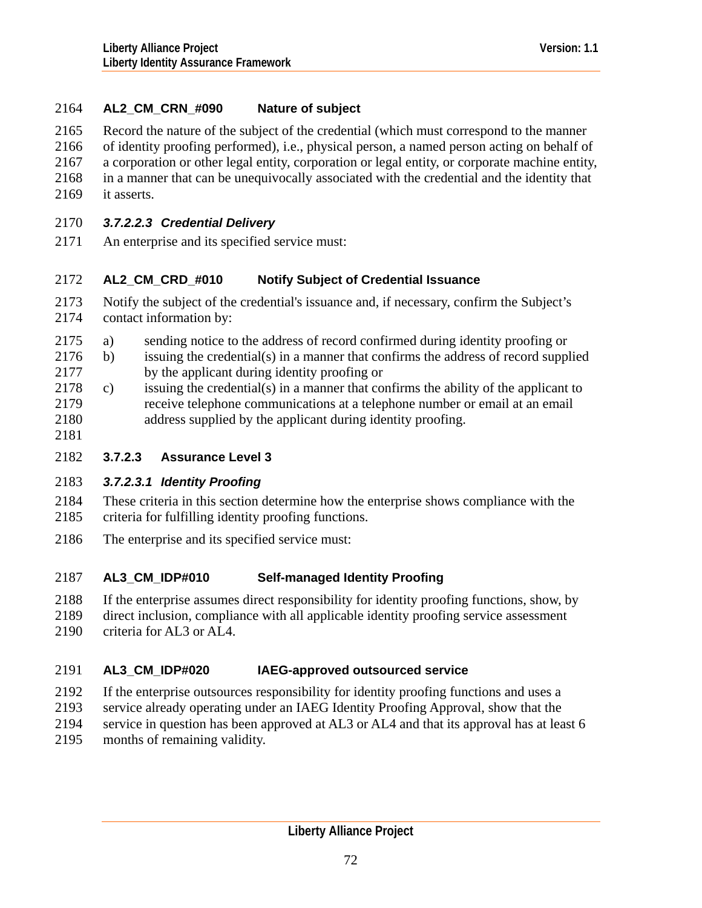# 2164 **AL2\_CM\_CRN\_#090 Nature of subject**

2165 Record the nature of the subject of the credential (which must correspond to the manner

2166 2167 2168 of identity proofing performed), i.e., physical person, a named person acting on behalf of a corporation or other legal entity, corporation or legal entity, or corporate machine entity, in a manner that can be unequivocally associated with the credential and the identity that

2169 it asserts.

# 2170 *3.7.2.2.3 Credential Delivery*

2171 An enterprise and its specified service must:

### 2172 **AL2\_CM\_CRD\_#010 Notify Subject of Credential Issuance**

- 2173 2174 Notify the subject of the credential's issuance and, if necessary, confirm the Subject's contact information by:
- 2175 a) sending notice to the address of record confirmed during identity proofing or
- 2177 2176 b) issuing the credential(s) in a manner that confirms the address of record supplied by the applicant during identity proofing or
- 2179 2180 2178 c) issuing the credential(s) in a manner that confirms the ability of the applicant to receive telephone communications at a telephone number or email at an email address supplied by the applicant during identity proofing.
- 2181

# 2182 **3.7.2.3 Assurance Level 3**

# 2183 *3.7.2.3.1 Identity Proofing*

- 2184 2185 These criteria in this section determine how the enterprise shows compliance with the criteria for fulfilling identity proofing functions.
- 2186 The enterprise and its specified service must:

### 2187 **AL3\_CM\_IDP#010 Self-managed Identity Proofing**

- 2188 If the enterprise assumes direct responsibility for identity proofing functions, show, by
- 2189 direct inclusion, compliance with all applicable identity proofing service assessment
- 2190 criteria for AL3 or AL4.

### 2191 **AL3\_CM\_IDP#020 IAEG-approved outsourced service**

- 2192 If the enterprise outsources responsibility for identity proofing functions and uses a
- 2193 service already operating under an IAEG Identity Proofing Approval, show that the
- 2194 service in question has been approved at AL3 or AL4 and that its approval has at least 6
- 2195 months of remaining validity.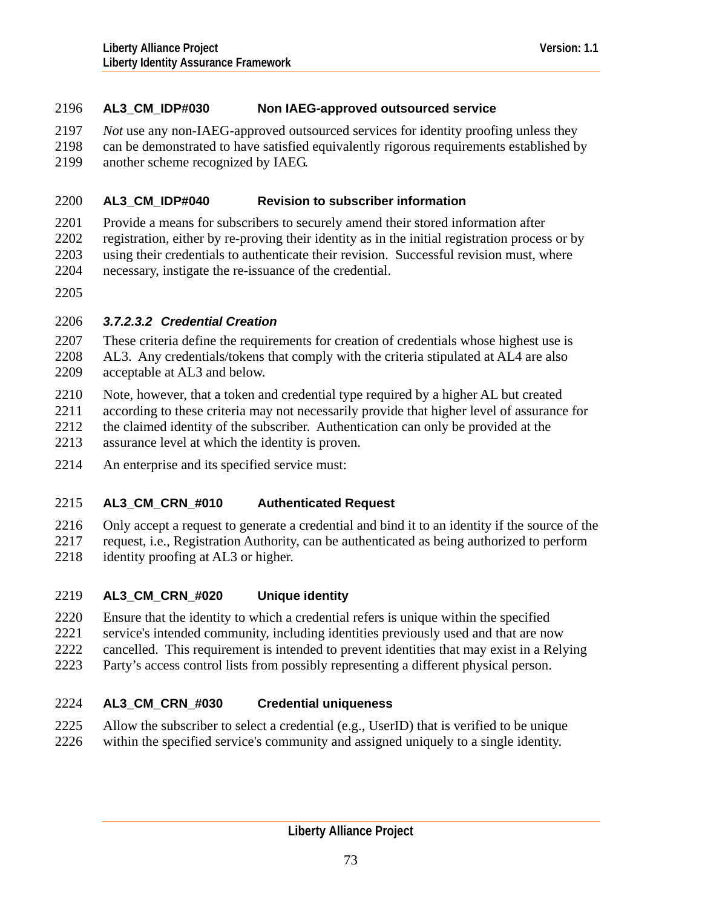# <span id="page-72-0"></span>2196 **AL3\_CM\_IDP#030 Non IAEG-approved outsourced service**

- 2197 *Not* use any non-IAEG-approved outsourced services for identity proofing unless they
- 2198 2199 can be demonstrated to have satisfied equivalently rigorous requirements established by another scheme recognized by IAEG.

### 2200 **AL3\_CM\_IDP#040 Revision to subscriber information**

- 2201 2202 2203 Provide a means for subscribers to securely amend their stored information after registration, either by re-proving their identity as in the initial registration process or by using their credentials to authenticate their revision. Successful revision must, where
- 2204 necessary, instigate the re-issuance of the credential.
- 2205

# 2206 *3.7.2.3.2 Credential Creation*

- 2207 2208 These criteria define the requirements for creation of credentials whose highest use is AL3. Any credentials/tokens that comply with the criteria stipulated at AL4 are also
- 2209 acceptable at AL3 and below.
- 2210 Note, however, that a token and credential type required by a higher AL but created
- 2211 according to these criteria may not necessarily provide that higher level of assurance for
- 2212 the claimed identity of the subscriber. Authentication can only be provided at the
- 2213 assurance level at which the identity is proven.
- 2214 An enterprise and its specified service must:

### 2215 **AL3\_CM\_CRN\_#010 Authenticated Request**

2216 2217 2218 Only accept a request to generate a credential and bind it to an identity if the source of the request, i.e., Registration Authority, can be authenticated as being authorized to perform identity proofing at AL3 or higher.

- 2219 **AL3\_CM\_CRN\_#020 Unique identity**
- 2220 Ensure that the identity to which a credential refers is unique within the specified
- 2221 service's intended community, including identities previously used and that are now
- 2222 cancelled. This requirement is intended to prevent identities that may exist in a Relying
- 2223 Party's access control lists from possibly representing a different physical person.

### 2224 **AL3\_CM\_CRN\_#030 Credential uniqueness**

- 2225 Allow the subscriber to select a credential (e.g., UserID) that is verified to be unique
- 2226 within the specified service's community and assigned uniquely to a single identity.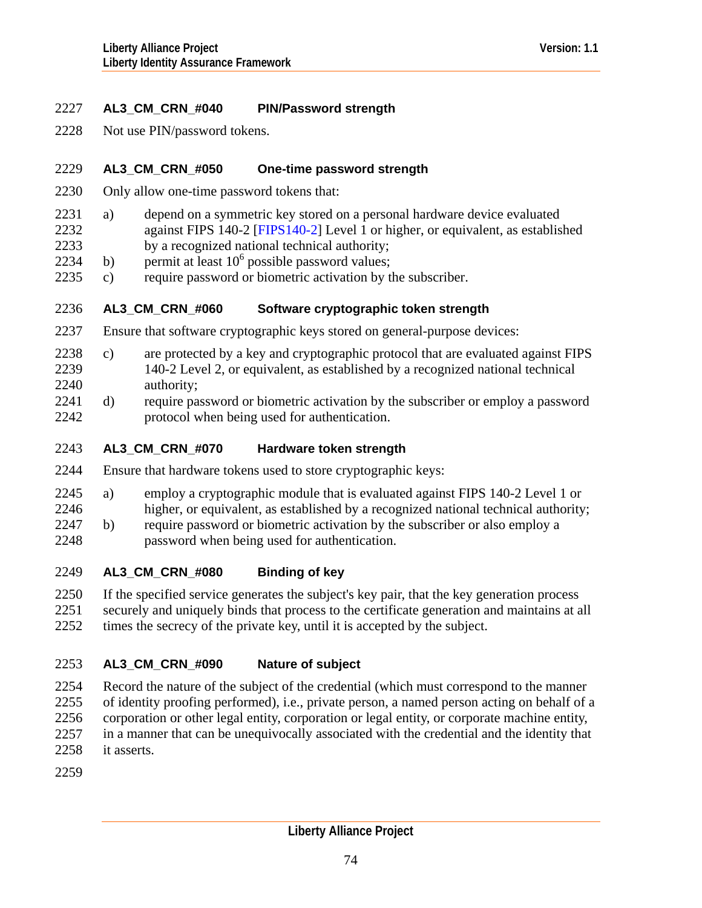# 2227 **AL3\_CM\_CRN\_#040 PIN/Password strength**

2228 Not use PIN/password tokens.

#### 2229 **AL3\_CM\_CRN\_#050 One-time password strength**

- 2230 Only allow one-time password tokens that:
- 2232 2231 a) depend on a symmetric key stored on a personal hardware device evaluated against FIPS 140-2 [\[FIPS140-2](#page-126-0)] Level 1 or higher, or equivalent, as established
- 2233 by a recognized national technical authority;
- 2234 b) permit at least  $10^6$  possible password values;
- 2235 c) require password or biometric activation by the subscriber.

#### 2236 **AL3\_CM\_CRN\_#060 Software cryptographic token strength**

- 2237 Ensure that software cryptographic keys stored on general-purpose devices:
- 2239 2240 2238 c) are protected by a key and cryptographic protocol that are evaluated against FIPS 140-2 Level 2, or equivalent, as established by a recognized national technical authority;
- 2242 2241 d) require password or biometric activation by the subscriber or employ a password protocol when being used for authentication.
- 2243 **AL3\_CM\_CRN\_#070 Hardware token strength**
- 2244 Ensure that hardware tokens used to store cryptographic keys:
- 2245 a) employ a cryptographic module that is evaluated against FIPS 140-2 Level 1 or
- 2246 higher, or equivalent, as established by a recognized national technical authority;
- 2248 2247 b) require password or biometric activation by the subscriber or also employ a password when being used for authentication.
- 2249 **AL3\_CM\_CRN\_#080 Binding of key**
- 2250 2251 2252 If the specified service generates the subject's key pair, that the key generation process securely and uniquely binds that process to the certificate generation and maintains at all times the secrecy of the private key, until it is accepted by the subject.

### 2253 **AL3\_CM\_CRN\_#090 Nature of subject**

2254 2255 2256 2257 2258 Record the nature of the subject of the credential (which must correspond to the manner of identity proofing performed), i.e., private person, a named person acting on behalf of a corporation or other legal entity, corporation or legal entity, or corporate machine entity, in a manner that can be unequivocally associated with the credential and the identity that it asserts.

2259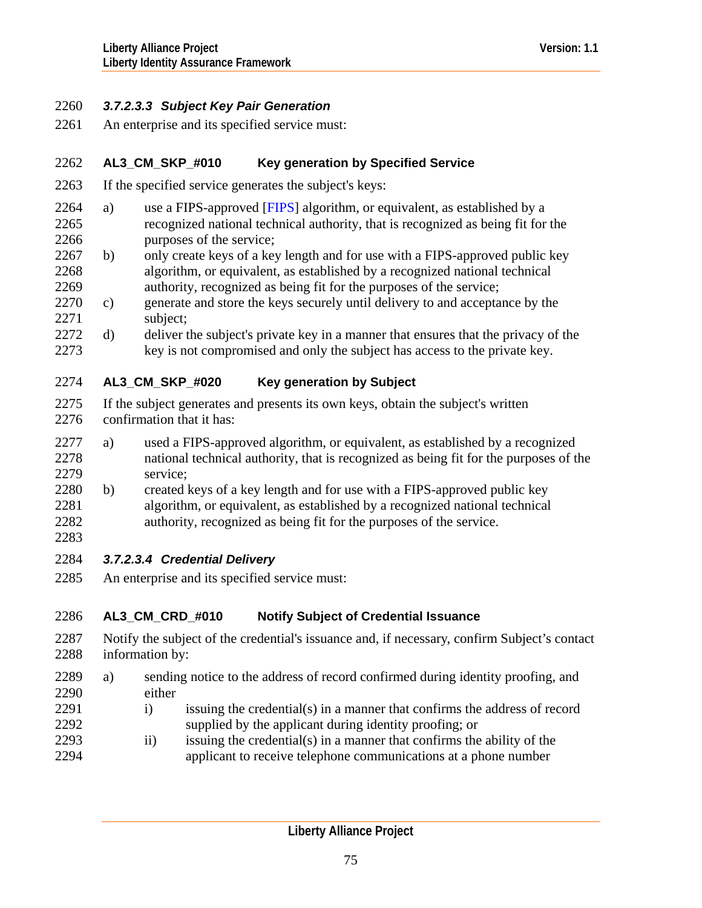# <span id="page-74-0"></span>2260 *3.7.2.3.3 Subject Key Pair Generation*

2261 An enterprise and its specified service must:

### 2262 **AL3\_CM\_SKP\_#010 Key generation by Specified Service**

- 2263 If the specified service generates the subject's keys:
- 2265 2266 2264 a) use a FIPS-approved  $[FTPS]$  algorithm, or equivalent, as established by a recognized national technical authority, that is recognized as being fit for the purposes of the service;
- 2268 2269 2267 b) only create keys of a key length and for use with a FIPS-approved public key algorithm, or equivalent, as established by a recognized national technical authority, recognized as being fit for the purposes of the service;
- 2271 2270 c) generate and store the keys securely until delivery to and acceptance by the subject;
- 2273 2272 d) deliver the subject's private key in a manner that ensures that the privacy of the key is not compromised and only the subject has access to the private key.

### 2274 **AL3\_CM\_SKP\_#020 Key generation by Subject**

- 2275 2276 If the subject generates and presents its own keys, obtain the subject's written confirmation that it has:
- 2278 2279 2277 a) used a FIPS-approved algorithm, or equivalent, as established by a recognized national technical authority, that is recognized as being fit for the purposes of the service;
- 2281 2282 2280 b) created keys of a key length and for use with a FIPS-approved public key algorithm, or equivalent, as established by a recognized national technical authority, recognized as being fit for the purposes of the service.
- 2284 *3.7.2.3.4 Credential Delivery*

2283

2285 An enterprise and its specified service must:

### 2286 **AL3\_CM\_CRD\_#010 Notify Subject of Credential Issuance**

- 2287 2288 Notify the subject of the credential's issuance and, if necessary, confirm Subject's contact information by:
- 2290 2289 a) sending notice to the address of record confirmed during identity proofing, and either
- 2291 2292 i) issuing the credential(s) in a manner that confirms the address of record supplied by the applicant during identity proofing; or
- 2293 2294 ii) issuing the credential(s) in a manner that confirms the ability of the applicant to receive telephone communications at a phone number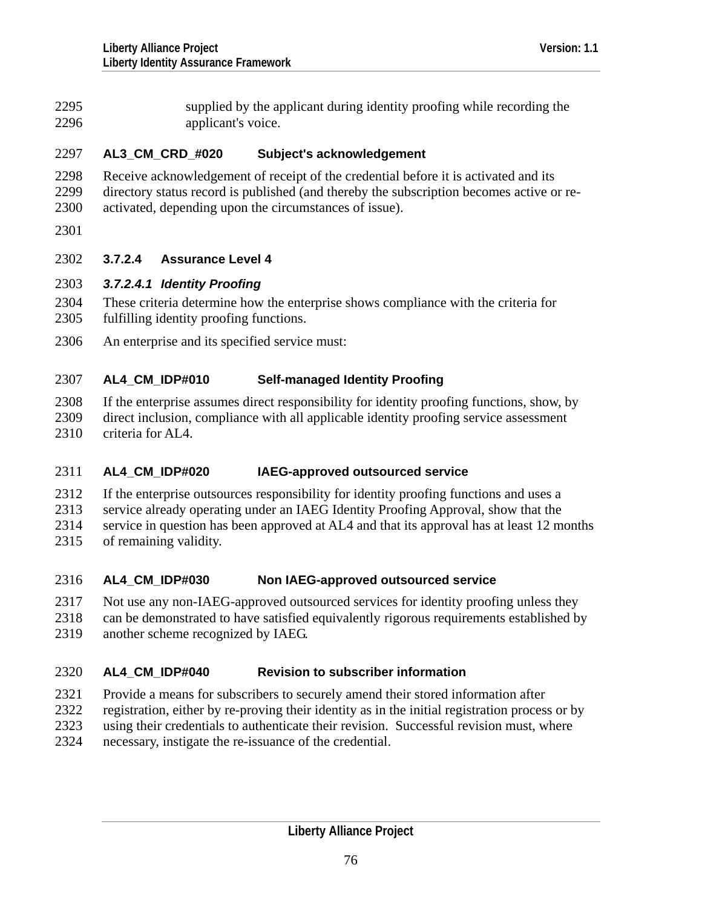<span id="page-75-0"></span>supplied by the applicant during identity proofing while recording the applicant's voice. 2295 2296

### 2297 **AL3\_CM\_CRD\_#020 Subject's acknowledgement**

- 2298 2299 Receive acknowledgement of receipt of the credential before it is activated and its directory status record is published (and thereby the subscription becomes active or re-
- 2300 activated, depending upon the circumstances of issue).
- 2301

# 2302 **3.7.2.4 Assurance Level 4**

# 2303 *3.7.2.4.1 Identity Proofing*

- 2304 2305 These criteria determine how the enterprise shows compliance with the criteria for fulfilling identity proofing functions.
- 2306 An enterprise and its specified service must:

### 2307 **AL4\_CM\_IDP#010 Self-managed Identity Proofing**

2308 2309 2310 If the enterprise assumes direct responsibility for identity proofing functions, show, by direct inclusion, compliance with all applicable identity proofing service assessment criteria for AL4.

### 2311 **AL4\_CM\_IDP#020 IAEG-approved outsourced service**

- 2312 If the enterprise outsources responsibility for identity proofing functions and uses a
- 2313 service already operating under an IAEG Identity Proofing Approval, show that the
- 2314 service in question has been approved at AL4 and that its approval has at least 12 months
- 2315 of remaining validity.

### 2316 **AL4\_CM\_IDP#030 Non IAEG-approved outsourced service**

- 2317 Not use any non-IAEG-approved outsourced services for identity proofing unless they
- 2318 can be demonstrated to have satisfied equivalently rigorous requirements established by
- 2319 another scheme recognized by IAEG.

### 2320 **AL4\_CM\_IDP#040 Revision to subscriber information**

- 2321 Provide a means for subscribers to securely amend their stored information after
- 2322 registration, either by re-proving their identity as in the initial registration process or by
- 2323 using their credentials to authenticate their revision. Successful revision must, where
- 2324 necessary, instigate the re-issuance of the credential.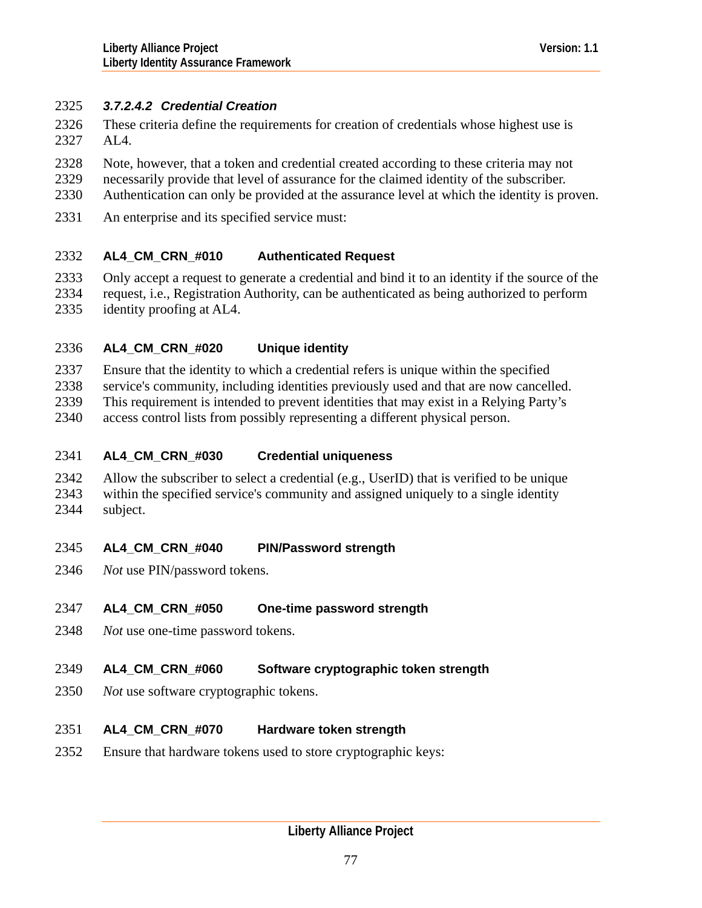# <span id="page-76-0"></span>2325 *3.7.2.4.2 Credential Creation*

- These criteria define the requirements for creation of credentials whose highest use is AL4. 2326 2327
- 2328 Note, however, that a token and credential created according to these criteria may not
- 2329 necessarily provide that level of assurance for the claimed identity of the subscriber.
- 2330 Authentication can only be provided at the assurance level at which the identity is proven.
- 2331 An enterprise and its specified service must:

### 2332 **AL4\_CM\_CRN\_#010 Authenticated Request**

- 2333 2334 Only accept a request to generate a credential and bind it to an identity if the source of the request, i.e., Registration Authority, can be authenticated as being authorized to perform
- 2335 identity proofing at AL4.

### 2336 **AL4\_CM\_CRN\_#020 Unique identity**

2337 Ensure that the identity to which a credential refers is unique within the specified

2338 service's community, including identities previously used and that are now cancelled.

2339 This requirement is intended to prevent identities that may exist in a Relying Party's

2340 access control lists from possibly representing a different physical person.

### 2341 **AL4\_CM\_CRN\_#030 Credential uniqueness**

2342 2343 2344 Allow the subscriber to select a credential (e.g., UserID) that is verified to be unique within the specified service's community and assigned uniquely to a single identity subject.

### 2345 **AL4\_CM\_CRN\_#040 PIN/Password strength**

2346 *Not* use PIN/password tokens.

### 2347 **AL4\_CM\_CRN\_#050 One-time password strength**

2348 *Not* use one-time password tokens.

### 2349 **AL4\_CM\_CRN\_#060 Software cryptographic token strength**

2350 *Not* use software cryptographic tokens.

### 2351 **AL4\_CM\_CRN\_#070 Hardware token strength**

2352 Ensure that hardware tokens used to store cryptographic keys: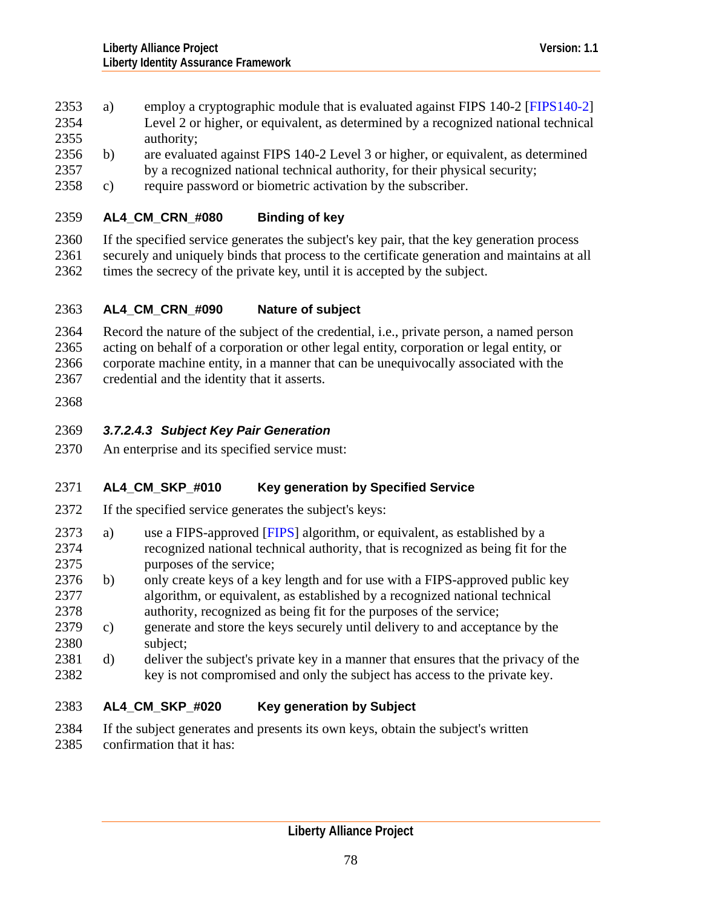- <span id="page-77-0"></span>2353 a) employ a cryptographic module that is evaluated against FIPS 140-2 [[FIPS140-2\]](#page-126-0) Level 2 or higher, or equivalent, as determined by a recognized national technical authority; 2354 2355
- 2357 2356 b) are evaluated against FIPS 140-2 Level 3 or higher, or equivalent, as determined by a recognized national technical authority, for their physical security;
- 2358 c) require password or biometric activation by the subscriber.

### 2359 **AL4\_CM\_CRN\_#080 Binding of key**

2360 2361 2362 If the specified service generates the subject's key pair, that the key generation process securely and uniquely binds that process to the certificate generation and maintains at all times the secrecy of the private key, until it is accepted by the subject.

### 2363 **AL4\_CM\_CRN\_#090 Nature of subject**

2364 2365 2366 Record the nature of the subject of the credential, i.e., private person, a named person acting on behalf of a corporation or other legal entity, corporation or legal entity, or corporate machine entity, in a manner that can be unequivocally associated with the

- 2367 credential and the identity that it asserts.
- 2368

# 2369 *3.7.2.4.3 Subject Key Pair Generation*

2370 An enterprise and its specified service must:

### 2371 **AL4\_CM\_SKP\_#010 Key generation by Specified Service**

- 2372 If the specified service generates the subject's keys:
- 2374 2375 2373 a) use a FIPS-approved [\[FIPS\]](#page-126-0) algorithm, or equivalent, as established by a recognized national technical authority, that is recognized as being fit for the purposes of the service;
- 2377 2378 2376 b) only create keys of a key length and for use with a FIPS-approved public key algorithm, or equivalent, as established by a recognized national technical authority, recognized as being fit for the purposes of the service;
- 2380 2379 c) generate and store the keys securely until delivery to and acceptance by the subject;
- 2382 2381 d) deliver the subject's private key in a manner that ensures that the privacy of the key is not compromised and only the subject has access to the private key.

### 2383 **AL4\_CM\_SKP\_#020 Key generation by Subject**

- 2384 If the subject generates and presents its own keys, obtain the subject's written
- 2385 confirmation that it has: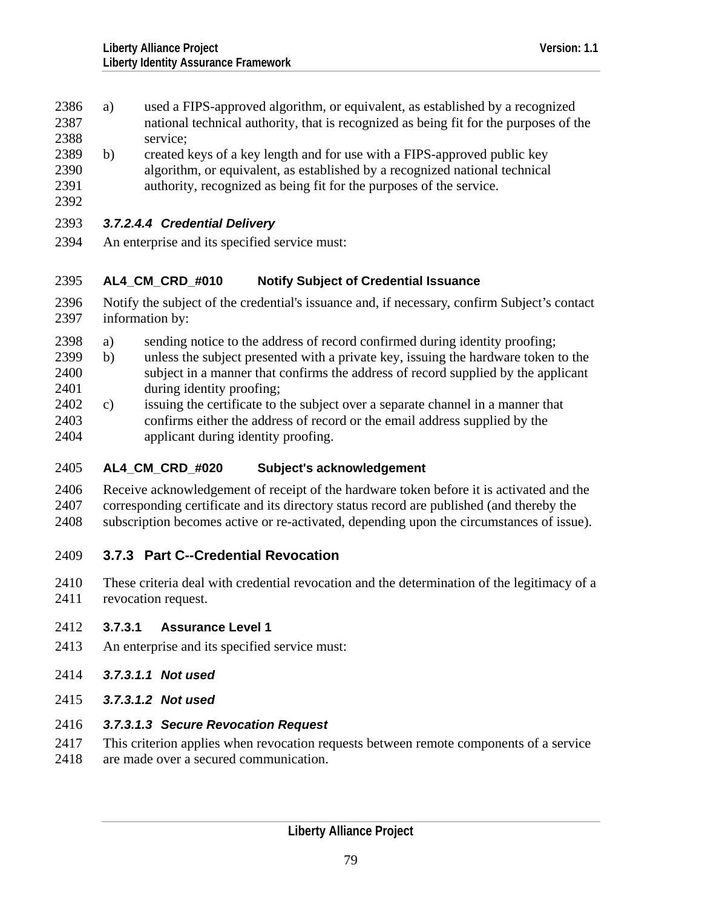- <span id="page-78-0"></span>2386 a) used a FIPS-approved algorithm, or equivalent, as established by a recognized national technical authority, that is recognized as being fit for the purposes of the service; 2387 2388
- 2390 2391 2389 b) created keys of a key length and for use with a FIPS-approved public key algorithm, or equivalent, as established by a recognized national technical authority, recognized as being fit for the purposes of the service.
- 2392

# 2393 *3.7.2.4.4 Credential Delivery*

2394 An enterprise and its specified service must:

### 2395 **AL4\_CM\_CRD\_#010 Notify Subject of Credential Issuance**

- 2396 2397 Notify the subject of the credential's issuance and, if necessary, confirm Subject's contact information by:
- 2398 a) sending notice to the address of record confirmed during identity proofing;
- 2400 2401 2399 b) unless the subject presented with a private key, issuing the hardware token to the subject in a manner that confirms the address of record supplied by the applicant during identity proofing;
- 2403 2404 2402 c) issuing the certificate to the subject over a separate channel in a manner that confirms either the address of record or the email address supplied by the applicant during identity proofing.

### 2405 **AL4\_CM\_CRD\_#020 Subject's acknowledgement**

2406 2407 2408 Receive acknowledgement of receipt of the hardware token before it is activated and the corresponding certificate and its directory status record are published (and thereby the subscription becomes active or re-activated, depending upon the circumstances of issue).

- 2409 **3.7.3 Part C--Credential Revocation**
- 2410 2411 These criteria deal with credential revocation and the determination of the legitimacy of a revocation request.
- 2412 **3.7.3.1 Assurance Level 1**
- 2413 An enterprise and its specified service must:
- 2414 *3.7.3.1.1 Not used*
- 2415 *3.7.3.1.2 Not used*
- 2416 *3.7.3.1.3 Secure Revocation Request*
- 2417 This criterion applies when revocation requests between remote components of a service
- 2418 are made over a secured communication.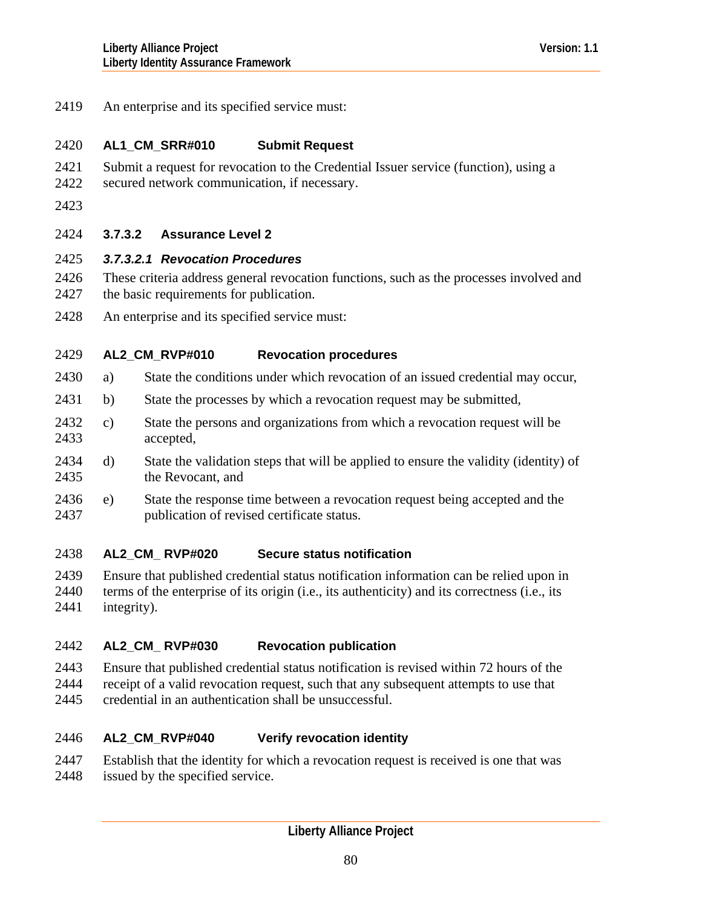<span id="page-79-0"></span>2419 An enterprise and its specified service must:

### 2420 **AL1\_CM\_SRR#010 Submit Request**

- 2421 Submit a request for revocation to the Credential Issuer service (function), using a
- 2422 secured network communication, if necessary.
- 2423

# 2424 **3.7.3.2 Assurance Level 2**

- 2425 *3.7.3.2.1 Revocation Procedures*
- 2426 2427 These criteria address general revocation functions, such as the processes involved and the basic requirements for publication.
- 2428 An enterprise and its specified service must:

### 2429 **AL2\_CM\_RVP#010 Revocation procedures**

- 2430 a) State the conditions under which revocation of an issued credential may occur,
- 2431 b) State the processes by which a revocation request may be submitted,
- 2433 2432 c) State the persons and organizations from which a revocation request will be accepted,
- 2435 2434 d) State the validation steps that will be applied to ensure the validity (identity) of the Revocant, and
- 2437 2436 e) State the response time between a revocation request being accepted and the publication of revised certificate status.

### 2438 **AL2\_CM\_ RVP#020 Secure status notification**

2439 2440 2441 Ensure that published credential status notification information can be relied upon in terms of the enterprise of its origin (i.e., its authenticity) and its correctness (i.e., its integrity).

### 2442 **AL2\_CM\_ RVP#030 Revocation publication**

- 2443 Ensure that published credential status notification is revised within 72 hours of the
- 2444 receipt of a valid revocation request, such that any subsequent attempts to use that
- 2445 credential in an authentication shall be unsuccessful.

### 2446 **AL2\_CM\_RVP#040 Verify revocation identity**

- 2447 Establish that the identity for which a revocation request is received is one that was
- 2448 issued by the specified service.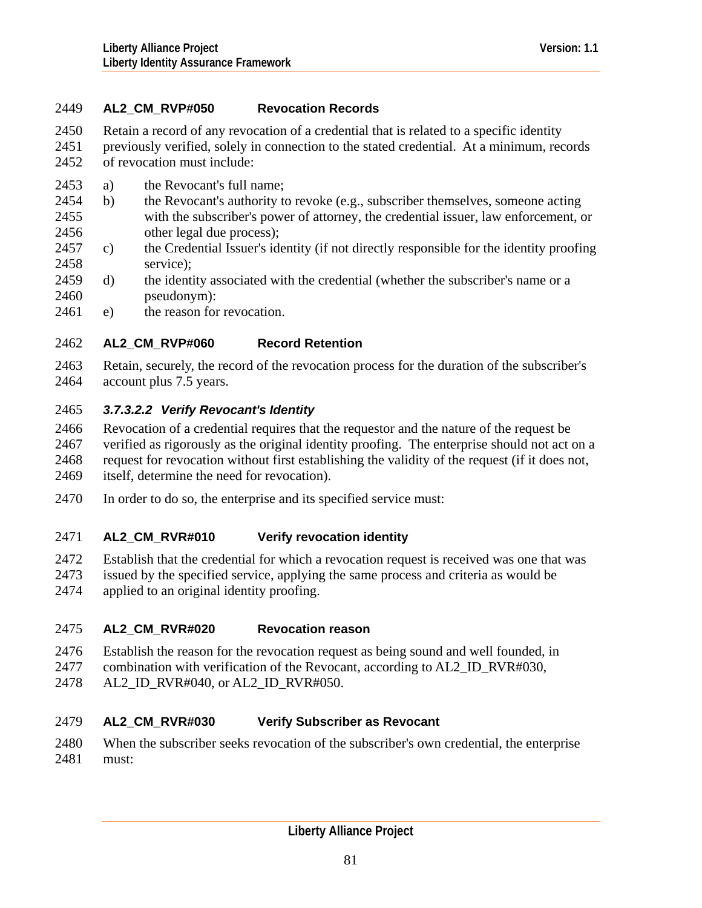# <span id="page-80-0"></span>2449 **AL2\_CM\_RVP#050 Revocation Records**

2450 Retain a record of any revocation of a credential that is related to a specific identity

2451 2452 previously verified, solely in connection to the stated credential. At a minimum, records of revocation must include:

- 2453 a) the Revocant's full name;
- 2455 2456 2454 b) the Revocant's authority to revoke (e.g., subscriber themselves, someone acting with the subscriber's power of attorney, the credential issuer, law enforcement, or other legal due process);
- 2458 2457 c) the Credential Issuer's identity (if not directly responsible for the identity proofing service);
- 2460 2459 d) the identity associated with the credential (whether the subscriber's name or a pseudonym):
- 2461 e) the reason for revocation.

### 2462 **AL2\_CM\_RVP#060 Record Retention**

2463 2464 Retain, securely, the record of the revocation process for the duration of the subscriber's account plus 7.5 years.

# 2465 *3.7.3.2.2 Verify Revocant's Identity*

- 2466 2467 2468 2469 Revocation of a credential requires that the requestor and the nature of the request be verified as rigorously as the original identity proofing. The enterprise should not act on a request for revocation without first establishing the validity of the request (if it does not, itself, determine the need for revocation).
- 2470 In order to do so, the enterprise and its specified service must:

### 2471 **AL2\_CM\_RVR#010 Verify revocation identity**

- 2472 Establish that the credential for which a revocation request is received was one that was
- 2473 issued by the specified service, applying the same process and criteria as would be
- 2474 applied to an original identity proofing.

### 2475 **AL2\_CM\_RVR#020 Revocation reason**

- 2476 Establish the reason for the revocation request as being sound and well founded, in
- 2477 combination with verification of the Revocant, according to AL2\_ID\_RVR#030,
- 2478 AL2\_ID\_RVR#040, or AL2\_ID\_RVR#050.

### 2479 **AL2\_CM\_RVR#030 Verify Subscriber as Revocant**

2480 2481 When the subscriber seeks revocation of the subscriber's own credential, the enterprise must: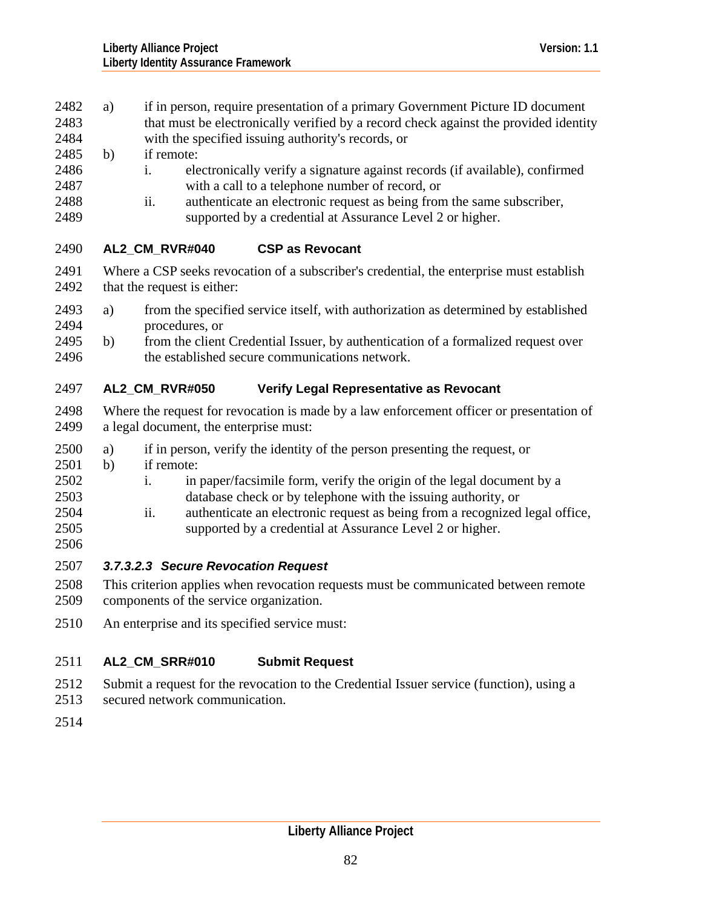- <span id="page-81-0"></span>2482 a) if in person, require presentation of a primary Government Picture ID document that must be electronically verified by a record check against the provided identity 2483
- with the specified issuing authority's records, or 2484
- 2485 b) if remote:
- 2486 2487 i. electronically verify a signature against records (if available), confirmed with a call to a telephone number of record, or
- 2488 2489 ii. authenticate an electronic request as being from the same subscriber, supported by a credential at Assurance Level 2 or higher.

### 2490 **AL2\_CM\_RVR#040 CSP as Revocant**

- 2491 2492 Where a CSP seeks revocation of a subscriber's credential, the enterprise must establish that the request is either:
- 2494 2493 a) from the specified service itself, with authorization as determined by established procedures, or
- 2496 2495 b) from the client Credential Issuer, by authentication of a formalized request over the established secure communications network.

### 2497 **AL2\_CM\_RVR#050 Verify Legal Representative as Revocant**

- 2498 2499 Where the request for revocation is made by a law enforcement officer or presentation of a legal document, the enterprise must:
- 2500 a) if in person, verify the identity of the person presenting the request, or
- 2501 b) if remote:
- 2502 2503 i. in paper/facsimile form, verify the origin of the legal document by a database check or by telephone with the issuing authority, or
- 2504 2505 2506 ii. authenticate an electronic request as being from a recognized legal office, supported by a credential at Assurance Level 2 or higher.
- 2507 *3.7.3.2.3 Secure Revocation Request*
- 2508 This criterion applies when revocation requests must be communicated between remote
- 2509 components of the service organization.
- 2510 An enterprise and its specified service must:

### 2511 **AL2\_CM\_SRR#010 Submit Request**

- 2512 Submit a request for the revocation to the Credential Issuer service (function), using a
- 2513 secured network communication.
- 2514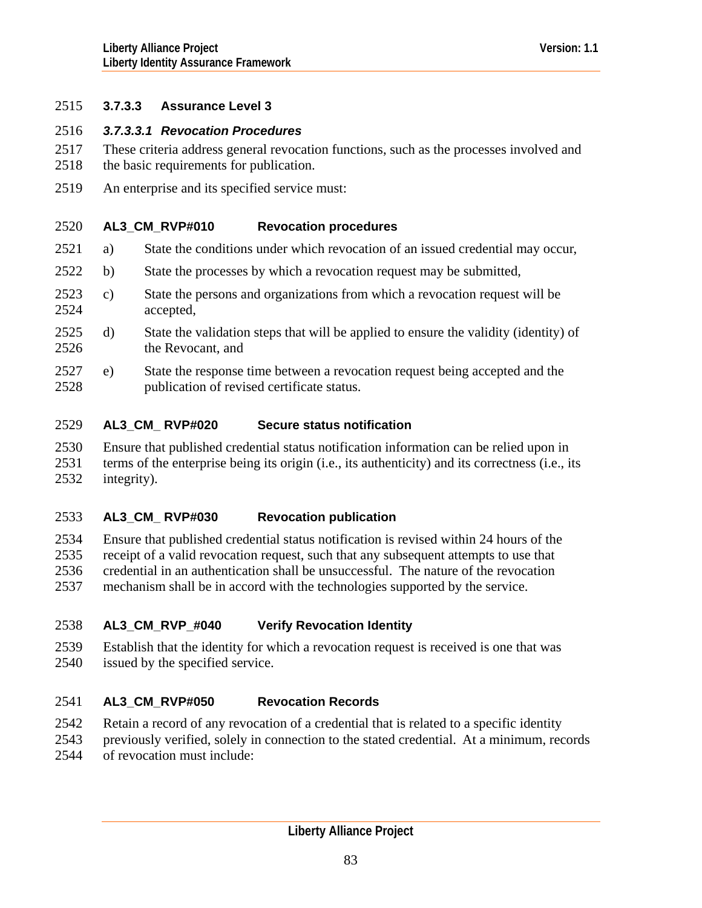# <span id="page-82-0"></span>2515 **3.7.3.3 Assurance Level 3**

### 2516 *3.7.3.3.1 Revocation Procedures*

- These criteria address general revocation functions, such as the processes involved and 2517
- the basic requirements for publication. 2518
- 2519 An enterprise and its specified service must:

### 2520 **AL3\_CM\_RVP#010 Revocation procedures**

- 2521 a) State the conditions under which revocation of an issued credential may occur,
- 2522 b) State the processes by which a revocation request may be submitted,
- 2524 2523 c) State the persons and organizations from which a revocation request will be accepted,
- 2526 2525 d) State the validation steps that will be applied to ensure the validity (identity) of the Revocant, and
- 2528 2527 e) State the response time between a revocation request being accepted and the publication of revised certificate status.

### 2529 **AL3\_CM\_ RVP#020 Secure status notification**

2530 2531 2532 Ensure that published credential status notification information can be relied upon in terms of the enterprise being its origin (i.e., its authenticity) and its correctness (i.e., its integrity).

### 2533 **AL3\_CM\_ RVP#030 Revocation publication**

2534 2535 2536 2537 Ensure that published credential status notification is revised within 24 hours of the receipt of a valid revocation request, such that any subsequent attempts to use that credential in an authentication shall be unsuccessful. The nature of the revocation mechanism shall be in accord with the technologies supported by the service.

### 2538 **AL3\_CM\_RVP\_#040 Verify Revocation Identity**

2539 2540 Establish that the identity for which a revocation request is received is one that was issued by the specified service.

### 2541 **AL3\_CM\_RVP#050 Revocation Records**

- 2542 Retain a record of any revocation of a credential that is related to a specific identity
- 2543 previously verified, solely in connection to the stated credential. At a minimum, records
- 2544 of revocation must include: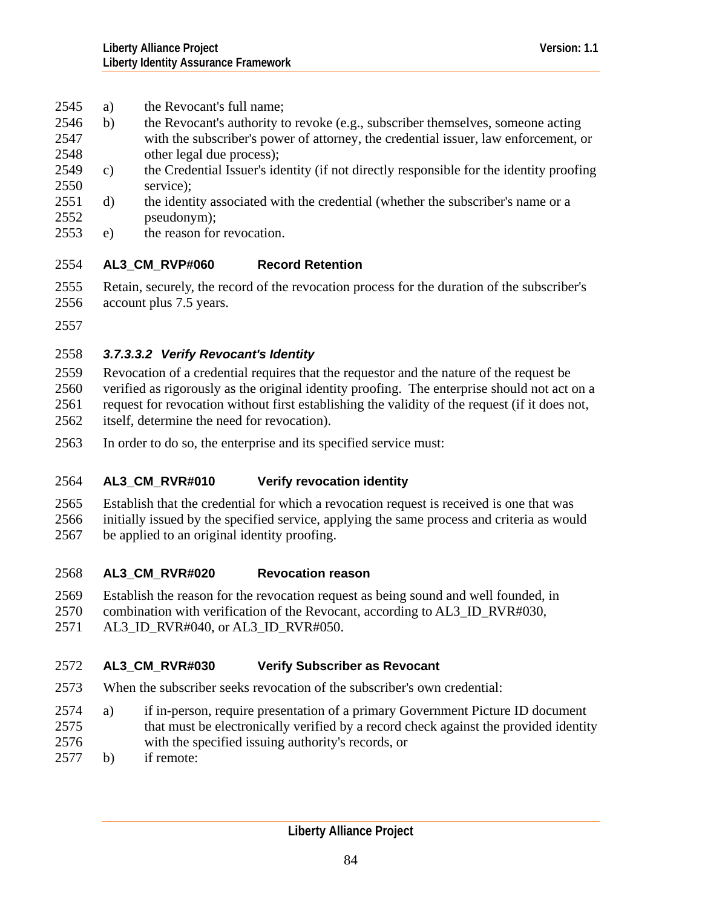- <span id="page-83-0"></span>2545 a) the Revocant's full name;
- 2546 b) the Revocant's authority to revoke (e.g., subscriber themselves, someone acting with the subscriber's power of attorney, the credential issuer, law enforcement, or other legal due process); 2547 2548
- 2550 2549 c) the Credential Issuer's identity (if not directly responsible for the identity proofing service);
- 2552 2551 d) the identity associated with the credential (whether the subscriber's name or a pseudonym);
- 2553 e) the reason for revocation.

### 2554 **AL3\_CM\_RVP#060 Record Retention**

- 2555 2556 Retain, securely, the record of the revocation process for the duration of the subscriber's account plus 7.5 years.
- 2557

# 2558 *3.7.3.3.2 Verify Revocant's Identity*

2559 2560 2561 2562 Revocation of a credential requires that the requestor and the nature of the request be verified as rigorously as the original identity proofing. The enterprise should not act on a request for revocation without first establishing the validity of the request (if it does not, itself, determine the need for revocation).

2563 In order to do so, the enterprise and its specified service must:

### 2564 **AL3\_CM\_RVR#010 Verify revocation identity**

2565 2566 2567 Establish that the credential for which a revocation request is received is one that was initially issued by the specified service, applying the same process and criteria as would be applied to an original identity proofing.

### 2568 **AL3\_CM\_RVR#020 Revocation reason**

2569 Establish the reason for the revocation request as being sound and well founded, in

- 2570 combination with verification of the Revocant, according to AL3\_ID\_RVR#030,
- 2571 AL3 ID RVR#040, or AL3 ID RVR#050.

### 2572 **AL3\_CM\_RVR#030 Verify Subscriber as Revocant**

- 2573 When the subscriber seeks revocation of the subscriber's own credential:
- 2575 2574 a) if in-person, require presentation of a primary Government Picture ID document that must be electronically verified by a record check against the provided identity
- 2576 with the specified issuing authority's records, or
- 2577 b) if remote: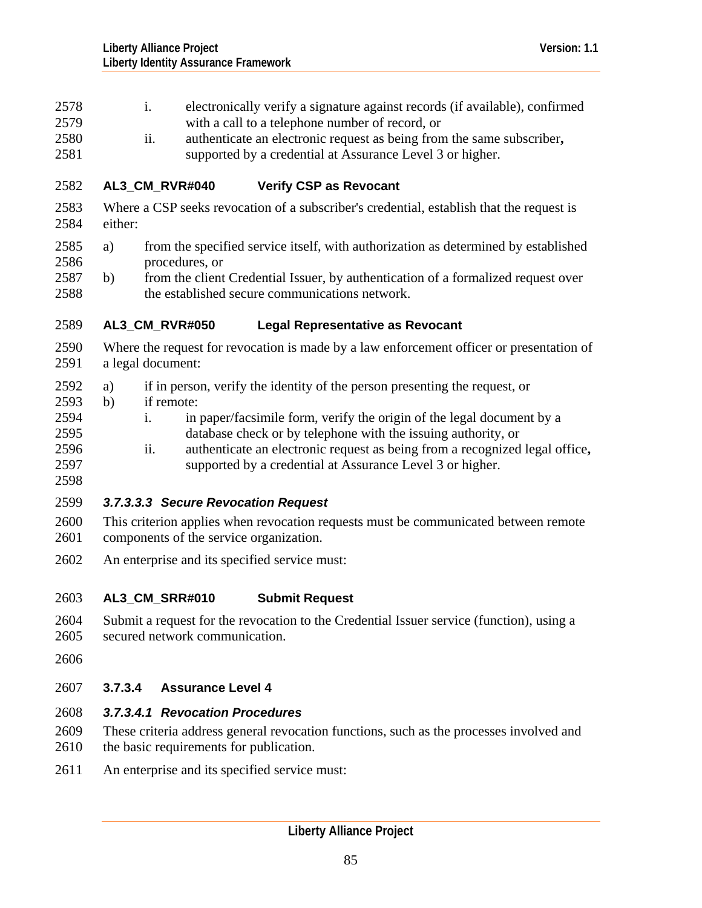- <span id="page-84-0"></span>i. electronically verify a signature against records (if available), confirmed with a call to a telephone number of record, or 2578 2579 2580 2581 2582 2583 2584 2586 2588 2589 2590 2591 2594 2595 2596 2597 2598 2600 2601 2602 2603 ii. authenticate an electronic request as being from the same subscriber**,** supported by a credential at Assurance Level 3 or higher. **AL3\_CM\_RVR#040 Verify CSP as Revocant**  Where a CSP seeks revocation of a subscriber's credential, establish that the request is either: 2585 a) from the specified service itself, with authorization as determined by established procedures, or 2587 b) from the client Credential Issuer, by authentication of a formalized request over the established secure communications network. **AL3\_CM\_RVR#050 Legal Representative as Revocant**  Where the request for revocation is made by a law enforcement officer or presentation of a legal document: 2592 a) if in person, verify the identity of the person presenting the request, or 2593 b) if remote: i. in paper/facsimile form, verify the origin of the legal document by a database check or by telephone with the issuing authority, or ii. authenticate an electronic request as being from a recognized legal office**,** supported by a credential at Assurance Level 3 or higher. 2599 *3.7.3.3.3 Secure Revocation Request*  This criterion applies when revocation requests must be communicated between remote components of the service organization. An enterprise and its specified service must: **AL3\_CM\_SRR#010 Submit Request** 
	- 2604 2605 Submit a request for the revocation to the Credential Issuer service (function), using a secured network communication.
	- 2606

# 2607 **3.7.3.4 Assurance Level 4**

# 2608 *3.7.3.4.1 Revocation Procedures*

- 2609 2610 These criteria address general revocation functions, such as the processes involved and the basic requirements for publication.
- 2611 An enterprise and its specified service must: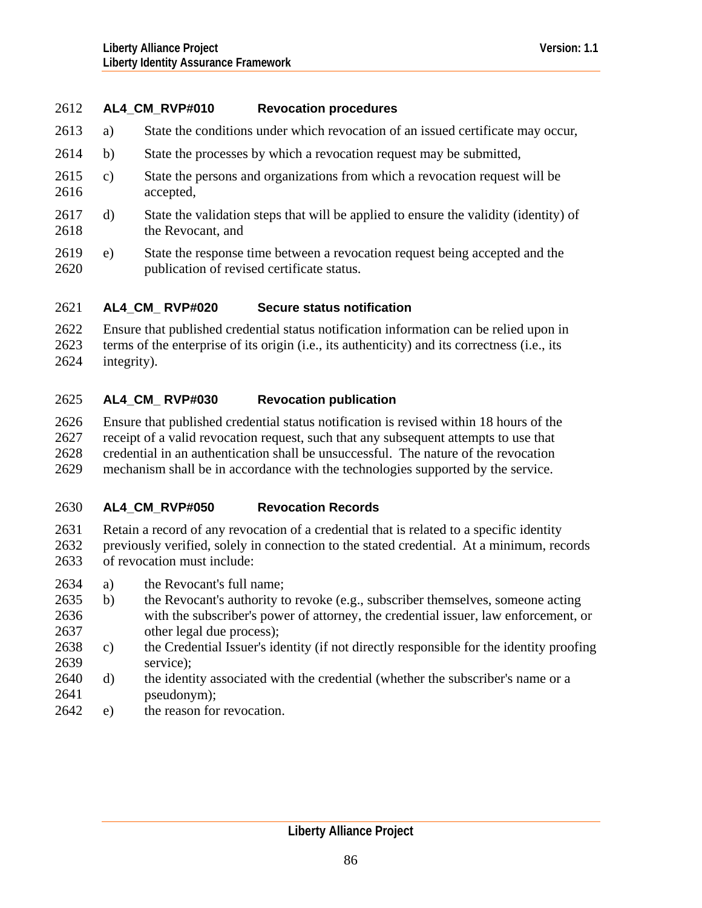### 2612 **AL4\_CM\_RVP#010 Revocation procedures**

- 2613 a) State the conditions under which revocation of an issued certificate may occur,
- 2614 b) State the processes by which a revocation request may be submitted,
- 2616 2615 c) State the persons and organizations from which a revocation request will be accepted,
- 2618 2617 d) State the validation steps that will be applied to ensure the validity (identity) of the Revocant, and
- 2620 2619 e) State the response time between a revocation request being accepted and the publication of revised certificate status.

#### 2621 **AL4\_CM\_ RVP#020 Secure status notification**

2622 2623 2624 Ensure that published credential status notification information can be relied upon in terms of the enterprise of its origin (i.e., its authenticity) and its correctness (i.e., its integrity).

### 2625 **AL4\_CM\_ RVP#030 Revocation publication**

2626 2627 2628 Ensure that published credential status notification is revised within 18 hours of the receipt of a valid revocation request, such that any subsequent attempts to use that credential in an authentication shall be unsuccessful. The nature of the revocation

2629 mechanism shall be in accordance with the technologies supported by the service.

### 2630 **AL4\_CM\_RVP#050 Revocation Records**

2631 2632 2633 Retain a record of any revocation of a credential that is related to a specific identity previously verified, solely in connection to the stated credential. At a minimum, records of revocation must include:

- 2634 a) the Revocant's full name;
- 2636 2637 2635 b) the Revocant's authority to revoke (e.g., subscriber themselves, someone acting with the subscriber's power of attorney, the credential issuer, law enforcement, or other legal due process);
- 2639 2638 c) the Credential Issuer's identity (if not directly responsible for the identity proofing service);
- 2641 2640 d) the identity associated with the credential (whether the subscriber's name or a pseudonym);
- 2642 e) the reason for revocation.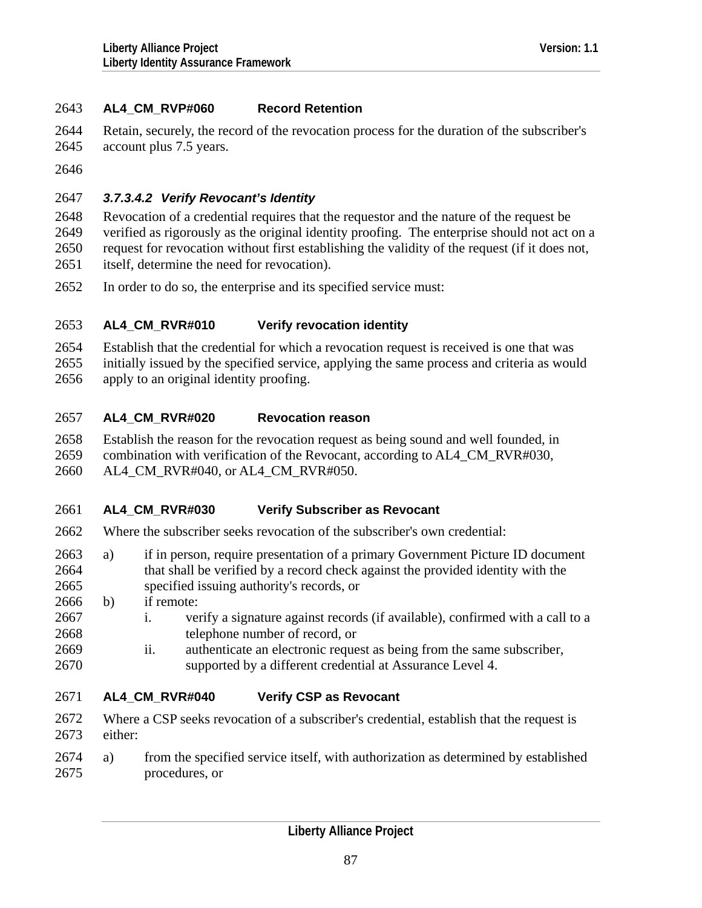# <span id="page-86-0"></span>2643 **AL4\_CM\_RVP#060 Record Retention**

- 2644 Retain, securely, the record of the revocation process for the duration of the subscriber's
- 2645 account plus 7.5 years.
- 2646

# 2647 *3.7.3.4.2 Verify Revocant's Identity*

2648 2649 2650 2651 Revocation of a credential requires that the requestor and the nature of the request be verified as rigorously as the original identity proofing. The enterprise should not act on a request for revocation without first establishing the validity of the request (if it does not, itself, determine the need for revocation).

2652 In order to do so, the enterprise and its specified service must:

### 2653 **AL4\_CM\_RVR#010 Verify revocation identity**

2654 2655 Establish that the credential for which a revocation request is received is one that was initially issued by the specified service, applying the same process and criteria as would

2656 apply to an original identity proofing.

### 2657 **AL4\_CM\_RVR#020 Revocation reason**

2658 2659 Establish the reason for the revocation request as being sound and well founded, in combination with verification of the Revocant, according to AL4\_CM\_RVR#030,

2660 AL4 CM\_RVR#040, or AL4 CM\_RVR#050.

### 2661 **AL4\_CM\_RVR#030 Verify Subscriber as Revocant**

- 2662 Where the subscriber seeks revocation of the subscriber's own credential:
- 2664 2663 a) if in person, require presentation of a primary Government Picture ID document that shall be verified by a record check against the provided identity with the
- 2665 specified issuing authority's records, or
- 2666 b) if remote:
- 2667 2668 i. verify a signature against records (if available), confirmed with a call to a telephone number of record, or
- 2669 2670 ii. authenticate an electronic request as being from the same subscriber, supported by a different credential at Assurance Level 4.

### 2671 **AL4\_CM\_RVR#040 Verify CSP as Revocant**

- 2672 2673 Where a CSP seeks revocation of a subscriber's credential, establish that the request is either:
- 2675 2674 a) from the specified service itself, with authorization as determined by established procedures, or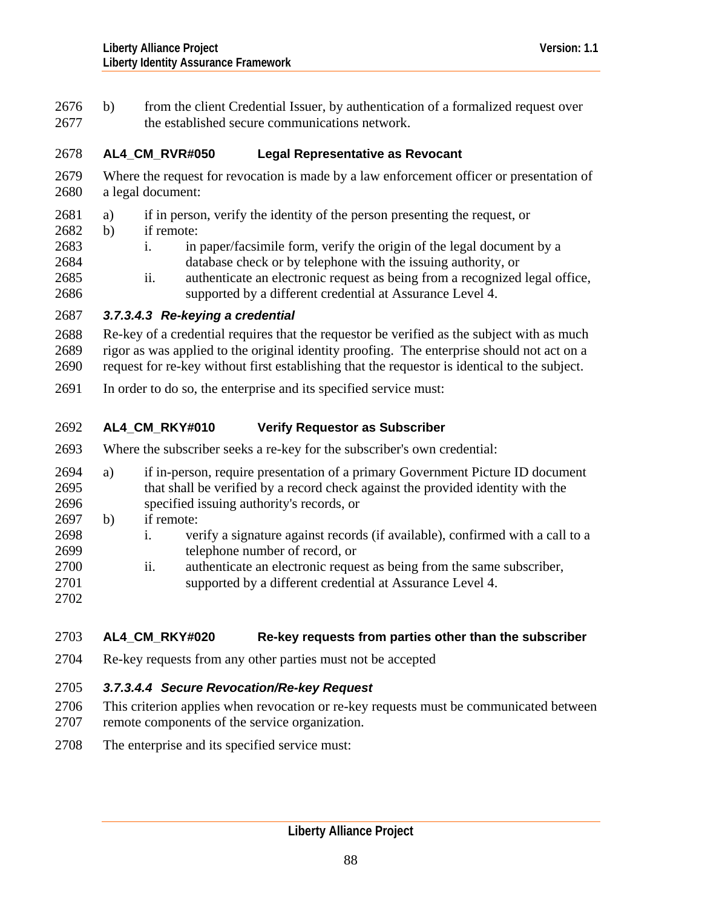<span id="page-87-0"></span>2676 b) from the client Credential Issuer, by authentication of a formalized request over 2677 the established secure communications network.

### 2678 **AL4\_CM\_RVR#050 Legal Representative as Revocant**

- 2679 2680 Where the request for revocation is made by a law enforcement officer or presentation of a legal document:
- 2681 a) if in person, verify the identity of the person presenting the request, or
- 2682 b) if remote:

2683 2684 i. in paper/facsimile form, verify the origin of the legal document by a database check or by telephone with the issuing authority, or

2685 2686 ii. authenticate an electronic request as being from a recognized legal office, supported by a different credential at Assurance Level 4.

# 2687 *3.7.3.4.3 Re-keying a credential*

2688 2689 2690 Re-key of a credential requires that the requestor be verified as the subject with as much rigor as was applied to the original identity proofing. The enterprise should not act on a request for re-key without first establishing that the requestor is identical to the subject.

2691 In order to do so, the enterprise and its specified service must:

### 2692 **AL4\_CM\_RKY#010 Verify Requestor as Subscriber**

- 2693 Where the subscriber seeks a re-key for the subscriber's own credential:
- 2695 2696 2698 2699 2694 a) if in-person, require presentation of a primary Government Picture ID document that shall be verified by a record check against the provided identity with the specified issuing authority's records, or 2697 b) if remote: i. verify a signature against records (if available), confirmed with a call to a telephone number of record, or
- 2700 2701 ii. authenticate an electronic request as being from the same subscriber,
- 2702

### 2703 **AL4\_CM\_RKY#020 Re-key requests from parties other than the subscriber**

supported by a different credential at Assurance Level 4.

2704 Re-key requests from any other parties must not be accepted

# 2705 *3.7.3.4.4 Secure Revocation/Re-key Request*

- 2706 This criterion applies when revocation or re-key requests must be communicated between
- 2707 remote components of the service organization.
- 2708 The enterprise and its specified service must: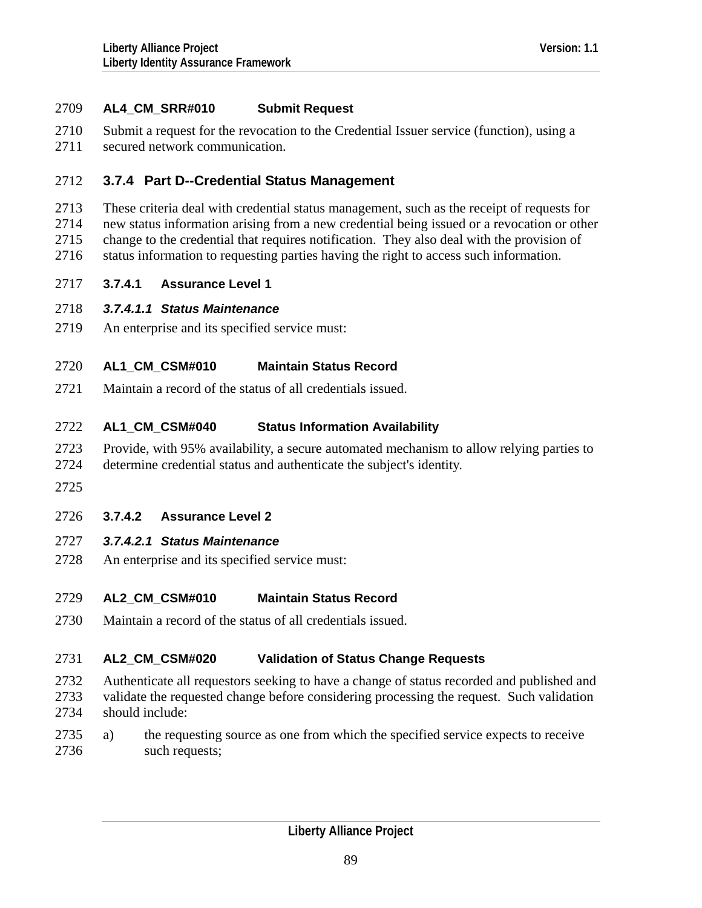# <span id="page-88-0"></span>2709 **AL4\_CM\_SRR#010 Submit Request**

- 2710 Submit a request for the revocation to the Credential Issuer service (function), using a
- 2711 secured network communication.

# 2712 **3.7.4 Part D--Credential Status Management**

- 2713 These criteria deal with credential status management, such as the receipt of requests for
- 2714 new status information arising from a new credential being issued or a revocation or other
- 2715 change to the credential that requires notification. They also deal with the provision of
- 2716 status information to requesting parties having the right to access such information.
- 2717 **3.7.4.1 Assurance Level 1**
- 2718 *3.7.4.1.1 Status Maintenance*
- 2719 An enterprise and its specified service must:

### 2720 **AL1\_CM\_CSM#010 Maintain Status Record**

2721 Maintain a record of the status of all credentials issued.

### 2722 **AL1\_CM\_CSM#040 Status Information Availability**

- 2723 Provide, with 95% availability, a secure automated mechanism to allow relying parties to
- 2724 determine credential status and authenticate the subject's identity.
- 2725

# 2726 **3.7.4.2 Assurance Level 2**

# 2727 *3.7.4.2.1 Status Maintenance*

2728 An enterprise and its specified service must:

### 2729 **AL2\_CM\_CSM#010 Maintain Status Record**

2730 Maintain a record of the status of all credentials issued.

### 2731 **AL2\_CM\_CSM#020 Validation of Status Change Requests**

- 2732 2733 2734 Authenticate all requestors seeking to have a change of status recorded and published and validate the requested change before considering processing the request. Such validation should include:
- 2736 2735 a) the requesting source as one from which the specified service expects to receive such requests;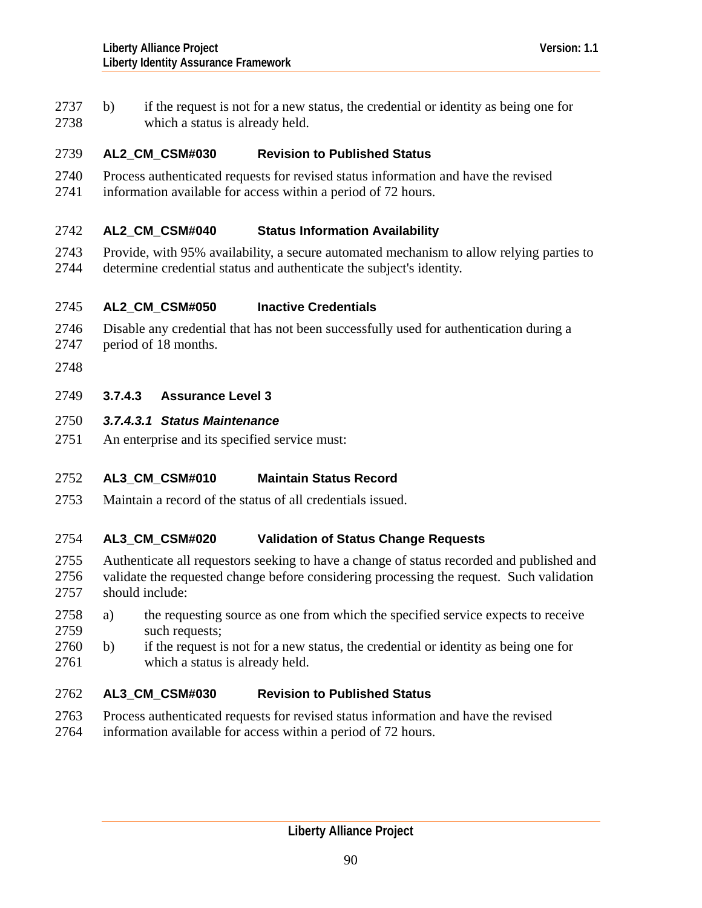<span id="page-89-0"></span>2737 b) if the request is not for a new status, the credential or identity as being one for 2738 which a status is already held.

### 2739 **AL2\_CM\_CSM#030 Revision to Published Status**

- 2740 Process authenticated requests for revised status information and have the revised
- 2741 information available for access within a period of 72 hours.

### 2742 **AL2\_CM\_CSM#040 Status Information Availability**

2743 2744 Provide, with 95% availability, a secure automated mechanism to allow relying parties to determine credential status and authenticate the subject's identity.

#### 2745 **AL2\_CM\_CSM#050 Inactive Credentials**

- 2746 Disable any credential that has not been successfully used for authentication during a period of 18 months.
- 2747
- 2748
- 2749 **3.7.4.3 Assurance Level 3**

### 2750 *3.7.4.3.1 Status Maintenance*

2751 An enterprise and its specified service must:

### 2752 **AL3\_CM\_CSM#010 Maintain Status Record**

2753 Maintain a record of the status of all credentials issued.

### 2754 **AL3\_CM\_CSM#020 Validation of Status Change Requests**

- 2755 2756 2757 Authenticate all requestors seeking to have a change of status recorded and published and validate the requested change before considering processing the request. Such validation should include:
- 2759 2758 a) the requesting source as one from which the specified service expects to receive such requests;
- 2761 2760 b) if the request is not for a new status, the credential or identity as being one for which a status is already held.

### 2762 **AL3\_CM\_CSM#030 Revision to Published Status**

- 2763 Process authenticated requests for revised status information and have the revised
- 2764 information available for access within a period of 72 hours.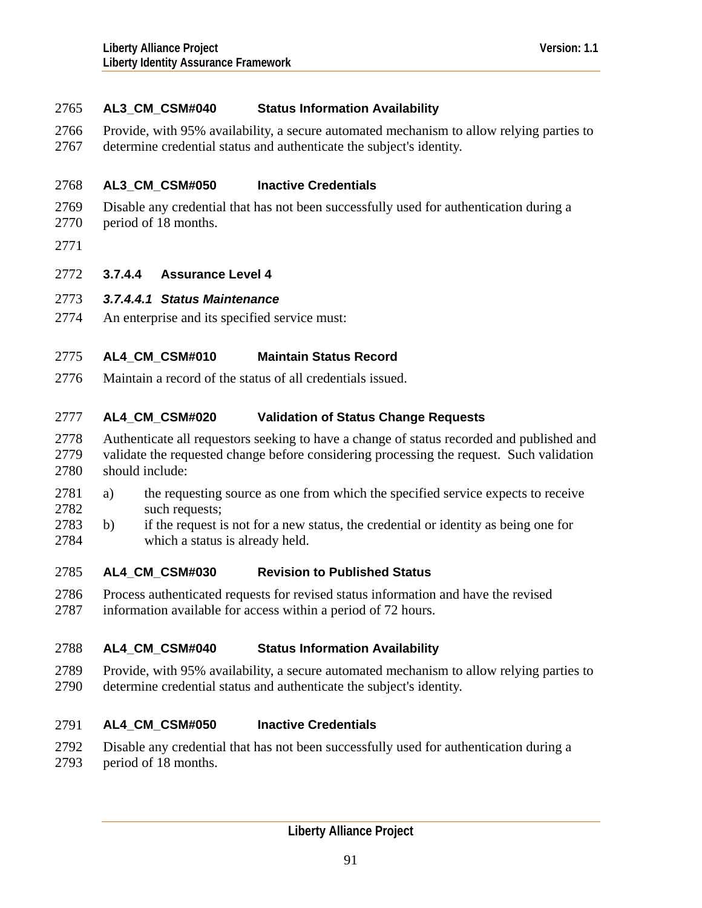<span id="page-90-0"></span>2766 2767 Provide, with 95% availability, a secure automated mechanism to allow relying parties to determine credential status and authenticate the subject's identity.

#### 2768 **AL3\_CM\_CSM#050 Inactive Credentials**

- 2769 Disable any credential that has not been successfully used for authentication during a
- 2770 period of 18 months.
- 2771

## 2772 **3.7.4.4 Assurance Level 4**

### 2773 *3.7.4.4.1 Status Maintenance*

2774 An enterprise and its specified service must:

### 2775 **AL4\_CM\_CSM#010 Maintain Status Record**

2776 Maintain a record of the status of all credentials issued.

### 2777 **AL4\_CM\_CSM#020 Validation of Status Change Requests**

- 2778 2779 2780 Authenticate all requestors seeking to have a change of status recorded and published and validate the requested change before considering processing the request. Such validation should include:
- 2782 2781 a) the requesting source as one from which the specified service expects to receive such requests;
- 2784 2783 b) if the request is not for a new status, the credential or identity as being one for which a status is already held.

### 2785 **AL4\_CM\_CSM#030 Revision to Published Status**

2786 2787 Process authenticated requests for revised status information and have the revised information available for access within a period of 72 hours.

### 2788 **AL4\_CM\_CSM#040 Status Information Availability**

2789 2790 Provide, with 95% availability, a secure automated mechanism to allow relying parties to determine credential status and authenticate the subject's identity.

### 2791 **AL4\_CM\_CSM#050 Inactive Credentials**

- 2792 Disable any credential that has not been successfully used for authentication during a
- 2793 period of 18 months.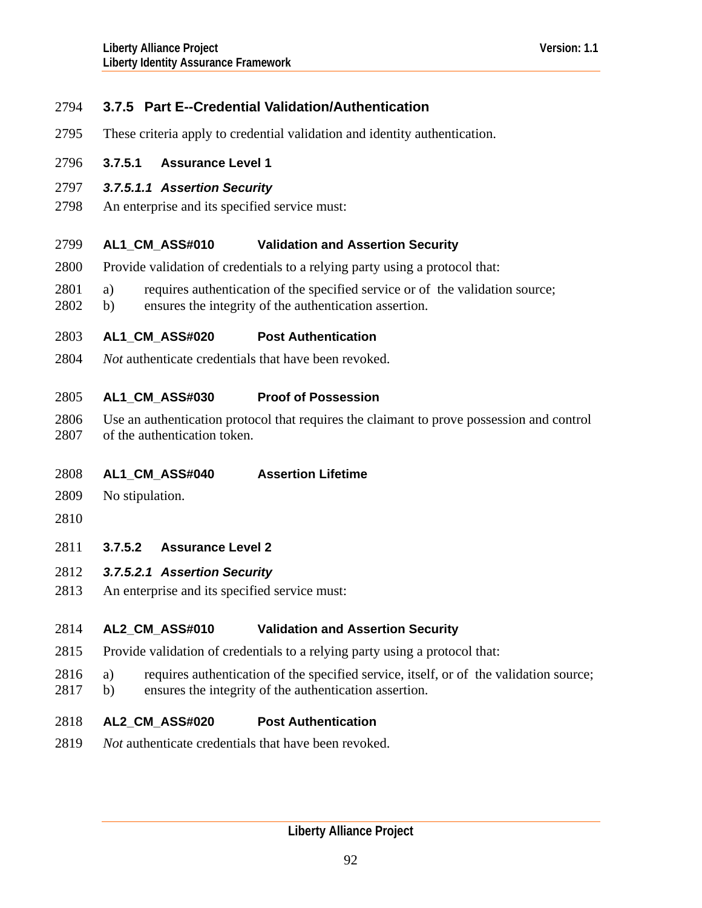# <span id="page-91-0"></span>2794 **3.7.5 Part E--Credential Validation/Authentication**

- 2795 These criteria apply to credential validation and identity authentication.
- 2796 **3.7.5.1 Assurance Level 1**
- 2797 *3.7.5.1.1 Assertion Security*
- 2798 An enterprise and its specified service must:

#### 2799 **AL1\_CM\_ASS#010 Validation and Assertion Security**

- 2800 Provide validation of credentials to a relying party using a protocol that:
- 2801 a) requires authentication of the specified service or of the validation source;
- 2802 b) ensures the integrity of the authentication assertion.
- 2803 **AL1\_CM\_ASS#020 Post Authentication**
- 2804 *Not* authenticate credentials that have been revoked.

### 2805 **AL1\_CM\_ASS#030 Proof of Possession**

2806 2807 Use an authentication protocol that requires the claimant to prove possession and control of the authentication token.

### 2808 **AL1\_CM\_ASS#040 Assertion Lifetime**

2809 No stipulation.

2810

2811 **3.7.5.2 Assurance Level 2** 

## 2812 *3.7.5.2.1 Assertion Security*

2813 An enterprise and its specified service must:

### 2814 **AL2\_CM\_ASS#010 Validation and Assertion Security**

- 2815 Provide validation of credentials to a relying party using a protocol that:
- 2816 a) requires authentication of the specified service, itself, or of the validation source;
- 2817 b) ensures the integrity of the authentication assertion.

### 2818 **AL2\_CM\_ASS#020 Post Authentication**

2819 *Not* authenticate credentials that have been revoked.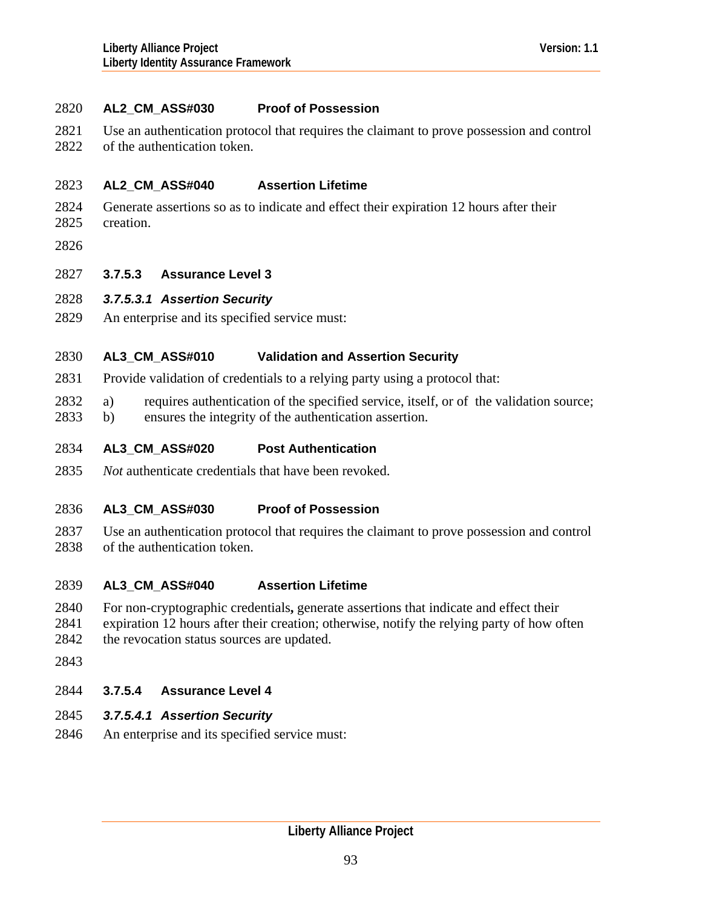## <span id="page-92-0"></span>2820 **AL2\_CM\_ASS#030 Proof of Possession**

- 2821 Use an authentication protocol that requires the claimant to prove possession and control
- 2822 of the authentication token.

### 2823 **AL2\_CM\_ASS#040 Assertion Lifetime**

- 2824 Generate assertions so as to indicate and effect their expiration 12 hours after their
- 2825 creation.
- 2826

## 2827 **3.7.5.3 Assurance Level 3**

# 2828 *3.7.5.3.1 Assertion Security*

2829 An enterprise and its specified service must:

### 2830 **AL3\_CM\_ASS#010 Validation and Assertion Security**

- 2831 Provide validation of credentials to a relying party using a protocol that:
- 2832 a) requires authentication of the specified service, itself, or of the validation source;
- 2833 b) ensures the integrity of the authentication assertion.

### 2834 **AL3\_CM\_ASS#020 Post Authentication**

2835 *Not* authenticate credentials that have been revoked.

### 2836 **AL3\_CM\_ASS#030 Proof of Possession**

2837 2838 Use an authentication protocol that requires the claimant to prove possession and control of the authentication token.

### 2839 **AL3\_CM\_ASS#040 Assertion Lifetime**

- 2840 For non-cryptographic credentials**,** generate assertions that indicate and effect their
- 2841 2842 expiration 12 hours after their creation; otherwise, notify the relying party of how often the revocation status sources are updated.
- 2843

# 2844 **3.7.5.4 Assurance Level 4**

# 2845 *3.7.5.4.1 Assertion Security*

2846 An enterprise and its specified service must: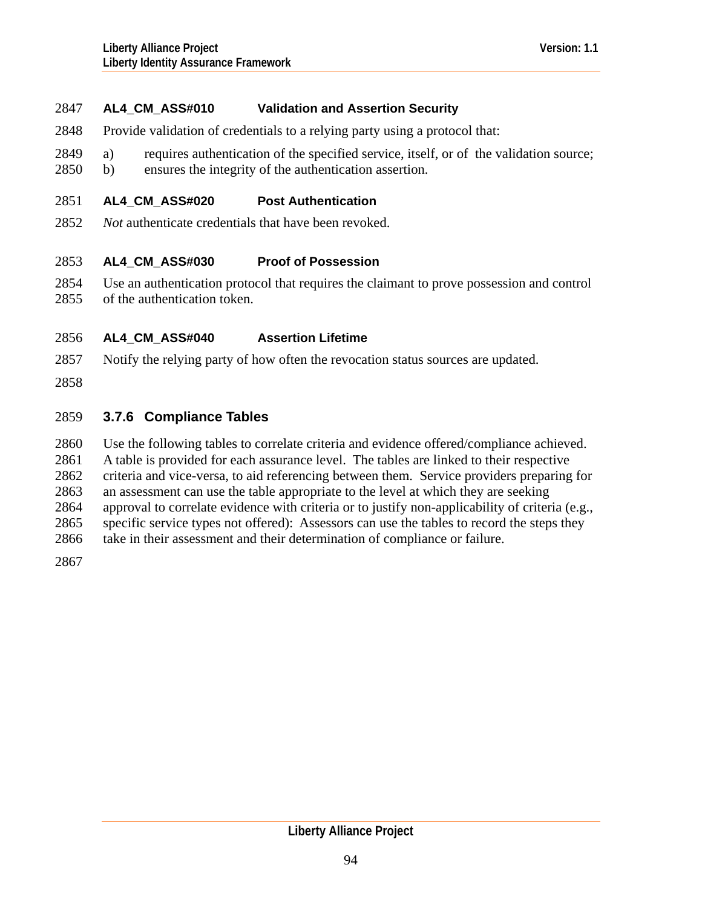### 2847 **AL4\_CM\_ASS#010 Validation and Assertion Security**

- 2848 Provide validation of credentials to a relying party using a protocol that:
- 2849 a) requires authentication of the specified service, itself, or of the validation source;
- 2850 b) ensures the integrity of the authentication assertion.

#### 2851 **AL4\_CM\_ASS#020 Post Authentication**

2852 *Not* authenticate credentials that have been revoked.

#### 2853 **AL4\_CM\_ASS#030 Proof of Possession**

2854 2855 Use an authentication protocol that requires the claimant to prove possession and control of the authentication token.

### 2856 **AL4\_CM\_ASS#040 Assertion Lifetime**

- 2857 Notify the relying party of how often the revocation status sources are updated.
- 2858

## 2859 **3.7.6 Compliance Tables**

2860 Use the following tables to correlate criteria and evidence offered/compliance achieved.

2861 A table is provided for each assurance level. The tables are linked to their respective

2862 criteria and vice-versa, to aid referencing between them. Service providers preparing for

2863 an assessment can use the table appropriate to the level at which they are seeking

2864 approval to correlate evidence with criteria or to justify non-applicability of criteria (e.g.,

2865 specific service types not offered): Assessors can use the tables to record the steps they

2866 take in their assessment and their determination of compliance or failure.

2867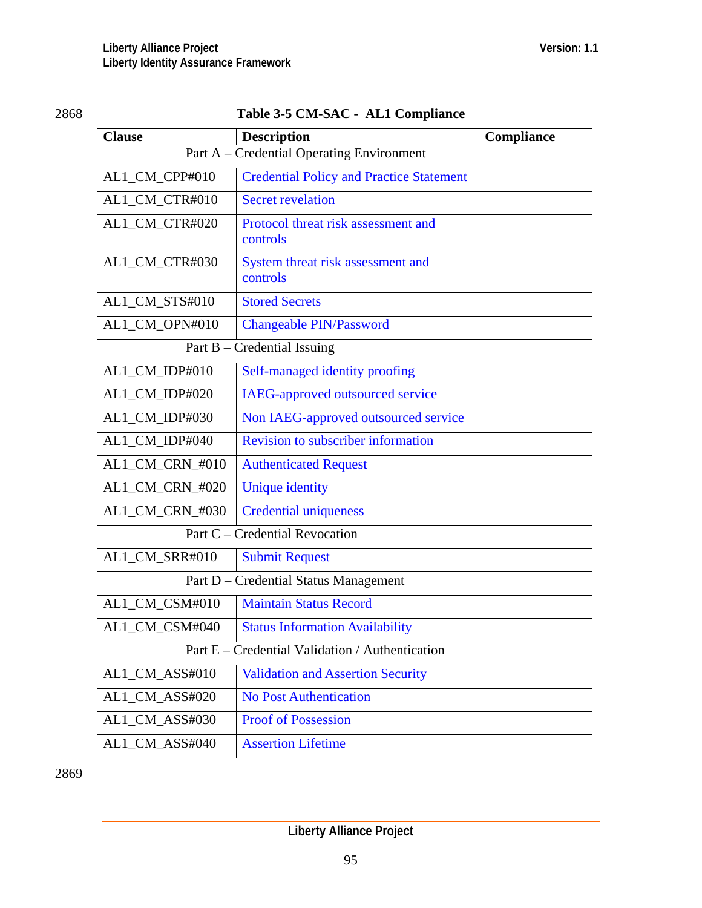# 2868 **Table 3-5 CM-SAC - AL1 Compliance**

| <b>Clause</b>                                   | <b>Description</b>                              | Compliance |
|-------------------------------------------------|-------------------------------------------------|------------|
| Part A – Credential Operating Environment       |                                                 |            |
| AL1_CM_CPP#010                                  | <b>Credential Policy and Practice Statement</b> |            |
| AL1_CM_CTR#010                                  | <b>Secret revelation</b>                        |            |
| AL1_CM_CTR#020                                  | Protocol threat risk assessment and             |            |
|                                                 | controls                                        |            |
| AL1_CM_CTR#030                                  | System threat risk assessment and<br>controls   |            |
| AL1_CM_STS#010                                  | <b>Stored Secrets</b>                           |            |
| AL1_CM_OPN#010                                  | <b>Changeable PIN/Password</b>                  |            |
| Part $B$ – Credential Issuing                   |                                                 |            |
| AL1_CM_IDP#010                                  | Self-managed identity proofing                  |            |
| AL1_CM_IDP#020                                  | IAEG-approved outsourced service                |            |
| AL1_CM_IDP#030                                  | Non IAEG-approved outsourced service            |            |
| AL1_CM_IDP#040                                  | <b>Revision to subscriber information</b>       |            |
| AL1_CM_CRN_#010                                 | <b>Authenticated Request</b>                    |            |
| AL1_CM_CRN_#020                                 | <b>Unique identity</b>                          |            |
| AL1_CM_CRN_#030                                 | <b>Credential uniqueness</b>                    |            |
| Part C - Credential Revocation                  |                                                 |            |
| AL1_CM_SRR#010                                  | <b>Submit Request</b>                           |            |
| Part D - Credential Status Management           |                                                 |            |
| AL1_CM_CSM#010                                  | <b>Maintain Status Record</b>                   |            |
| AL1_CM_CSM#040                                  | <b>Status Information Availability</b>          |            |
| Part E - Credential Validation / Authentication |                                                 |            |
| AL1_CM_ASS#010                                  | <b>Validation and Assertion Security</b>        |            |
| AL1_CM_ASS#020                                  | <b>No Post Authentication</b>                   |            |
| AL1_CM_ASS#030                                  | <b>Proof of Possession</b>                      |            |
| AL1_CM_ASS#040                                  | <b>Assertion Lifetime</b>                       |            |

2869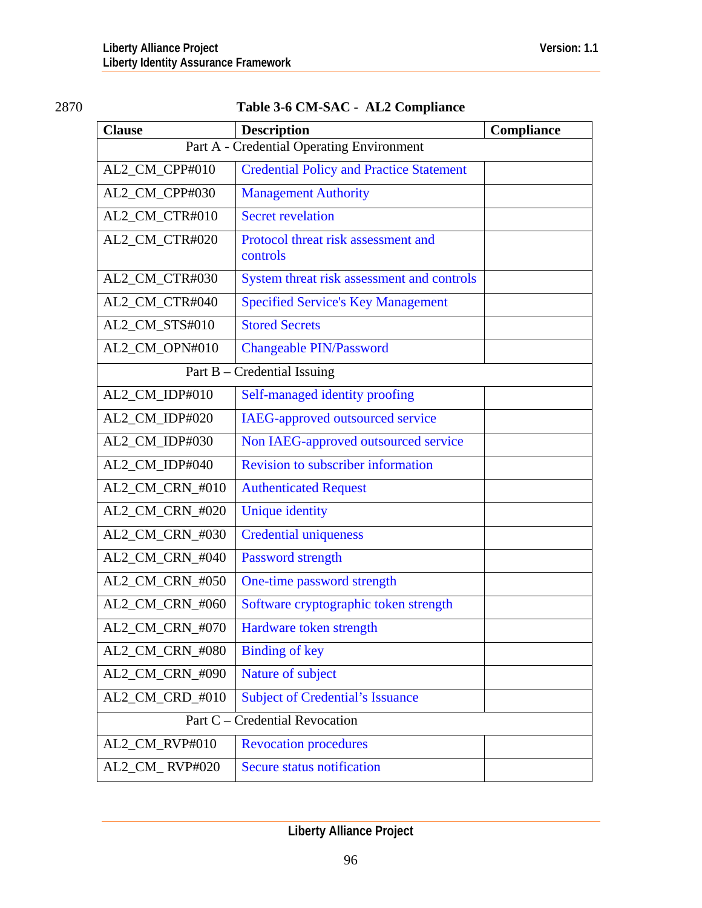| ۹ | I |
|---|---|
|   |   |

# Table 3-6 CM-SAC - AL2 Compliance

| <b>Clause</b>                             | <b>Description</b>                              | Compliance |
|-------------------------------------------|-------------------------------------------------|------------|
| Part A - Credential Operating Environment |                                                 |            |
| AL2_CM_CPP#010                            | <b>Credential Policy and Practice Statement</b> |            |
| AL2_CM_CPP#030                            | <b>Management Authority</b>                     |            |
| AL2_CM_CTR#010                            | <b>Secret revelation</b>                        |            |
| AL2_CM_CTR#020                            | Protocol threat risk assessment and<br>controls |            |
| AL2_CM_CTR#030                            | System threat risk assessment and controls      |            |
| AL2_CM_CTR#040                            | <b>Specified Service's Key Management</b>       |            |
| AL2_CM_STS#010                            | <b>Stored Secrets</b>                           |            |
| AL2_CM_OPN#010                            | <b>Changeable PIN/Password</b>                  |            |
|                                           | Part $B - C$ redential Issuing                  |            |
| AL2_CM_IDP#010                            | Self-managed identity proofing                  |            |
| AL2_CM_IDP#020                            | IAEG-approved outsourced service                |            |
| AL2_CM_IDP#030                            | Non IAEG-approved outsourced service            |            |
| AL2_CM_IDP#040                            | <b>Revision to subscriber information</b>       |            |
| AL2_CM_CRN_#010                           | <b>Authenticated Request</b>                    |            |
| AL2_CM_CRN_#020                           | <b>Unique identity</b>                          |            |
| AL2_CM_CRN_#030                           | <b>Credential uniqueness</b>                    |            |
| AL2_CM_CRN_#040                           | Password strength                               |            |
| AL2_CM_CRN_#050                           | One-time password strength                      |            |
| AL2_CM_CRN_#060                           | Software cryptographic token strength           |            |
| AL2_CM_CRN_#070                           | Hardware token strength                         |            |
| AL2_CM_CRN_#080                           | <b>Binding of key</b>                           |            |
| AL2_CM_CRN_#090                           | Nature of subject                               |            |
| AL2_CM_CRD_#010                           | <b>Subject of Credential's Issuance</b>         |            |
| Part C - Credential Revocation            |                                                 |            |
| AL2_CM_RVP#010                            | <b>Revocation procedures</b>                    |            |
| AL2_CM_RVP#020                            | Secure status notification                      |            |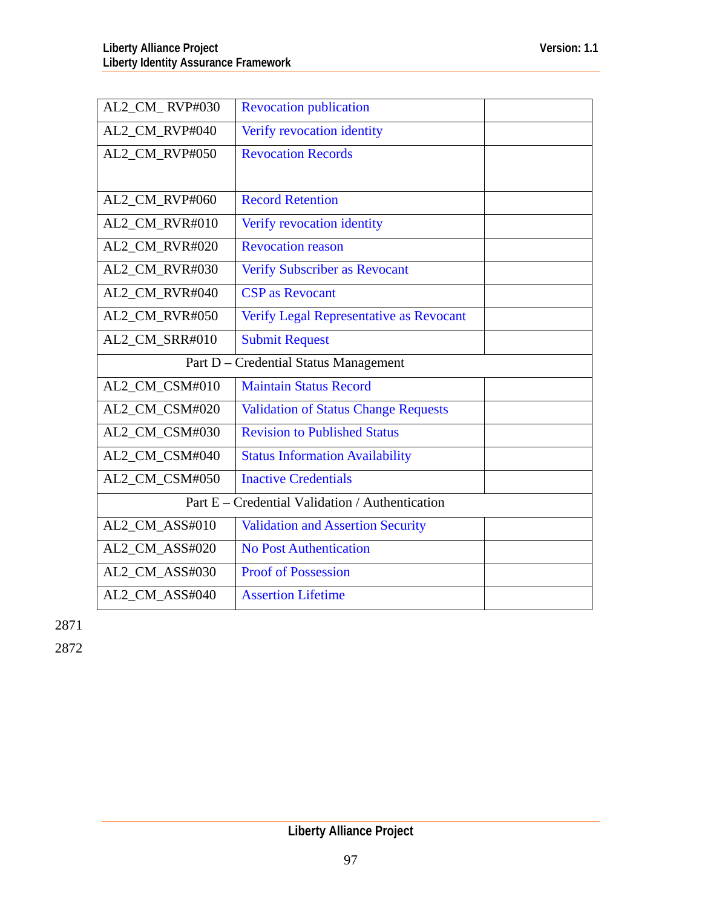| AL2_CM_RVP#030                        | <b>Revocation publication</b>                   |  |
|---------------------------------------|-------------------------------------------------|--|
| AL2_CM_RVP#040                        | Verify revocation identity                      |  |
| AL2_CM_RVP#050                        | <b>Revocation Records</b>                       |  |
|                                       |                                                 |  |
| AL2_CM_RVP#060                        | <b>Record Retention</b>                         |  |
| AL2_CM_RVR#010                        | Verify revocation identity                      |  |
| AL2 CM RVR#020                        | <b>Revocation reason</b>                        |  |
| AL2_CM_RVR#030                        | <b>Verify Subscriber as Revocant</b>            |  |
| AL2_CM_RVR#040                        | <b>CSP</b> as Revocant                          |  |
| AL2 CM RVR#050                        | Verify Legal Representative as Revocant         |  |
| AL2_CM_SRR#010                        | <b>Submit Request</b>                           |  |
| Part D - Credential Status Management |                                                 |  |
| AL2 CM CSM#010                        | <b>Maintain Status Record</b>                   |  |
| AL2_CM_CSM#020                        | <b>Validation of Status Change Requests</b>     |  |
|                                       |                                                 |  |
| AL2_CM_CSM#030                        | <b>Revision to Published Status</b>             |  |
| AL2_CM_CSM#040                        | <b>Status Information Availability</b>          |  |
| AL2_CM_CSM#050                        | <b>Inactive Credentials</b>                     |  |
|                                       | Part E – Credential Validation / Authentication |  |
| AL2_CM_ASS#010                        | <b>Validation and Assertion Security</b>        |  |
| AL2_CM_ASS#020                        | <b>No Post Authentication</b>                   |  |
| AL2_CM_ASS#030                        | <b>Proof of Possession</b>                      |  |

2871

2872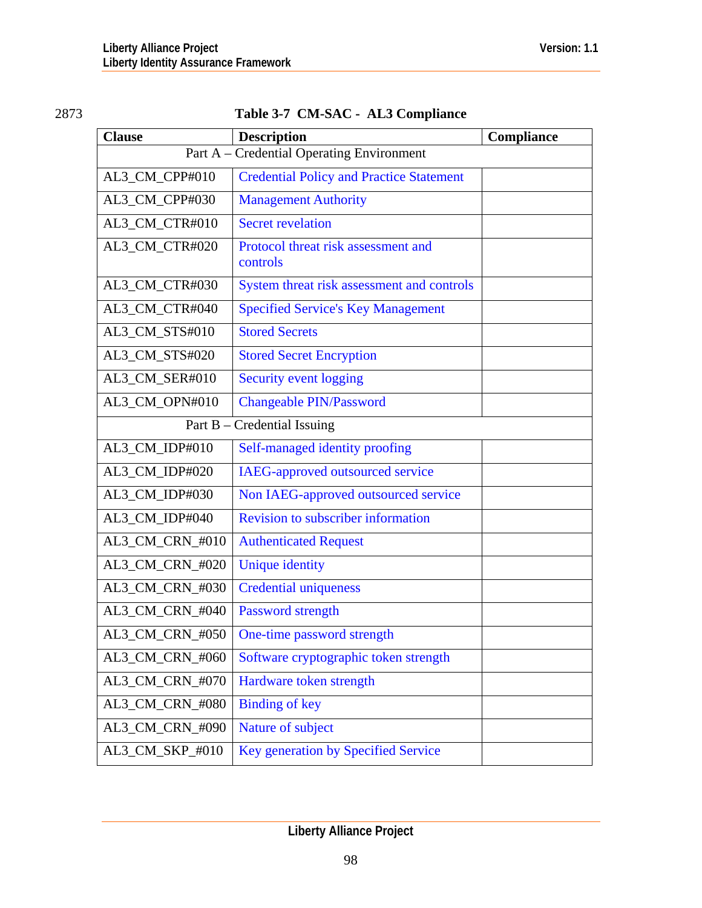# 2873 **Table 3-7 CM-SAC - AL3 Compliance**

| <b>Clause</b>                             | <b>Description</b>                              | Compliance |
|-------------------------------------------|-------------------------------------------------|------------|
| Part A – Credential Operating Environment |                                                 |            |
| AL3_CM_CPP#010                            | <b>Credential Policy and Practice Statement</b> |            |
| AL3_CM_CPP#030                            | <b>Management Authority</b>                     |            |
| AL3_CM_CTR#010                            | <b>Secret revelation</b>                        |            |
| AL3_CM_CTR#020                            | Protocol threat risk assessment and<br>controls |            |
| AL3_CM_CTR#030                            | System threat risk assessment and controls      |            |
| AL3_CM_CTR#040                            | <b>Specified Service's Key Management</b>       |            |
| AL3_CM_STS#010                            | <b>Stored Secrets</b>                           |            |
| AL3_CM_STS#020                            | <b>Stored Secret Encryption</b>                 |            |
| AL3_CM_SER#010                            | Security event logging                          |            |
| AL3_CM_OPN#010                            | Changeable PIN/Password                         |            |
| Part B - Credential Issuing               |                                                 |            |
| AL3_CM_IDP#010                            | Self-managed identity proofing                  |            |
| AL3_CM_IDP#020                            | IAEG-approved outsourced service                |            |
| AL3_CM_IDP#030                            | Non IAEG-approved outsourced service            |            |
| AL3_CM_IDP#040                            | <b>Revision to subscriber information</b>       |            |
| AL3_CM_CRN_#010                           | <b>Authenticated Request</b>                    |            |
| AL3_CM_CRN_#020                           | <b>Unique identity</b>                          |            |
| AL3_CM_CRN_#030                           | <b>Credential uniqueness</b>                    |            |
| AL3_CM_CRN_#040                           | <b>Password strength</b>                        |            |
| AL3 CM CRN #050                           | One-time password strength                      |            |
| AL3_CM_CRN_#060                           | Software cryptographic token strength           |            |
| AL3_CM_CRN_#070                           | Hardware token strength                         |            |
| AL3_CM_CRN_#080                           | <b>Binding of key</b>                           |            |
| AL3_CM_CRN_#090                           | Nature of subject                               |            |
| AL3_CM_SKP_#010                           | Key generation by Specified Service             |            |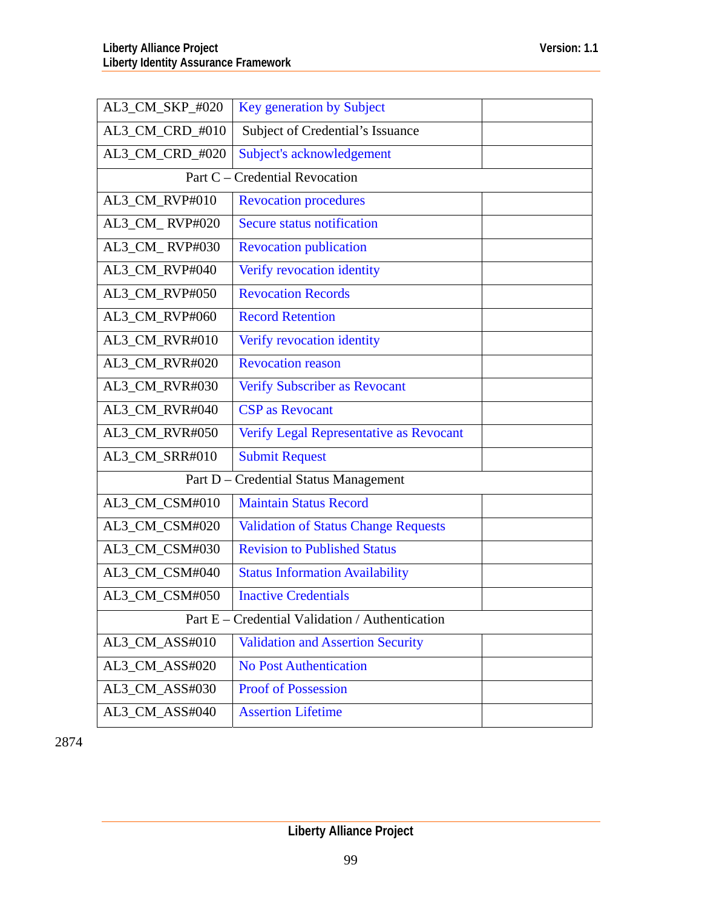| AL3_CM_SKP_#020                                 | Key generation by Subject                   |  |
|-------------------------------------------------|---------------------------------------------|--|
| AL3_CM_CRD_#010                                 | Subject of Credential's Issuance            |  |
| AL3_CM_CRD_#020                                 | Subject's acknowledgement                   |  |
| Part C – Credential Revocation                  |                                             |  |
| AL3_CM_RVP#010                                  | <b>Revocation procedures</b>                |  |
| AL3_CM_RVP#020                                  | Secure status notification                  |  |
| AL3_CM_RVP#030                                  | <b>Revocation publication</b>               |  |
| AL3_CM_RVP#040                                  | Verify revocation identity                  |  |
| AL3_CM_RVP#050                                  | <b>Revocation Records</b>                   |  |
| AL3_CM_RVP#060                                  | <b>Record Retention</b>                     |  |
| AL3_CM_RVR#010                                  | Verify revocation identity                  |  |
| AL3_CM_RVR#020                                  | <b>Revocation reason</b>                    |  |
| AL3_CM_RVR#030                                  | <b>Verify Subscriber as Revocant</b>        |  |
| AL3_CM_RVR#040                                  | <b>CSP</b> as Revocant                      |  |
| AL3_CM_RVR#050                                  | Verify Legal Representative as Revocant     |  |
| AL3_CM_SRR#010                                  | <b>Submit Request</b>                       |  |
| Part $D -$                                      | <b>Credential Status Management</b>         |  |
| AL3_CM_CSM#010                                  | <b>Maintain Status Record</b>               |  |
| AL3_CM_CSM#020                                  | <b>Validation of Status Change Requests</b> |  |
| AL3_CM_CSM#030                                  | <b>Revision to Published Status</b>         |  |
| AL3_CM_CSM#040                                  | <b>Status Information Availability</b>      |  |
| AL3_CM_CSM#050                                  | <b>Inactive Credentials</b>                 |  |
| Part E – Credential Validation / Authentication |                                             |  |
| AL3_CM_ASS#010                                  | <b>Validation and Assertion Security</b>    |  |
| AL3_CM_ASS#020                                  | <b>No Post Authentication</b>               |  |
| AL3_CM_ASS#030                                  | <b>Proof of Possession</b>                  |  |
| AL3 CM ASS#040                                  | <b>Assertion Lifetime</b>                   |  |

2874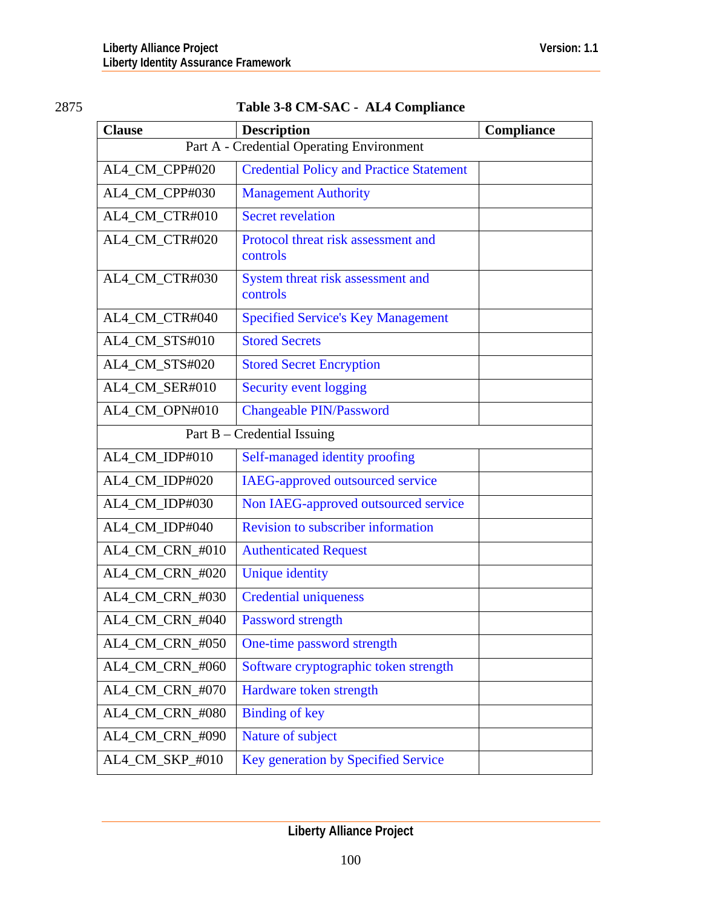# Table 3-8 CM-SAC - AL4 Compliance

| <b>Clause</b>                             | <b>Description</b>                              | Compliance |  |
|-------------------------------------------|-------------------------------------------------|------------|--|
| Part A - Credential Operating Environment |                                                 |            |  |
| AL4_CM_CPP#020                            | <b>Credential Policy and Practice Statement</b> |            |  |
| AL4_CM_CPP#030                            | <b>Management Authority</b>                     |            |  |
| AL4_CM_CTR#010                            | <b>Secret revelation</b>                        |            |  |
| AL4_CM_CTR#020                            | Protocol threat risk assessment and<br>controls |            |  |
| AL4_CM_CTR#030                            | System threat risk assessment and<br>controls   |            |  |
| AL4_CM_CTR#040                            | <b>Specified Service's Key Management</b>       |            |  |
| AL4_CM_STS#010                            | <b>Stored Secrets</b>                           |            |  |
| AL4_CM_STS#020                            | <b>Stored Secret Encryption</b>                 |            |  |
| AL4_CM_SER#010                            | Security event logging                          |            |  |
| AL4_CM_OPN#010                            | <b>Changeable PIN/Password</b>                  |            |  |
|                                           | Part $B$ – Credential Issuing                   |            |  |
| AL4_CM_IDP#010                            | Self-managed identity proofing                  |            |  |
| AL4_CM_IDP#020                            | IAEG-approved outsourced service                |            |  |
| AL4_CM_IDP#030                            | Non IAEG-approved outsourced service            |            |  |
| AL4_CM_IDP#040                            | <b>Revision to subscriber information</b>       |            |  |
| AL4_CM_CRN_#010                           | <b>Authenticated Request</b>                    |            |  |
| AL4_CM_CRN_#020                           | <b>Unique identity</b>                          |            |  |
| AL4_CM_CRN_#030                           | <b>Credential uniqueness</b>                    |            |  |
| AL4_CM_CRN_#040                           | Password strength                               |            |  |
| AL4_CM_CRN_#050                           | One-time password strength                      |            |  |
| AL4_CM_CRN_#060                           | Software cryptographic token strength           |            |  |
| AL4 CM CRN #070                           | Hardware token strength                         |            |  |
| AL4_CM_CRN_#080                           | <b>Binding of key</b>                           |            |  |
| AL4_CM_CRN_#090                           | Nature of subject                               |            |  |
| AL4_CM_SKP_#010                           | Key generation by Specified Service             |            |  |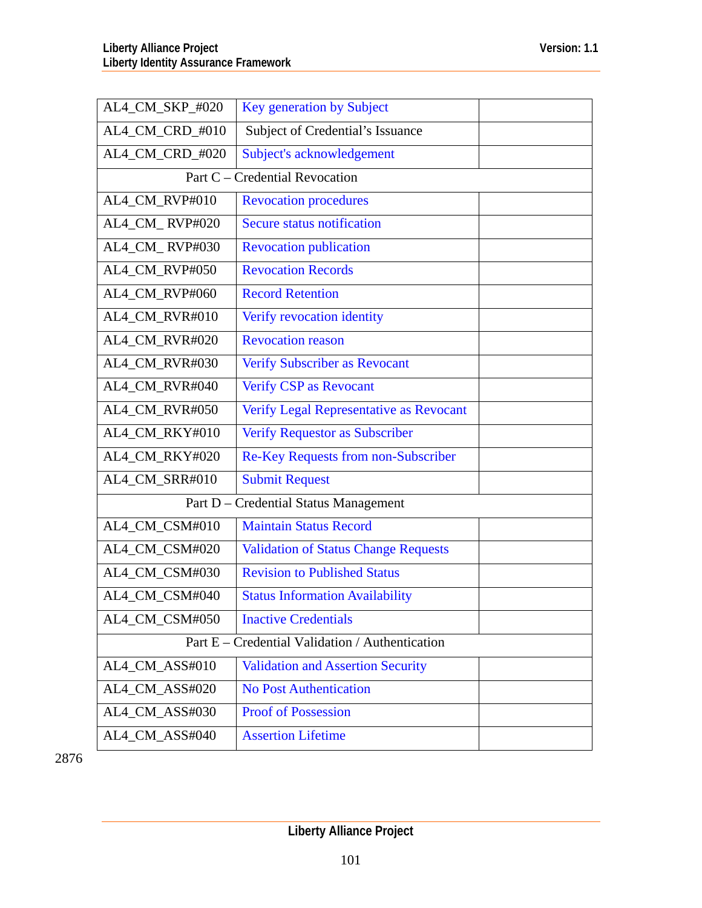| AL4_CM_SKP_#020                                 | Key generation by Subject                   |  |
|-------------------------------------------------|---------------------------------------------|--|
| AL4_CM_CRD_#010                                 | Subject of Credential's Issuance            |  |
| AL4_CM_CRD_#020                                 | Subject's acknowledgement                   |  |
| Part C - Credential Revocation                  |                                             |  |
| AL4_CM_RVP#010                                  | <b>Revocation procedures</b>                |  |
| AL4_CM_RVP#020                                  | <b>Secure status notification</b>           |  |
| AL4_CM_RVP#030                                  | <b>Revocation publication</b>               |  |
| AL4_CM_RVP#050                                  | <b>Revocation Records</b>                   |  |
| AL4_CM_RVP#060                                  | <b>Record Retention</b>                     |  |
| AL4_CM_RVR#010                                  | Verify revocation identity                  |  |
| AL4_CM_RVR#020                                  | <b>Revocation reason</b>                    |  |
| AL4_CM_RVR#030                                  | <b>Verify Subscriber as Revocant</b>        |  |
| AL4_CM_RVR#040                                  | Verify CSP as Revocant                      |  |
| AL4_CM_RVR#050                                  | Verify Legal Representative as Revocant     |  |
| AL4_CM_RKY#010                                  | <b>Verify Requestor as Subscriber</b>       |  |
| AL4_CM_RKY#020                                  | Re-Key Requests from non-Subscriber         |  |
| AL4_CM_SRR#010                                  | <b>Submit Request</b>                       |  |
|                                                 | Part D - Credential Status Management       |  |
| AL4_CM_CSM#010                                  | <b>Maintain Status Record</b>               |  |
| AL4_CM_CSM#020                                  | <b>Validation of Status Change Requests</b> |  |
| AL4_CM_CSM#030                                  | <b>Revision to Published Status</b>         |  |
| AL4_CM_CSM#040                                  | <b>Status Information Availability</b>      |  |
| AL4_CM_CSM#050                                  | <b>Inactive Credentials</b>                 |  |
| Part E – Credential Validation / Authentication |                                             |  |
| AL4_CM_ASS#010                                  | <b>Validation and Assertion Security</b>    |  |
| AL4_CM_ASS#020                                  | <b>No Post Authentication</b>               |  |
| AL4_CM_ASS#030                                  | <b>Proof of Possession</b>                  |  |
| AL4_CM_ASS#040                                  | <b>Assertion Lifetime</b>                   |  |

2876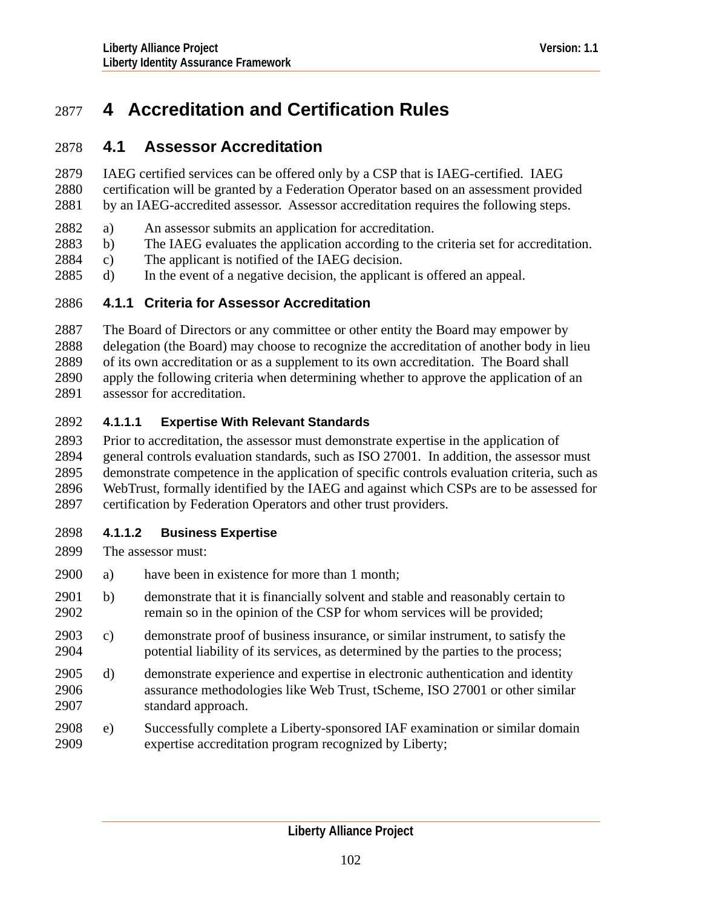# 2877 **4 Accreditation and Certification Rules**

# 2878 **4.1 Assessor Accreditation**

- IAEG certified services can be offered only by a CSP that is IAEG-certified. IAEG certification will be granted by a Federation Operator based on an assessment provided by an IAEG-accredited assessor. Assessor accreditation requires the following steps. 2879 2880 2881
- 2882 a) An assessor submits an application for accreditation.
- 2883 b) The IAEG evaluates the application according to the criteria set for accreditation.
- 2884 c) The applicant is notified of the IAEG decision.
- 2885 d) In the event of a negative decision, the applicant is offered an appeal.

# 2886 **4.1.1 Criteria for Assessor Accreditation**

2887 2888 2889 2890 2891 The Board of Directors or any committee or other entity the Board may empower by delegation (the Board) may choose to recognize the accreditation of another body in lieu of its own accreditation or as a supplement to its own accreditation. The Board shall apply the following criteria when determining whether to approve the application of an assessor for accreditation.

# <span id="page-101-0"></span>2892 **4.1.1.1 Expertise With Relevant Standards**

2893 2894 2895 2896 2897 Prior to accreditation, the assessor must demonstrate expertise in the application of general controls evaluation standards, such as ISO 27001. In addition, the assessor must demonstrate competence in the application of specific controls evaluation criteria, such as WebTrust, formally identified by the IAEG and against which CSPs are to be assessed for certification by Federation Operators and other trust providers.

# <span id="page-101-1"></span>2898 **4.1.1.2 Business Expertise**

- 2899 The assessor must:
- 2900 a) have been in existence for more than 1 month;
- 2902 2901 b) demonstrate that it is financially solvent and stable and reasonably certain to remain so in the opinion of the CSP for whom services will be provided;
- 2904 2903 c) demonstrate proof of business insurance, or similar instrument, to satisfy the potential liability of its services, as determined by the parties to the process;
- 2906 2907 2905 d) demonstrate experience and expertise in electronic authentication and identity assurance methodologies like Web Trust, tScheme, ISO 27001 or other similar standard approach.
- 2909 2908 e) Successfully complete a Liberty-sponsored IAF examination or similar domain expertise accreditation program recognized by Liberty;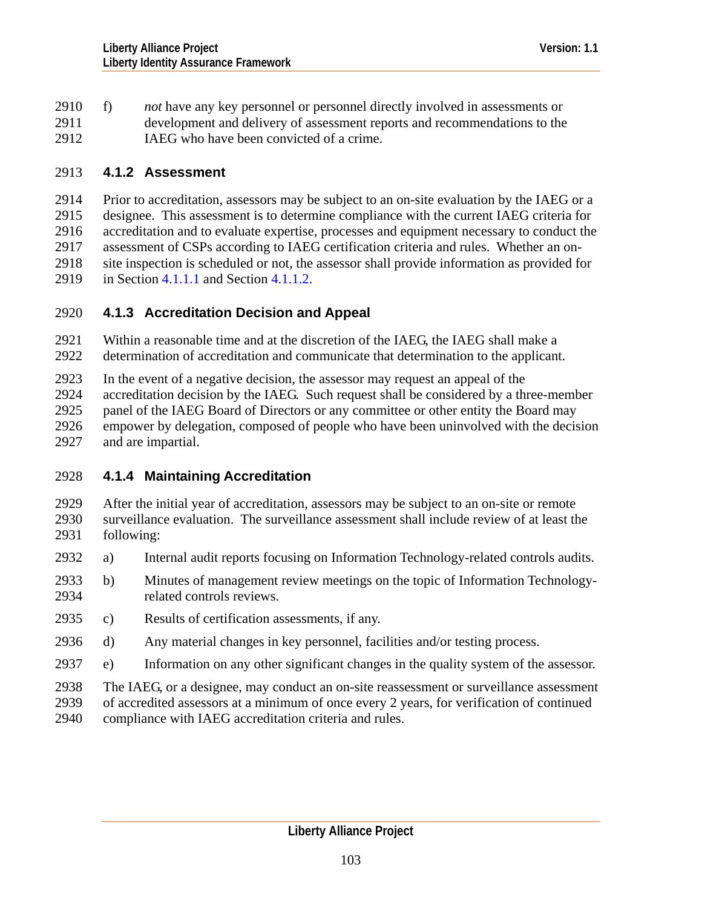2910 f) *not* have any key personnel or personnel directly involved in assessments or development and delivery of assessment reports and recommendations to the IAEG who have been convicted of a crime. 2911 2912

# 2913 **4.1.2 Assessment**

2914 2915 2916 2917 2918 2919 Prior to accreditation, assessors may be subject to an on-site evaluation by the IAEG or a designee. This assessment is to determine compliance with the current IAEG criteria for accreditation and to evaluate expertise, processes and equipment necessary to conduct the assessment of CSPs according to IAEG certification criteria and rules. Whether an onsite inspection is scheduled or not, the assessor shall provide information as provided for in Section [4.1.1.1](#page-101-0) and Section [4.1.1.2.](#page-101-1)

- 2920 **4.1.3 Accreditation Decision and Appeal**
- 2921 2922 Within a reasonable time and at the discretion of the IAEG, the IAEG shall make a determination of accreditation and communicate that determination to the applicant.
- 2923 In the event of a negative decision, the assessor may request an appeal of the
- 2924 2925 2926 accreditation decision by the IAEG. Such request shall be considered by a three-member panel of the IAEG Board of Directors or any committee or other entity the Board may empower by delegation, composed of people who have been uninvolved with the decision
- 2927 and are impartial.

# 2928 **4.1.4 Maintaining Accreditation**

- 2929 2930 2931 After the initial year of accreditation, assessors may be subject to an on-site or remote surveillance evaluation. The surveillance assessment shall include review of at least the following:
- 2932 a) Internal audit reports focusing on Information Technology-related controls audits.
- 2934 2933 b) Minutes of management review meetings on the topic of Information Technologyrelated controls reviews.
- 2935 c) Results of certification assessments, if any.
- 2936 d) Any material changes in key personnel, facilities and/or testing process.
- 2937 e) Information on any other significant changes in the quality system of the assessor.
- 2938 The IAEG, or a designee, may conduct an on-site reassessment or surveillance assessment
- 2939 of accredited assessors at a minimum of once every 2 years, for verification of continued
- 2940 compliance with IAEG accreditation criteria and rules.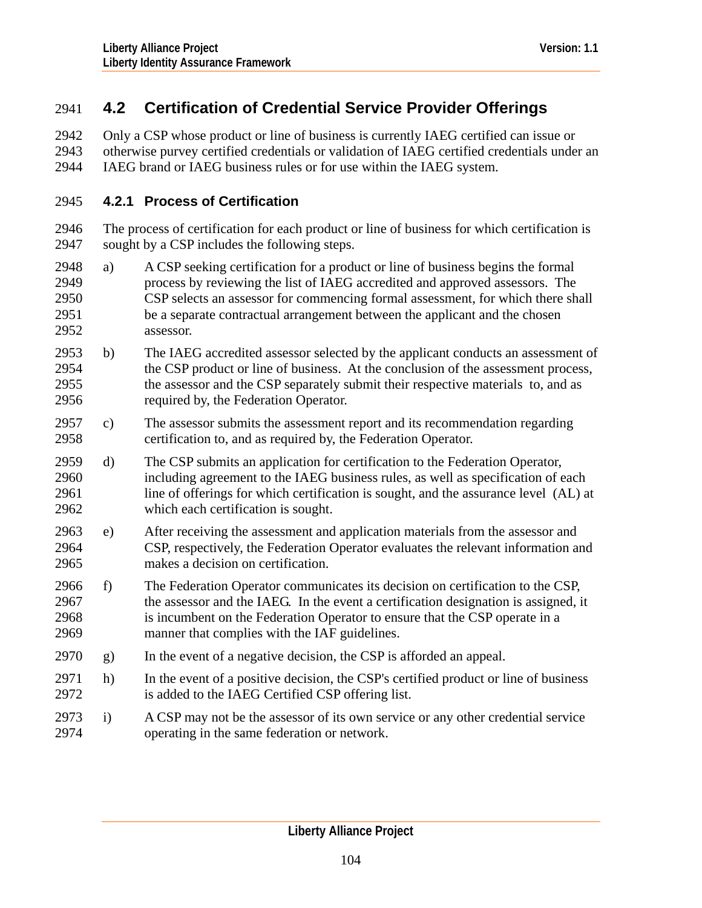# 2941 **4.2 Certification of Credential Service Provider Offerings**

Only a CSP whose product or line of business is currently IAEG certified can issue or otherwise purvey certified credentials or validation of IAEG certified credentials under an IAEG brand or IAEG business rules or for use within the IAEG system. 2942 2943 2944

# 2945 **4.2.1 Process of Certification**

2946 2947 The process of certification for each product or line of business for which certification is sought by a CSP includes the following steps.

- 2949 2950 2951 2952 2948 a) A CSP seeking certification for a product or line of business begins the formal process by reviewing the list of IAEG accredited and approved assessors. The CSP selects an assessor for commencing formal assessment, for which there shall be a separate contractual arrangement between the applicant and the chosen assessor.
- 2954 2955 2956 2953 b) The IAEG accredited assessor selected by the applicant conducts an assessment of the CSP product or line of business. At the conclusion of the assessment process, the assessor and the CSP separately submit their respective materials to, and as required by, the Federation Operator.
- 2958 2957 c) The assessor submits the assessment report and its recommendation regarding certification to, and as required by, the Federation Operator.
- 2960 2961 2962 2959 d) The CSP submits an application for certification to the Federation Operator, including agreement to the IAEG business rules, as well as specification of each line of offerings for which certification is sought, and the assurance level (AL) at which each certification is sought.
- 2964 2965 2963 e) After receiving the assessment and application materials from the assessor and CSP, respectively, the Federation Operator evaluates the relevant information and makes a decision on certification.
- 2967 2968 2969 2966 f) The Federation Operator communicates its decision on certification to the CSP, the assessor and the IAEG. In the event a certification designation is assigned, it is incumbent on the Federation Operator to ensure that the CSP operate in a manner that complies with the IAF guidelines.
- 2970 g) In the event of a negative decision, the CSP is afforded an appeal.
- 2972 2971 h) In the event of a positive decision, the CSP's certified product or line of business is added to the IAEG Certified CSP offering list.
- 2974 2973 i) A CSP may not be the assessor of its own service or any other credential service operating in the same federation or network.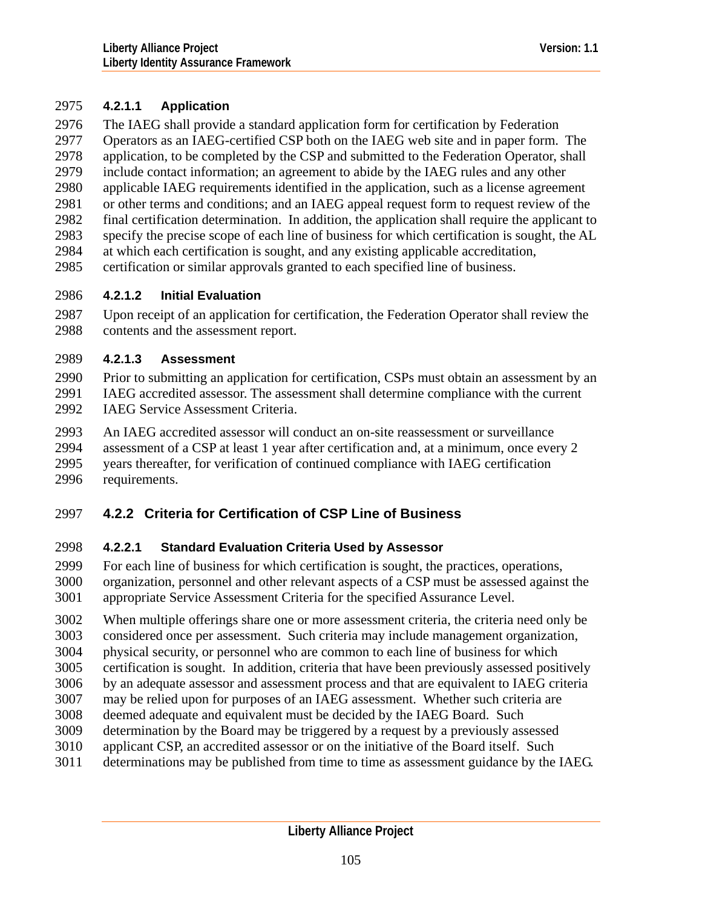# 2975 **4.2.1.1 Application**

The IAEG shall provide a standard application form for certification by Federation Operators as an IAEG-certified CSP both on the IAEG web site and in paper form. The application, to be completed by the CSP and submitted to the Federation Operator, shall include contact information; an agreement to abide by the IAEG rules and any other applicable IAEG requirements identified in the application, such as a license agreement or other terms and conditions; and an IAEG appeal request form to request review of the final certification determination. In addition, the application shall require the applicant to specify the precise scope of each line of business for which certification is sought, the AL at which each certification is sought, and any existing applicable accreditation, certification or similar approvals granted to each specified line of business. 2976 2977 2978 2979 2980 2981 2982 2983 2984 2985

## 2986 **4.2.1.2 Initial Evaluation**

2987 2988 Upon receipt of an application for certification, the Federation Operator shall review the contents and the assessment report.

## 2989 **4.2.1.3 Assessment**

2990 2991 2992 Prior to submitting an application for certification, CSPs must obtain an assessment by an IAEG accredited assessor. The assessment shall determine compliance with the current IAEG Service Assessment Criteria.

2993 2994 2995 2996 An IAEG accredited assessor will conduct an on-site reassessment or surveillance assessment of a CSP at least 1 year after certification and, at a minimum, once every 2 years thereafter, for verification of continued compliance with IAEG certification requirements.

# 2997 **4.2.2 Criteria for Certification of CSP Line of Business**

# 2998 **4.2.2.1 Standard Evaluation Criteria Used by Assessor**

2999 3000 3001 For each line of business for which certification is sought, the practices, operations, organization, personnel and other relevant aspects of a CSP must be assessed against the appropriate Service Assessment Criteria for the specified Assurance Level.

3002 3003 When multiple offerings share one or more assessment criteria, the criteria need only be considered once per assessment. Such criteria may include management organization,

3004 physical security, or personnel who are common to each line of business for which

3005 certification is sought. In addition, criteria that have been previously assessed positively

- 3006 by an adequate assessor and assessment process and that are equivalent to IAEG criteria
- 3007 may be relied upon for purposes of an IAEG assessment. Whether such criteria are
- 3008 deemed adequate and equivalent must be decided by the IAEG Board. Such
- 3009 determination by the Board may be triggered by a request by a previously assessed
- 3010 applicant CSP, an accredited assessor or on the initiative of the Board itself. Such
- 3011 determinations may be published from time to time as assessment guidance by the IAEG.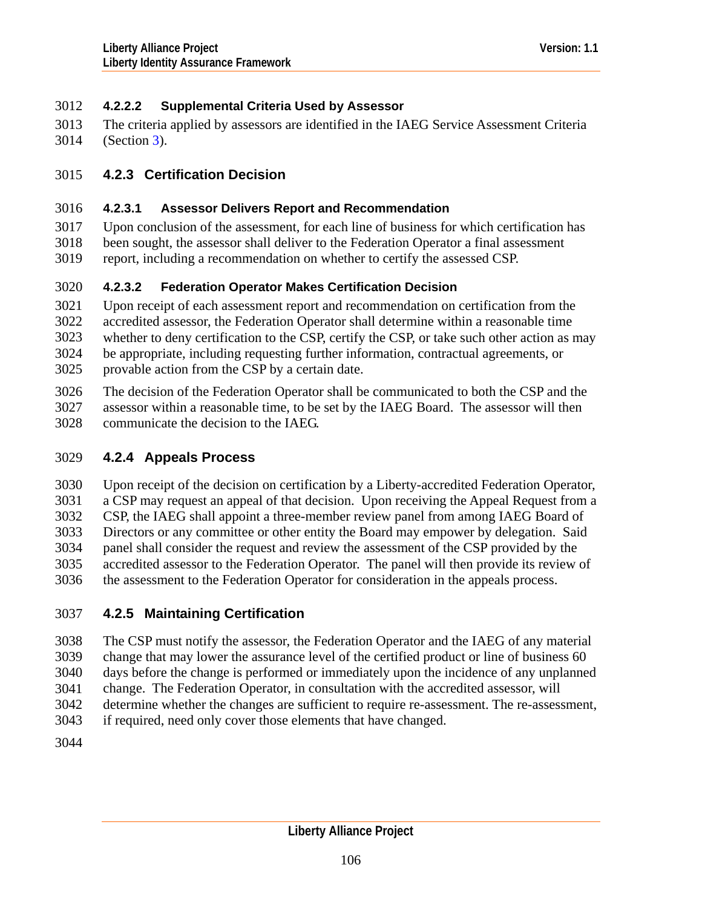# 3012 **4.2.2.2 Supplemental Criteria Used by Assessor**

The criteria applied by assessors are identified in the IAEG Service Assessment Criteria (Section [3](#page-10-0)). 3013 3014

# 3015 **4.2.3 Certification Decision**

## 3016 **4.2.3.1 Assessor Delivers Report and Recommendation**

3017 3018 Upon conclusion of the assessment, for each line of business for which certification has been sought, the assessor shall deliver to the Federation Operator a final assessment

3019 report, including a recommendation on whether to certify the assessed CSP.

# 3020 **4.2.3.2 Federation Operator Makes Certification Decision**

3021 3022 3023 3024 3025 Upon receipt of each assessment report and recommendation on certification from the accredited assessor, the Federation Operator shall determine within a reasonable time whether to deny certification to the CSP, certify the CSP, or take such other action as may be appropriate, including requesting further information, contractual agreements, or provable action from the CSP by a certain date.

3026 3027 3028 The decision of the Federation Operator shall be communicated to both the CSP and the assessor within a reasonable time, to be set by the IAEG Board. The assessor will then communicate the decision to the IAEG.

# 3029 **4.2.4 Appeals Process**

3030 3031 3032 3033 3034 3035 3036 Upon receipt of the decision on certification by a Liberty-accredited Federation Operator, a CSP may request an appeal of that decision. Upon receiving the Appeal Request from a CSP, the IAEG shall appoint a three-member review panel from among IAEG Board of Directors or any committee or other entity the Board may empower by delegation. Said panel shall consider the request and review the assessment of the CSP provided by the accredited assessor to the Federation Operator. The panel will then provide its review of the assessment to the Federation Operator for consideration in the appeals process.

# 3037 **4.2.5 Maintaining Certification**

3038 3039 3040 3041 The CSP must notify the assessor, the Federation Operator and the IAEG of any material change that may lower the assurance level of the certified product or line of business 60 days before the change is performed or immediately upon the incidence of any unplanned change. The Federation Operator, in consultation with the accredited assessor, will

3042 determine whether the changes are sufficient to require re-assessment. The re-assessment,

3043 if required, need only cover those elements that have changed.

3044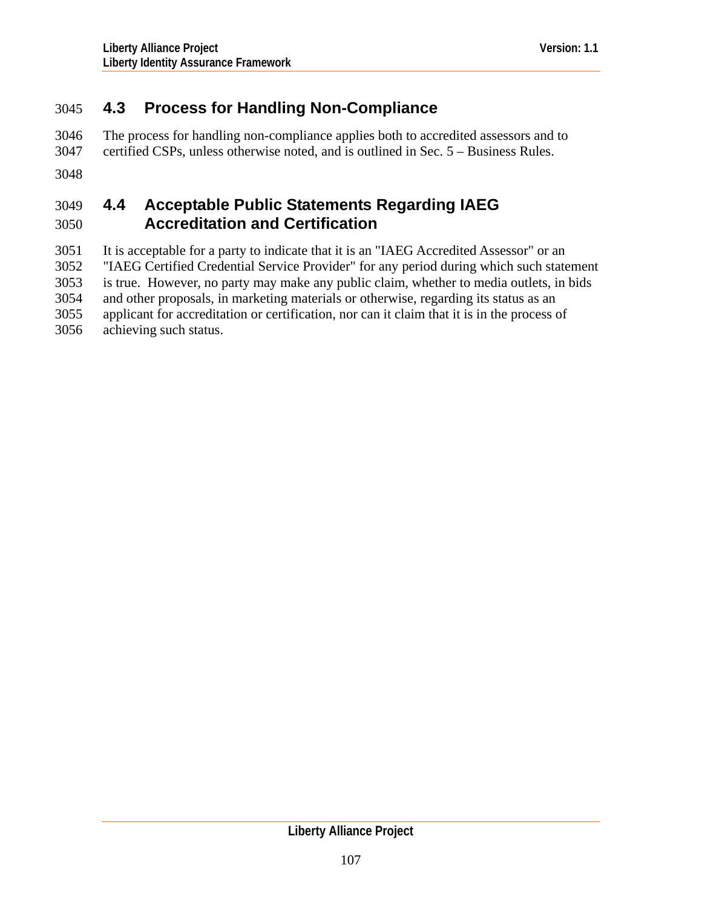# 3045 **4.3 Process for Handling Non-Compliance**

The process for handling non-compliance applies both to accredited assessors and to certified CSPs, unless otherwise noted, and is outlined in Sec. 5 – Business Rules. 3046 3047 3048

### 3050 3049 **4.4 Acceptable Public Statements Regarding IAEG Accreditation and Certification**

3051 3052 3053 3054 3055 3056 It is acceptable for a party to indicate that it is an "IAEG Accredited Assessor" or an "IAEG Certified Credential Service Provider" for any period during which such statement is true. However, no party may make any public claim, whether to media outlets, in bids and other proposals, in marketing materials or otherwise, regarding its status as an applicant for accreditation or certification, nor can it claim that it is in the process of achieving such status.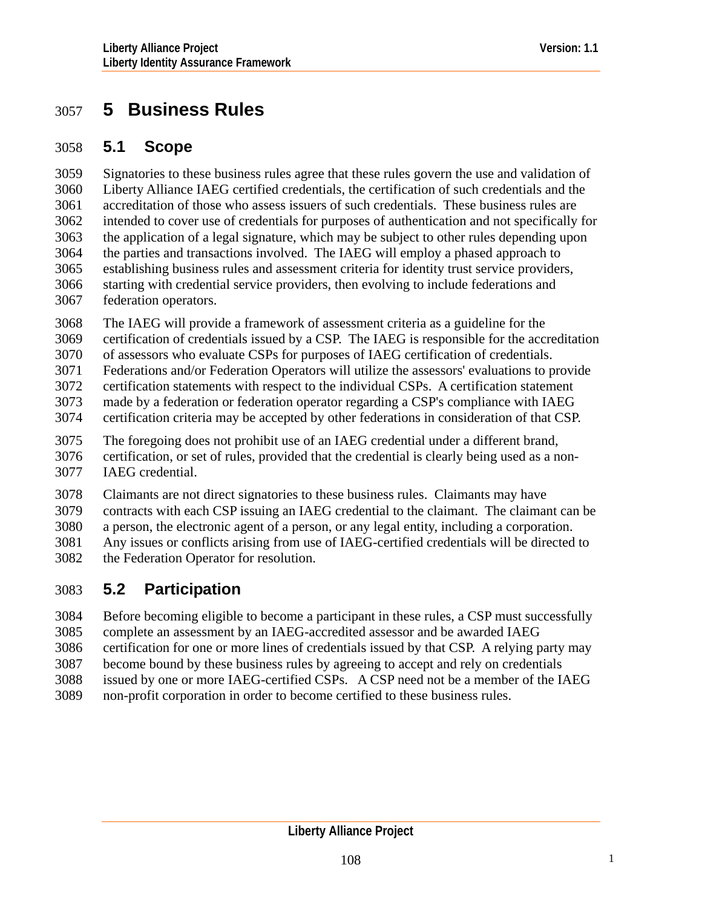# 3057 **5 Business Rules**

# 3058 **5.1 Scope**

Signatories to these business rules agree that these rules govern the use and validation of Liberty Alliance IAEG certified credentials, the certification of such credentials and the accreditation of those who assess issuers of such credentials. These business rules are intended to cover use of credentials for purposes of authentication and not specifically for the application of a legal signature, which may be subject to other rules depending upon the parties and transactions involved. The IAEG will employ a phased approach to establishing business rules and assessment criteria for identity trust service providers, starting with credential service providers, then evolving to include federations and federation operators. 3059 3060 3061 3062 3063 3064 3065 3066 3067

3068 The IAEG will provide a framework of assessment criteria as a guideline for the

3069 certification of credentials issued by a CSP. The IAEG is responsible for the accreditation

3070 of assessors who evaluate CSPs for purposes of IAEG certification of credentials.

3071 Federations and/or Federation Operators will utilize the assessors' evaluations to provide

3072 certification statements with respect to the individual CSPs. A certification statement

3073 made by a federation or federation operator regarding a CSP's compliance with IAEG

3074 certification criteria may be accepted by other federations in consideration of that CSP.

3075 3076 3077 The foregoing does not prohibit use of an IAEG credential under a different brand, certification, or set of rules, provided that the credential is clearly being used as a non-IAEG credential.

3078 3079 3080 3081 3082 Claimants are not direct signatories to these business rules. Claimants may have contracts with each CSP issuing an IAEG credential to the claimant. The claimant can be a person, the electronic agent of a person, or any legal entity, including a corporation. Any issues or conflicts arising from use of IAEG-certified credentials will be directed to the Federation Operator for resolution.

# 3083 **5.2 Participation**

3084 3085 Before becoming eligible to become a participant in these rules, a CSP must successfully complete an assessment by an IAEG-accredited assessor and be awarded IAEG

3086 certification for one or more lines of credentials issued by that CSP. A relying party may

3087 become bound by these business rules by agreeing to accept and rely on credentials

3088 3089 issued by one or more IAEG-certified CSPs. A CSP need not be a member of the IAEG non-profit corporation in order to become certified to these business rules.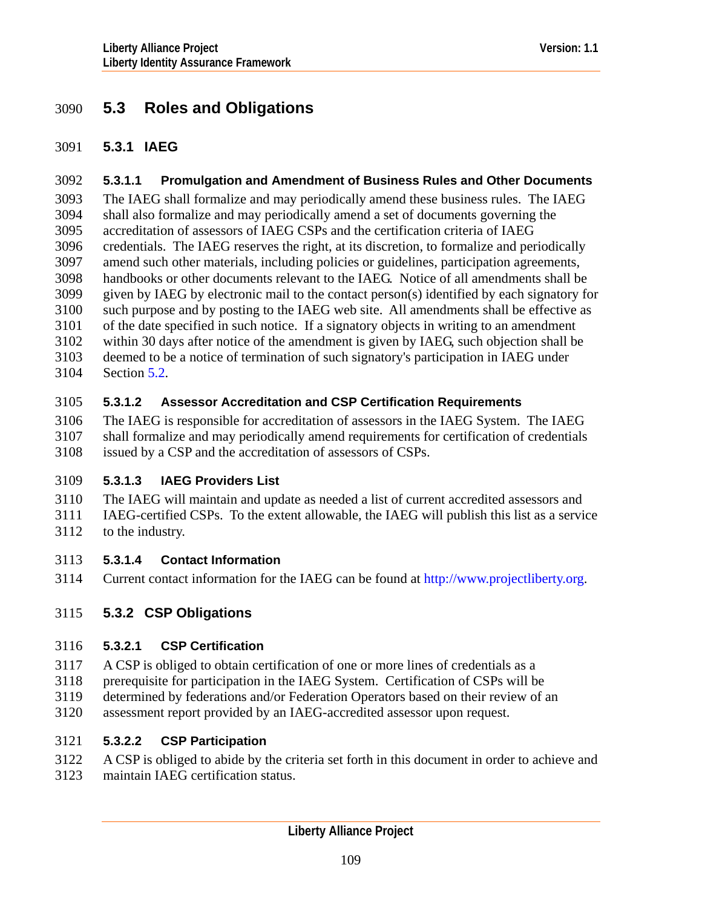# 3090 **5.3 Roles and Obligations**

#### 3091 **5.3.1 IAEG**

#### 3092 **5.3.1.1 Promulgation and Amendment of Business Rules and Other Documents**

The IAEG shall formalize and may periodically amend these business rules. The IAEG shall also formalize and may periodically amend a set of documents governing the accreditation of assessors of IAEG CSPs and the certification criteria of IAEG credentials. The IAEG reserves the right, at its discretion, to formalize and periodically amend such other materials, including policies or guidelines, participation agreements, handbooks or other documents relevant to the IAEG. Notice of all amendments shall be given by IAEG by electronic mail to the contact person(s) identified by each signatory for such purpose and by posting to the IAEG web site. All amendments shall be effective as of the date specified in such notice. If a signatory objects in writing to an amendment within 30 days after notice of the amendment is given by IAEG, such objection shall be deemed to be a notice of termination of such signatory's participation in IAEG under Section [5.2](#page-107-0). 3093 3094 3095 3096 3097 3098 3099 3100 3101 3102 3103 3104

#### 3105 **5.3.1.2 Assessor Accreditation and CSP Certification Requirements**

3106 The IAEG is responsible for accreditation of assessors in the IAEG System. The IAEG

- 3107 shall formalize and may periodically amend requirements for certification of credentials
- 3108 issued by a CSP and the accreditation of assessors of CSPs.

# 3109 **5.3.1.3 IAEG Providers List**

- 3110 3111 The IAEG will maintain and update as needed a list of current accredited assessors and IAEG-certified CSPs. To the extent allowable, the IAEG will publish this list as a service
- 3112 to the industry.

# 3113 **5.3.1.4 Contact Information**

3114 Current contact information for the IAEG can be found at [http://www.projectliberty.org](http://www.projectliberty.org/).

# 3115 **5.3.2 CSP Obligations**

# 3116 **5.3.2.1 CSP Certification**

- 3117 A CSP is obliged to obtain certification of one or more lines of credentials as a
- 3118 prerequisite for participation in the IAEG System. Certification of CSPs will be
- 3119 determined by federations and/or Federation Operators based on their review of an
- 3120 assessment report provided by an IAEG-accredited assessor upon request.

# 3121 **5.3.2.2 CSP Participation**

- 3122 A CSP is obliged to abide by the criteria set forth in this document in order to achieve and
- 3123 maintain IAEG certification status.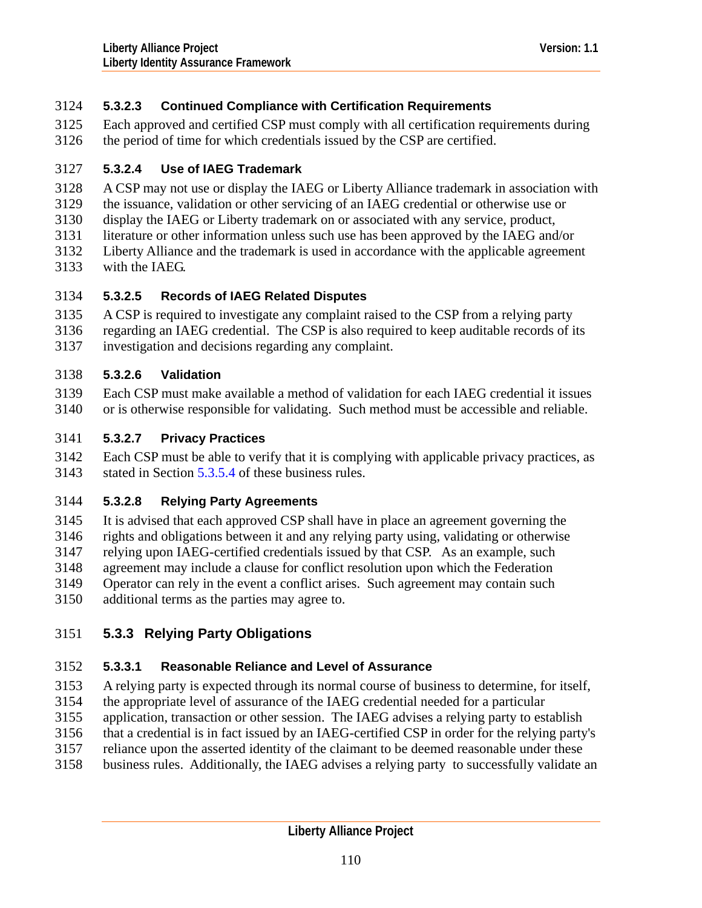# 3124 **5.3.2.3 Continued Compliance with Certification Requirements**

Each approved and certified CSP must comply with all certification requirements during the period of time for which credentials issued by the CSP are certified. 3125 3126

#### 3127 **5.3.2.4 Use of IAEG Trademark**

- 3128 A CSP may not use or display the IAEG or Liberty Alliance trademark in association with
- 3129 the issuance, validation or other servicing of an IAEG credential or otherwise use or
- 3130 display the IAEG or Liberty trademark on or associated with any service, product,
- 3131 literature or other information unless such use has been approved by the IAEG and/or
- 3132 Liberty Alliance and the trademark is used in accordance with the applicable agreement
- 3133 with the IAEG.

# 3134 **5.3.2.5 Records of IAEG Related Disputes**

- 3135 A CSP is required to investigate any complaint raised to the CSP from a relying party
- 3136 3137 regarding an IAEG credential. The CSP is also required to keep auditable records of its investigation and decisions regarding any complaint.

# 3138 **5.3.2.6 Validation**

3139 3140 Each CSP must make available a method of validation for each IAEG credential it issues or is otherwise responsible for validating. Such method must be accessible and reliable.

# 3141 **5.3.2.7 Privacy Practices**

3142 3143 Each CSP must be able to verify that it is complying with applicable privacy practices, as stated in Section [5.3.5.4](#page-111-0) of these business rules.

# 3144 **5.3.2.8 Relying Party Agreements**

3145 3146 3147 3148 3149 3150 It is advised that each approved CSP shall have in place an agreement governing the rights and obligations between it and any relying party using, validating or otherwise relying upon IAEG-certified credentials issued by that CSP. As an example, such agreement may include a clause for conflict resolution upon which the Federation Operator can rely in the event a conflict arises. Such agreement may contain such additional terms as the parties may agree to.

# 3151 **5.3.3 Relying Party Obligations**

# 3152 **5.3.3.1 Reasonable Reliance and Level of Assurance**

- 3153 A relying party is expected through its normal course of business to determine, for itself,
- 3154 the appropriate level of assurance of the IAEG credential needed for a particular
- 3155 application, transaction or other session. The IAEG advises a relying party to establish
- 3156 that a credential is in fact issued by an IAEG-certified CSP in order for the relying party's
- 3157 reliance upon the asserted identity of the claimant to be deemed reasonable under these
- 3158 business rules. Additionally, the IAEG advises a relying party to successfully validate an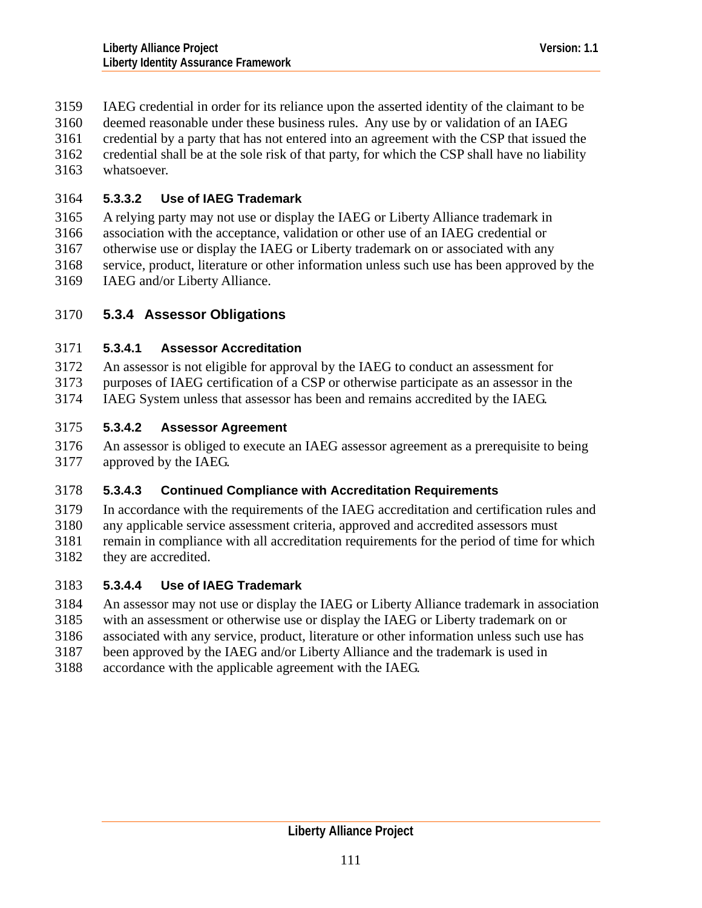- IAEG credential in order for its reliance upon the asserted identity of the claimant to be 3159
- deemed reasonable under these business rules. Any use by or validation of an IAEG 3160
- credential by a party that has not entered into an agreement with the CSP that issued the 3161
- credential shall be at the sole risk of that party, for which the CSP shall have no liability 3162
- whatsoever. 3163

# 3164 **5.3.3.2 Use of IAEG Trademark**

3165 A relying party may not use or display the IAEG or Liberty Alliance trademark in

- 3166 association with the acceptance, validation or other use of an IAEG credential or
- 3167 otherwise use or display the IAEG or Liberty trademark on or associated with any
- 3168 service, product, literature or other information unless such use has been approved by the
- 3169 IAEG and/or Liberty Alliance.

# 3170 **5.3.4 Assessor Obligations**

# 3171 **5.3.4.1 Assessor Accreditation**

- 3172 An assessor is not eligible for approval by the IAEG to conduct an assessment for
- 3173 purposes of IAEG certification of a CSP or otherwise participate as an assessor in the
- 3174 IAEG System unless that assessor has been and remains accredited by the IAEG.

# 3175 **5.3.4.2 Assessor Agreement**

3176 3177 An assessor is obliged to execute an IAEG assessor agreement as a prerequisite to being approved by the IAEG.

# 3178 **5.3.4.3 Continued Compliance with Accreditation Requirements**

- 3179 In accordance with the requirements of the IAEG accreditation and certification rules and
- 3180 3181 any applicable service assessment criteria, approved and accredited assessors must remain in compliance with all accreditation requirements for the period of time for which
- 3182 they are accredited.

# 3183 **5.3.4.4 Use of IAEG Trademark**

- 3184 An assessor may not use or display the IAEG or Liberty Alliance trademark in association
- 3185 with an assessment or otherwise use or display the IAEG or Liberty trademark on or
- 3186 associated with any service, product, literature or other information unless such use has
- 3187 been approved by the IAEG and/or Liberty Alliance and the trademark is used in
- 3188 accordance with the applicable agreement with the IAEG.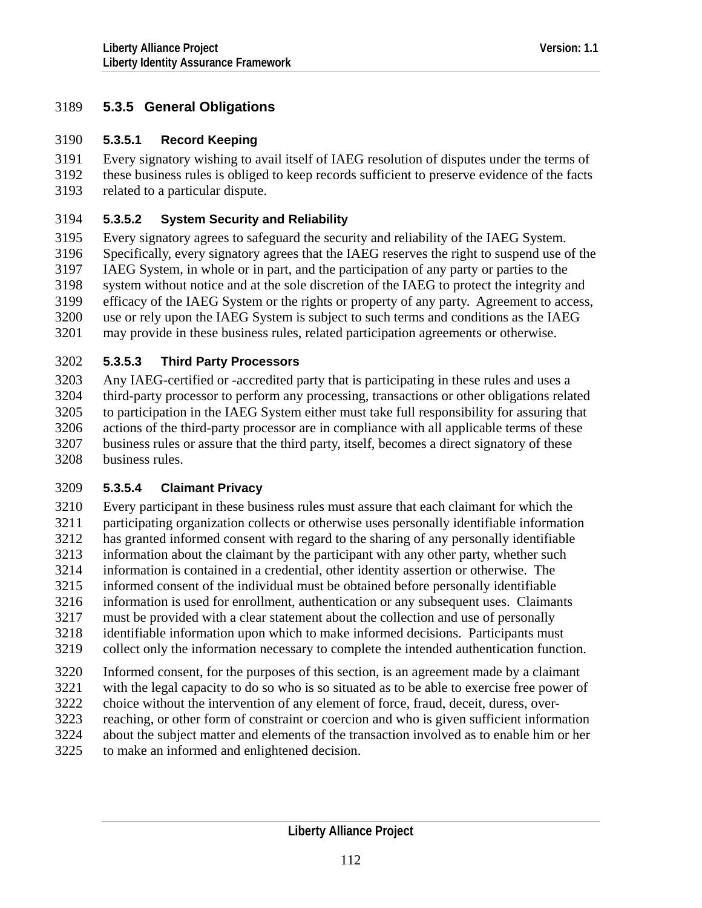# 3189 **5.3.5 General Obligations**

#### 3190 **5.3.5.1 Record Keeping**

Every signatory wishing to avail itself of IAEG resolution of disputes under the terms of these business rules is obliged to keep records sufficient to preserve evidence of the facts related to a particular dispute. 3191 3192 3193

#### 3194 **5.3.5.2 System Security and Reliability**

3195 3196 3197 3198 3199 3200 3201 Every signatory agrees to safeguard the security and reliability of the IAEG System. Specifically, every signatory agrees that the IAEG reserves the right to suspend use of the IAEG System, in whole or in part, and the participation of any party or parties to the system without notice and at the sole discretion of the IAEG to protect the integrity and efficacy of the IAEG System or the rights or property of any party. Agreement to access, use or rely upon the IAEG System is subject to such terms and conditions as the IAEG may provide in these business rules, related participation agreements or otherwise.

#### 3202 **5.3.5.3 Third Party Processors**

3203 3204 3205 3206 3207 3208 Any IAEG-certified or -accredited party that is participating in these rules and uses a third-party processor to perform any processing, transactions or other obligations related to participation in the IAEG System either must take full responsibility for assuring that actions of the third-party processor are in compliance with all applicable terms of these business rules or assure that the third party, itself, becomes a direct signatory of these business rules.

# <span id="page-111-0"></span>3209 **5.3.5.4 Claimant Privacy**

3210 3211 3212 3213 3214 3215 3216 3217 3218 3219 3220 Every participant in these business rules must assure that each claimant for which the participating organization collects or otherwise uses personally identifiable information has granted informed consent with regard to the sharing of any personally identifiable information about the claimant by the participant with any other party, whether such information is contained in a credential, other identity assertion or otherwise. The informed consent of the individual must be obtained before personally identifiable information is used for enrollment, authentication or any subsequent uses. Claimants must be provided with a clear statement about the collection and use of personally identifiable information upon which to make informed decisions. Participants must collect only the information necessary to complete the intended authentication function. Informed consent, for the purposes of this section, is an agreement made by a claimant

3221 3222 with the legal capacity to do so who is so situated as to be able to exercise free power of choice without the intervention of any element of force, fraud, deceit, duress, over-

- 3223 reaching, or other form of constraint or coercion and who is given sufficient information
- 3224 about the subject matter and elements of the transaction involved as to enable him or her
- 3225 to make an informed and enlightened decision.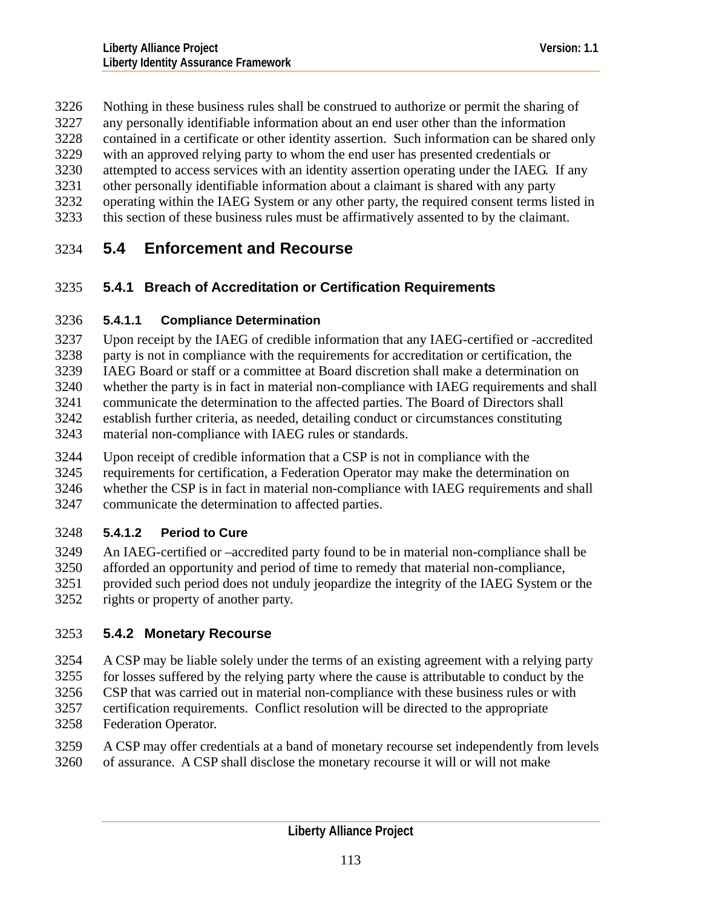Nothing in these business rules shall be construed to authorize or permit the sharing of 3226

any personally identifiable information about an end user other than the information 3227

contained in a certificate or other identity assertion. Such information can be shared only 3228

with an approved relying party to whom the end user has presented credentials or 3229

attempted to access services with an identity assertion operating under the IAEG. If any 3230

- other personally identifiable information about a claimant is shared with any party 3231
- operating within the IAEG System or any other party, the required consent terms listed in 3232
- this section of these business rules must be affirmatively assented to by the claimant. 3233

# 3234 **5.4 Enforcement and Recourse**

# 3235 **5.4.1 Breach of Accreditation or Certification Requirements**

# 3236 **5.4.1.1 Compliance Determination**

3237 3238 3239 3240 3241 3242 3243 Upon receipt by the IAEG of credible information that any IAEG-certified or -accredited party is not in compliance with the requirements for accreditation or certification, the IAEG Board or staff or a committee at Board discretion shall make a determination on whether the party is in fact in material non-compliance with IAEG requirements and shall communicate the determination to the affected parties. The Board of Directors shall establish further criteria, as needed, detailing conduct or circumstances constituting material non-compliance with IAEG rules or standards.

- 3244 Upon receipt of credible information that a CSP is not in compliance with the
- 3245 requirements for certification, a Federation Operator may make the determination on

3246 3247 whether the CSP is in fact in material non-compliance with IAEG requirements and shall communicate the determination to affected parties.

# 3248 **5.4.1.2 Period to Cure**

3249 3250 3251 3252 An IAEG-certified or –accredited party found to be in material non-compliance shall be afforded an opportunity and period of time to remedy that material non-compliance, provided such period does not unduly jeopardize the integrity of the IAEG System or the rights or property of another party.

# 3253 **5.4.2 Monetary Recourse**

3254 A CSP may be liable solely under the terms of an existing agreement with a relying party

3255 for losses suffered by the relying party where the cause is attributable to conduct by the

3256 CSP that was carried out in material non-compliance with these business rules or with

3257 3258 certification requirements. Conflict resolution will be directed to the appropriate Federation Operator.

3259 3260 A CSP may offer credentials at a band of monetary recourse set independently from levels of assurance. A CSP shall disclose the monetary recourse it will or will not make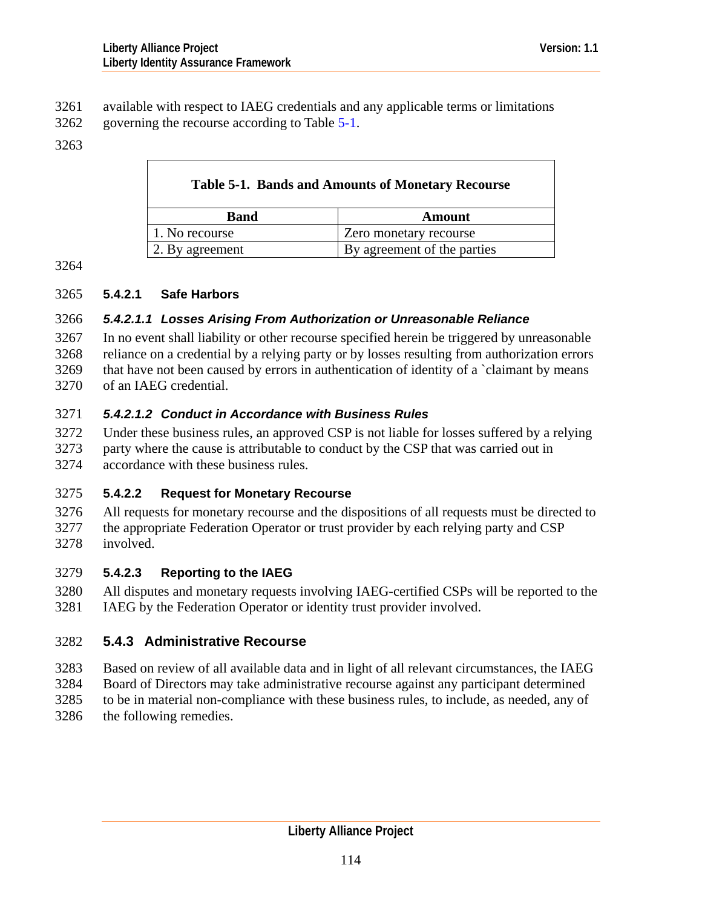- <span id="page-113-0"></span>available with respect to IAEG credentials and any applicable terms or limitations 3261
- governing the recourse according to Table [5-1.](#page-113-0) 3262

#### 3263

| <b>Table 5-1. Bands and Amounts of Monetary Recourse</b> |                             |
|----------------------------------------------------------|-----------------------------|
| <b>Band</b>                                              | Amount                      |
| 1. No recourse                                           | Zero monetary recourse      |
| 2. By agreement                                          | By agreement of the parties |

3264

#### 3265 **5.4.2.1 Safe Harbors**

 $\mathbf{I}$ 

#### 3266 *5.4.2.1.1 Losses Arising From Authorization or Unreasonable Reliance*

3267 3268 3269 3270 In no event shall liability or other recourse specified herein be triggered by unreasonable reliance on a credential by a relying party or by losses resulting from authorization errors that have not been caused by errors in authentication of identity of a `claimant by means of an IAEG credential.

# 3271 *5.4.2.1.2 Conduct in Accordance with Business Rules*

3272 Under these business rules, an approved CSP is not liable for losses suffered by a relying

3273 3274 party where the cause is attributable to conduct by the CSP that was carried out in accordance with these business rules.

# 3275 **5.4.2.2 Request for Monetary Recourse**

3276 3277 3278 All requests for monetary recourse and the dispositions of all requests must be directed to the appropriate Federation Operator or trust provider by each relying party and CSP involved.

# 3279 **5.4.2.3 Reporting to the IAEG**

3280 3281 All disputes and monetary requests involving IAEG-certified CSPs will be reported to the IAEG by the Federation Operator or identity trust provider involved.

# 3282 **5.4.3 Administrative Recourse**

- 3283 Based on review of all available data and in light of all relevant circumstances, the IAEG
- 3284 Board of Directors may take administrative recourse against any participant determined
- 3285 3286 to be in material non-compliance with these business rules, to include, as needed, any of the following remedies.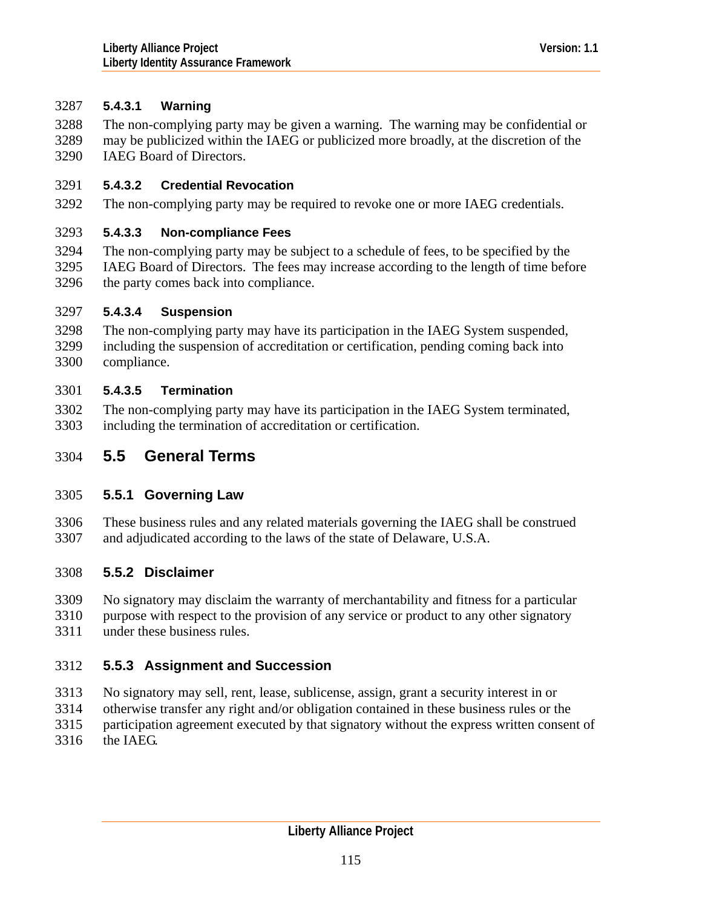# 3287 **5.4.3.1 Warning**

The non-complying party may be given a warning. The warning may be confidential or may be publicized within the IAEG or publicized more broadly, at the discretion of the IAEG Board of Directors. 3288 3289 3290

# 3291 **5.4.3.2 Credential Revocation**

3292 The non-complying party may be required to revoke one or more IAEG credentials.

# 3293 **5.4.3.3 Non-compliance Fees**

3294 3295 3296 The non-complying party may be subject to a schedule of fees, to be specified by the IAEG Board of Directors. The fees may increase according to the length of time before the party comes back into compliance.

#### 3297 **5.4.3.4 Suspension**

3298 3299 3300 The non-complying party may have its participation in the IAEG System suspended, including the suspension of accreditation or certification, pending coming back into compliance.

# 3301 **5.4.3.5 Termination**

3302 3303 The non-complying party may have its participation in the IAEG System terminated, including the termination of accreditation or certification.

# 3304 **5.5 General Terms**

# 3305 **5.5.1 Governing Law**

3306 3307 These business rules and any related materials governing the IAEG shall be construed and adjudicated according to the laws of the state of Delaware, U.S.A.

# 3308 **5.5.2 Disclaimer**

- 3309 No signatory may disclaim the warranty of merchantability and fitness for a particular
- 3310 3311 purpose with respect to the provision of any service or product to any other signatory under these business rules.

# 3312 **5.5.3 Assignment and Succession**

- 3313 No signatory may sell, rent, lease, sublicense, assign, grant a security interest in or
- 3314 otherwise transfer any right and/or obligation contained in these business rules or the
- 3315 participation agreement executed by that signatory without the express written consent of
- 3316 the IAEG.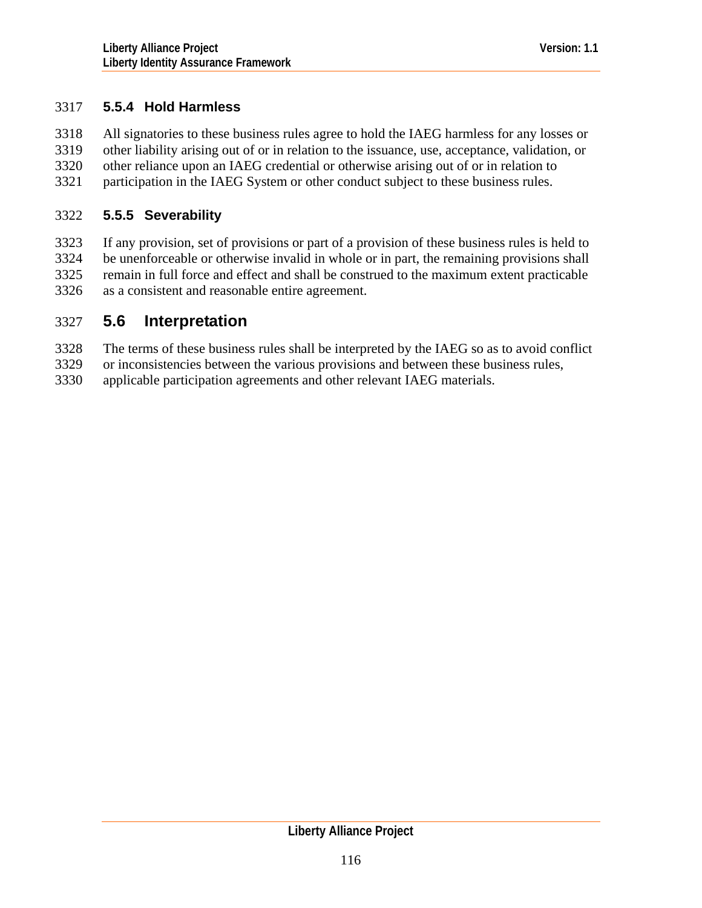# 3317 **5.5.4 Hold Harmless**

All signatories to these business rules agree to hold the IAEG harmless for any losses or other liability arising out of or in relation to the issuance, use, acceptance, validation, or other reliance upon an IAEG credential or otherwise arising out of or in relation to participation in the IAEG System or other conduct subject to these business rules. 3318 3319 3320 3321

#### 3322 **5.5.5 Severability**

3323 3324 3325 3326 If any provision, set of provisions or part of a provision of these business rules is held to be unenforceable or otherwise invalid in whole or in part, the remaining provisions shall remain in full force and effect and shall be construed to the maximum extent practicable as a consistent and reasonable entire agreement.

# 3327 **5.6 Interpretation**

- 3328 The terms of these business rules shall be interpreted by the IAEG so as to avoid conflict
- 3329 or inconsistencies between the various provisions and between these business rules,
- 3330 applicable participation agreements and other relevant IAEG materials.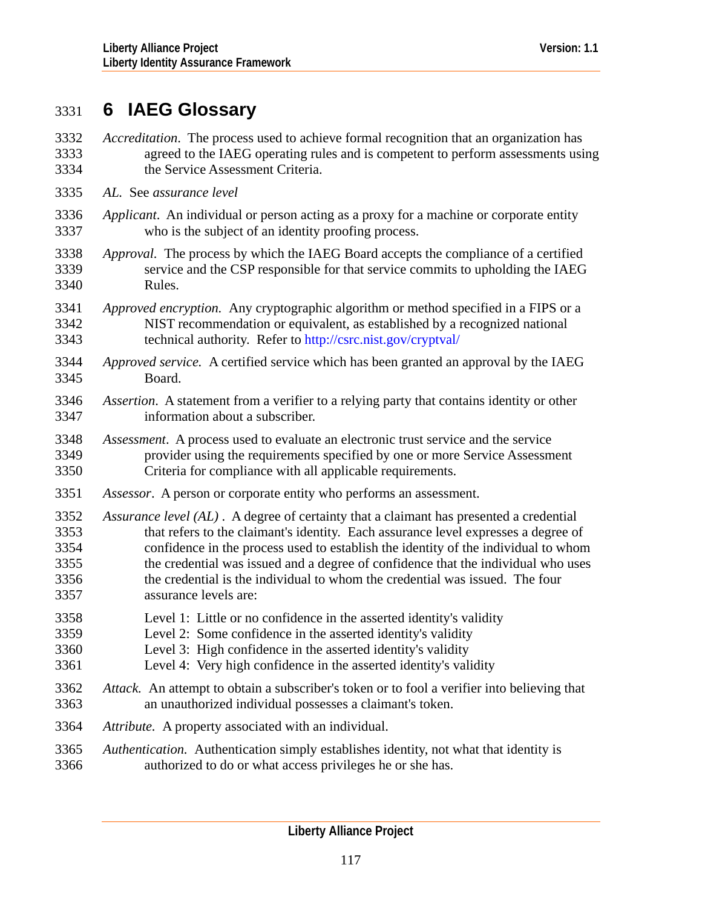# 3331 **6 IAEG Glossary**

- *Accreditation*. The process used to achieve formal recognition that an organization has agreed to the IAEG operating rules and is competent to perform assessments using the Service Assessment Criteria. 3332 3333 3334
- 3335 *AL.* See *assurance level*
- 3336 3337 *Applicant*. An individual or person acting as a proxy for a machine or corporate entity who is the subject of an identity proofing process.
- 3338 3339 3340 *Approval.* The process by which the IAEG Board accepts the compliance of a certified service and the CSP responsible for that service commits to upholding the IAEG Rules.
- 3341 3342 3343 *Approved encryption.* Any cryptographic algorithm or method specified in a FIPS or a NIST recommendation or equivalent, as established by a recognized national technical authority. Refer to <http://csrc.nist.gov/cryptval/>
- 3344 3345 *Approved service.* A certified service which has been granted an approval by the IAEG Board.
- 3346 3347 *Assertion*. A statement from a verifier to a relying party that contains identity or other information about a subscriber.
- 3348 3349 3350 *Assessment*. A process used to evaluate an electronic trust service and the service provider using the requirements specified by one or more Service Assessment Criteria for compliance with all applicable requirements.
- 3351 *Assessor*. A person or corporate entity who performs an assessment.
- 3352 3353 3354 3355 3356 3357 *Assurance level (AL)* . A degree of certainty that a claimant has presented a credential that refers to the claimant's identity. Each assurance level expresses a degree of confidence in the process used to establish the identity of the individual to whom the credential was issued and a degree of confidence that the individual who uses the credential is the individual to whom the credential was issued. The four assurance levels are:
- 3358 Level 1: Little or no confidence in the asserted identity's validity
- 3359 Level 2: Some confidence in the asserted identity's validity
- 3360 Level 3: High confidence in the asserted identity's validity
- 3361 Level 4: Very high confidence in the asserted identity's validity
- 3362 3363 *Attack.* An attempt to obtain a subscriber's token or to fool a verifier into believing that an unauthorized individual possesses a claimant's token.
- 3364 *Attribute.* A property associated with an individual.
- 3365 3366 *Authentication.* Authentication simply establishes identity, not what that identity is authorized to do or what access privileges he or she has.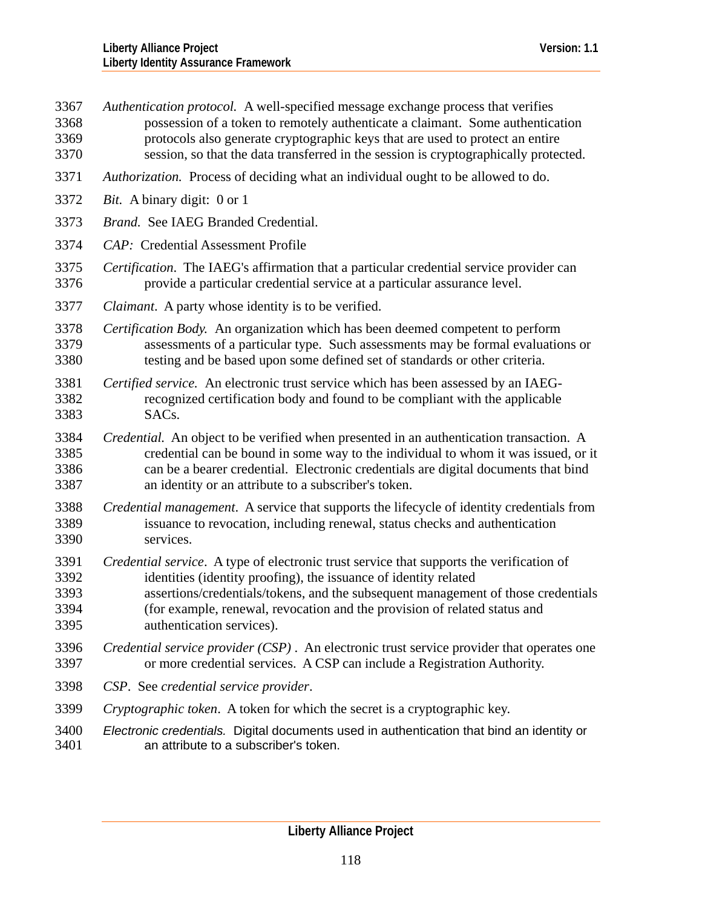- *Authentication protocol.* A well-specified message exchange process that verifies possession of a token to remotely authenticate a claimant. Some authentication protocols also generate cryptographic keys that are used to protect an entire session, so that the data transferred in the session is cryptographically protected. 3367 3368 3369 3370
- 3371 *Authorization.* Process of deciding what an individual ought to be allowed to do.
- 3372 *Bit.* A binary digit: 0 or 1
- 3373 *Brand.* See IAEG Branded Credential.
- 3374 *CAP:* Credential Assessment Profile
- 3375 3376 *Certification*. The IAEG's affirmation that a particular credential service provider can provide a particular credential service at a particular assurance level.
- 3377 *Claimant*. A party whose identity is to be verified.
- 3378 3379 3380 *Certification Body.* An organization which has been deemed competent to perform assessments of a particular type. Such assessments may be formal evaluations or testing and be based upon some defined set of standards or other criteria.
- 3381 3382 3383 *Certified service.* An electronic trust service which has been assessed by an IAEGrecognized certification body and found to be compliant with the applicable SACs.
- 3384 3385 3386 3387 *Credential.* An object to be verified when presented in an authentication transaction. A credential can be bound in some way to the individual to whom it was issued, or it can be a bearer credential. Electronic credentials are digital documents that bind an identity or an attribute to a subscriber's token.
- 3388 3389 3390 *Credential management*. A service that supports the lifecycle of identity credentials from issuance to revocation, including renewal, status checks and authentication services.
- 3391 3392 3393 3394 *Credential service*. A type of electronic trust service that supports the verification of identities (identity proofing), the issuance of identity related assertions/credentials/tokens, and the subsequent management of those credentials (for example, renewal, revocation and the provision of related status and
- 3395 authentication services).
- 3396 3397 *Credential service provider (CSP)* . An electronic trust service provider that operates one or more credential services. A CSP can include a Registration Authority.
- 3398 *CSP*. See *credential service provider*.
- 3399 *Cryptographic token*. A token for which the secret is a cryptographic key.
- 3400 3401 *Electronic credentials.* Digital documents used in authentication that bind an identity or an attribute to a subscriber's token.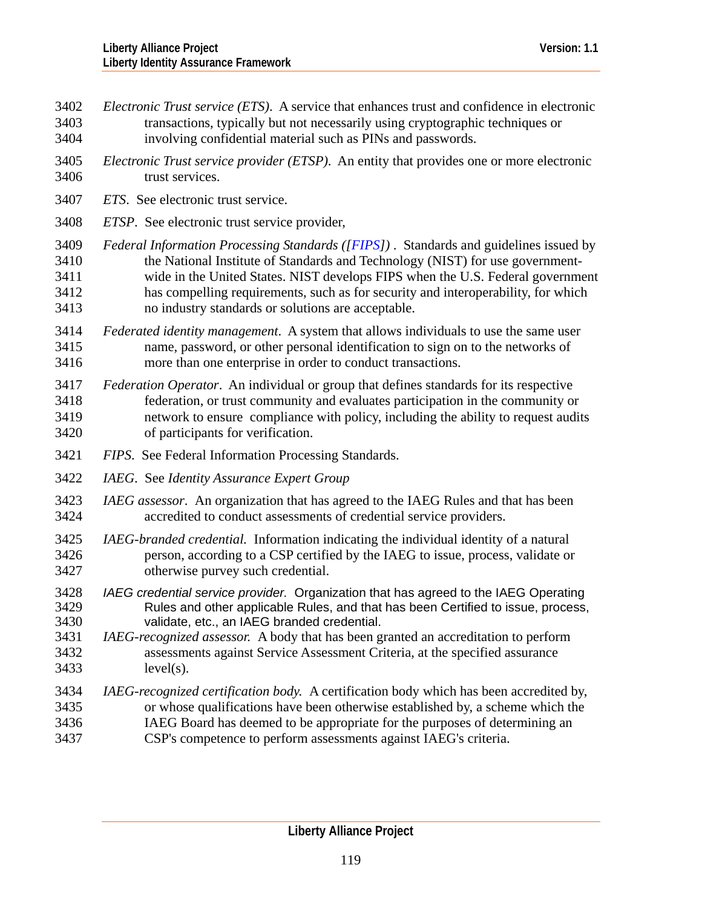- *Electronic Trust service (ETS)*. A service that enhances trust and confidence in electronic transactions, typically but not necessarily using cryptographic techniques or involving confidential material such as PINs and passwords. 3402 3403 3404
- 3405 3406 *Electronic Trust service provider (ETSP)*. An entity that provides one or more electronic trust services.
- 3407 *ETS*. See electronic trust service.
- 3408 *ETSP*. See electronic trust service provider,
- 3409 3410 3411 3412 3413 *Federal Information Processing Standards ([[FIPS](#page-126-0)])* . Standards and guidelines issued by the National Institute of Standards and Technology (NIST) for use governmentwide in the United States. NIST develops FIPS when the U.S. Federal government has compelling requirements, such as for security and interoperability, for which no industry standards or solutions are acceptable.
- 3414 3415 3416 *Federated identity management*. A system that allows individuals to use the same user name, password, or other personal identification to sign on to the networks of more than one enterprise in order to conduct transactions.
- 3417 3418 3419 3420 *Federation Operator*. An individual or group that defines standards for its respective federation, or trust community and evaluates participation in the community or network to ensure compliance with policy, including the ability to request audits of participants for verification.
- 3421 *FIPS*. See Federal Information Processing Standards.
- 3422 *IAEG*. See *Identity Assurance Expert Group*
- 3423 3424 *IAEG assessor*. An organization that has agreed to the IAEG Rules and that has been accredited to conduct assessments of credential service providers.
- 3425 3426 3427 *IAEG-branded credential.* Information indicating the individual identity of a natural person, according to a CSP certified by the IAEG to issue, process, validate or otherwise purvey such credential.
- 3428 3429 3430 *IAEG credential service provider.* Organization that has agreed to the IAEG Operating Rules and other applicable Rules, and that has been Certified to issue, process, validate, etc., an IAEG branded credential.
- 3431 3432 3433 *IAEG-recognized assessor.* A body that has been granted an accreditation to perform assessments against Service Assessment Criteria, at the specified assurance level(s).
- 3434 3435 3436 3437 *IAEG-recognized certification body.* A certification body which has been accredited by, or whose qualifications have been otherwise established by, a scheme which the IAEG Board has deemed to be appropriate for the purposes of determining an CSP's competence to perform assessments against IAEG's criteria.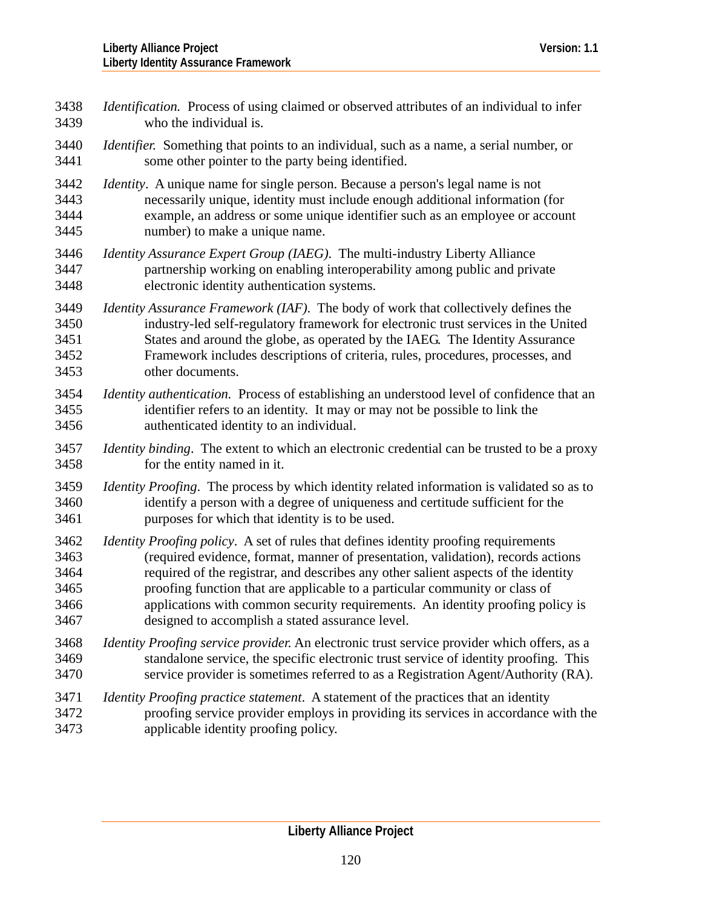| 3438 | <i>Identification.</i> Process of using claimed or observed attributes of an individual to infer   |
|------|----------------------------------------------------------------------------------------------------|
| 3439 | who the individual is.                                                                             |
| 3440 | <i>Identifier.</i> Something that points to an individual, such as a name, a serial number, or     |
| 3441 | some other pointer to the party being identified.                                                  |
| 3442 | Identity. A unique name for single person. Because a person's legal name is not                    |
| 3443 | necessarily unique, identity must include enough additional information (for                       |
| 3444 | example, an address or some unique identifier such as an employee or account                       |
| 3445 | number) to make a unique name.                                                                     |
| 3446 | <i>Identity Assurance Expert Group (IAEG).</i> The multi-industry Liberty Alliance                 |
| 3447 | partnership working on enabling interoperability among public and private                          |
| 3448 | electronic identity authentication systems.                                                        |
| 3449 | <i>Identity Assurance Framework (IAF).</i> The body of work that collectively defines the          |
| 3450 | industry-led self-regulatory framework for electronic trust services in the United                 |
| 3451 | States and around the globe, as operated by the IAEG. The Identity Assurance                       |
| 3452 | Framework includes descriptions of criteria, rules, procedures, processes, and                     |
| 3453 | other documents.                                                                                   |
| 3454 | Identity authentication. Process of establishing an understood level of confidence that an         |
| 3455 | identifier refers to an identity. It may or may not be possible to link the                        |
| 3456 | authenticated identity to an individual.                                                           |
| 3457 | <i>Identity binding.</i> The extent to which an electronic credential can be trusted to be a proxy |
| 3458 | for the entity named in it.                                                                        |
| 3459 | Identity Proofing. The process by which identity related information is validated so as to         |
| 3460 | identify a person with a degree of uniqueness and certitude sufficient for the                     |
| 3461 | purposes for which that identity is to be used.                                                    |
| 3462 | <i>Identity Proofing policy.</i> A set of rules that defines identity proofing requirements        |
| 3463 | (required evidence, format, manner of presentation, validation), records actions                   |
| 3464 | required of the registrar, and describes any other salient aspects of the identity                 |
| 3465 | proofing function that are applicable to a particular community or class of                        |
| 3466 | applications with common security requirements. An identity proofing policy is                     |
| 3467 | designed to accomplish a stated assurance level.                                                   |
| 3468 | <i>Identity Proofing service provider.</i> An electronic trust service provider which offers, as a |
| 3469 | standalone service, the specific electronic trust service of identity proofing. This               |
| 3470 | service provider is sometimes referred to as a Registration Agent/Authority (RA).                  |
| 3471 | <i>Identity Proofing practice statement.</i> A statement of the practices that an identity         |
| 3472 | proofing service provider employs in providing its services in accordance with the                 |
| 3473 | applicable identity proofing policy.                                                               |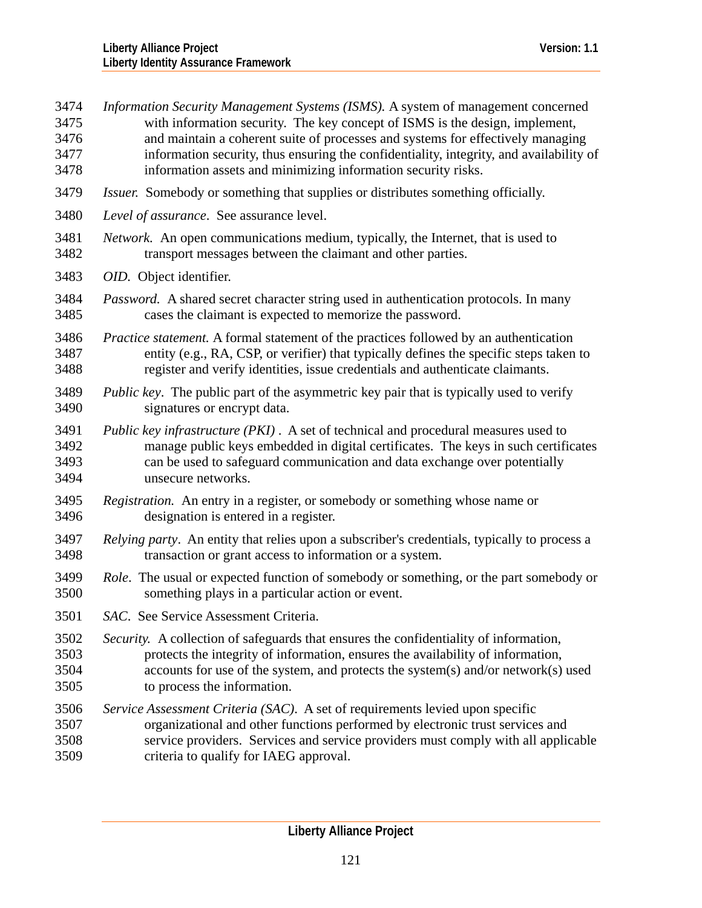| 3474 | Information Security Management Systems (ISMS). A system of management concerned               |
|------|------------------------------------------------------------------------------------------------|
| 3475 | with information security. The key concept of ISMS is the design, implement,                   |
| 3476 | and maintain a coherent suite of processes and systems for effectively managing                |
| 3477 | information security, thus ensuring the confidentiality, integrity, and availability of        |
| 3478 | information assets and minimizing information security risks.                                  |
| 3479 | <i>Issuer.</i> Somebody or something that supplies or distributes something officially.        |
| 3480 | Level of assurance. See assurance level.                                                       |
| 3481 | Network. An open communications medium, typically, the Internet, that is used to               |
| 3482 | transport messages between the claimant and other parties.                                     |
| 3483 | OID. Object identifier.                                                                        |
| 3484 | <i>Password.</i> A shared secret character string used in authentication protocols. In many    |
| 3485 | cases the claimant is expected to memorize the password.                                       |
| 3486 | <i>Practice statement.</i> A formal statement of the practices followed by an authentication   |
| 3487 | entity (e.g., RA, CSP, or verifier) that typically defines the specific steps taken to         |
| 3488 | register and verify identities, issue credentials and authenticate claimants.                  |
| 3489 | <i>Public key.</i> The public part of the asymmetric key pair that is typically used to verify |
| 3490 | signatures or encrypt data.                                                                    |
| 3491 | Public key infrastructure (PKI). A set of technical and procedural measures used to            |
| 3492 | manage public keys embedded in digital certificates. The keys in such certificates             |
| 3493 | can be used to safeguard communication and data exchange over potentially                      |
| 3494 | unsecure networks.                                                                             |
| 3495 | Registration. An entry in a register, or somebody or something whose name or                   |
| 3496 | designation is entered in a register.                                                          |
| 3497 | Relying party. An entity that relies upon a subscriber's credentials, typically to process a   |
| 3498 | transaction or grant access to information or a system.                                        |
| 3499 | Role. The usual or expected function of somebody or something, or the part somebody or         |
| 3500 | something plays in a particular action or event.                                               |
| 3501 | SAC. See Service Assessment Criteria.                                                          |
| 3502 | Security. A collection of safeguards that ensures the confidentiality of information,          |
| 3503 | protects the integrity of information, ensures the availability of information,                |
| 3504 | accounts for use of the system, and protects the system(s) and/or network(s) used              |
| 3505 | to process the information.                                                                    |
| 3506 | Service Assessment Criteria (SAC). A set of requirements levied upon specific                  |
| 3507 | organizational and other functions performed by electronic trust services and                  |
| 3508 | service providers. Services and service providers must comply with all applicable              |
| 3509 | criteria to qualify for IAEG approval.                                                         |
|      |                                                                                                |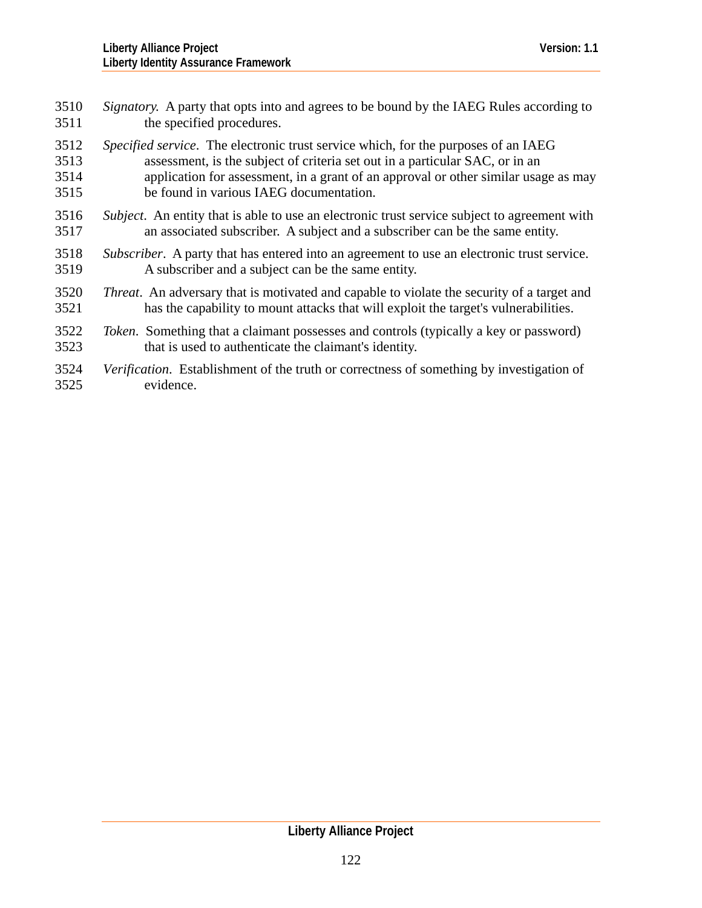| 3510 | Signatory. A party that opts into and agrees to be bound by the IAEG Rules according to             |
|------|-----------------------------------------------------------------------------------------------------|
| 3511 | the specified procedures.                                                                           |
| 3512 | Specified service. The electronic trust service which, for the purposes of an IAEG                  |
| 3513 | assessment, is the subject of criteria set out in a particular SAC, or in an                        |
| 3514 | application for assessment, in a grant of an approval or other similar usage as may                 |
| 3515 | be found in various IAEG documentation.                                                             |
| 3516 | <i>Subject.</i> An entity that is able to use an electronic trust service subject to agreement with |
| 3517 | an associated subscriber. A subject and a subscriber can be the same entity.                        |
| 3518 | <i>Subscriber.</i> A party that has entered into an agreement to use an electronic trust service.   |
| 3519 | A subscriber and a subject can be the same entity.                                                  |
| 3520 | <i>Threat.</i> An adversary that is motivated and capable to violate the security of a target and   |
| 3521 | has the capability to mount attacks that will exploit the target's vulnerabilities.                 |
| 3522 | <i>Token.</i> Something that a claimant possesses and controls (typically a key or password)        |
| 3523 | that is used to authenticate the claimant's identity.                                               |
| 3524 | Verification. Establishment of the truth or correctness of something by investigation of            |

3525  $\frac{1}{2}$  evidence.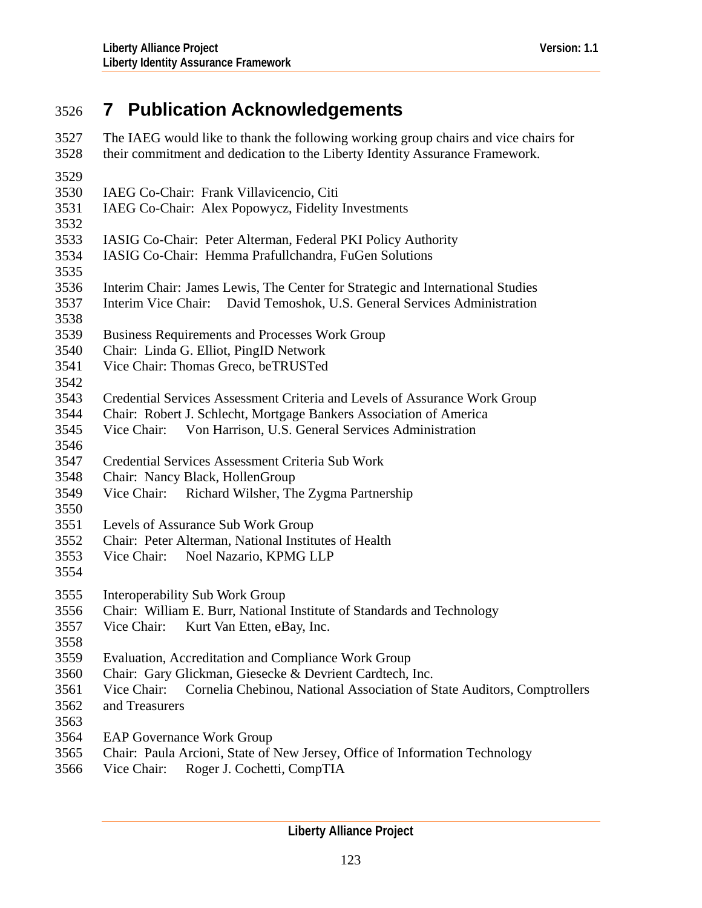# 3526 **7 Publication Acknowledgements**

| 3527<br>3528 | The IAEG would like to thank the following working group chairs and vice chairs for<br>their commitment and dedication to the Liberty Identity Assurance Framework. |
|--------------|---------------------------------------------------------------------------------------------------------------------------------------------------------------------|
| 3529         |                                                                                                                                                                     |
| 3530         | IAEG Co-Chair: Frank Villavicencio, Citi                                                                                                                            |
| 3531         | IAEG Co-Chair: Alex Popowycz, Fidelity Investments                                                                                                                  |
| 3532         |                                                                                                                                                                     |
| 3533         | IASIG Co-Chair: Peter Alterman, Federal PKI Policy Authority                                                                                                        |
| 3534         | IASIG Co-Chair: Hemma Prafullchandra, FuGen Solutions                                                                                                               |
| 3535         |                                                                                                                                                                     |
| 3536         | Interim Chair: James Lewis, The Center for Strategic and International Studies                                                                                      |
| 3537         | Interim Vice Chair: David Temoshok, U.S. General Services Administration                                                                                            |
| 3538         |                                                                                                                                                                     |
| 3539         | <b>Business Requirements and Processes Work Group</b>                                                                                                               |
| 3540         | Chair: Linda G. Elliot, PingID Network                                                                                                                              |
| 3541         | Vice Chair: Thomas Greco, beTRUSTed                                                                                                                                 |
| 3542         |                                                                                                                                                                     |
| 3543         | Credential Services Assessment Criteria and Levels of Assurance Work Group                                                                                          |
| 3544         | Chair: Robert J. Schlecht, Mortgage Bankers Association of America                                                                                                  |
| 3545         | Vice Chair: Von Harrison, U.S. General Services Administration                                                                                                      |
| 3546         |                                                                                                                                                                     |
| 3547         | Credential Services Assessment Criteria Sub Work                                                                                                                    |
| 3548         | Chair: Nancy Black, HollenGroup                                                                                                                                     |
| 3549         | Vice Chair: Richard Wilsher, The Zygma Partnership                                                                                                                  |
| 3550         |                                                                                                                                                                     |
| 3551         | Levels of Assurance Sub Work Group                                                                                                                                  |
| 3552         | Chair: Peter Alterman, National Institutes of Health                                                                                                                |
| 3553         | Vice Chair:<br>Noel Nazario, KPMG LLP                                                                                                                               |
| 3554         |                                                                                                                                                                     |
| 3555         | <b>Interoperability Sub Work Group</b>                                                                                                                              |
| 3556         | Chair: William E. Burr, National Institute of Standards and Technology                                                                                              |
| 3557         | Vice Chair:<br>Kurt Van Etten, eBay, Inc.                                                                                                                           |
| 3558         |                                                                                                                                                                     |
| 3559         | Evaluation, Accreditation and Compliance Work Group                                                                                                                 |
| 3560         | Chair: Gary Glickman, Giesecke & Devrient Cardtech, Inc.                                                                                                            |
| 3561         | Vice Chair:<br>Cornelia Chebinou, National Association of State Auditors, Comptrollers                                                                              |
| 3562         | and Treasurers                                                                                                                                                      |
| 3563         |                                                                                                                                                                     |
| 3564         | <b>EAP Governance Work Group</b>                                                                                                                                    |
| 3565         | Chair: Paula Arcioni, State of New Jersey, Office of Information Technology                                                                                         |
|              |                                                                                                                                                                     |

3566 Vice Chair: Roger J. Cochetti, CompTIA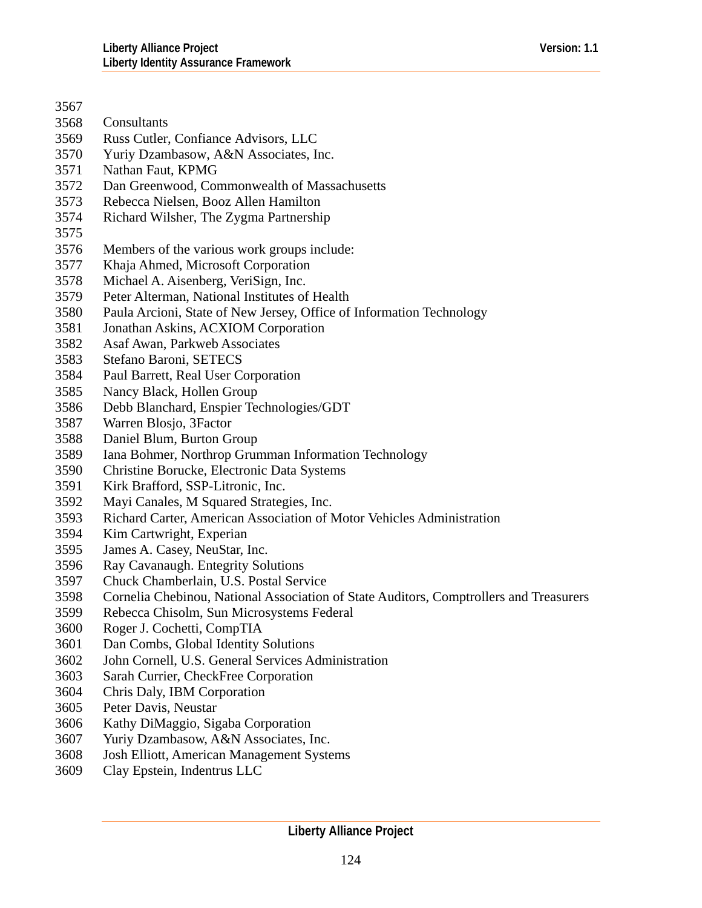| 3567 |                                                                                        |
|------|----------------------------------------------------------------------------------------|
| 3568 | Consultants                                                                            |
| 3569 | Russ Cutler, Confiance Advisors, LLC                                                   |
| 3570 | Yuriy Dzambasow, A&N Associates, Inc.                                                  |
| 3571 | Nathan Faut, KPMG                                                                      |
| 3572 | Dan Greenwood, Commonwealth of Massachusetts                                           |
| 3573 | Rebecca Nielsen, Booz Allen Hamilton                                                   |
| 3574 | Richard Wilsher, The Zygma Partnership                                                 |
| 3575 |                                                                                        |
| 3576 | Members of the various work groups include:                                            |
| 3577 | Khaja Ahmed, Microsoft Corporation                                                     |
| 3578 | Michael A. Aisenberg, VeriSign, Inc.                                                   |
| 3579 | Peter Alterman, National Institutes of Health                                          |
| 3580 | Paula Arcioni, State of New Jersey, Office of Information Technology                   |
| 3581 | Jonathan Askins, ACXIOM Corporation                                                    |
| 3582 | Asaf Awan, Parkweb Associates                                                          |
| 3583 | Stefano Baroni, SETECS                                                                 |
| 3584 | Paul Barrett, Real User Corporation                                                    |
| 3585 | Nancy Black, Hollen Group                                                              |
| 3586 | Debb Blanchard, Enspier Technologies/GDT                                               |
| 3587 | Warren Blosjo, 3Factor                                                                 |
| 3588 | Daniel Blum, Burton Group                                                              |
| 3589 | Iana Bohmer, Northrop Grumman Information Technology                                   |
| 3590 | Christine Borucke, Electronic Data Systems                                             |
| 3591 | Kirk Brafford, SSP-Litronic, Inc.                                                      |
| 3592 | Mayi Canales, M Squared Strategies, Inc.                                               |
| 3593 | Richard Carter, American Association of Motor Vehicles Administration                  |
| 3594 | Kim Cartwright, Experian                                                               |
| 3595 | James A. Casey, NeuStar, Inc.                                                          |
| 3596 | Ray Cavanaugh. Entegrity Solutions                                                     |
| 3597 | Chuck Chamberlain, U.S. Postal Service                                                 |
| 3598 | Cornelia Chebinou, National Association of State Auditors, Comptrollers and Treasurers |
| 3599 | Rebecca Chisolm, Sun Microsystems Federal                                              |
| 3600 | Roger J. Cochetti, CompTIA                                                             |
| 3601 | Dan Combs, Global Identity Solutions                                                   |
| 3602 | John Cornell, U.S. General Services Administration                                     |
| 3603 | Sarah Currier, CheckFree Corporation                                                   |
| 3604 | Chris Daly, IBM Corporation                                                            |
| 3605 | Peter Davis, Neustar                                                                   |
| 3606 | Kathy DiMaggio, Sigaba Corporation                                                     |

- 3607 Yuriy Dzambasow, A&N Associates, Inc.
- 3608 Josh Elliott, American Management Systems
- 3609 Clay Epstein, Indentrus LLC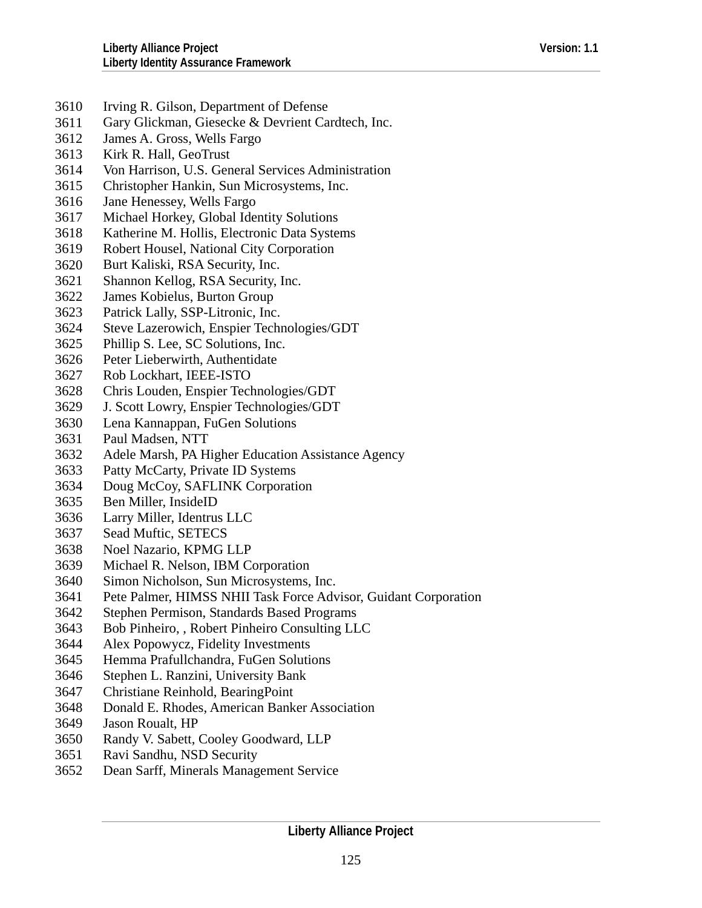- 3610 Irving R. Gilson, Department of Defense
- 3611 Gary Glickman, Giesecke & Devrient Cardtech, Inc.
- 3612 James A. Gross, Wells Fargo
- 3613 Kirk R. Hall, GeoTrust
- 3614 Von Harrison, U.S. General Services Administration
- 3615 Christopher Hankin, Sun Microsystems, Inc.
- 3616 Jane Henessey, Wells Fargo
- 3617 Michael Horkey, Global Identity Solutions
- 3618 Katherine M. Hollis, Electronic Data Systems
- 3619 Robert Housel, National City Corporation
- 3620 Burt Kaliski, RSA Security, Inc.
- 3621 Shannon Kellog, RSA Security, Inc.
- 3622 James Kobielus, Burton Group
- 3623 Patrick Lally, SSP-Litronic, Inc.
- 3624 Steve Lazerowich, Enspier Technologies/GDT
- 3625 Phillip S. Lee, SC Solutions, Inc.
- 3626 Peter Lieberwirth, Authentidate
- 3627 Rob Lockhart, IEEE-ISTO
- 3628 Chris Louden, Enspier Technologies/GDT
- 3629 J. Scott Lowry, Enspier Technologies/GDT
- 3630 Lena Kannappan, FuGen Solutions
- 3631 Paul Madsen, NTT
- 3632 Adele Marsh, PA Higher Education Assistance Agency
- 3633 Patty McCarty, Private ID Systems
- 3634 Doug McCoy, SAFLINK Corporation
- 3635 Ben Miller, InsideID
- 3636 Larry Miller, Identrus LLC
- 3637 Sead Muftic, SETECS
- 3638 Noel Nazario, KPMG LLP
- 3639 Michael R. Nelson, IBM Corporation
- 3640 Simon Nicholson, Sun Microsystems, Inc.
- 3641 Pete Palmer, HIMSS NHII Task Force Advisor, Guidant Corporation
- 3642 Stephen Permison, Standards Based Programs
- 3643 Bob Pinheiro, , Robert Pinheiro Consulting LLC
- 3644 Alex Popowycz, Fidelity Investments
- 3645 Hemma Prafullchandra, FuGen Solutions
- 3646 Stephen L. Ranzini, University Bank
- 3647 Christiane Reinhold, BearingPoint
- 3648 Donald E. Rhodes, American Banker Association
- 3649 Jason Roualt, HP
- 3650 Randy V. Sabett, Cooley Goodward, LLP
- 3651 Ravi Sandhu, NSD Security
- 3652 Dean Sarff, Minerals Management Service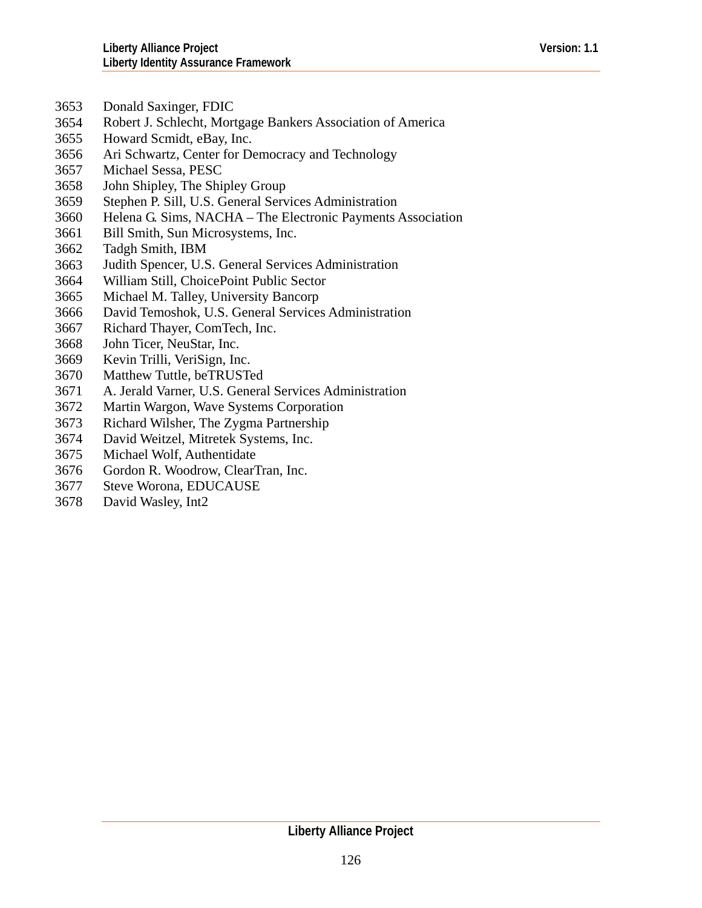- 3653 Donald Saxinger, FDIC
- 3654 Robert J. Schlecht, Mortgage Bankers Association of America
- 3655 Howard Scmidt, eBay, Inc.
- 3656 Ari Schwartz, Center for Democracy and Technology
- 3657 Michael Sessa, PESC
- 3658 John Shipley, The Shipley Group
- 3659 Stephen P. Sill, U.S. General Services Administration
- 3660 Helena G. Sims, NACHA – The Electronic Payments Association
- 3661 Bill Smith, Sun Microsystems, Inc.
- 3662 Tadgh Smith, IBM
- 3663 Judith Spencer, U.S. General Services Administration
- 3664 William Still, ChoicePoint Public Sector
- 3665 Michael M. Talley, University Bancorp
- 3666 David Temoshok, U.S. General Services Administration
- 3667 Richard Thayer, ComTech, Inc.
- 3668 John Ticer, NeuStar, Inc.
- 3669 Kevin Trilli, VeriSign, Inc.
- 3670 Matthew Tuttle, beTRUSTed
- 3671 A. Jerald Varner, U.S. General Services Administration
- 3672 Martin Wargon, Wave Systems Corporation
- 3673 Richard Wilsher, The Zygma Partnership
- 3674 David Weitzel, Mitretek Systems, Inc.
- 3675 Michael Wolf, Authentidate
- 3676 Gordon R. Woodrow, ClearTran, Inc.
- 3677 Steve Worona, EDUCAUSE
- 3678 David Wasley, Int2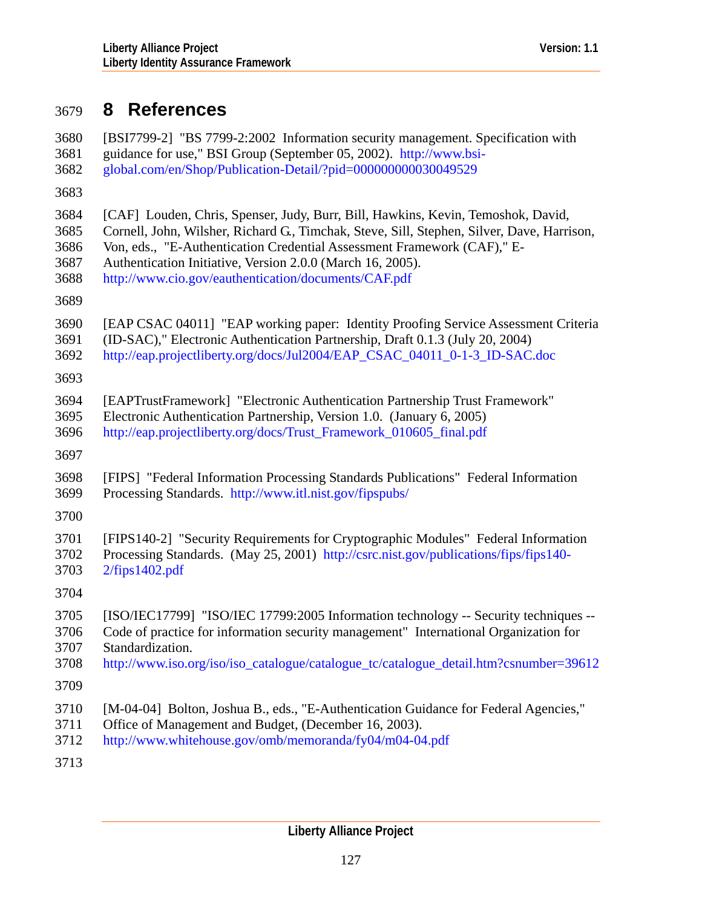# <span id="page-126-0"></span>3679 **8 References**

| 3680 | [BSI7799-2] "BS 7799-2:2002 Information security management. Specification with            |
|------|--------------------------------------------------------------------------------------------|
| 3681 | guidance for use," BSI Group (September 05, 2002). http://www.bsi-                         |
| 3682 | global.com/en/Shop/Publication-Detail/?pid=000000000030049529                              |
| 3683 |                                                                                            |
| 3684 | [CAF] Louden, Chris, Spenser, Judy, Burr, Bill, Hawkins, Kevin, Temoshok, David,           |
| 3685 | Cornell, John, Wilsher, Richard G., Timchak, Steve, Sill, Stephen, Silver, Dave, Harrison, |
| 3686 | Von, eds., "E-Authentication Credential Assessment Framework (CAF)," E-                    |
| 3687 | Authentication Initiative, Version 2.0.0 (March 16, 2005).                                 |
| 3688 | http://www.cio.gov/eauthentication/documents/CAF.pdf                                       |
| 3689 |                                                                                            |
| 3690 | [EAP CSAC 04011] "EAP working paper: Identity Proofing Service Assessment Criteria         |
| 3691 | (ID-SAC)," Electronic Authentication Partnership, Draft 0.1.3 (July 20, 2004)              |
| 3692 | http://eap.projectliberty.org/docs/Jul2004/EAP_CSAC_04011_0-1-3_ID-SAC.doc                 |
| 3693 |                                                                                            |
| 3694 | [EAPTrustFramework] "Electronic Authentication Partnership Trust Framework"                |
| 3695 | Electronic Authentication Partnership, Version 1.0. (January 6, 2005)                      |
| 3696 | http://eap.projectliberty.org/docs/Trust_Framework_010605_final.pdf                        |
| 3697 |                                                                                            |
| 3698 | [FIPS] "Federal Information Processing Standards Publications" Federal Information         |
| 3699 | Processing Standards. http://www.itl.nist.gov/fipspubs/                                    |
| 3700 |                                                                                            |
| 3701 | [FIPS140-2] "Security Requirements for Cryptographic Modules" Federal Information          |
| 3702 | Processing Standards. (May 25, 2001) http://csrc.nist.gov/publications/fips/fips140-       |
| 3703 | 2/fips1402.pdf                                                                             |
| 3704 |                                                                                            |
| 3705 | [ISO/IEC17799] "ISO/IEC 17799:2005 Information technology -- Security techniques --        |
| 3706 | Code of practice for information security management" International Organization for       |
| 3707 | Standardization.                                                                           |
| 3708 | http://www.iso.org/iso/iso_catalogue/catalogue_tc/catalogue_detail.htm?csnumber=39612      |
| 3709 |                                                                                            |
| 3710 | [M-04-04] Bolton, Joshua B., eds., "E-Authentication Guidance for Federal Agencies,"       |
| 3711 | Office of Management and Budget, (December 16, 2003).                                      |
| 3712 | http://www.whitehouse.gov/omb/memoranda/fy04/m04-04.pdf                                    |

3713